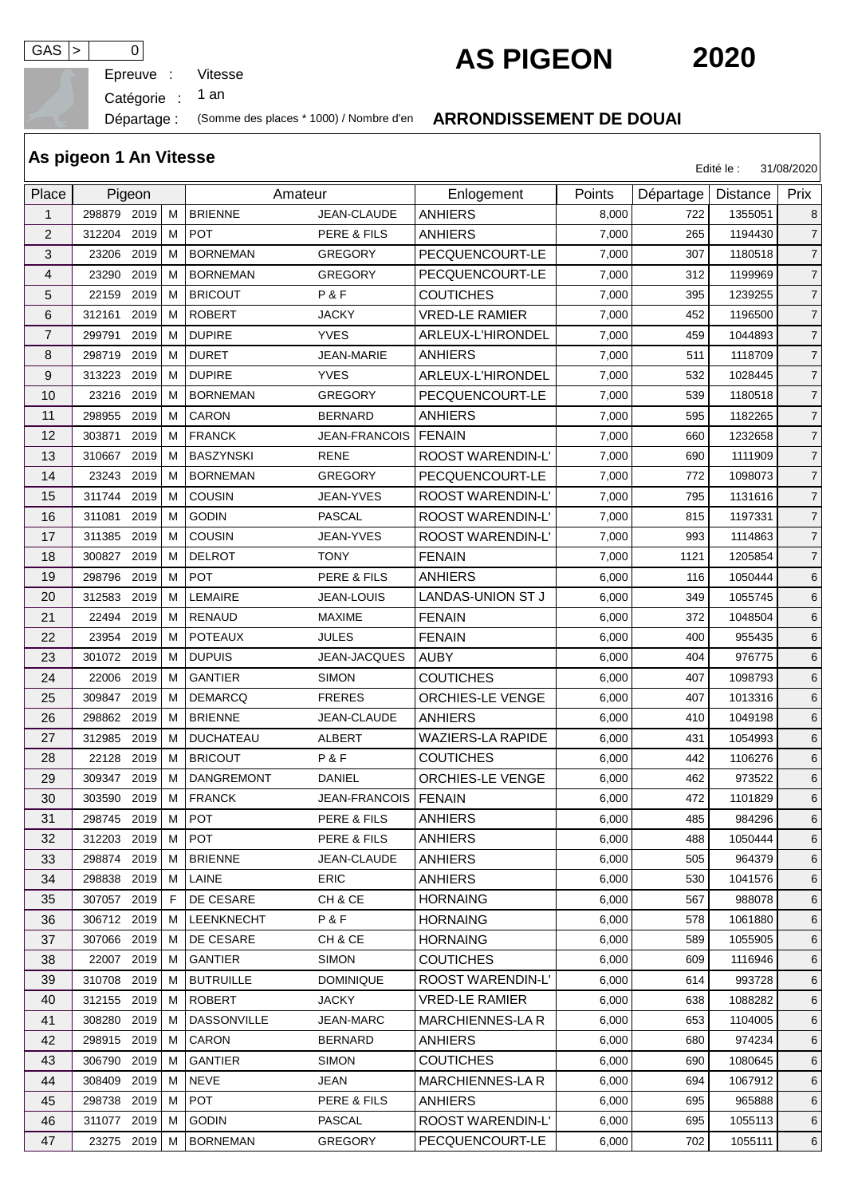Epreuve :

GAS > 0<br>
Epreuve : Vitesse **AS PIGEON** 2020

Catégorie :

an

## Départage : (Somme des places \* 1000) / Nombre d'en **ARRONDISSEMENT DE DOUAI**

|                | As pigeon 1 An Vitesse                  |      |    |                       |                        |                          |        |           | Edité le :      | 31/08/2020     |
|----------------|-----------------------------------------|------|----|-----------------------|------------------------|--------------------------|--------|-----------|-----------------|----------------|
| Place          | Pigeon<br>298879 2019<br>2019<br>312204 |      |    | Amateur               |                        | Enlogement               | Points | Départage | <b>Distance</b> | Prix           |
| 1              |                                         |      | M  | <b>BRIENNE</b>        | JEAN-CLAUDE            | <b>ANHIERS</b>           | 8,000  | 722       | 1355051         | 8              |
| $\overline{c}$ |                                         |      | M  | <b>POT</b>            | PERE & FILS            | <b>ANHIERS</b>           | 7,000  | 265       | 1194430         | $\overline{7}$ |
| 3              | 23206                                   | 2019 | м  | <b>BORNEMAN</b>       | <b>GREGORY</b>         | PECQUENCOURT-LE          | 7,000  | 307       | 1180518         | $\overline{7}$ |
| 4              | 23290                                   | 2019 | м  | <b>BORNEMAN</b>       | <b>GREGORY</b>         | PECQUENCOURT-LE          | 7,000  | 312       | 1199969         | $\overline{7}$ |
| 5              | 22159                                   | 2019 | м  | <b>BRICOUT</b>        | P&F                    | <b>COUTICHES</b>         | 7,000  | 395       | 1239255         | $\overline{7}$ |
| 6              | 312161                                  | 2019 | м  | <b>ROBERT</b>         | <b>JACKY</b>           | <b>VRED-LE RAMIER</b>    | 7,000  | 452       | 1196500         | $\overline{7}$ |
| $\overline{7}$ | 299791                                  | 2019 | м  | <b>DUPIRE</b>         | <b>YVES</b>            | ARLEUX-L'HIRONDEL        | 7,000  | 459       | 1044893         | $\overline{7}$ |
| 8              | 298719                                  | 2019 | м  | <b>DURET</b>          | JEAN-MARIE             | <b>ANHIERS</b>           | 7,000  | 511       | 1118709         | $\overline{7}$ |
| 9              | 313223                                  | 2019 | м  | <b>DUPIRE</b>         | <b>YVES</b>            | ARLEUX-L'HIRONDEL        | 7,000  | 532       | 1028445         | $\overline{7}$ |
| 10             | 23216                                   | 2019 | м  | <b>BORNEMAN</b>       | <b>GREGORY</b>         | PECQUENCOURT-LE          | 7,000  | 539       | 1180518         | $\overline{7}$ |
| 11             | 298955                                  | 2019 | м  | <b>CARON</b>          | <b>BERNARD</b>         | <b>ANHIERS</b>           | 7,000  | 595       | 1182265         | $\overline{7}$ |
| 12             | 303871                                  | 2019 | м  | <b>FRANCK</b>         | JEAN-FRANCOIS   FENAIN |                          | 7,000  | 660       | 1232658         | $\overline{7}$ |
| 13             | 310667                                  | 2019 | м  | <b>BASZYNSKI</b>      | <b>RENE</b>            | <b>ROOST WARENDIN-L'</b> | 7,000  | 690       | 1111909         | $\overline{7}$ |
| 14             | 23243                                   | 2019 | м  | <b>BORNEMAN</b>       | <b>GREGORY</b>         | PECQUENCOURT-LE          | 7,000  | 772       | 1098073         | $\overline{7}$ |
| 15             | 311744                                  | 2019 | м  | <b>COUSIN</b>         | <b>JEAN-YVES</b>       | ROOST WARENDIN-L'        | 7,000  | 795       | 1131616         | $\overline{7}$ |
| 16             | 311081                                  | 2019 | M  | <b>GODIN</b>          | <b>PASCAL</b>          | ROOST WARENDIN-L'        | 7,000  | 815       | 1197331         | $\overline{7}$ |
| 17             | 311385                                  | 2019 | м  | <b>COUSIN</b>         | <b>JEAN-YVES</b>       | ROOST WARENDIN-L'        | 7,000  | 993       | 1114863         | $\overline{7}$ |
| 18             | 300827                                  | 2019 | м  | <b>DELROT</b>         | <b>TONY</b>            | <b>FENAIN</b>            | 7,000  | 1121      | 1205854         | $\overline{7}$ |
| 19             | 298796                                  | 2019 | M  | <b>POT</b>            | PERE & FILS            | <b>ANHIERS</b>           | 6,000  | 116       | 1050444         | 6              |
| 20             | 312583                                  | 2019 | м  | LEMAIRE               | <b>JEAN-LOUIS</b>      | LANDAS-UNION ST J        | 6,000  | 349       | 1055745         | 6              |
| 21             | 22494                                   | 2019 | м  | <b>RENAUD</b>         | <b>MAXIME</b>          | <b>FENAIN</b>            | 6,000  | 372       | 1048504         | 6              |
| 22             | 23954                                   | 2019 | м  | <b>POTEAUX</b>        | <b>JULES</b>           | <b>FENAIN</b>            | 6,000  | 400       | 955435          | 6              |
| 23             | 301072                                  | 2019 | м  | <b>DUPUIS</b>         | JEAN-JACQUES           | <b>AUBY</b>              | 6,000  | 404       | 976775          | 6              |
| 24             | 22006                                   | 2019 | м  | <b>GANTIER</b>        | <b>SIMON</b>           | <b>COUTICHES</b>         | 6,000  | 407       | 1098793         | 6              |
| 25             | 309847                                  | 2019 | M  | <b>DEMARCQ</b>        | <b>FRERES</b>          | <b>ORCHIES-LE VENGE</b>  | 6,000  | 407       | 1013316         | 6              |
| 26             | 298862                                  | 2019 | м  | <b>BRIENNE</b>        | JEAN-CLAUDE            | ANHIERS                  | 6,000  | 410       | 1049198         | 6              |
| 27             | 312985                                  | 2019 | M  | <b>DUCHATEAU</b>      | <b>ALBERT</b>          | <b>WAZIERS-LA RAPIDE</b> | 6,000  | 431       | 1054993         | 6              |
| 28             | 22128                                   | 2019 | M  | <b>BRICOUT</b>        | P&F                    | <b>COUTICHES</b>         | 6,000  | 442       | 1106276         | 6              |
| 29             | 309347                                  | 2019 | м  | DANGREMONT            | <b>DANIEL</b>          | ORCHIES-LE VENGE         | 6,000  | 462       | 973522          | 6              |
| 30             | 303590 2019                             |      | M  | <b>FRANCK</b>         | JEAN-FRANCOIS   FENAIN |                          | 6,000  | 472       | 1101829         | 6              |
| 31             | 298745 2019                             |      | м  | <b>POT</b>            | PERE & FILS            | <b>ANHIERS</b>           | 6,000  | 485       | 984296          | 6              |
| 32             | 312203 2019                             |      | м  | <b>POT</b>            | PERE & FILS            | <b>ANHIERS</b>           | 6,000  | 488       | 1050444         | 6              |
| 33             | 298874 2019                             |      | м  | <b>BRIENNE</b>        | JEAN-CLAUDE            | <b>ANHIERS</b>           | 6,000  | 505       | 964379          | 6              |
| 34             | 298838 2019                             |      | м  | LAINE                 | <b>ERIC</b>            | <b>ANHIERS</b>           | 6,000  | 530       | 1041576         | 6              |
| 35             | 307057 2019                             |      | F. | DE CESARE             | CH & CE                | <b>HORNAING</b>          | 6,000  | 567       | 988078          | 6              |
| 36             | 306712 2019                             |      | м  | <b>LEENKNECHT</b>     | P&F                    | <b>HORNAING</b>          | 6,000  | 578       | 1061880         | 6              |
| 37             | 307066 2019                             |      | M  | DE CESARE             | CH & CE                | <b>HORNAING</b>          | 6,000  | 589       | 1055905         | 6              |
| 38             | 22007 2019                              |      | м  | <b>GANTIER</b>        | <b>SIMON</b>           | <b>COUTICHES</b>         | 6,000  | 609       | 1116946         | 6              |
| 39             | 310708 2019                             |      | м  | <b>BUTRUILLE</b>      | <b>DOMINIQUE</b>       | <b>ROOST WARENDIN-L'</b> | 6,000  | 614       | 993728          | 6              |
| 40             | 312155 2019                             |      | м  | ROBERT                | <b>JACKY</b>           | <b>VRED-LE RAMIER</b>    | 6,000  | 638       | 1088282         | 6              |
| 41             | 308280 2019                             |      | м  | <b>DASSONVILLE</b>    | JEAN-MARC              | MARCHIENNES-LA R         | 6,000  | 653       | 1104005         | 6              |
| 42             | 298915 2019                             |      | м  | CARON                 | <b>BERNARD</b>         | <b>ANHIERS</b>           | 6,000  | 680       | 974234          | 6              |
| 43             | 306790 2019                             |      | м  | <b>GANTIER</b>        | <b>SIMON</b>           | <b>COUTICHES</b>         | 6,000  | 690       | 1080645         | 6              |
| 44             | 308409 2019                             |      | м  | <b>NEVE</b>           | JEAN                   | <b>MARCHIENNES-LAR</b>   | 6,000  | 694       | 1067912         | 6              |
| 45             | 298738 2019                             |      | м  | <b>POT</b>            | PERE & FILS            | <b>ANHIERS</b>           | 6,000  | 695       | 965888          | 6              |
| 46             | 311077 2019                             |      | м  | <b>GODIN</b>          | PASCAL                 | ROOST WARENDIN-L'        | 6,000  | 695       | 1055113         | 6              |
| 47             |                                         |      |    | 23275 2019 M BORNEMAN | GREGORY                | PECQUENCOURT-LE          | 6,000  | 702       | 1055111         | 6              |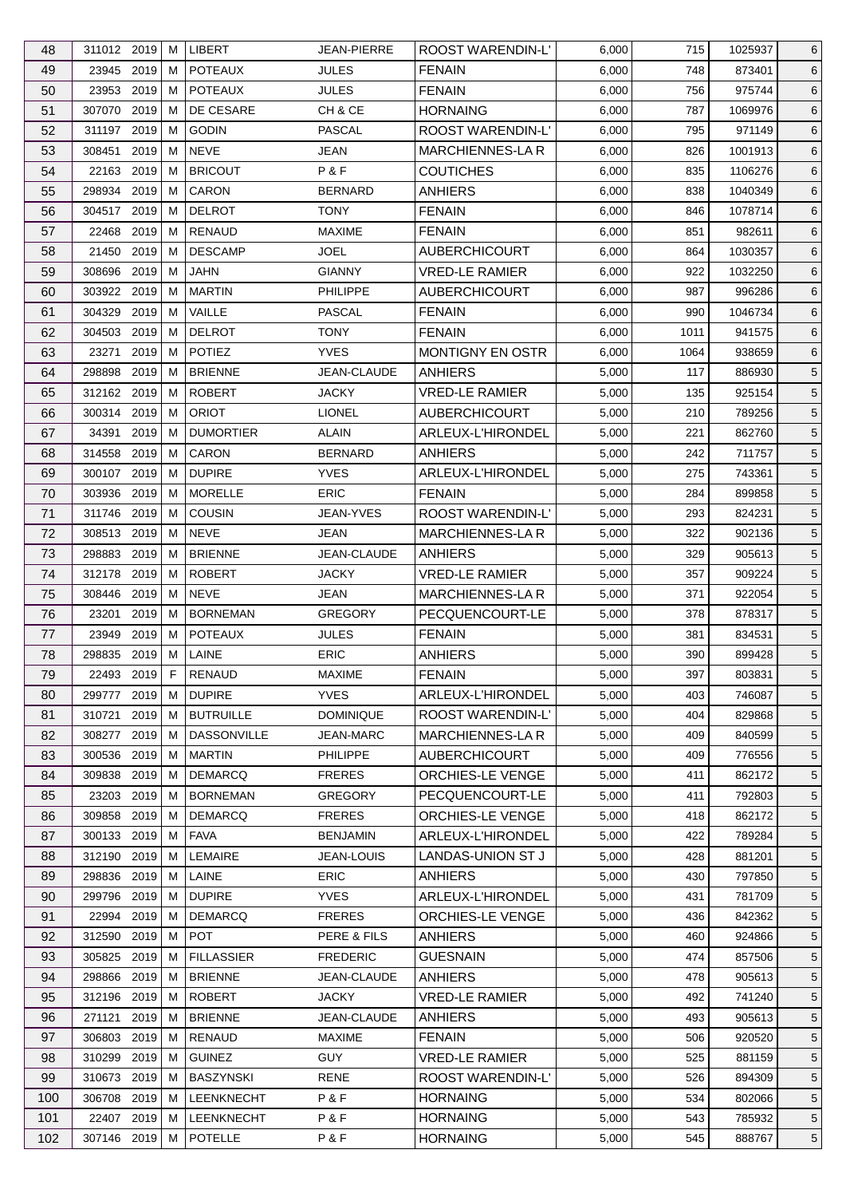| 48  | 311012 2019                   |      | м  | <b>LIBERT</b>                | <b>JEAN-PIERRE</b> | ROOST WARENDIN-L'        | 6,000 | 715  | 1025937 | 6               |
|-----|-------------------------------|------|----|------------------------------|--------------------|--------------------------|-------|------|---------|-----------------|
| 49  | 23945 2019                    |      | м  | <b>POTEAUX</b>               | <b>JULES</b>       | <b>FENAIN</b>            | 6,000 | 748  | 873401  | 6               |
| 50  | 23953                         | 2019 | м  | <b>POTEAUX</b>               | <b>JULES</b>       | <b>FENAIN</b>            | 6,000 | 756  | 975744  | 6               |
| 51  | 307070 2019                   |      | м  | DE CESARE                    | CH & CE            | <b>HORNAING</b>          | 6,000 | 787  | 1069976 | 6               |
| 52  | 311197 2019                   |      | м  | <b>GODIN</b>                 | PASCAL             | <b>ROOST WARENDIN-L'</b> | 6,000 | 795  | 971149  | $6\phantom{.}$  |
| 53  | 308451                        | 2019 | м  | <b>NEVE</b>                  | <b>JEAN</b>        | MARCHIENNES-LA R         | 6,000 | 826  | 1001913 | 6               |
| 54  | 22163                         | 2019 | м  | <b>BRICOUT</b>               | P&F                | <b>COUTICHES</b>         | 6,000 | 835  | 1106276 | 6               |
| 55  | 298934 2019                   |      | м  | CARON                        | <b>BERNARD</b>     | <b>ANHIERS</b>           | 6,000 | 838  | 1040349 | 6               |
| 56  | 304517                        | 2019 | м  | <b>DELROT</b>                | <b>TONY</b>        | <b>FENAIN</b>            | 6,000 | 846  | 1078714 | 6               |
| 57  | 22468<br>2019                 |      | M  | RENAUD                       | <b>MAXIME</b>      | <b>FENAIN</b>            | 6,000 | 851  | 982611  | 6               |
| 58  | 21450                         | 2019 | М  | <b>DESCAMP</b>               | <b>JOEL</b>        | <b>AUBERCHICOURT</b>     | 6,000 | 864  | 1030357 | 6               |
| 59  | 308696 2019                   |      | м  | <b>JAHN</b>                  | <b>GIANNY</b>      | <b>VRED-LE RAMIER</b>    | 6,000 | 922  | 1032250 | 6               |
| 60  | 303922 2019                   |      | м  | <b>MARTIN</b>                | <b>PHILIPPE</b>    | <b>AUBERCHICOURT</b>     | 6,000 | 987  | 996286  | 6               |
| 61  | 304329                        | 2019 | м  | VAILLE                       | <b>PASCAL</b>      | <b>FENAIN</b>            | 6,000 | 990  | 1046734 | 6               |
| 62  | 304503                        | 2019 | м  | <b>DELROT</b>                | <b>TONY</b>        | <b>FENAIN</b>            | 6,000 | 1011 | 941575  | 6               |
| 63  | 23271                         | 2019 | м  | <b>POTIEZ</b>                | <b>YVES</b>        | MONTIGNY EN OSTR         | 6,000 | 1064 | 938659  | $6\phantom{.}$  |
| 64  | 298898                        | 2019 | М  | <b>BRIENNE</b>               | JEAN-CLAUDE        | ANHIERS                  | 5,000 | 117  | 886930  | $5\phantom{.0}$ |
| 65  | 312162 2019                   |      | M  | <b>ROBERT</b>                | <b>JACKY</b>       | <b>VRED-LE RAMIER</b>    | 5,000 | 135  | 925154  | $5\phantom{.0}$ |
| 66  | 300314 2019                   |      | M  | <b>ORIOT</b>                 | <b>LIONEL</b>      | <b>AUBERCHICOURT</b>     | 5,000 | 210  | 789256  | $5\overline{)}$ |
| 67  | 34391                         | 2019 | м  | <b>DUMORTIER</b>             | <b>ALAIN</b>       | ARLEUX-L'HIRONDEL        | 5,000 | 221  | 862760  | $5\overline{)}$ |
| 68  | 314558 2019                   |      | M  | CARON                        | <b>BERNARD</b>     | <b>ANHIERS</b>           | 5,000 | 242  | 711757  | $5\overline{)}$ |
| 69  | 300107 2019                   |      | М  | <b>DUPIRE</b>                | <b>YVES</b>        | ARLEUX-L'HIRONDEL        | 5,000 | 275  | 743361  | $5\phantom{.0}$ |
| 70  | 303936 2019                   |      | м  | <b>MORELLE</b>               | <b>ERIC</b>        | <b>FENAIN</b>            | 5,000 | 284  | 899858  | $5\overline{)}$ |
| 71  | 311746 2019                   |      | м  | <b>COUSIN</b>                | JEAN-YVES          | ROOST WARENDIN-L'        | 5,000 | 293  | 824231  | $5\phantom{.0}$ |
| 72  | 308513                        | 2019 | м  | <b>NEVE</b>                  | JEAN               | <b>MARCHIENNES-LAR</b>   | 5,000 | 322  | 902136  | $5\phantom{.0}$ |
|     | 2019                          |      | м  |                              | JEAN-CLAUDE        |                          |       | 329  |         |                 |
| 73  | 298883                        |      |    | <b>BRIENNE</b>               |                    | <b>ANHIERS</b>           | 5,000 |      | 905613  | $5\overline{)}$ |
| 74  | 2019<br>312178<br>308446 2019 |      | м  | <b>ROBERT</b><br><b>NEVE</b> | <b>JACKY</b>       | <b>VRED-LE RAMIER</b>    | 5,000 | 357  | 909224  | $5\overline{)}$ |
| 75  |                               |      | М  | <b>BORNEMAN</b>              | JEAN               | <b>MARCHIENNES-LAR</b>   | 5,000 | 371  | 922054  | 5               |
| 76  | 23201                         | 2019 | м  | <b>POTEAUX</b>               | <b>GREGORY</b>     | PECQUENCOURT-LE          | 5,000 | 378  | 878317  | $5\overline{)}$ |
| 77  | 2019<br>23949                 |      | м  |                              | <b>JULES</b>       | <b>FENAIN</b>            | 5,000 | 381  | 834531  | $5\phantom{.0}$ |
| 78  | 298835 2019                   |      | M  | LAINE                        | <b>ERIC</b>        | <b>ANHIERS</b>           | 5,000 | 390  | 899428  | $5\overline{)}$ |
| 79  | 22493 2019                    |      | F. | RENAUD                       | MAXIME             | <b>FENAIN</b>            | 5,000 | 397  | 803831  | $5\overline{)}$ |
| 80  | 299777 2019                   |      | М  | <b>DUPIRE</b>                | <b>YVES</b>        | ARLEUX-L'HIRONDEL        | 5,000 | 403  | 746087  | 5               |
| 81  | 310721                        | 2019 | м  | <b>BUTRUILLE</b>             | <b>DOMINIQUE</b>   | ROOST WARENDIN-L'        | 5,000 | 404  | 829868  | 5               |
| 82  | 308277                        | 2019 | м  | <b>DASSONVILLE</b>           | JEAN-MARC          | <b>MARCHIENNES-LAR</b>   | 5,000 | 409  | 840599  | 5               |
| 83  | 300536                        | 2019 | м  | <b>MARTIN</b>                | <b>PHILIPPE</b>    | <b>AUBERCHICOURT</b>     | 5,000 | 409  | 776556  | 5               |
| 84  | 309838 2019                   |      | м  | <b>DEMARCQ</b>               | <b>FRERES</b>      | ORCHIES-LE VENGE         | 5,000 | 411  | 862172  | $5\overline{)}$ |
| 85  | 23203                         | 2019 | м  | <b>BORNEMAN</b>              | <b>GREGORY</b>     | PECQUENCOURT-LE          | 5,000 | 411  | 792803  | $5\overline{)}$ |
| 86  | 309858                        | 2019 | м  | <b>DEMARCQ</b>               | <b>FRERES</b>      | ORCHIES-LE VENGE         | 5,000 | 418  | 862172  | $5\overline{)}$ |
| 87  | 300133 2019                   |      | M  | <b>FAVA</b>                  | <b>BENJAMIN</b>    | ARLEUX-L'HIRONDEL        | 5,000 | 422  | 789284  | $5\overline{)}$ |
| 88  | 312190 2019                   |      | м  | <b>LEMAIRE</b>               | <b>JEAN-LOUIS</b>  | LANDAS-UNION ST J        | 5,000 | 428  | 881201  | $5\overline{)}$ |
| 89  | 298836 2019                   |      | М  | LAINE                        | <b>ERIC</b>        | <b>ANHIERS</b>           | 5,000 | 430  | 797850  | $5\overline{)}$ |
| 90  | 299796 2019                   |      | м  | <b>DUPIRE</b>                | <b>YVES</b>        | <b>ARLEUX-L'HIRONDEL</b> | 5,000 | 431  | 781709  | 5               |
| 91  | 22994                         | 2019 | м  | <b>DEMARCQ</b>               | <b>FRERES</b>      | ORCHIES-LE VENGE         | 5,000 | 436  | 842362  | $5\overline{)}$ |
| 92  | 312590 2019                   |      | M  | <b>POT</b>                   | PERE & FILS        | <b>ANHIERS</b>           | 5,000 | 460  | 924866  | $5\overline{)}$ |
| 93  | 305825                        | 2019 | м  | <b>FILLASSIER</b>            | <b>FREDERIC</b>    | <b>GUESNAIN</b>          | 5,000 | 474  | 857506  | $5\phantom{.0}$ |
| 94  | 298866                        | 2019 | м  | <b>BRIENNE</b>               | JEAN-CLAUDE        | <b>ANHIERS</b>           | 5,000 | 478  | 905613  | $5\overline{)}$ |
| 95  | 312196 2019                   |      | м  | <b>ROBERT</b>                | <b>JACKY</b>       | <b>VRED-LE RAMIER</b>    | 5,000 | 492  | 741240  | $5\overline{)}$ |
| 96  | 271121                        | 2019 | м  | <b>BRIENNE</b>               | JEAN-CLAUDE        | <b>ANHIERS</b>           | 5,000 | 493  | 905613  | $5\overline{)}$ |
| 97  | 306803                        | 2019 | M  | <b>RENAUD</b>                | <b>MAXIME</b>      | <b>FENAIN</b>            | 5,000 | 506  | 920520  | $5\overline{)}$ |
| 98  | 310299 2019                   |      | M  | <b>GUINEZ</b>                | <b>GUY</b>         | <b>VRED-LE RAMIER</b>    | 5,000 | 525  | 881159  | $5\overline{)}$ |
| 99  | 310673 2019                   |      | м  | <b>BASZYNSKI</b>             | RENE               | <b>ROOST WARENDIN-L'</b> | 5,000 | 526  | 894309  | $5\overline{)}$ |
| 100 | 306708 2019                   |      | М  | LEENKNECHT                   | P&F                | <b>HORNAING</b>          | 5,000 | 534  | 802066  | $5\overline{)}$ |
| 101 | 22407 2019                    |      | M  | LEENKNECHT                   | P&F                | <b>HORNAING</b>          | 5,000 | 543  | 785932  | 5               |
| 102 | 307146 2019                   |      | M  | <b>POTELLE</b>               | P&F                | <b>HORNAING</b>          | 5,000 | 545  | 888767  | $5\phantom{.0}$ |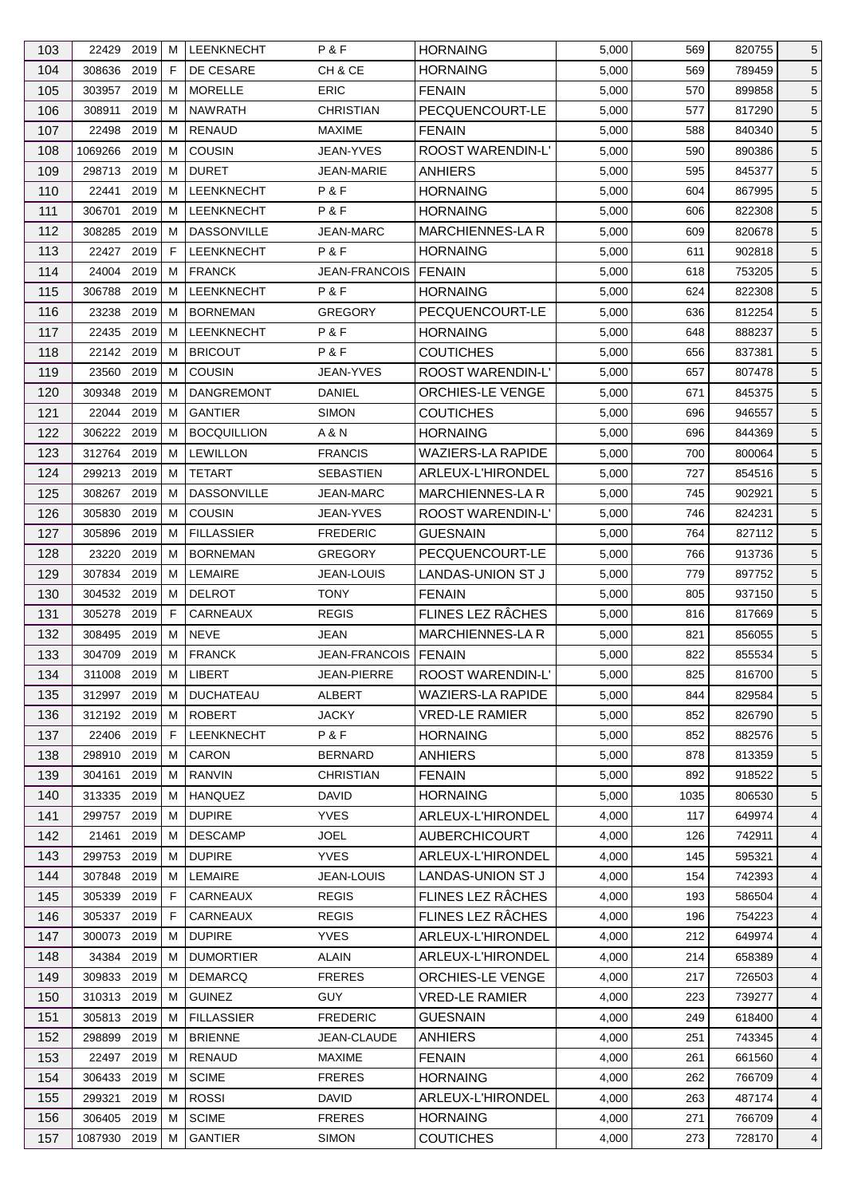| 103 | 22429 2019    |      | м  | <b>LEENKNECHT</b>  | P&F                  | <b>HORNAING</b>          | 5,000 | 569  | 820755 | 5               |
|-----|---------------|------|----|--------------------|----------------------|--------------------------|-------|------|--------|-----------------|
| 104 | 308636 2019   |      | F  | DE CESARE          | CH & CE              | <b>HORNAING</b>          | 5,000 | 569  | 789459 | 5               |
| 105 | 303957        | 2019 | м  | <b>MORELLE</b>     | <b>ERIC</b>          | <b>FENAIN</b>            | 5,000 | 570  | 899858 | 5               |
| 106 | 308911        | 2019 | м  | <b>NAWRATH</b>     | <b>CHRISTIAN</b>     | PECQUENCOURT-LE          | 5,000 | 577  | 817290 | 5               |
| 107 | 22498 2019    |      | м  | <b>RENAUD</b>      | <b>MAXIME</b>        | <b>FENAIN</b>            | 5,000 | 588  | 840340 | 5               |
| 108 | 1069266       | 2019 | м  | <b>COUSIN</b>      | JEAN-YVES            | ROOST WARENDIN-L'        | 5,000 | 590  | 890386 | 5               |
| 109 | 298713 2019   |      | м  | <b>DURET</b>       | <b>JEAN-MARIE</b>    | ANHIERS                  | 5,000 | 595  | 845377 | 5               |
| 110 | 22441         | 2019 | м  | <b>LEENKNECHT</b>  | P&F                  | <b>HORNAING</b>          | 5,000 | 604  | 867995 | 5               |
| 111 | 306701        | 2019 | м  | LEENKNECHT         | P&F                  | <b>HORNAING</b>          | 5,000 | 606  | 822308 | 5               |
| 112 | 308285        | 2019 | м  | <b>DASSONVILLE</b> | <b>JEAN-MARC</b>     | MARCHIENNES-LA R         | 5,000 | 609  | 820678 | 5               |
| 113 | 22427 2019    |      | F  | LEENKNECHT         | P&F                  | <b>HORNAING</b>          | 5,000 | 611  | 902818 | 5               |
| 114 | 24004 2019    |      | м  | <b>FRANCK</b>      | <b>JEAN-FRANCOIS</b> | I FENAIN                 | 5,000 | 618  | 753205 | 5               |
| 115 | 306788 2019   |      | М  | LEENKNECHT         | P&F                  | <b>HORNAING</b>          | 5,000 | 624  | 822308 | 5               |
| 116 | 23238         | 2019 | м  | <b>BORNEMAN</b>    | <b>GREGORY</b>       | PECQUENCOURT-LE          | 5,000 | 636  | 812254 | 5               |
| 117 | 22435 2019    |      | м  | <b>LEENKNECHT</b>  | P&F                  | <b>HORNAING</b>          | 5,000 | 648  | 888237 | 5               |
| 118 | 22142 2019    |      | M  | <b>BRICOUT</b>     | P&F                  | <b>COUTICHES</b>         | 5,000 | 656  | 837381 | 5               |
|     | 23560         | 2019 | м  | <b>COUSIN</b>      | JEAN-YVES            |                          |       |      |        |                 |
| 119 |               |      |    |                    |                      | ROOST WARENDIN-L'        | 5,000 | 657  | 807478 | 5               |
| 120 | 309348        | 2019 | м  | <b>DANGREMONT</b>  | DANIEL               | ORCHIES-LE VENGE         | 5,000 | 671  | 845375 | 5               |
| 121 | 22044 2019    |      | м  | <b>GANTIER</b>     | <b>SIMON</b>         | <b>COUTICHES</b>         | 5,000 | 696  | 946557 | $\sqrt{5}$      |
| 122 | 306222 2019   |      | м  | <b>BOCQUILLION</b> | A & N                | <b>HORNAING</b>          | 5,000 | 696  | 844369 | 5               |
| 123 | 312764 2019   |      | м  | <b>LEWILLON</b>    | <b>FRANCIS</b>       | <b>WAZIERS-LA RAPIDE</b> | 5,000 | 700  | 800064 | 5               |
| 124 | 299213 2019   |      | М  | <b>TETART</b>      | <b>SEBASTIEN</b>     | ARLEUX-L'HIRONDEL        | 5,000 | 727  | 854516 | 5               |
| 125 | 308267 2019   |      | м  | <b>DASSONVILLE</b> | <b>JEAN-MARC</b>     | <b>MARCHIENNES-LA R</b>  | 5,000 | 745  | 902921 | 5               |
| 126 | 305830        | 2019 | м  | <b>COUSIN</b>      | <b>JEAN-YVES</b>     | ROOST WARENDIN-L'        | 5,000 | 746  | 824231 | 5               |
| 127 | 305896        | 2019 | м  | <b>FILLASSIER</b>  | <b>FREDERIC</b>      | <b>GUESNAIN</b>          | 5,000 | 764  | 827112 | 5               |
| 128 | 23220         | 2019 | м  | <b>BORNEMAN</b>    | <b>GREGORY</b>       | PECQUENCOURT-LE          | 5,000 | 766  | 913736 | 5               |
| 129 | 307834 2019   |      | м  | LEMAIRE            | <b>JEAN-LOUIS</b>    | LANDAS-UNION ST J        | 5,000 | 779  | 897752 | 5               |
| 130 | 304532 2019   |      | м  | <b>DELROT</b>      | <b>TONY</b>          | <b>FENAIN</b>            | 5,000 | 805  | 937150 | 5               |
| 131 | 305278 2019   |      | F. | CARNEAUX           | <b>REGIS</b>         | FLINES LEZ RÂCHES        | 5,000 | 816  | 817669 | 5               |
| 132 | 308495        | 2019 | М  | <b>NEVE</b>        | JEAN                 | <b>MARCHIENNES-LAR</b>   | 5,000 | 821  | 856055 | $5\phantom{.0}$ |
| 133 | 304709        | 2019 | M  | <b>FRANCK</b>      | <b>JEAN-FRANCOIS</b> | FENAIN                   | 5,000 | 822  | 855534 | 5               |
| 134 | 311008 2019 M |      |    | LIBERT             | <b>JEAN-PIERRE</b>   | ROOST WARENDIN-L'        | 5,000 | 825  | 816700 | 5               |
| 135 | 312997 2019   |      | М  | <b>DUCHATEAU</b>   | <b>ALBERT</b>        | <b>WAZIERS-LA RAPIDE</b> | 5,000 | 844  | 829584 | 5               |
| 136 | 312192 2019   |      | м  | <b>ROBERT</b>      | <b>JACKY</b>         | <b>VRED-LE RAMIER</b>    | 5,000 | 852  | 826790 | 5               |
| 137 | 22406 2019    |      | F. | LEENKNECHT         | P&F                  | <b>HORNAING</b>          | 5,000 | 852  | 882576 | 5               |
| 138 | 298910        | 2019 | м  | CARON              | <b>BERNARD</b>       | <b>ANHIERS</b>           | 5,000 | 878  | 813359 | 5               |
| 139 | 304161 2019   |      | м  | RANVIN             | <b>CHRISTIAN</b>     | <b>FENAIN</b>            | 5,000 | 892  | 918522 | 5               |
| 140 | 313335 2019   |      | м  | <b>HANQUEZ</b>     | <b>DAVID</b>         | <b>HORNAING</b>          | 5,000 | 1035 | 806530 | $\sqrt{5}$      |
| 141 | 299757        | 2019 | м  | <b>DUPIRE</b>      | <b>YVES</b>          | ARLEUX-L'HIRONDEL        | 4,000 | 117  | 649974 | 4               |
| 142 | 21461         | 2019 | м  | <b>DESCAMP</b>     | <b>JOEL</b>          | <b>AUBERCHICOURT</b>     | 4,000 | 126  | 742911 | 4               |
|     | 299753        |      |    | <b>DUPIRE</b>      | <b>YVES</b>          |                          |       |      |        |                 |
| 143 |               | 2019 | M  |                    |                      | ARLEUX-L'HIRONDEL        | 4,000 | 145  | 595321 | 4               |
| 144 | 307848        | 2019 | м  | LEMAIRE            | JEAN-LOUIS           | LANDAS-UNION ST J        | 4,000 | 154  | 742393 | 4               |
| 145 | 305339 2019   |      | F  | CARNEAUX           | <b>REGIS</b>         | FLINES LEZ RÂCHES        | 4,000 | 193  | 586504 | 4               |
| 146 | 305337 2019   |      | F  | CARNEAUX           | <b>REGIS</b>         | FLINES LEZ RÂCHES        | 4,000 | 196  | 754223 | 4               |
| 147 | 300073        | 2019 | м  | <b>DUPIRE</b>      | <b>YVES</b>          | ARLEUX-L'HIRONDEL        | 4,000 | 212  | 649974 | 4               |
| 148 | 34384         | 2019 | м  | <b>DUMORTIER</b>   | <b>ALAIN</b>         | ARLEUX-L'HIRONDEL        | 4,000 | 214  | 658389 | 4               |
| 149 | 309833        | 2019 | M  | <b>DEMARCQ</b>     | <b>FRERES</b>        | ORCHIES-LE VENGE         | 4,000 | 217  | 726503 | 4               |
| 150 | 310313 2019   |      | м  | <b>GUINEZ</b>      | <b>GUY</b>           | <b>VRED-LE RAMIER</b>    | 4,000 | 223  | 739277 | 4               |
| 151 | 305813 2019   |      | м  | <b>FILLASSIER</b>  | <b>FREDERIC</b>      | <b>GUESNAIN</b>          | 4,000 | 249  | 618400 | 4               |
| 152 | 298899        | 2019 | м  | <b>BRIENNE</b>     | JEAN-CLAUDE          | ANHIERS                  | 4,000 | 251  | 743345 | 4               |
| 153 | 22497 2019    |      | м  | RENAUD             | <b>MAXIME</b>        | <b>FENAIN</b>            | 4,000 | 261  | 661560 | 4               |
| 154 | 306433 2019   |      | м  | <b>SCIME</b>       | <b>FRERES</b>        | <b>HORNAING</b>          | 4,000 | 262  | 766709 | 4               |
| 155 | 299321        | 2019 | м  | <b>ROSSI</b>       | <b>DAVID</b>         | ARLEUX-L'HIRONDEL        | 4,000 | 263  | 487174 | 4               |
| 156 | 306405 2019   |      | м  | <b>SCIME</b>       | <b>FRERES</b>        | <b>HORNAING</b>          | 4,000 | 271  | 766709 | 4               |
| 157 | 1087930 2019  |      | М  | <b>GANTIER</b>     | <b>SIMON</b>         | <b>COUTICHES</b>         | 4,000 | 273  | 728170 | $\overline{4}$  |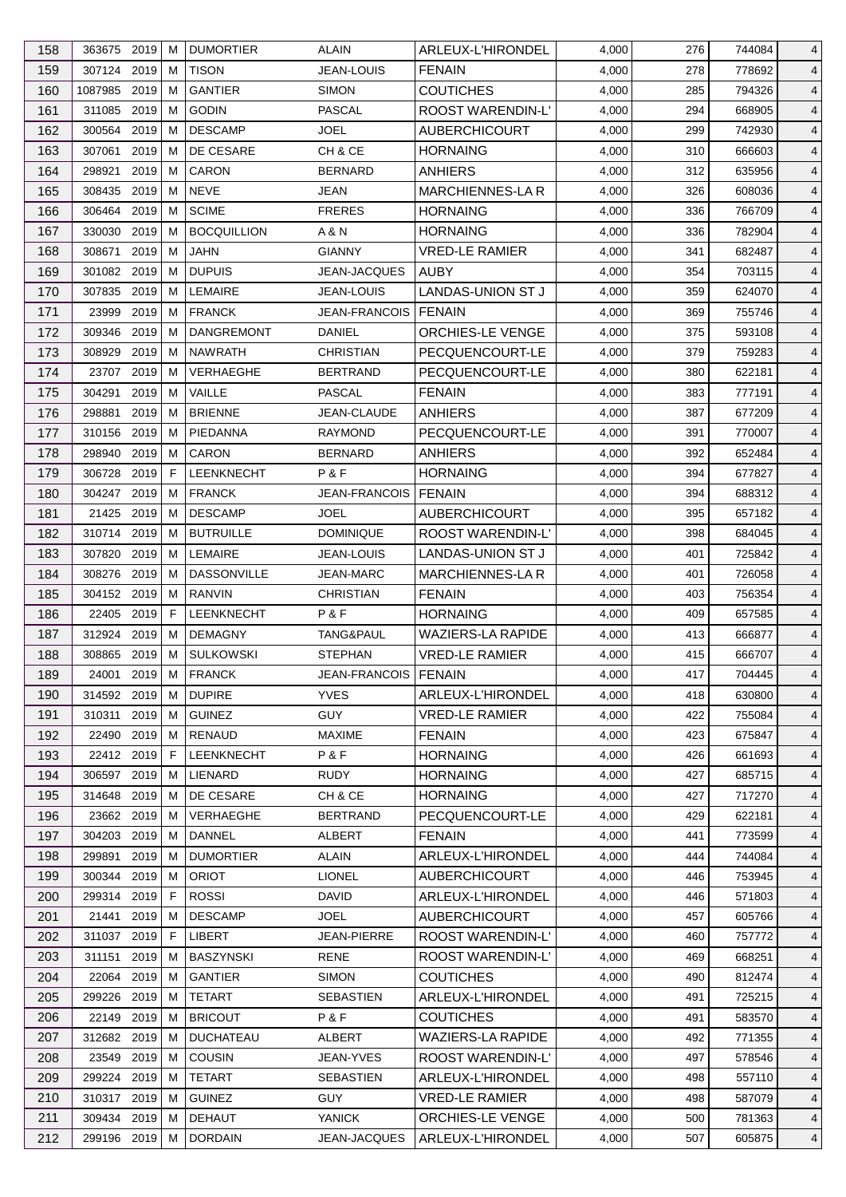| 158 | 363675 2019  |      | м           | <b>DUMORTIER</b>   | <b>ALAIN</b>           | ARLEUX-L'HIRONDEL        | 4,000 | 276 | 744084 | 4              |
|-----|--------------|------|-------------|--------------------|------------------------|--------------------------|-------|-----|--------|----------------|
| 159 | 307124       | 2019 | м           | <b>TISON</b>       | <b>JEAN-LOUIS</b>      | <b>FENAIN</b>            | 4,000 | 278 | 778692 | 4              |
| 160 | 1087985      | 2019 | м           | <b>GANTIER</b>     | <b>SIMON</b>           | <b>COUTICHES</b>         | 4,000 | 285 | 794326 | $\overline{4}$ |
| 161 | 311085       | 2019 | м           | <b>GODIN</b>       | PASCAL                 | ROOST WARENDIN-L'        | 4,000 | 294 | 668905 | 4              |
| 162 | 300564       | 2019 | м           | <b>DESCAMP</b>     | JOEL                   | <b>AUBERCHICOURT</b>     | 4,000 | 299 | 742930 | 4              |
| 163 | 307061       | 2019 | м           | DE CESARE          | CH & CE                | <b>HORNAING</b>          | 4,000 | 310 | 666603 | 4              |
| 164 | 298921       | 2019 | м           | <b>CARON</b>       | <b>BERNARD</b>         | <b>ANHIERS</b>           | 4,000 | 312 | 635956 | 4              |
| 165 | 308435 2019  |      | м           | <b>NEVE</b>        | JEAN                   | <b>MARCHIENNES-LAR</b>   | 4,000 | 326 | 608036 | 4              |
| 166 | 306464       | 2019 | м           | <b>SCIME</b>       | <b>FRERES</b>          | <b>HORNAING</b>          | 4,000 | 336 | 766709 | 4              |
| 167 | 330030       | 2019 | м           | <b>BOCQUILLION</b> | A & N                  | <b>HORNAING</b>          | 4,000 | 336 | 782904 | 4              |
| 168 | 308671       | 2019 | м           | <b>JAHN</b>        | <b>GIANNY</b>          | <b>VRED-LE RAMIER</b>    | 4,000 | 341 | 682487 | 4              |
| 169 | 301082 2019  |      | м           | <b>DUPUIS</b>      | JEAN-JACQUES           | <b>AUBY</b>              | 4,000 | 354 | 703115 | $\overline{4}$ |
| 170 | 307835       | 2019 | м           | <b>LEMAIRE</b>     | JEAN-LOUIS             | LANDAS-UNION ST J        | 4,000 | 359 | 624070 | 4              |
| 171 | 23999        | 2019 | м           | <b>FRANCK</b>      | <b>JEAN-FRANCOIS</b>   | <b>FENAIN</b>            | 4,000 | 369 | 755746 | 4              |
| 172 | 309346       | 2019 | м           | <b>DANGREMONT</b>  | DANIEL                 | <b>ORCHIES-LE VENGE</b>  | 4,000 | 375 | 593108 | 4              |
| 173 | 308929       | 2019 | м           | <b>NAWRATH</b>     | <b>CHRISTIAN</b>       | PECQUENCOURT-LE          | 4,000 | 379 | 759283 | 4              |
| 174 | 23707        | 2019 | м           | <b>VERHAEGHE</b>   | <b>BERTRAND</b>        | PECQUENCOURT-LE          | 4,000 | 380 | 622181 | 4              |
| 175 | 304291       | 2019 | м           | VAILLE             | <b>PASCAL</b>          | <b>FENAIN</b>            | 4,000 | 383 | 777191 | 4              |
| 176 | 298881       | 2019 | м           | <b>BRIENNE</b>     | <b>JEAN-CLAUDE</b>     | <b>ANHIERS</b>           | 4,000 | 387 | 677209 | 4              |
| 177 | 310156       | 2019 | м           | PIEDANNA           | <b>RAYMOND</b>         | PECQUENCOURT-LE          | 4,000 | 391 | 770007 | 4              |
| 178 | 298940       | 2019 | м           | CARON              | <b>BERNARD</b>         | <b>ANHIERS</b>           | 4,000 | 392 | 652484 | 4              |
| 179 | 306728       | 2019 | F.          | LEENKNECHT         | P&F                    | <b>HORNAING</b>          | 4,000 | 394 | 677827 | 4              |
| 180 | 304247 2019  |      | м           | <b>FRANCK</b>      | JEAN-FRANCOIS          | <b>FENAIN</b>            | 4,000 | 394 | 688312 | $\overline{4}$ |
| 181 | 21425        | 2019 | м           | <b>DESCAMP</b>     | JOEL                   | <b>AUBERCHICOURT</b>     | 4,000 | 395 | 657182 | 4              |
|     | 310714       | 2019 |             | <b>BUTRUILLE</b>   | <b>DOMINIQUE</b>       | <b>ROOST WARENDIN-L'</b> |       |     |        |                |
| 182 |              |      | м           |                    |                        |                          | 4,000 | 398 | 684045 | $\overline{4}$ |
| 183 | 307820       | 2019 | м           | LEMAIRE            | JEAN-LOUIS             | LANDAS-UNION ST J        | 4,000 | 401 | 725842 | 4              |
| 184 | 308276       | 2019 | м           | <b>DASSONVILLE</b> | <b>JEAN-MARC</b>       | <b>MARCHIENNES-LAR</b>   | 4,000 | 401 | 726058 | 4              |
| 185 | 304152 2019  |      | М           | <b>RANVIN</b>      | <b>CHRISTIAN</b>       | <b>FENAIN</b>            | 4,000 | 403 | 756354 | 4              |
| 186 | 22405 2019   |      | F.          | <b>LEENKNECHT</b>  | P&F                    | <b>HORNAING</b>          | 4,000 | 409 | 657585 | 4              |
| 187 | 312924 2019  |      | м           | <b>DEMAGNY</b>     | <b>TANG&amp;PAUL</b>   | <b>WAZIERS-LA RAPIDE</b> | 4,000 | 413 | 666877 | 4              |
| 188 | 308865       | 2019 | М           | <b>SULKOWSKI</b>   | <b>STEPHAN</b>         | <b>VRED-LE RAMIER</b>    | 4,000 | 415 | 666707 | 4              |
| 189 | 24001 2019 M |      |             | <b>FRANCK</b>      | JEAN-FRANCOIS   FENAIN |                          | 4,000 | 417 | 704445 | $\overline{4}$ |
| 190 | 314592 2019  |      | M           | <b>DUPIRE</b>      | <b>YVES</b>            | ARLEUX-L'HIRONDEL        | 4,000 | 418 | 630800 | $\overline{4}$ |
| 191 | 310311       | 2019 | м           | <b>GUINEZ</b>      | <b>GUY</b>             | <b>VRED-LE RAMIER</b>    | 4,000 | 422 | 755084 | 4              |
| 192 | 22490 2019   |      | M           | RENAUD             | <b>MAXIME</b>          | <b>FENAIN</b>            | 4,000 | 423 | 675847 | 4              |
| 193 | 22412 2019   |      | F.          | LEENKNECHT         | P&F                    | <b>HORNAING</b>          | 4,000 | 426 | 661693 | 4              |
| 194 | 306597 2019  |      | м           | LIENARD            | RUDY                   | <b>HORNAING</b>          | 4,000 | 427 | 685715 | 4              |
| 195 | 314648 2019  |      | м           | DE CESARE          | CH & CE                | <b>HORNAING</b>          | 4,000 | 427 | 717270 | 4              |
| 196 | 23662 2019   |      | M           | VERHAEGHE          | <b>BERTRAND</b>        | PECQUENCOURT-LE          | 4,000 | 429 | 622181 | 4              |
| 197 | 304203 2019  |      | м           | DANNEL             | ALBERT                 | <b>FENAIN</b>            | 4,000 | 441 | 773599 | 4              |
| 198 | 299891       | 2019 | м           | <b>DUMORTIER</b>   | <b>ALAIN</b>           | ARLEUX-L'HIRONDEL        | 4,000 | 444 | 744084 | 4              |
| 199 | 300344       | 2019 | м           | <b>ORIOT</b>       | <b>LIONEL</b>          | <b>AUBERCHICOURT</b>     | 4,000 | 446 | 753945 | 4              |
| 200 | 299314 2019  |      | F           | <b>ROSSI</b>       | DAVID                  | ARLEUX-L'HIRONDEL        | 4,000 | 446 | 571803 | 4              |
| 201 | 21441        | 2019 | м           | <b>DESCAMP</b>     | <b>JOEL</b>            | <b>AUBERCHICOURT</b>     | 4,000 | 457 | 605766 | 4              |
| 202 | 311037 2019  |      | $\mathsf F$ | LIBERT             | JEAN-PIERRE            | <b>ROOST WARENDIN-L'</b> | 4,000 | 460 | 757772 | 4              |
| 203 | 311151       | 2019 | м           | BASZYNSKI          | RENE                   | ROOST WARENDIN-L'        | 4,000 | 469 | 668251 | 4              |
| 204 | 22064        | 2019 | м           | <b>GANTIER</b>     | <b>SIMON</b>           | <b>COUTICHES</b>         | 4,000 | 490 | 812474 | 4              |
| 205 | 299226 2019  |      | м           | <b>TETART</b>      | <b>SEBASTIEN</b>       | ARLEUX-L'HIRONDEL        | 4,000 | 491 | 725215 | 4              |
| 206 | 22149 2019   |      | м           | <b>BRICOUT</b>     | P&F                    | <b>COUTICHES</b>         | 4,000 | 491 | 583570 | 4              |
| 207 | 312682 2019  |      | м           | <b>DUCHATEAU</b>   | ALBERT                 | <b>WAZIERS-LA RAPIDE</b> | 4,000 | 492 | 771355 | 4              |
| 208 | 23549 2019   |      | м           | COUSIN             | JEAN-YVES              | ROOST WARENDIN-L'        | 4,000 | 497 | 578546 | 4              |
| 209 | 299224 2019  |      | м           | TETART             | <b>SEBASTIEN</b>       | ARLEUX-L'HIRONDEL        | 4,000 | 498 | 557110 | 4              |
| 210 | 310317 2019  |      | м           | <b>GUINEZ</b>      | <b>GUY</b>             | <b>VRED-LE RAMIER</b>    | 4,000 | 498 | 587079 | 4              |
| 211 | 309434 2019  |      | м           | <b>DEHAUT</b>      | <b>YANICK</b>          | ORCHIES-LE VENGE         | 4,000 | 500 | 781363 | 4              |
| 212 | 299196 2019  |      | м           | <b>DORDAIN</b>     | JEAN-JACQUES           | ARLEUX-L'HIRONDEL        | 4,000 | 507 | 605875 | $\overline{4}$ |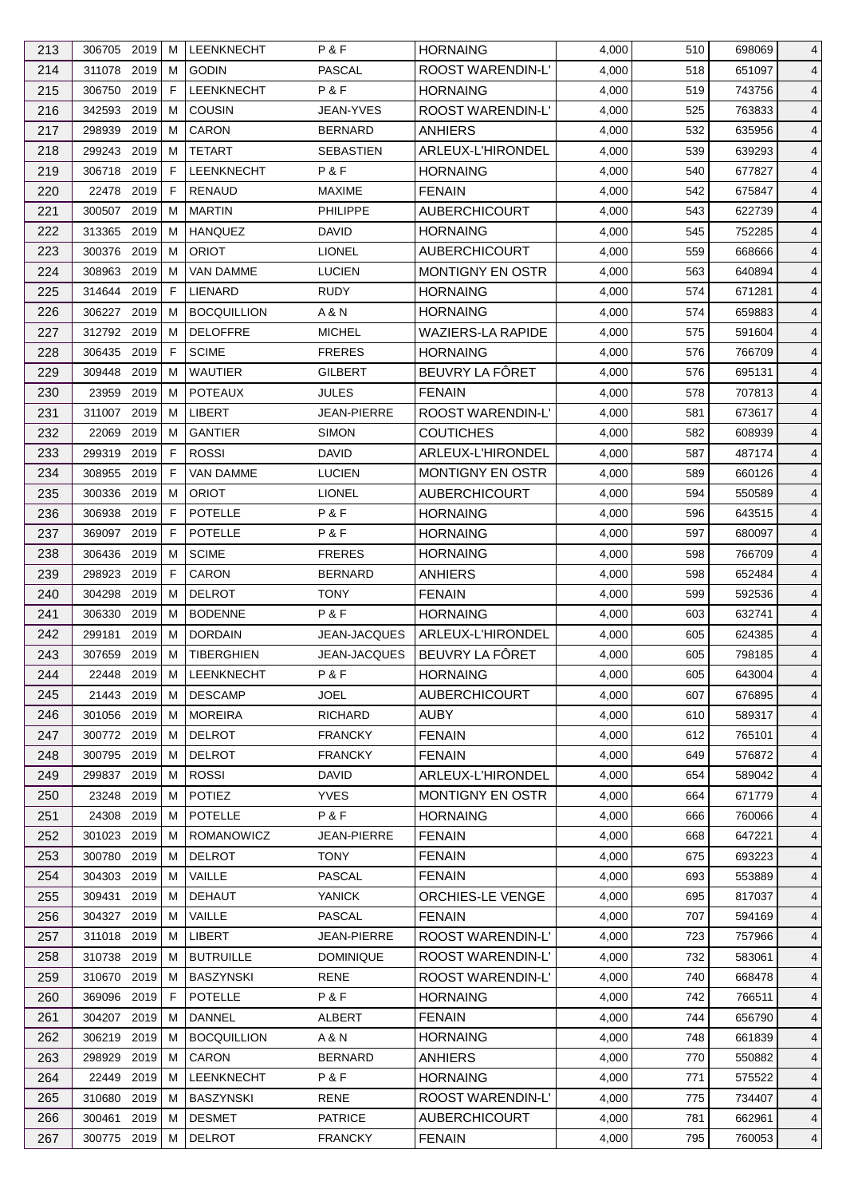| 213 | 306705 2019    | м           | <b>LEENKNECHT</b>  | P&F                 | <b>HORNAING</b>          | 4,000 | 510 | 698069 | 4              |
|-----|----------------|-------------|--------------------|---------------------|--------------------------|-------|-----|--------|----------------|
| 214 | 311078 2019    | м           | <b>GODIN</b>       | <b>PASCAL</b>       | ROOST WARENDIN-L'        | 4,000 | 518 | 651097 | $\overline{4}$ |
| 215 | 2019<br>306750 | $\mathsf F$ | LEENKNECHT         | P&F                 | <b>HORNAING</b>          | 4,000 | 519 | 743756 | 4              |
| 216 | 342593 2019    | м           | <b>COUSIN</b>      | JEAN-YVES           | ROOST WARENDIN-L'        | 4,000 | 525 | 763833 | $\overline{4}$ |
| 217 | 298939<br>2019 | м           | CARON              | <b>BERNARD</b>      | <b>ANHIERS</b>           | 4,000 | 532 | 635956 | $\overline{4}$ |
| 218 | 2019<br>299243 | м           | <b>TETART</b>      | <b>SEBASTIEN</b>    | ARLEUX-L'HIRONDEL        | 4,000 | 539 | 639293 | $\overline{4}$ |
| 219 | 306718 2019    | F           | LEENKNECHT         | P&F                 | <b>HORNAING</b>          | 4,000 | 540 | 677827 | $\overline{4}$ |
| 220 | 22478 2019     | F           | <b>RENAUD</b>      | <b>MAXIME</b>       | <b>FENAIN</b>            | 4,000 | 542 | 675847 | $\overline{4}$ |
| 221 | 2019<br>300507 | м           | <b>MARTIN</b>      | <b>PHILIPPE</b>     | <b>AUBERCHICOURT</b>     | 4,000 | 543 | 622739 | $\overline{4}$ |
| 222 | 313365<br>2019 | M           | <b>HANQUEZ</b>     | <b>DAVID</b>        | <b>HORNAING</b>          | 4,000 | 545 | 752285 | 4              |
| 223 | 300376<br>2019 | м           | <b>ORIOT</b>       | <b>LIONEL</b>       | <b>AUBERCHICOURT</b>     | 4,000 | 559 | 668666 | $\overline{4}$ |
| 224 | 2019<br>308963 | M           | <b>VAN DAMME</b>   | <b>LUCIEN</b>       | <b>MONTIGNY EN OSTR</b>  | 4,000 | 563 | 640894 | $\overline{4}$ |
| 225 | 2019<br>314644 | F           | <b>LIENARD</b>     | <b>RUDY</b>         | <b>HORNAING</b>          | 4,000 | 574 | 671281 | $\overline{4}$ |
| 226 | 2019<br>306227 | м           | <b>BOCQUILLION</b> | A & N               | <b>HORNAING</b>          | 4,000 | 574 | 659883 | 4              |
| 227 | 312792 2019    | м           | <b>DELOFFRE</b>    | <b>MICHEL</b>       | <b>WAZIERS-LA RAPIDE</b> | 4,000 | 575 | 591604 | $\overline{4}$ |
| 228 | 306435<br>2019 | F           | <b>SCIME</b>       | <b>FRERES</b>       | <b>HORNAING</b>          | 4,000 | 576 | 766709 | $\overline{4}$ |
| 229 | 2019<br>309448 | м           | <b>WAUTIER</b>     | <b>GILBERT</b>      | BEUVRY LA FÔRET          | 4,000 | 576 | 695131 | $\overline{4}$ |
| 230 | 23959<br>2019  | м           | <b>POTEAUX</b>     | <b>JULES</b>        | <b>FENAIN</b>            | 4,000 | 578 | 707813 | $\overline{4}$ |
| 231 | 311007<br>2019 | м           | LIBERT             | JEAN-PIERRE         | ROOST WARENDIN-L'        | 4,000 | 581 | 673617 | $\overline{4}$ |
| 232 | 2019<br>22069  | M           | <b>GANTIER</b>     | <b>SIMON</b>        | <b>COUTICHES</b>         | 4,000 | 582 | 608939 | $\overline{4}$ |
| 233 | 299319<br>2019 | F           | <b>ROSSI</b>       | <b>DAVID</b>        | ARLEUX-L'HIRONDEL        | 4,000 | 587 | 487174 | 4              |
| 234 | 308955<br>2019 | F           | <b>VAN DAMME</b>   | <b>LUCIEN</b>       | <b>MONTIGNY EN OSTR</b>  | 4,000 | 589 | 660126 | $\overline{4}$ |
| 235 | 2019<br>300336 | м           | <b>ORIOT</b>       | <b>LIONEL</b>       | <b>AUBERCHICOURT</b>     | 4,000 | 594 | 550589 | $\overline{4}$ |
|     | 2019           | F           | <b>POTELLE</b>     | P&F                 |                          |       |     |        |                |
| 236 | 306938         | F           |                    |                     | <b>HORNAING</b>          | 4,000 | 596 | 643515 | $\overline{4}$ |
| 237 | 2019<br>369097 |             | <b>POTELLE</b>     | P&F                 | <b>HORNAING</b>          | 4,000 | 597 | 680097 | 4              |
| 238 | 2019<br>306436 | м           | <b>SCIME</b>       | <b>FRERES</b>       | <b>HORNAING</b>          | 4,000 | 598 | 766709 | $\overline{4}$ |
| 239 | 298923<br>2019 | F           | <b>CARON</b>       | <b>BERNARD</b>      | <b>ANHIERS</b>           | 4,000 | 598 | 652484 | $\overline{4}$ |
| 240 | 2019<br>304298 | м           | <b>DELROT</b>      | <b>TONY</b>         | <b>FENAIN</b>            | 4,000 | 599 | 592536 | $\overline{4}$ |
| 241 | 2019<br>306330 | м           | <b>BODENNE</b>     | P&F                 | <b>HORNAING</b>          | 4,000 | 603 | 632741 | $\overline{4}$ |
| 242 | 2019<br>299181 | м           | <b>DORDAIN</b>     | <b>JEAN-JACQUES</b> | ARLEUX-L'HIRONDEL        | 4,000 | 605 | 624385 | 4              |
| 243 | 2019<br>307659 | M           | <b>TIBERGHIEN</b>  | JEAN-JACQUES        | BEUVRY LA FÔRET          | 4,000 | 605 | 798185 | $\overline{4}$ |
| 244 | 22448 2019 M   |             | LEENKNECHT         | P&F                 | <b>HORNAING</b>          | 4,000 | 605 | 643004 | $\overline{4}$ |
| 245 | 21443 2019     | М           | <b>DESCAMP</b>     | <b>JOEL</b>         | <b>AUBERCHICOURT</b>     | 4,000 | 607 | 676895 | 4              |
| 246 | 301056 2019    | M           | <b>MOREIRA</b>     | RICHARD             | <b>AUBY</b>              | 4,000 | 610 | 589317 | 4              |
| 247 | 300772 2019    | M           | <b>DELROT</b>      | <b>FRANCKY</b>      | <b>FENAIN</b>            | 4,000 | 612 | 765101 | $\overline{4}$ |
| 248 | 300795<br>2019 | M           | <b>DELROT</b>      | <b>FRANCKY</b>      | <b>FENAIN</b>            | 4,000 | 649 | 576872 | 4              |
| 249 | 299837 2019    | м           | <b>ROSSI</b>       | DAVID               | ARLEUX-L'HIRONDEL        | 4,000 | 654 | 589042 | 4              |
| 250 | 23248 2019     | м           | <b>POTIEZ</b>      | <b>YVES</b>         | <b>MONTIGNY EN OSTR</b>  | 4,000 | 664 | 671779 | $\overline{4}$ |
| 251 | 2019<br>24308  | м           | <b>POTELLE</b>     | P&F                 | <b>HORNAING</b>          | 4,000 | 666 | 760066 | $\overline{4}$ |
| 252 | 2019<br>301023 | м           | ROMANOWICZ         | JEAN-PIERRE         | <b>FENAIN</b>            | 4,000 | 668 | 647221 | 4              |
| 253 | 300780<br>2019 | M           | <b>DELROT</b>      | <b>TONY</b>         | <b>FENAIN</b>            | 4,000 | 675 | 693223 | 4              |
| 254 | 304303 2019    | M           | VAILLE             | <b>PASCAL</b>       | <b>FENAIN</b>            | 4,000 | 693 | 553889 | $\overline{4}$ |
| 255 | 309431<br>2019 | M           | <b>DEHAUT</b>      | <b>YANICK</b>       | <b>ORCHIES-LE VENGE</b>  | 4,000 | 695 | 817037 | 4              |
| 256 | 304327 2019    | M           | VAILLE             | <b>PASCAL</b>       | <b>FENAIN</b>            | 4,000 | 707 | 594169 | 4              |
| 257 | 311018 2019    | M           | LIBERT             | <b>JEAN-PIERRE</b>  | ROOST WARENDIN-L'        | 4,000 | 723 | 757966 | $\overline{4}$ |
| 258 | 2019<br>310738 | M           | <b>BUTRUILLE</b>   | <b>DOMINIQUE</b>    | ROOST WARENDIN-L'        | 4,000 | 732 | 583061 | $\overline{4}$ |
| 259 | 310670<br>2019 | M           | <b>BASZYNSKI</b>   | <b>RENE</b>         | ROOST WARENDIN-L'        | 4,000 | 740 | 668478 | 4              |
| 260 | 369096 2019    | F           | <b>POTELLE</b>     | P&F                 | <b>HORNAING</b>          | 4,000 | 742 | 766511 | 4              |
| 261 | 304207 2019    | м           | <b>DANNEL</b>      | ALBERT              | <b>FENAIN</b>            | 4,000 | 744 | 656790 | $\overline{4}$ |
| 262 | 2019<br>306219 | M           | <b>BOCQUILLION</b> | A & N               | <b>HORNAING</b>          | 4,000 | 748 | 661839 | 4              |
| 263 | 298929<br>2019 | м           | CARON              | <b>BERNARD</b>      | <b>ANHIERS</b>           | 4,000 | 770 | 550882 | 4              |
| 264 | 22449<br>2019  | м           | LEENKNECHT         | P&F                 | <b>HORNAING</b>          | 4,000 | 771 | 575522 | 4              |
| 265 | 2019<br>310680 | м           | <b>BASZYNSKI</b>   | <b>RENE</b>         | ROOST WARENDIN-L'        | 4,000 | 775 | 734407 | $\overline{4}$ |
| 266 | 300461<br>2019 | M           | <b>DESMET</b>      | <b>PATRICE</b>      | <b>AUBERCHICOURT</b>     | 4,000 | 781 | 662961 | 4              |
| 267 | 300775 2019    | M           | <b>DELROT</b>      | <b>FRANCKY</b>      | <b>FENAIN</b>            | 4,000 | 795 | 760053 | $\overline{4}$ |
|     |                |             |                    |                     |                          |       |     |        |                |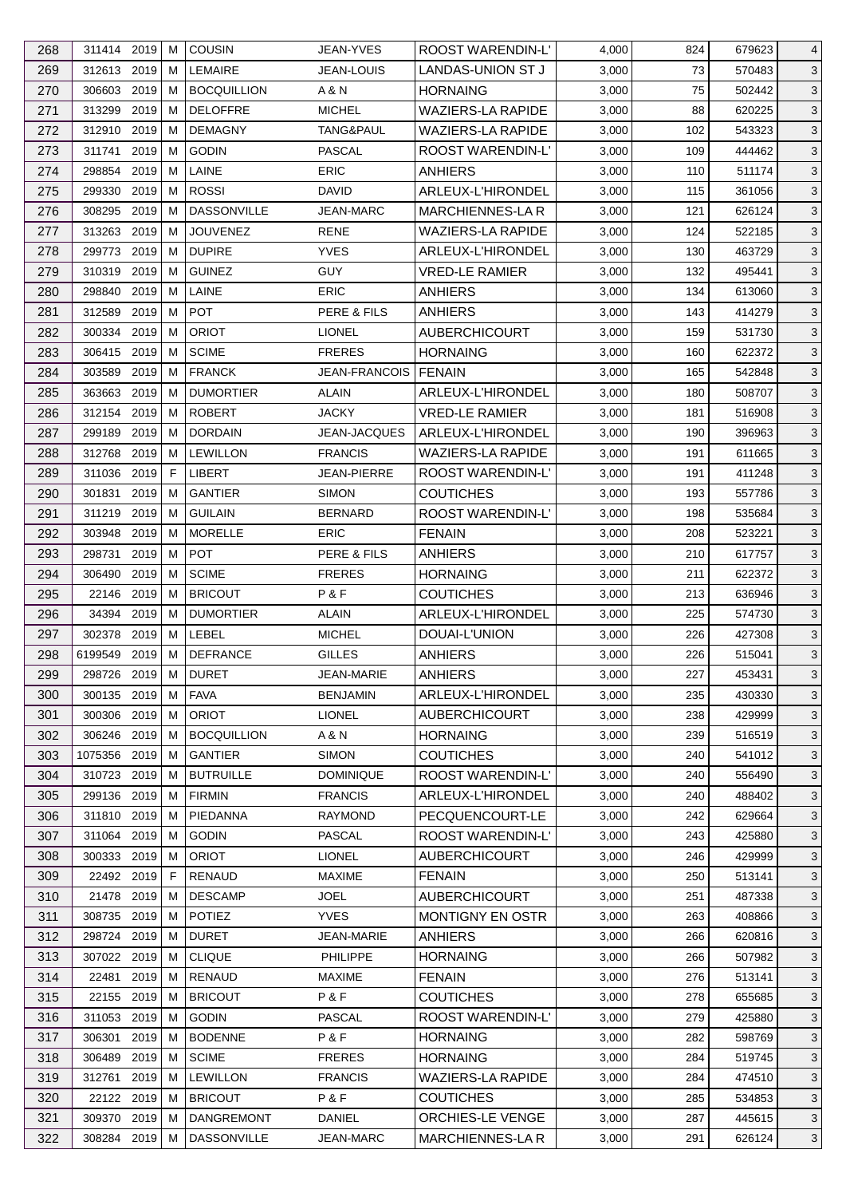| 268 | 311414 2019               |      | м | <b>COUSIN</b>      | <b>JEAN-YVES</b>              | <b>ROOST WARENDIN-L'</b> | 4,000 | 824 | 679623 | 4            |
|-----|---------------------------|------|---|--------------------|-------------------------------|--------------------------|-------|-----|--------|--------------|
| 269 | 312613 2019               |      | м | <b>LEMAIRE</b>     | <b>JEAN-LOUIS</b>             | LANDAS-UNION ST J        | 3,000 | 73  | 570483 | $\mathbf{3}$ |
| 270 | 306603                    | 2019 | м | <b>BOCQUILLION</b> | A & N                         | <b>HORNAING</b>          | 3,000 | 75  | 502442 | 3            |
| 271 | 313299                    | 2019 | м | <b>DELOFFRE</b>    | <b>MICHEL</b>                 | <b>WAZIERS-LA RAPIDE</b> | 3,000 | 88  | 620225 | 3            |
| 272 | 312910 2019               |      | м | <b>DEMAGNY</b>     | TANG&PAUL                     | <b>WAZIERS-LA RAPIDE</b> | 3,000 | 102 | 543323 | 3            |
| 273 | 311741                    | 2019 | M | <b>GODIN</b>       | <b>PASCAL</b>                 | ROOST WARENDIN-L'        | 3,000 | 109 | 444462 | $\mathbf{3}$ |
| 274 | 298854                    | 2019 | м | LAINE              | <b>ERIC</b>                   | ANHIERS                  | 3,000 | 110 | 511174 | 3            |
| 275 | 299330                    | 2019 | м | <b>ROSSI</b>       | <b>DAVID</b>                  | ARLEUX-L'HIRONDEL        | 3,000 | 115 | 361056 | $\mathbf{3}$ |
| 276 | 308295                    | 2019 | м | <b>DASSONVILLE</b> | <b>JEAN-MARC</b>              | <b>MARCHIENNES-LA R</b>  | 3,000 | 121 | 626124 | 3            |
| 277 | 313263                    | 2019 | м | <b>JOUVENEZ</b>    | <b>RENE</b>                   | <b>WAZIERS-LA RAPIDE</b> | 3,000 | 124 | 522185 | 3            |
| 278 | 299773                    | 2019 | м | <b>DUPIRE</b>      | <b>YVES</b>                   | ARLEUX-L'HIRONDEL        | 3,000 | 130 | 463729 | $\mathbf{3}$ |
| 279 | 310319                    | 2019 | м | <b>GUINEZ</b>      | <b>GUY</b>                    | <b>VRED-LE RAMIER</b>    | 3,000 | 132 | 495441 | $\mathbf{3}$ |
| 280 | 298840                    | 2019 | м | LAINE              | <b>ERIC</b>                   | <b>ANHIERS</b>           | 3,000 | 134 | 613060 | $\mathbf{3}$ |
| 281 | 312589                    | 2019 | м | <b>POT</b>         | PERE & FILS                   | <b>ANHIERS</b>           | 3,000 | 143 | 414279 | 3            |
| 282 | 300334 2019               |      | м | <b>ORIOT</b>       | <b>LIONEL</b>                 | <b>AUBERCHICOURT</b>     | 3,000 | 159 | 531730 | 3            |
| 283 | 306415 2019               |      | м | <b>SCIME</b>       | <b>FRERES</b>                 | <b>HORNAING</b>          | 3,000 | 160 | 622372 | 3            |
| 284 | 303589                    | 2019 | м | <b>FRANCK</b>      | <b>JEAN-FRANCOIS   FENAIN</b> |                          | 3,000 | 165 | 542848 | $\mathbf{3}$ |
| 285 | 363663                    | 2019 | м | <b>DUMORTIER</b>   | ALAIN                         | ARLEUX-L'HIRONDEL        | 3,000 | 180 | 508707 | 3            |
| 286 | 312154 2019               |      | М | <b>ROBERT</b>      | <b>JACKY</b>                  | <b>VRED-LE RAMIER</b>    | 3,000 | 181 | 516908 | $\mathbf{3}$ |
| 287 | 299189                    | 2019 | м | <b>DORDAIN</b>     | JEAN-JACQUES                  | ARLEUX-L'HIRONDEL        | 3,000 | 190 | 396963 | 3            |
| 288 | 312768                    | 2019 | м | <b>LEWILLON</b>    | <b>FRANCIS</b>                | <b>WAZIERS-LA RAPIDE</b> | 3,000 | 191 | 611665 | 3            |
| 289 | 311036                    | 2019 | F | LIBERT             | JEAN-PIERRE                   | ROOST WARENDIN-L'        | 3,000 | 191 | 411248 | 3            |
| 290 | 301831                    | 2019 | м | <b>GANTIER</b>     | <b>SIMON</b>                  | <b>COUTICHES</b>         | 3,000 | 193 | 557786 | $\mathbf{3}$ |
| 291 | 311219 2019               |      | м | <b>GUILAIN</b>     | <b>BERNARD</b>                | ROOST WARENDIN-L'        | 3,000 | 198 | 535684 | $\mathbf{3}$ |
|     |                           |      |   |                    |                               |                          |       |     |        |              |
| 292 | 303948                    | 2019 | м | <b>MORELLE</b>     | <b>ERIC</b>                   | <b>FENAIN</b>            | 3,000 | 208 | 523221 | 3            |
| 293 | 298731                    | 2019 | м | <b>POT</b>         | PERE & FILS                   | <b>ANHIERS</b>           | 3,000 | 210 | 617757 | 3            |
| 294 | 306490                    | 2019 | м | <b>SCIME</b>       | <b>FRERES</b>                 | <b>HORNAING</b>          | 3,000 | 211 | 622372 | 3            |
| 295 | 22146                     | 2019 | м | <b>BRICOUT</b>     | P&F                           | <b>COUTICHES</b>         | 3,000 | 213 | 636946 | $\mathbf{3}$ |
| 296 | 34394 2019<br>302378 2019 |      | м | <b>DUMORTIER</b>   | ALAIN                         | ARLEUX-L'HIRONDEL        | 3,000 | 225 | 574730 | 3            |
| 297 |                           |      | М | LEBEL              | <b>MICHEL</b>                 | DOUAI-L'UNION            | 3,000 | 226 | 427308 | 3            |
| 298 | 6199549                   | 2019 | M | <b>DEFRANCE</b>    | <b>GILLES</b>                 | <b>ANHIERS</b>           | 3,000 | 226 | 515041 | 3            |
| 299 | 298726 2019 M             |      |   | <b>DURET</b>       | JEAN-MARIE                    | <b>ANHIERS</b>           | 3,000 | 227 | 453431 | 3            |
| 300 | 300135 2019               |      | М | <b>FAVA</b>        | <b>BENJAMIN</b>               | ARLEUX-L'HIRONDEL        | 3,000 | 235 | 430330 | 3            |
| 301 | 300306 2019               |      | м | <b>ORIOT</b>       | <b>LIONEL</b>                 | <b>AUBERCHICOURT</b>     | 3,000 | 238 | 429999 | 3            |
| 302 | 306246 2019               |      | м | <b>BOCQUILLION</b> | A & N                         | <b>HORNAING</b>          | 3,000 | 239 | 516519 | 3            |
| 303 | 1075356 2019              |      | M | <b>GANTIER</b>     | <b>SIMON</b>                  | <b>COUTICHES</b>         | 3,000 | 240 | 541012 | 3            |
| 304 | 310723 2019               |      | м | <b>BUTRUILLE</b>   | <b>DOMINIQUE</b>              | ROOST WARENDIN-L'        | 3,000 | 240 | 556490 | 3            |
| 305 | 299136 2019               |      | м | <b>FIRMIN</b>      | <b>FRANCIS</b>                | ARLEUX-L'HIRONDEL        | 3,000 | 240 | 488402 | 3            |
| 306 | 311810 2019               |      | м | PIEDANNA           | <b>RAYMOND</b>                | PECQUENCOURT-LE          | 3,000 | 242 | 629664 | 3            |
| 307 | 311064                    | 2019 | м | <b>GODIN</b>       | PASCAL                        | <b>ROOST WARENDIN-L'</b> | 3,000 | 243 | 425880 | 3            |
| 308 | 300333 2019               |      | м | <b>ORIOT</b>       | <b>LIONEL</b>                 | <b>AUBERCHICOURT</b>     | 3,000 | 246 | 429999 | 3            |
| 309 | 22492 2019                |      | F | RENAUD             | <b>MAXIME</b>                 | <b>FENAIN</b>            | 3,000 | 250 | 513141 | 3            |
| 310 | 21478 2019                |      | м | <b>DESCAMP</b>     | <b>JOEL</b>                   | <b>AUBERCHICOURT</b>     | 3,000 | 251 | 487338 | 3            |
| 311 | 308735                    | 2019 | м | <b>POTIEZ</b>      | <b>YVES</b>                   | MONTIGNY EN OSTR         | 3,000 | 263 | 408866 | 3            |
| 312 | 298724 2019               |      | м | <b>DURET</b>       | <b>JEAN-MARIE</b>             | <b>ANHIERS</b>           | 3,000 | 266 | 620816 | 3            |
| 313 | 307022 2019               |      | м | <b>CLIQUE</b>      | PHILIPPE                      | <b>HORNAING</b>          | 3,000 | 266 | 507982 | 3            |
| 314 | 22481                     | 2019 | M | RENAUD             | <b>MAXIME</b>                 | <b>FENAIN</b>            | 3,000 | 276 | 513141 | 3            |
| 315 | 22155                     | 2019 | м | <b>BRICOUT</b>     | P&F                           | <b>COUTICHES</b>         | 3,000 | 278 | 655685 | 3            |
| 316 | 311053 2019               |      | м | <b>GODIN</b>       | <b>PASCAL</b>                 | ROOST WARENDIN-L'        | 3,000 | 279 | 425880 | 3            |
| 317 | 306301                    | 2019 | M | <b>BODENNE</b>     | P&F                           | <b>HORNAING</b>          | 3,000 | 282 | 598769 | 3            |
| 318 | 306489                    | 2019 | м | <b>SCIME</b>       | <b>FRERES</b>                 | <b>HORNAING</b>          | 3,000 | 284 | 519745 | 3            |
| 319 | 312761                    | 2019 | м | <b>LEWILLON</b>    | <b>FRANCIS</b>                | <b>WAZIERS-LA RAPIDE</b> | 3,000 | 284 | 474510 | 3            |
| 320 | 22122 2019                |      | м | <b>BRICOUT</b>     | P&F                           | <b>COUTICHES</b>         | 3,000 | 285 | 534853 | 3            |
| 321 | 309370 2019               |      | м | <b>DANGREMONT</b>  | DANIEL                        | ORCHIES-LE VENGE         | 3,000 | 287 | 445615 | 3            |
| 322 | 308284 2019               |      | М | <b>DASSONVILLE</b> | JEAN-MARC                     | MARCHIENNES-LA R         | 3,000 | 291 | 626124 | 3            |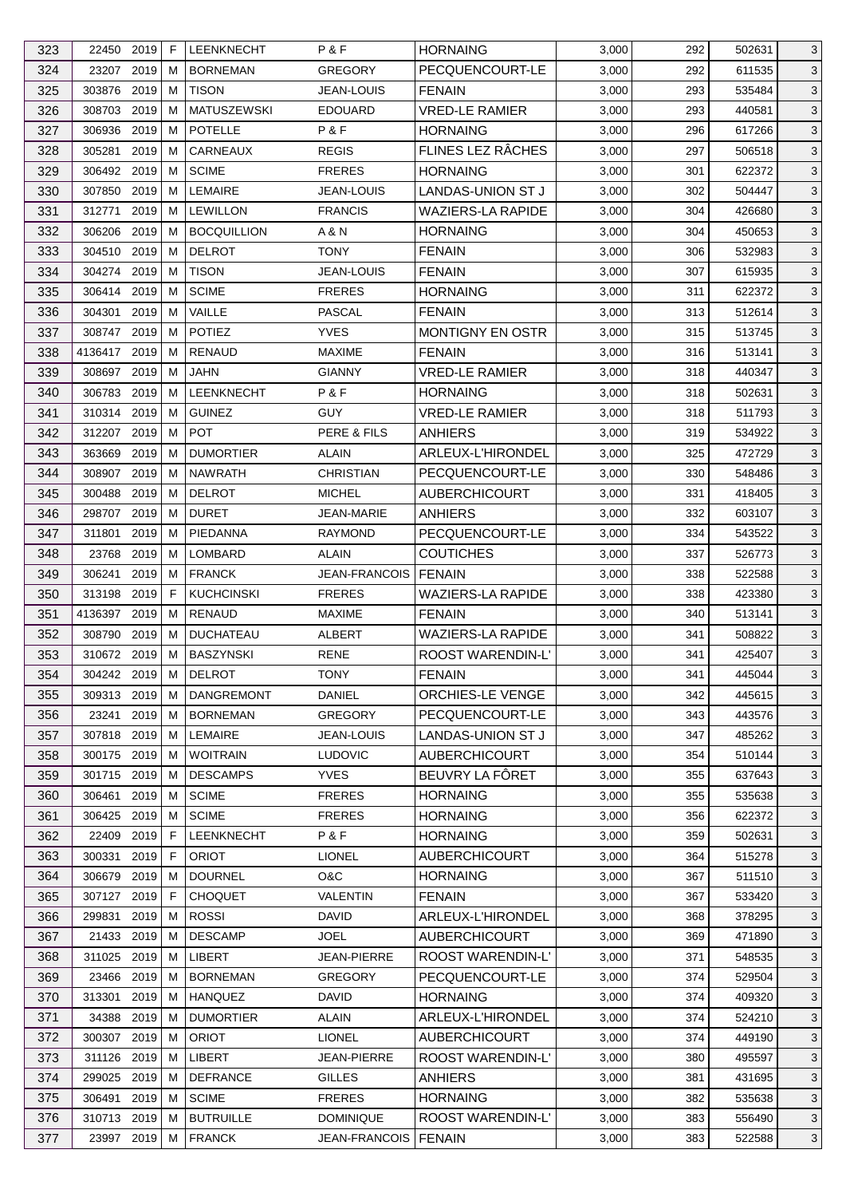| 323 | 22450 2019    |      | F  | <b>LEENKNECHT</b>  | P&F                  | <b>HORNAING</b>          | 3,000 | 292 | 502631 | 3            |
|-----|---------------|------|----|--------------------|----------------------|--------------------------|-------|-----|--------|--------------|
| 324 | 23207         | 2019 | м  | <b>BORNEMAN</b>    | <b>GREGORY</b>       | PECQUENCOURT-LE          | 3,000 | 292 | 611535 | $\mathbf{3}$ |
| 325 | 303876        | 2019 | м  | <b>TISON</b>       | <b>JEAN-LOUIS</b>    | <b>FENAIN</b>            | 3,000 | 293 | 535484 | 3            |
| 326 | 308703        | 2019 | м  | <b>MATUSZEWSKI</b> | <b>EDOUARD</b>       | <b>VRED-LE RAMIER</b>    | 3,000 | 293 | 440581 | 3            |
| 327 | 306936        | 2019 | м  | <b>POTELLE</b>     | P&F                  | <b>HORNAING</b>          | 3,000 | 296 | 617266 | 3            |
| 328 | 305281        | 2019 | M  | CARNEAUX           | <b>REGIS</b>         | FLINES LEZ RÂCHES        | 3,000 | 297 | 506518 | $\mathbf{3}$ |
| 329 | 306492 2019   |      | м  | <b>SCIME</b>       | <b>FRERES</b>        | <b>HORNAING</b>          | 3,000 | 301 | 622372 | 3            |
| 330 | 307850        | 2019 | м  | <b>LEMAIRE</b>     | <b>JEAN-LOUIS</b>    | LANDAS-UNION ST J        | 3,000 | 302 | 504447 | $\mathbf{3}$ |
| 331 | 312771        | 2019 | м  | <b>LEWILLON</b>    | <b>FRANCIS</b>       | <b>WAZIERS-LA RAPIDE</b> | 3,000 | 304 | 426680 | 3            |
| 332 | 306206        | 2019 | м  | <b>BOCQUILLION</b> | A & N                | <b>HORNAING</b>          | 3,000 | 304 | 450653 | 3            |
| 333 | 304510        | 2019 | м  | <b>DELROT</b>      | <b>TONY</b>          | <b>FENAIN</b>            | 3,000 | 306 | 532983 | 3            |
| 334 | 304274 2019   |      | м  | <b>TISON</b>       | <b>JEAN-LOUIS</b>    | <b>FENAIN</b>            | 3,000 | 307 | 615935 | 3            |
| 335 | 306414 2019   |      | м  | <b>SCIME</b>       | <b>FRERES</b>        | <b>HORNAING</b>          | 3,000 | 311 | 622372 | $\mathbf{3}$ |
| 336 | 304301        | 2019 | M  | VAILLE             | PASCAL               | <b>FENAIN</b>            | 3,000 | 313 | 512614 | 3            |
| 337 | 308747 2019   |      | м  | <b>POTIEZ</b>      | <b>YVES</b>          | MONTIGNY EN OSTR         | 3,000 | 315 | 513745 | $\mathbf{3}$ |
| 338 | 4136417 2019  |      | м  | <b>RENAUD</b>      | <b>MAXIME</b>        | <b>FENAIN</b>            | 3,000 | 316 | 513141 | 3            |
| 339 | 308697        | 2019 | м  | <b>JAHN</b>        | <b>GIANNY</b>        | <b>VRED-LE RAMIER</b>    | 3,000 | 318 | 440347 | $\mathbf{3}$ |
| 340 | 306783 2019   |      | м  | <b>LEENKNECHT</b>  | P&F                  | <b>HORNAING</b>          | 3,000 | 318 | 502631 | 3            |
| 341 | 310314 2019   |      | м  | <b>GUINEZ</b>      | <b>GUY</b>           | <b>VRED-LE RAMIER</b>    | 3,000 | 318 | 511793 | 3            |
| 342 | 312207 2019   |      | м  | <b>POT</b>         | PERE & FILS          | <b>ANHIERS</b>           | 3,000 | 319 | 534922 | 3            |
| 343 | 363669        | 2019 | м  | <b>DUMORTIER</b>   | ALAIN                | ARLEUX-L'HIRONDEL        | 3,000 | 325 | 472729 | 3            |
|     |               | 2019 | М  | <b>NAWRATH</b>     | <b>CHRISTIAN</b>     |                          |       |     |        |              |
| 344 | 308907        |      |    |                    |                      | PECQUENCOURT-LE          | 3,000 | 330 | 548486 | $\mathbf{3}$ |
| 345 | 300488        | 2019 | м  | <b>DELROT</b>      | <b>MICHEL</b>        | <b>AUBERCHICOURT</b>     | 3,000 | 331 | 418405 | 3            |
| 346 | 298707        | 2019 | м  | <b>DURET</b>       | <b>JEAN-MARIE</b>    | <b>ANHIERS</b>           | 3,000 | 332 | 603107 | $\mathbf{3}$ |
| 347 | 311801        | 2019 | м  | PIEDANNA           | <b>RAYMOND</b>       | PECQUENCOURT-LE          | 3,000 | 334 | 543522 | 3            |
| 348 | 23768         | 2019 | м  | LOMBARD            | ALAIN                | <b>COUTICHES</b>         | 3,000 | 337 | 526773 | $\mathbf{3}$ |
| 349 | 306241        | 2019 | M  | <b>FRANCK</b>      | <b>JEAN-FRANCOIS</b> | <b>FENAIN</b>            | 3,000 | 338 | 522588 | 3            |
| 350 | 313198        | 2019 | E  | <b>KUCHCINSKI</b>  | <b>FRERES</b>        | <b>WAZIERS-LA RAPIDE</b> | 3,000 | 338 | 423380 | 3            |
| 351 | 4136397 2019  |      | м  | <b>RENAUD</b>      | <b>MAXIME</b>        | <b>FENAIN</b>            | 3,000 | 340 | 513141 | 3            |
| 352 | 308790        | 2019 | м  | <b>DUCHATEAU</b>   | <b>ALBERT</b>        | WAZIERS-LA RAPIDE        | 3,000 | 341 | 508822 | 3            |
| 353 | 310672 2019   |      | м  | <b>BASZYNSKI</b>   | <b>RENE</b>          | ROOST WARENDIN-L'        | 3,000 | 341 | 425407 | 3            |
| 354 | 304242 2019 M |      |    | <b>DELROT</b>      | <b>TONY</b>          | <b>FENAIN</b>            | 3,000 | 341 | 445044 | 3            |
| 355 | 309313 2019   |      | М  | <b>DANGREMONT</b>  | DANIEL               | ORCHIES-LE VENGE         | 3,000 | 342 | 445615 | 3            |
| 356 | 23241         | 2019 | м  | <b>BORNEMAN</b>    | <b>GREGORY</b>       | PECQUENCOURT-LE          | 3,000 | 343 | 443576 | 3            |
| 357 | 307818 2019   |      | м  | <b>LEMAIRE</b>     | <b>JEAN-LOUIS</b>    | <b>LANDAS-UNION ST J</b> | 3,000 | 347 | 485262 | 3            |
| 358 | 300175        | 2019 | M  | <b>WOITRAIN</b>    | <b>LUDOVIC</b>       | <b>AUBERCHICOURT</b>     | 3,000 | 354 | 510144 | 3            |
| 359 | 301715 2019   |      | м  | <b>DESCAMPS</b>    | <b>YVES</b>          | BEUVRY LA FÔRET          | 3,000 | 355 | 637643 | 3            |
| 360 | 306461        | 2019 | м  | <b>SCIME</b>       | <b>FRERES</b>        | <b>HORNAING</b>          | 3,000 | 355 | 535638 | 3            |
| 361 | 306425 2019   |      | м  | <b>SCIME</b>       | <b>FRERES</b>        | <b>HORNAING</b>          | 3,000 | 356 | 622372 | 3            |
| 362 | 22409         | 2019 | F  | <b>LEENKNECHT</b>  | P&F                  | <b>HORNAING</b>          | 3,000 | 359 | 502631 | 3            |
| 363 | 300331        | 2019 | F. | <b>ORIOT</b>       | <b>LIONEL</b>        | <b>AUBERCHICOURT</b>     | 3,000 | 364 | 515278 | 3            |
| 364 | 306679        | 2019 | м  | <b>DOURNEL</b>     | O&C                  | <b>HORNAING</b>          | 3,000 | 367 | 511510 | 3            |
| 365 | 307127        | 2019 | F  | <b>CHOQUET</b>     | <b>VALENTIN</b>      | <b>FENAIN</b>            | 3,000 | 367 | 533420 | 3            |
| 366 | 299831        | 2019 | м  | <b>ROSSI</b>       | <b>DAVID</b>         | ARLEUX-L'HIRONDEL        | 3,000 | 368 | 378295 | 3            |
| 367 | 21433 2019    |      | м  | <b>DESCAMP</b>     | JOEL                 | <b>AUBERCHICOURT</b>     | 3,000 | 369 | 471890 | 3            |
| 368 | 311025        | 2019 | м  | LIBERT             | JEAN-PIERRE          | ROOST WARENDIN-L'        | 3,000 | 371 | 548535 | 3            |
| 369 | 23466         | 2019 | M  | <b>BORNEMAN</b>    | <b>GREGORY</b>       | PECQUENCOURT-LE          | 3,000 | 374 | 529504 | 3            |
| 370 | 313301        | 2019 | м  | <b>HANQUEZ</b>     | <b>DAVID</b>         | <b>HORNAING</b>          | 3,000 | 374 | 409320 | 3            |
| 371 | 34388         | 2019 | м  | <b>DUMORTIER</b>   | <b>ALAIN</b>         | ARLEUX-L'HIRONDEL        | 3,000 | 374 | 524210 | 3            |
| 372 | 300307        | 2019 | м  | <b>ORIOT</b>       | <b>LIONEL</b>        | <b>AUBERCHICOURT</b>     | 3,000 | 374 | 449190 | 3            |
| 373 | 311126 2019   |      | м  | LIBERT             | JEAN-PIERRE          | ROOST WARENDIN-L'        | 3,000 | 380 | 495597 | 3            |
| 374 | 299025        | 2019 | м  | <b>DEFRANCE</b>    | <b>GILLES</b>        | <b>ANHIERS</b>           | 3,000 | 381 | 431695 | 3            |
| 375 | 306491        | 2019 | м  | <b>SCIME</b>       | <b>FRERES</b>        | <b>HORNAING</b>          | 3,000 | 382 | 535638 | $\mathbf{3}$ |
| 376 | 310713 2019   |      | м  | <b>BUTRUILLE</b>   | <b>DOMINIQUE</b>     | ROOST WARENDIN-L'        | 3,000 | 383 | 556490 | 3            |
| 377 | 23997 2019    |      | М  | <b>FRANCK</b>      | JEAN-FRANCOIS        | <b>FENAIN</b>            | 3,000 | 383 | 522588 | 3            |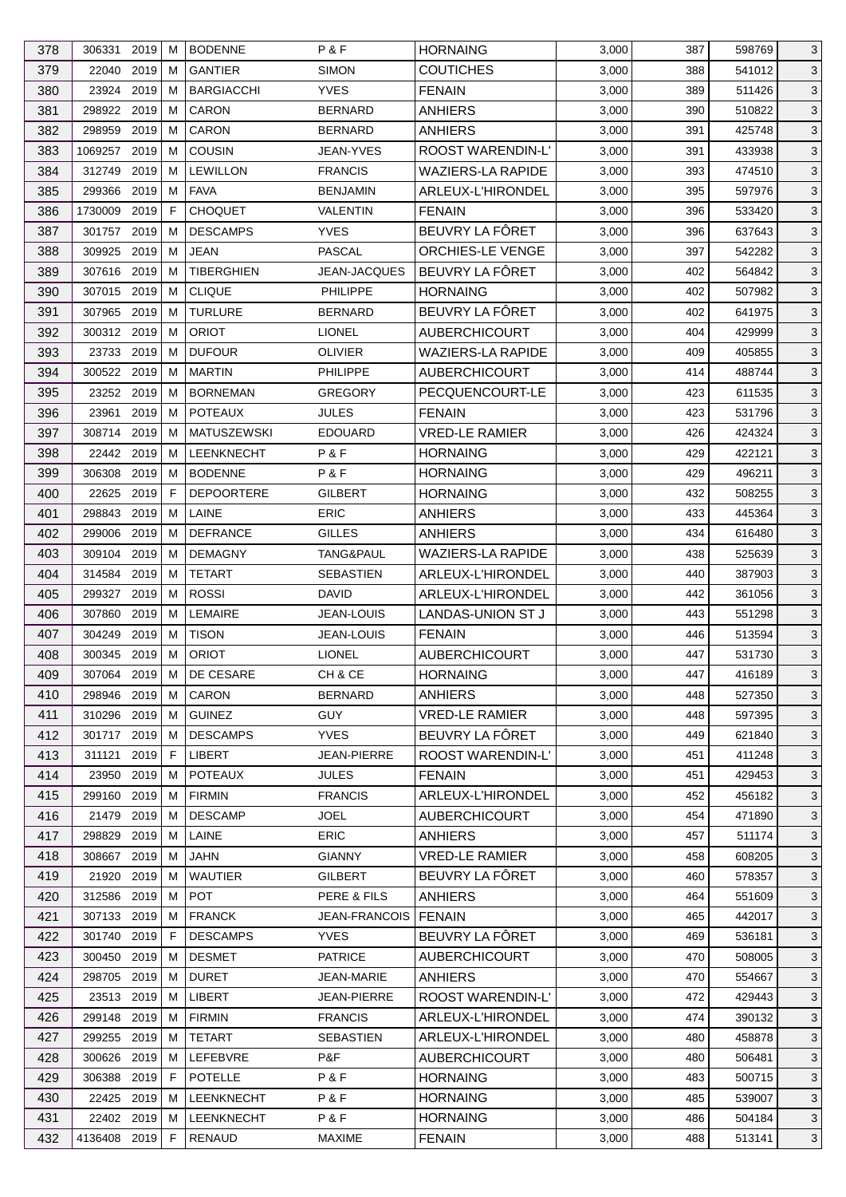| 378 | 306331        | 2019 | м  | <b>BODENNE</b>     | P & F                  | <b>HORNAING</b>          | 3,000 | 387 | 598769 | 3            |
|-----|---------------|------|----|--------------------|------------------------|--------------------------|-------|-----|--------|--------------|
| 379 | 22040         | 2019 | M  | <b>GANTIER</b>     | <b>SIMON</b>           | <b>COUTICHES</b>         | 3,000 | 388 | 541012 | $\mathbf{3}$ |
| 380 | 23924         | 2019 | M  | <b>BARGIACCHI</b>  | <b>YVES</b>            | <b>FENAIN</b>            | 3,000 | 389 | 511426 | 3            |
| 381 | 298922 2019   |      | м  | CARON              | <b>BERNARD</b>         | <b>ANHIERS</b>           | 3,000 | 390 | 510822 | 3            |
| 382 | 298959        | 2019 | M  | CARON              | <b>BERNARD</b>         | <b>ANHIERS</b>           | 3,000 | 391 | 425748 | $\mathbf{3}$ |
| 383 | 1069257       | 2019 | M  | <b>COUSIN</b>      | JEAN-YVES              | ROOST WARENDIN-L'        | 3,000 | 391 | 433938 | $\mathbf 3$  |
| 384 | 312749        | 2019 | м  | <b>LEWILLON</b>    | <b>FRANCIS</b>         | <b>WAZIERS-LA RAPIDE</b> | 3,000 | 393 | 474510 | $\mathbf{3}$ |
| 385 | 299366        | 2019 | M  | <b>FAVA</b>        | <b>BENJAMIN</b>        | ARLEUX-L'HIRONDEL        | 3,000 | 395 | 597976 | 3            |
| 386 | 1730009       | 2019 | F  | <b>CHOQUET</b>     | <b>VALENTIN</b>        | <b>FENAIN</b>            | 3,000 | 396 | 533420 | $\mathbf{3}$ |
| 387 | 301757        | 2019 | м  | <b>DESCAMPS</b>    | <b>YVES</b>            | BEUVRY LA FÔRET          | 3,000 | 396 | 637643 | 3            |
| 388 | 309925        | 2019 | м  | <b>JEAN</b>        | <b>PASCAL</b>          | ORCHIES-LE VENGE         | 3,000 | 397 | 542282 | $\mathbf 3$  |
| 389 | 307616 2019   |      | M  | <b>TIBERGHIEN</b>  | <b>JEAN-JACQUES</b>    | BEUVRY LA FÔRET          | 3,000 | 402 | 564842 | $\mathbf{3}$ |
| 390 | 307015 2019   |      | M  | <b>CLIQUE</b>      | <b>PHILIPPE</b>        | <b>HORNAING</b>          | 3,000 | 402 | 507982 | $\mathbf 3$  |
| 391 | 307965        | 2019 | M  | <b>TURLURE</b>     | <b>BERNARD</b>         | BEUVRY LA FÔRET          | 3,000 | 402 | 641975 | 3            |
| 392 | 300312        | 2019 | м  | <b>ORIOT</b>       | <b>LIONEL</b>          | <b>AUBERCHICOURT</b>     | 3,000 | 404 | 429999 | $\mathbf{3}$ |
| 393 | 23733 2019    |      | M  | <b>DUFOUR</b>      | <b>OLIVIER</b>         | <b>WAZIERS-LA RAPIDE</b> | 3,000 | 409 | 405855 | $\mathbf{3}$ |
| 394 | 300522        | 2019 | M  | <b>MARTIN</b>      | PHILIPPE               | <b>AUBERCHICOURT</b>     | 3,000 | 414 | 488744 | $\mathbf 3$  |
| 395 | 23252         | 2019 | м  | <b>BORNEMAN</b>    | <b>GREGORY</b>         | PECQUENCOURT-LE          | 3,000 | 423 | 611535 | $\mathbf{3}$ |
|     |               |      |    | <b>POTEAUX</b>     |                        |                          |       |     |        |              |
| 396 | 23961         | 2019 | M  |                    | <b>JULES</b>           | <b>FENAIN</b>            | 3,000 | 423 | 531796 | 3            |
| 397 | 308714        | 2019 | м  | <b>MATUSZEWSKI</b> | <b>EDOUARD</b>         | <b>VRED-LE RAMIER</b>    | 3,000 | 426 | 424324 | $\mathbf{3}$ |
| 398 | 22442 2019    |      | м  | <b>LEENKNECHT</b>  | P & F                  | <b>HORNAING</b>          | 3,000 | 429 | 422121 | 3            |
| 399 | 306308        | 2019 | M  | <b>BODENNE</b>     | P&F                    | <b>HORNAING</b>          | 3,000 | 429 | 496211 | $\mathbf 3$  |
| 400 | 22625         | 2019 | F. | <b>DEPOORTERE</b>  | <b>GILBERT</b>         | <b>HORNAING</b>          | 3,000 | 432 | 508255 | $\mathbf{3}$ |
| 401 | 298843        | 2019 | M  | LAINE              | <b>ERIC</b>            | <b>ANHIERS</b>           | 3,000 | 433 | 445364 | $\mathbf 3$  |
| 402 | 299006        | 2019 | м  | <b>DEFRANCE</b>    | <b>GILLES</b>          | <b>ANHIERS</b>           | 3,000 | 434 | 616480 | 3            |
| 403 | 309104        | 2019 | м  | <b>DEMAGNY</b>     | TANG&PAUL              | <b>WAZIERS-LA RAPIDE</b> | 3,000 | 438 | 525639 | 3            |
| 404 | 314584        | 2019 | M  | <b>TETART</b>      | <b>SEBASTIEN</b>       | ARLEUX-L'HIRONDEL        | 3,000 | 440 | 387903 | $\mathbf{3}$ |
| 405 | 299327        | 2019 | M  | <b>ROSSI</b>       | <b>DAVID</b>           | ARLEUX-L'HIRONDEL        | 3,000 | 442 | 361056 | 3            |
| 406 | 307860        | 2019 | м  | LEMAIRE            | <b>JEAN-LOUIS</b>      | LANDAS-UNION ST J        | 3,000 | 443 | 551298 | $\mathbf{3}$ |
| 407 | 304249        | 2019 | м  | <b>TISON</b>       | <b>JEAN-LOUIS</b>      | <b>FENAIN</b>            | 3,000 | 446 | 513594 | 3            |
| 408 | 300345 2019   |      | M  | <b>ORIOT</b>       | <b>LIONEL</b>          | <b>AUBERCHICOURT</b>     | 3,000 | 447 | 531730 | $\mathbf{3}$ |
| 409 | 307064 2019 M |      |    | DE CESARE          | CH & CE                | <b>HORNAING</b>          | 3,000 | 447 | 416189 | $\mathbf{3}$ |
| 410 | 298946 2019   |      | M  | CARON              | <b>BERNARD</b>         | <b>ANHIERS</b>           | 3,000 | 448 | 527350 | 3            |
| 411 | 310296 2019   |      | M  | <b>GUINEZ</b>      | <b>GUY</b>             | <b>VRED-LE RAMIER</b>    | 3,000 | 448 | 597395 | 3            |
| 412 | 301717 2019   |      | M  | <b>DESCAMPS</b>    | <b>YVES</b>            | BEUVRY LA FÖRET          | 3,000 | 449 | 621840 | $\mathbf{3}$ |
| 413 | 311121        | 2019 | F. | LIBERT             | JEAN-PIERRE            | ROOST WARENDIN-L'        | 3,000 | 451 | 411248 | 3            |
| 414 | 23950         | 2019 | м  | <b>POTEAUX</b>     | <b>JULES</b>           | <b>FENAIN</b>            | 3,000 | 451 | 429453 | 3            |
| 415 | 299160        | 2019 | M  | <b>FIRMIN</b>      | <b>FRANCIS</b>         | ARLEUX-L'HIRONDEL        | 3,000 | 452 | 456182 | $\mathbf{3}$ |
| 416 | 21479         | 2019 | M  | <b>DESCAMP</b>     | <b>JOEL</b>            | <b>AUBERCHICOURT</b>     | 3,000 | 454 | 471890 | 3            |
| 417 | 298829        | 2019 | м  | LAINE              | ERIC                   | <b>ANHIERS</b>           | 3,000 | 457 | 511174 | 3            |
| 418 | 308667        | 2019 | м  | <b>JAHN</b>        | <b>GIANNY</b>          | <b>VRED-LE RAMIER</b>    | 3,000 | 458 | 608205 | 3            |
| 419 | 21920         | 2019 | M  | <b>WAUTIER</b>     | <b>GILBERT</b>         | BEUVRY LA FÔRET          | 3,000 | 460 | 578357 | $\mathbf{3}$ |
| 420 | 312586 2019   |      | м  | <b>POT</b>         | <b>PERE &amp; FILS</b> | <b>ANHIERS</b>           | 3,000 | 464 | 551609 | 3            |
| 421 | 307133        | 2019 | м  | <b>FRANCK</b>      | <b>JEAN-FRANCOIS</b>   | <b>FENAIN</b>            | 3,000 | 465 | 442017 | $\mathbf{3}$ |
| 422 | 301740 2019   |      | F  | <b>DESCAMPS</b>    | <b>YVES</b>            | BEUVRY LA FÔRET          | 3,000 | 469 | 536181 | $\mathbf{3}$ |
| 423 | 300450        | 2019 | M  | <b>DESMET</b>      | <b>PATRICE</b>         | <b>AUBERCHICOURT</b>     | 3,000 | 470 | 508005 |              |
|     |               |      |    |                    |                        |                          |       |     |        | $\mathbf{3}$ |
| 424 | 298705        | 2019 | м  | <b>DURET</b>       | JEAN-MARIE             | <b>ANHIERS</b>           | 3,000 | 470 | 554667 | 3            |
| 425 | 23513 2019    |      | м  | LIBERT             | JEAN-PIERRE            | ROOST WARENDIN-L'        | 3,000 | 472 | 429443 | 3            |
| 426 | 299148 2019   |      | M  | <b>FIRMIN</b>      | <b>FRANCIS</b>         | ARLEUX-L'HIRONDEL        | 3,000 | 474 | 390132 | $\mathbf{3}$ |
| 427 | 299255        | 2019 | M  | <b>TETART</b>      | <b>SEBASTIEN</b>       | ARLEUX-L'HIRONDEL        | 3,000 | 480 | 458878 | 3            |
| 428 | 300626        | 2019 | M  | LEFEBVRE           | P&F                    | <b>AUBERCHICOURT</b>     | 3,000 | 480 | 506481 | 3            |
| 429 | 306388        | 2019 | F. | <b>POTELLE</b>     | P&F                    | <b>HORNAING</b>          | 3,000 | 483 | 500715 | 3            |
| 430 | 22425 2019    |      | M  | LEENKNECHT         | P&F                    | <b>HORNAING</b>          | 3,000 | 485 | 539007 | 3            |
| 431 | 22402 2019    |      | M  | LEENKNECHT         | P&F                    | <b>HORNAING</b>          | 3,000 | 486 | 504184 | 3            |
| 432 | 4136408 2019  |      | F  | <b>RENAUD</b>      | <b>MAXIME</b>          | <b>FENAIN</b>            | 3,000 | 488 | 513141 | $\mathbf{3}$ |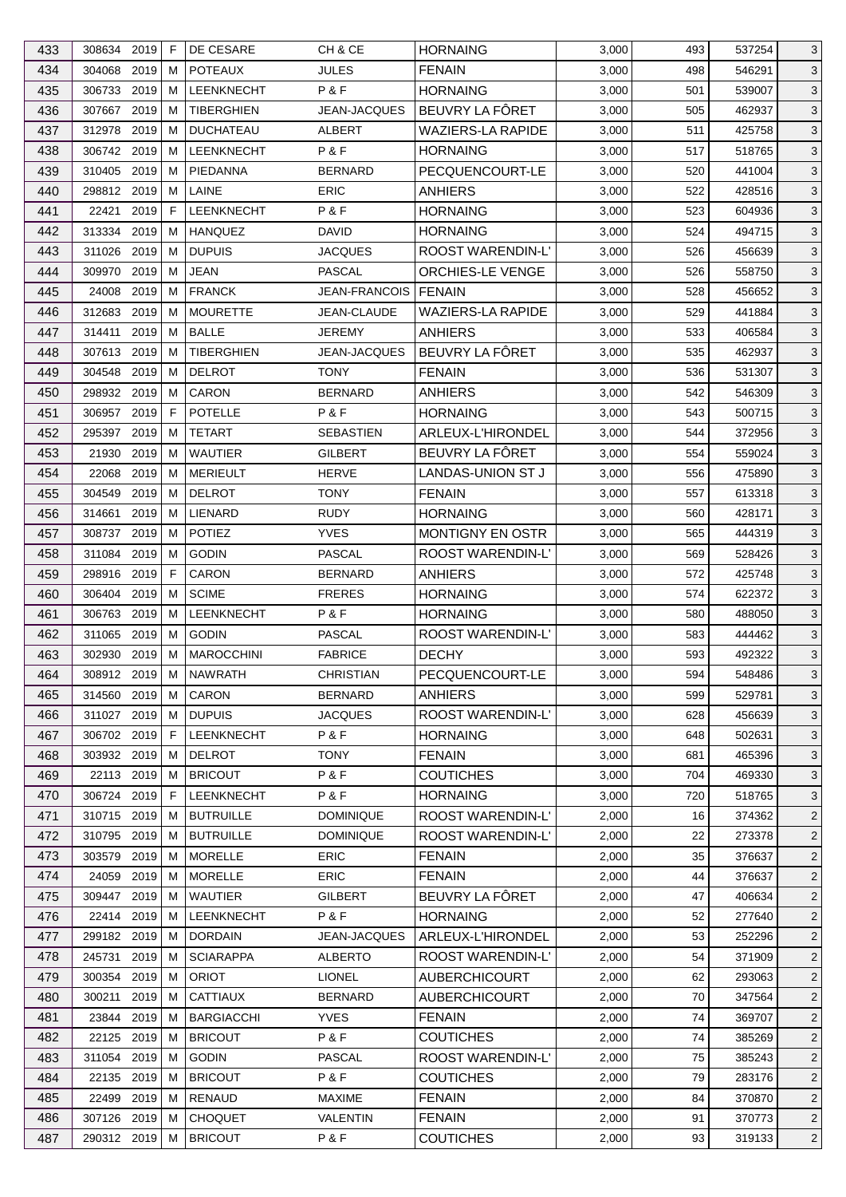| 433        | 308634 2019           |              | F      | DE CESARE                        | CH & CE                         | <b>HORNAING</b>                  | 3,000          | 493      | 537254           | 3                                |
|------------|-----------------------|--------------|--------|----------------------------------|---------------------------------|----------------------------------|----------------|----------|------------------|----------------------------------|
| 434        | 304068                | 2019         | м      | <b>POTEAUX</b>                   | <b>JULES</b>                    | <b>FENAIN</b>                    | 3,000          | 498      | 546291           | 3                                |
| 435        | 306733                | 2019         | M      | LEENKNECHT                       | P&F                             | <b>HORNAING</b>                  | 3,000          | 501      | 539007           | 3                                |
| 436        | 307667                | 2019         | м      | TIBERGHIEN                       | JEAN-JACQUES                    | BEUVRY LA FÔRET                  | 3,000          | 505      | 462937           | 3                                |
| 437        | 312978                | 2019         | M      | <b>DUCHATEAU</b>                 | <b>ALBERT</b>                   | WAZIERS-LA RAPIDE                | 3,000          | 511      | 425758           | 3                                |
| 438        | 306742 2019           |              | М      | <b>LEENKNECHT</b>                | P&F                             | <b>HORNAING</b>                  | 3,000          | 517      | 518765           | 3                                |
| 439        | 310405                | 2019         | M      | PIEDANNA                         | <b>BERNARD</b>                  | PECQUENCOURT-LE                  | 3,000          | 520      | 441004           | 3                                |
| 440        | 298812 2019           |              | м      | LAINE                            | <b>ERIC</b>                     | <b>ANHIERS</b>                   | 3,000          | 522      | 428516           | 3                                |
| 441        | 22421                 | 2019         | F      | LEENKNECHT                       | P&F                             | <b>HORNAING</b>                  | 3,000          | 523      | 604936           | 3                                |
| 442        | 313334                | 2019         | м      | <b>HANQUEZ</b>                   | DAVID                           | <b>HORNAING</b>                  | 3,000          | 524      | 494715           | 3                                |
| 443        | 311026                | 2019         | м      | <b>DUPUIS</b>                    | JACQUES                         | ROOST WARENDIN-L'                | 3,000          | 526      | 456639           | 3                                |
| 444        | 309970                | 2019         | м      | <b>JEAN</b>                      | PASCAL                          | ORCHIES-LE VENGE                 | 3,000          | 526      | 558750           | 3                                |
| 445        | 24008                 | 2019         | м      | <b>FRANCK</b>                    | <b>JEAN-FRANCOIS</b>            | FENAIN                           | 3,000          | 528      | 456652           | 3                                |
| 446        | 312683                | 2019         | M      | <b>MOURETTE</b>                  | JEAN-CLAUDE                     | <b>WAZIERS-LA RAPIDE</b>         | 3,000          | 529      | 441884           | 3                                |
| 447        | 314411                | 2019         | м      | <b>BALLE</b>                     | JEREMY                          | <b>ANHIERS</b>                   | 3,000          | 533      | 406584           | 3                                |
| 448        | 307613 2019           |              | M      | TIBERGHIEN                       | JEAN-JACQUES                    | BEUVRY LA FÔRET                  | 3,000          | 535      | 462937           | 3                                |
| 449        | 304548                | 2019         | M      | <b>DELROT</b>                    | <b>TONY</b>                     | <b>FENAIN</b>                    | 3,000          | 536      | 531307           | 3                                |
| 450        | 298932 2019           |              | м      | CARON                            | <b>BERNARD</b>                  | ANHIERS                          | 3,000          | 542      | 546309           | 3                                |
| 451        | 306957                | 2019         | F      | <b>POTELLE</b>                   | P&F                             | <b>HORNAING</b>                  | 3,000          | 543      | 500715           | 3                                |
| 452        | 295397                | 2019         | м      | <b>TETART</b>                    | <b>SEBASTIEN</b>                | <b>ARLEUX-L'HIRONDEL</b>         | 3,000          | 544      | 372956           | 3                                |
| 453        | 21930                 | 2019         | м      | <b>WAUTIER</b>                   | <b>GILBERT</b>                  | BEUVRY LA FÔRET                  | 3,000          | 554      | 559024           | 3                                |
| 454        | 22068                 | 2019         | м      | <b>MERIEULT</b>                  | <b>HERVE</b>                    | LANDAS-UNION ST J                | 3,000          | 556      | 475890           | 3                                |
| 455        | 304549                | 2019         | м      | <b>DELROT</b>                    | <b>TONY</b>                     | <b>FENAIN</b>                    | 3,000          | 557      | 613318           | 3                                |
| 456        | 314661                | 2019         | м      | LIENARD                          | <b>RUDY</b>                     | <b>HORNAING</b>                  | 3,000          | 560      | 428171           | 3                                |
| 457        | 308737                | 2019         | M      | <b>POTIEZ</b>                    | <b>YVES</b>                     | <b>MONTIGNY EN OSTR</b>          | 3,000          | 565      | 444319           | 3                                |
| 458        | 311084                | 2019         | м      | <b>GODIN</b>                     | PASCAL                          | ROOST WARENDIN-L'                | 3,000          | 569      | 528426           | 3                                |
| 459        | 298916                | 2019         | F      | CARON                            | <b>BERNARD</b>                  | <b>ANHIERS</b>                   | 3,000          | 572      | 425748           | 3                                |
| 460        | 306404                | 2019         | M      | <b>SCIME</b>                     | <b>FRERES</b>                   | <b>HORNAING</b>                  | 3,000          | 574      | 622372           | 3                                |
| 461        | 306763 2019           |              | M      | LEENKNECHT                       | P & F                           | <b>HORNAING</b>                  | 3,000          | 580      | 488050           | 3                                |
| 462        | 311065                | 2019         | м      | <b>GODIN</b>                     | <b>PASCAL</b>                   | ROOST WARENDIN-L'                | 3,000          | 583      | 444462           | 3                                |
| 463        | 302930                | 2019         | М      | <b>MAROCCHINI</b>                | <b>FABRICE</b>                  | <b>DECHY</b>                     | 3,000          | 593      | 492322           | 3                                |
| 464        | 308912 2019 M         |              |        | <b>NAWRATH</b>                   | <b>CHRISTIAN</b>                | PECQUENCOURT-LE                  | 3,000          | 594      | 548486           | $\mathbf{3}$                     |
| 465        | 314560 2019           |              | М      | CARON                            | BERNARD                         | <b>ANHIERS</b>                   | 3,000          | 599      | 529781           | 3                                |
| 466        | 311027 2019           |              | м      | <b>DUPUIS</b>                    | JACQUES                         | ROOST WARENDIN-L'                | 3,000          | 628      | 456639           | 3                                |
| 467        | 306702 2019           |              | F      | LEENKNECHT                       | P&F                             | <b>HORNAING</b>                  | 3,000          | 648      | 502631           | 3                                |
| 468        | 303932 2019           |              | M      | <b>DELROT</b>                    | <b>TONY</b>                     | <b>FENAIN</b>                    | 3,000          | 681      | 465396           | 3                                |
| 469        | 22113 2019            |              | M      | <b>BRICOUT</b>                   | P&F                             | <b>COUTICHES</b>                 | 3,000          | 704      | 469330           | 3                                |
| 470        | 306724 2019           |              | F      | <b>LEENKNECHT</b>                | P&F                             | <b>HORNAING</b>                  | 3,000          | 720      | 518765           |                                  |
| 471        | 310715                | 2019         | M      | <b>BUTRUILLE</b>                 | <b>DOMINIQUE</b>                | ROOST WARENDIN-L'                | 2,000          | 16       | 374362           | 3                                |
| 472        | 310795 2019           |              | M      | <b>BUTRUILLE</b>                 | <b>DOMINIQUE</b>                | ROOST WARENDIN-L'                | 2,000          | 22       | 273378           | $\overline{c}$<br>$\overline{2}$ |
|            | 303579                | 2019         |        | <b>MORELLE</b>                   | <b>ERIC</b>                     |                                  |                | 35       |                  |                                  |
| 473        |                       |              | М      | <b>MORELLE</b>                   | ERIC                            | <b>FENAIN</b>                    | 2,000          |          | 376637           | $\overline{2}$                   |
| 474        | 24059<br>309447       | 2019<br>2019 | M<br>M | <b>WAUTIER</b>                   | <b>GILBERT</b>                  | <b>FENAIN</b><br>BEUVRY LA FÖRET | 2,000<br>2,000 | 44<br>47 | 376637<br>406634 | $\overline{2}$<br>$\overline{2}$ |
| 475<br>476 |                       | 2019         |        | <b>LEENKNECHT</b>                | P&F                             | <b>HORNAING</b>                  |                | 52       |                  |                                  |
|            | 22414                 |              | M      |                                  | JEAN-JACQUES                    |                                  | 2,000          |          | 277640           | $\overline{2}$                   |
| 477        | 299182 2019<br>245731 | 2019         | M      | <b>DORDAIN</b>                   |                                 | ARLEUX-L'HIRONDEL                | 2,000          | 53<br>54 | 252296           | $\overline{2}$                   |
| 478        |                       |              | M      | <b>SCIARAPPA</b><br><b>ORIOT</b> | <b>ALBERTO</b><br><b>LIONEL</b> | ROOST WARENDIN-L'                | 2,000          |          | 371909           | $\overline{c}$                   |
| 479        | 300354                | 2019         | M      |                                  |                                 | <b>AUBERCHICOURT</b>             | 2,000          | 62       | 293063           | $\overline{2}$                   |
| 480        | 300211                | 2019         | M      | <b>CATTIAUX</b>                  | <b>BERNARD</b>                  | <b>AUBERCHICOURT</b>             | 2,000          | 70       | 347564           | $\overline{2}$                   |
| 481        | 23844 2019            |              | M      | <b>BARGIACCHI</b>                | <b>YVES</b>                     | <b>FENAIN</b>                    | 2,000          | 74       | 369707           | $\overline{2}$                   |
| 482        | 22125                 | 2019         | M      | <b>BRICOUT</b>                   | P&F                             | <b>COUTICHES</b>                 | 2,000          | 74       | 385269           | $\overline{2}$                   |
| 483        | 311054                | 2019         | M      | <b>GODIN</b>                     | <b>PASCAL</b>                   | ROOST WARENDIN-L'                | 2,000          | 75       | 385243           | $\overline{2}$                   |
| 484        | 22135 2019            |              | M      | <b>BRICOUT</b>                   | P&F                             | <b>COUTICHES</b>                 | 2,000          | 79       | 283176           | $\overline{2}$                   |
| 485        | 22499 2019            |              | м      | <b>RENAUD</b>                    | <b>MAXIME</b>                   | <b>FENAIN</b>                    | 2,000          | 84       | 370870           | $\overline{2}$                   |
| 486        | 307126 2019           |              | M      | <b>CHOQUET</b>                   | VALENTIN                        | <b>FENAIN</b>                    | 2,000          | 91       | 370773           | $\overline{2}$                   |
| 487        | 290312 2019           |              | М      | <b>BRICOUT</b>                   | P&F                             | <b>COUTICHES</b>                 | 2,000          | 93       | 319133           | $\overline{2}$                   |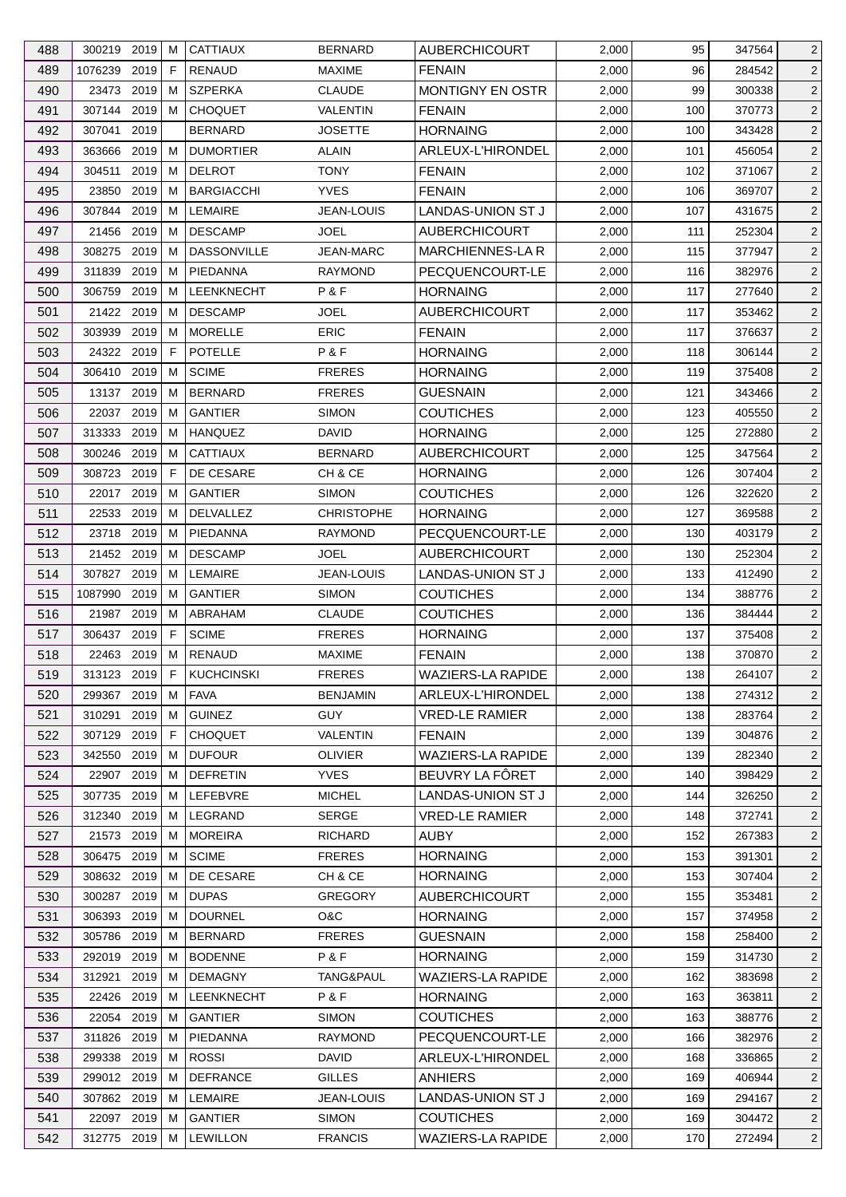| 488 | 300219 2019   |      | м           | <b>CATTIAUX</b>             | <b>BERNARD</b>    | <b>AUBERCHICOURT</b>     | 2,000 | 95  | 347564 | $\overline{2}$ |
|-----|---------------|------|-------------|-----------------------------|-------------------|--------------------------|-------|-----|--------|----------------|
| 489 | 1076239       | 2019 | F           | <b>RENAUD</b>               | <b>MAXIME</b>     | <b>FENAIN</b>            | 2,000 | 96  | 284542 | $\overline{2}$ |
| 490 | 23473         | 2019 | м           | <b>SZPERKA</b>              | <b>CLAUDE</b>     | MONTIGNY EN OSTR         | 2,000 | 99  | 300338 | $\overline{2}$ |
| 491 | 307144 2019   |      | м           | <b>CHOQUET</b>              | VALENTIN          | <b>FENAIN</b>            | 2,000 | 100 | 370773 | $\overline{2}$ |
| 492 | 307041        | 2019 |             | <b>BERNARD</b>              | <b>JOSETTE</b>    | <b>HORNAING</b>          | 2,000 | 100 | 343428 | $\overline{2}$ |
| 493 | 363666        | 2019 | м           | <b>DUMORTIER</b>            | <b>ALAIN</b>      | ARLEUX-L'HIRONDEL        | 2,000 | 101 | 456054 | $\overline{2}$ |
| 494 | 304511        | 2019 | м           | <b>DELROT</b>               | TONY              | <b>FENAIN</b>            | 2,000 | 102 | 371067 | $\overline{2}$ |
| 495 | 23850         | 2019 | м           | <b>BARGIACCHI</b>           | <b>YVES</b>       | <b>FENAIN</b>            | 2,000 | 106 | 369707 | $\overline{2}$ |
| 496 | 307844        | 2019 | м           | <b>LEMAIRE</b>              | JEAN-LOUIS        | LANDAS-UNION ST J        | 2,000 | 107 | 431675 | $\overline{2}$ |
| 497 | 21456         | 2019 | M           | <b>DESCAMP</b>              | JOEL              | <b>AUBERCHICOURT</b>     | 2,000 | 111 | 252304 | $\overline{2}$ |
| 498 | 308275        | 2019 | м           | <b>DASSONVILLE</b>          | <b>JEAN-MARC</b>  | <b>MARCHIENNES-LA R</b>  | 2,000 | 115 | 377947 | $\overline{2}$ |
| 499 | 311839        | 2019 | м           | PIEDANNA                    | <b>RAYMOND</b>    | PECQUENCOURT-LE          | 2,000 | 116 | 382976 | $\overline{2}$ |
| 500 | 306759        | 2019 | м           | LEENKNECHT                  | P&F               | <b>HORNAING</b>          | 2,000 | 117 | 277640 | $\overline{2}$ |
| 501 | 21422 2019    |      | м           | <b>DESCAMP</b>              | JOEL              | <b>AUBERCHICOURT</b>     | 2,000 | 117 | 353462 | $\overline{2}$ |
| 502 | 303939 2019   |      | м           | <b>MORELLE</b>              | <b>ERIC</b>       | <b>FENAIN</b>            | 2,000 | 117 | 376637 | $\overline{2}$ |
| 503 | 24322 2019    |      | F           | <b>POTELLE</b>              | P&F               | <b>HORNAING</b>          | 2,000 | 118 | 306144 | $\overline{2}$ |
| 504 | 306410        | 2019 | м           | <b>SCIME</b>                | <b>FRERES</b>     | <b>HORNAING</b>          | 2,000 | 119 | 375408 | $\overline{2}$ |
| 505 | 13137 2019    |      | м           | <b>BERNARD</b>              | <b>FRERES</b>     | <b>GUESNAIN</b>          | 2,000 | 121 | 343466 | $\overline{2}$ |
| 506 | 22037         | 2019 | м           | <b>GANTIER</b>              | <b>SIMON</b>      | <b>COUTICHES</b>         | 2,000 | 123 | 405550 | $\overline{2}$ |
| 507 | 313333        | 2019 | M           | <b>HANQUEZ</b>              | <b>DAVID</b>      | <b>HORNAING</b>          | 2,000 | 125 | 272880 | $\overline{2}$ |
| 508 | 300246        | 2019 | M           | <b>CATTIAUX</b>             | <b>BERNARD</b>    | <b>AUBERCHICOURT</b>     | 2,000 | 125 | 347564 | $\overline{2}$ |
| 509 | 308723        | 2019 | $\mathsf F$ | DE CESARE                   | CH & CE           | <b>HORNAING</b>          | 2,000 | 126 | 307404 | $\overline{2}$ |
|     |               |      |             |                             |                   |                          |       |     |        |                |
| 510 | 22017 2019    |      | м           | <b>GANTIER</b><br>DELVALLEZ | <b>SIMON</b>      | <b>COUTICHES</b>         | 2,000 | 126 | 322620 | $\overline{2}$ |
| 511 | 22533         | 2019 | м           |                             | <b>CHRISTOPHE</b> | <b>HORNAING</b>          | 2,000 | 127 | 369588 | $\overline{2}$ |
| 512 | 23718         | 2019 | м           | PIEDANNA                    | <b>RAYMOND</b>    | PECQUENCOURT-LE          | 2,000 | 130 | 403179 | $\overline{2}$ |
| 513 | 21452 2019    |      | м           | <b>DESCAMP</b>              | JOEL              | <b>AUBERCHICOURT</b>     | 2,000 | 130 | 252304 | $\overline{2}$ |
| 514 | 307827 2019   |      | м           | <b>LEMAIRE</b>              | JEAN-LOUIS        | <b>LANDAS-UNION ST J</b> | 2,000 | 133 | 412490 | $\sqrt{2}$     |
| 515 | 1087990       | 2019 | м           | <b>GANTIER</b>              | <b>SIMON</b>      | <b>COUTICHES</b>         | 2,000 | 134 | 388776 | $\overline{2}$ |
| 516 | 21987 2019    |      | м           | ABRAHAM                     | <b>CLAUDE</b>     | <b>COUTICHES</b>         | 2,000 | 136 | 384444 | $\overline{2}$ |
| 517 | 306437 2019   |      | F           | <b>SCIME</b>                | <b>FRERES</b>     | <b>HORNAING</b>          | 2,000 | 137 | 375408 | $\overline{2}$ |
| 518 | 22463 2019    |      | M           | <b>RENAUD</b>               | <b>MAXIME</b>     | <b>FENAIN</b>            | 2,000 | 138 | 370870 | $\overline{2}$ |
| 519 | 313123 2019 F |      |             | KUCHCINSKI                  | <b>FRERES</b>     | <b>WAZIERS-LA RAPIDE</b> | 2,000 | 138 | 264107 | $\overline{2}$ |
| 520 | 299367 2019   |      | М           | <b>FAVA</b>                 | <b>BENJAMIN</b>   | ARLEUX-L'HIRONDEL        | 2,000 | 138 | 274312 | $\overline{2}$ |
| 521 | 310291        | 2019 | м           | <b>GUINEZ</b>               | <b>GUY</b>        | <b>VRED-LE RAMIER</b>    | 2,000 | 138 | 283764 | $\overline{2}$ |
| 522 | 307129 2019   |      | F           | <b>CHOQUET</b>              | <b>VALENTIN</b>   | <b>FENAIN</b>            | 2,000 | 139 | 304876 | $\overline{a}$ |
| 523 | 342550        | 2019 | M           | <b>DUFOUR</b>               | <b>OLIVIER</b>    | <b>WAZIERS-LA RAPIDE</b> | 2,000 | 139 | 282340 | $\overline{2}$ |
| 524 | 22907 2019    |      | M           | <b>DEFRETIN</b>             | <b>YVES</b>       | BEUVRY LA FÖRET          | 2,000 | 140 | 398429 | $\overline{2}$ |
| 525 | 307735 2019   |      | м           | LEFEBVRE                    | <b>MICHEL</b>     | LANDAS-UNION ST J        | 2,000 | 144 | 326250 | $\overline{2}$ |
| 526 | 312340        | 2019 | M           | LEGRAND                     | SERGE             | <b>VRED-LE RAMIER</b>    | 2,000 | 148 | 372741 | $\overline{2}$ |
| 527 | 21573 2019    |      | м           | <b>MOREIRA</b>              | RICHARD           | AUBY                     | 2,000 | 152 | 267383 | $\overline{2}$ |
| 528 | 306475 2019   |      | M           | <b>SCIME</b>                | <b>FRERES</b>     | <b>HORNAING</b>          | 2,000 | 153 | 391301 | $\overline{2}$ |
| 529 | 308632 2019   |      | M           | DE CESARE                   | CH & CE           | <b>HORNAING</b>          | 2,000 | 153 | 307404 | $\overline{2}$ |
| 530 | 300287 2019   |      | M           | <b>DUPAS</b>                | <b>GREGORY</b>    | <b>AUBERCHICOURT</b>     | 2,000 | 155 | 353481 | $\overline{2}$ |
| 531 | 306393 2019   |      | м           | <b>DOURNEL</b>              | O&C               | <b>HORNAING</b>          | 2,000 | 157 | 374958 | $\overline{2}$ |
| 532 | 305786 2019   |      | M           | <b>BERNARD</b>              | <b>FRERES</b>     | <b>GUESNAIN</b>          | 2,000 | 158 | 258400 | $\overline{2}$ |
| 533 | 292019        | 2019 | M           | <b>BODENNE</b>              | P&F               | <b>HORNAING</b>          | 2,000 | 159 | 314730 | $\overline{a}$ |
| 534 | 312921        | 2019 | M           | <b>DEMAGNY</b>              | TANG&PAUL         | <b>WAZIERS-LA RAPIDE</b> | 2,000 | 162 | 383698 | $\overline{2}$ |
| 535 | 22426 2019    |      | M           | LEENKNECHT                  | P&F               | <b>HORNAING</b>          | 2,000 | 163 | 363811 | $\overline{2}$ |
| 536 | 22054 2019    |      | м           | <b>GANTIER</b>              | <b>SIMON</b>      | <b>COUTICHES</b>         | 2,000 | 163 | 388776 | $\overline{2}$ |
| 537 | 311826 2019   |      | M           | PIEDANNA                    | <b>RAYMOND</b>    | PECQUENCOURT-LE          | 2,000 | 166 | 382976 | $\overline{2}$ |
| 538 | 299338 2019   |      | М           | <b>ROSSI</b>                | <b>DAVID</b>      | ARLEUX-L'HIRONDEL        | 2,000 | 168 | 336865 | $\overline{2}$ |
| 539 | 299012 2019   |      | м           | <b>DEFRANCE</b>             | <b>GILLES</b>     | ANHIERS                  | 2,000 | 169 | 406944 | $\overline{2}$ |
| 540 | 307862 2019   |      | M           | LEMAIRE                     | JEAN-LOUIS        | LANDAS-UNION ST J        | 2,000 | 169 | 294167 | $\overline{2}$ |
|     | 22097 2019    |      | M           | <b>GANTIER</b>              | <b>SIMON</b>      | <b>COUTICHES</b>         | 2,000 | 169 | 304472 |                |
| 541 |               |      |             |                             |                   | <b>WAZIERS-LA RAPIDE</b> |       |     |        | $\overline{2}$ |
| 542 | 312775 2019   |      | М           | LEWILLON                    | <b>FRANCIS</b>    |                          | 2,000 | 170 | 272494 | $\overline{2}$ |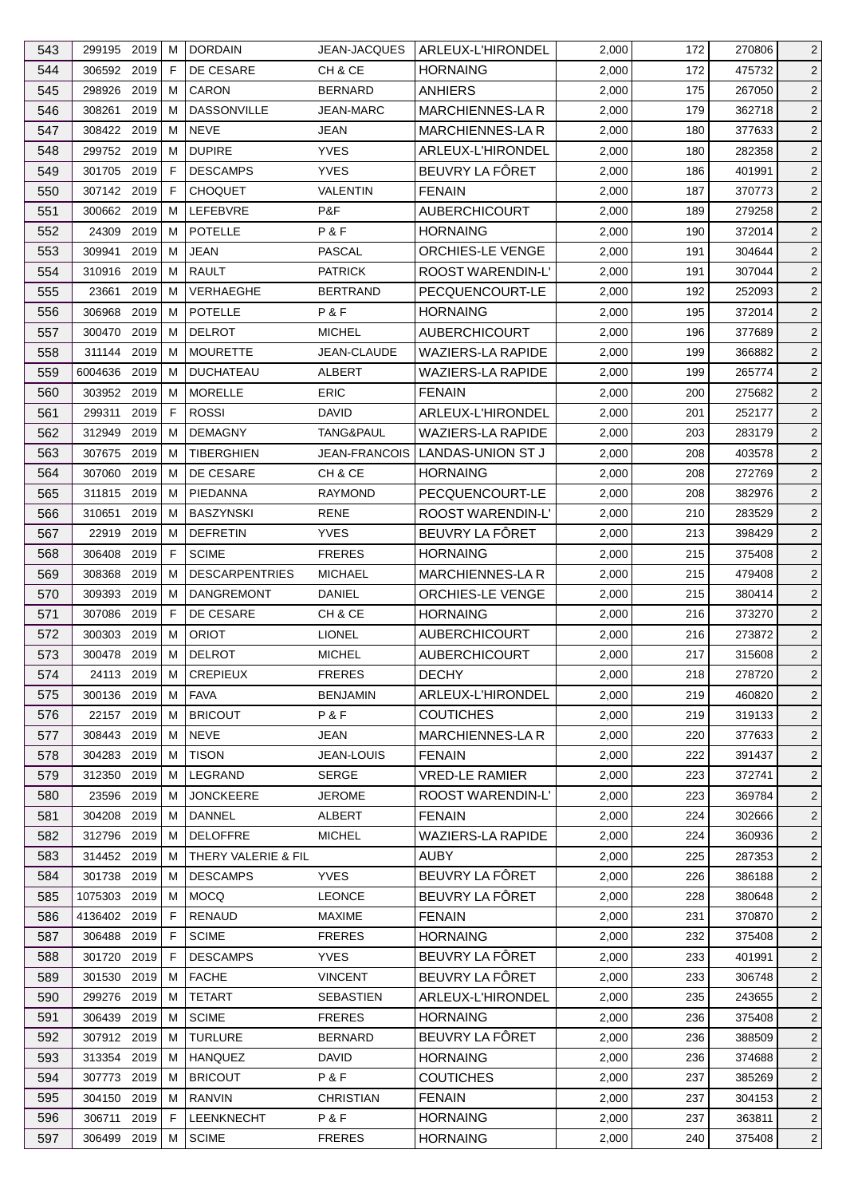| 543        | 299195 2019                |      | м           | <b>DORDAIN</b>                 | <b>JEAN-JACQUES</b>              | ARLEUX-L'HIRONDEL                      | 2,000          | 172 | 270806           | $\overline{2}$                   |
|------------|----------------------------|------|-------------|--------------------------------|----------------------------------|----------------------------------------|----------------|-----|------------------|----------------------------------|
| 544        | 306592 2019                |      | F           | DE CESARE                      | CH & CE                          | <b>HORNAING</b>                        | 2,000          | 172 | 475732           | $\overline{2}$                   |
| 545        | 298926                     | 2019 | м           | CARON                          | <b>BERNARD</b>                   | ANHIERS                                | 2,000          | 175 | 267050           | $\overline{2}$                   |
| 546        | 308261 2019                |      | м           | <b>DASSONVILLE</b>             | <b>JEAN-MARC</b>                 | MARCHIENNES-LA R                       | 2,000          | 179 | 362718           | $\overline{2}$                   |
| 547        | 308422 2019                |      | M           | <b>NEVE</b>                    | JEAN                             | <b>MARCHIENNES-LAR</b>                 | 2,000          | 180 | 377633           | $\overline{2}$                   |
| 548        | 299752 2019                |      | м           | <b>DUPIRE</b>                  | <b>YVES</b>                      | ARLEUX-L'HIRONDEL                      | 2,000          | 180 | 282358           | $\overline{2}$                   |
| 549        | 301705 2019                |      | F           | <b>DESCAMPS</b>                | <b>YVES</b>                      | BEUVRY LA FÔRET                        | 2,000          | 186 | 401991           | $\overline{2}$                   |
| 550        | 307142 2019                |      | F           | <b>CHOQUET</b>                 | <b>VALENTIN</b>                  | <b>FENAIN</b>                          | 2,000          | 187 | 370773           | $\overline{2}$                   |
| 551        | 300662 2019                |      | M           | LEFEBVRE                       | P&F                              | <b>AUBERCHICOURT</b>                   | 2,000          | 189 | 279258           | $\overline{2}$                   |
| 552        | 24309                      | 2019 | м           | <b>POTELLE</b>                 | P&F                              | <b>HORNAING</b>                        | 2,000          | 190 | 372014           | $\overline{2}$                   |
| 553        | 309941                     | 2019 | M           | <b>JEAN</b>                    | <b>PASCAL</b>                    | <b>ORCHIES-LE VENGE</b>                | 2,000          | 191 | 304644           | $\overline{2}$                   |
| 554        | 310916 2019                |      | м           | <b>RAULT</b>                   | <b>PATRICK</b>                   | ROOST WARENDIN-L'                      | 2,000          | 191 | 307044           | $\overline{2}$                   |
| 555        | 23661                      | 2019 | м           | VERHAEGHE                      | <b>BERTRAND</b>                  | PECQUENCOURT-LE                        | 2,000          | 192 | 252093           | $\overline{2}$                   |
| 556        | 306968                     | 2019 | М           | <b>POTELLE</b>                 | P&F                              | <b>HORNAING</b>                        | 2,000          | 195 | 372014           | $\overline{2}$                   |
| 557        | 300470 2019                |      | м           | <b>DELROT</b>                  | <b>MICHEL</b>                    | <b>AUBERCHICOURT</b>                   | 2,000          | 196 | 377689           | $\overline{2}$                   |
| 558        | 311144 2019                |      | м           | <b>MOURETTE</b>                | JEAN-CLAUDE                      | <b>WAZIERS-LA RAPIDE</b>               | 2,000          | 199 | 366882           | $\overline{2}$                   |
| 559        | 6004636 2019               |      | M           | <b>DUCHATEAU</b>               | ALBERT                           | <b>WAZIERS-LA RAPIDE</b>               | 2,000          | 199 | 265774           | $\overline{2}$                   |
| 560        | 303952 2019                |      | м           | <b>MORELLE</b>                 | <b>ERIC</b>                      | <b>FENAIN</b>                          | 2,000          | 200 | 275682           | $\overline{2}$                   |
| 561        | 299311                     | 2019 | F           | <b>ROSSI</b>                   | <b>DAVID</b>                     | ARLEUX-L'HIRONDEL                      | 2,000          | 201 | 252177           | $\overline{2}$                   |
| 562        | 312949                     | 2019 | M           | <b>DEMAGNY</b>                 | TANG&PAUL                        | <b>WAZIERS-LA RAPIDE</b>               | 2,000          | 203 | 283179           | $\overline{2}$                   |
| 563        | 307675                     | 2019 | M           | <b>TIBERGHIEN</b>              | <b>JEAN-FRANCOIS</b>             | LANDAS-UNION ST J                      | 2,000          | 208 | 403578           | $\overline{2}$                   |
| 564        | 307060                     | 2019 | м           | DE CESARE                      | CH & CE                          | <b>HORNAING</b>                        | 2,000          | 208 | 272769           | $\overline{2}$                   |
| 565        | 311815 2019                |      | м           | PIEDANNA                       | <b>RAYMOND</b>                   | PECQUENCOURT-LE                        | 2,000          | 208 | 382976           | $\overline{2}$                   |
| 566        | 310651                     | 2019 | м           | <b>BASZYNSKI</b>               | RENE                             | <b>ROOST WARENDIN-L'</b>               | 2,000          | 210 | 283529           | $\overline{2}$                   |
| 567        | 22919                      | 2019 | м           | <b>DEFRETIN</b>                | <b>YVES</b>                      | BEUVRY LA FÔRET                        | 2,000          | 213 | 398429           | $\overline{2}$                   |
| 568        | 306408 2019                |      | F           | <b>SCIME</b>                   | <b>FRERES</b>                    | <b>HORNAING</b>                        | 2,000          | 215 | 375408           | $\overline{2}$                   |
| 569        | 308368                     | 2019 | м           | <b>DESCARPENTRIES</b>          | <b>MICHAEL</b>                   | MARCHIENNES-LA R                       | 2,000          | 215 | 479408           | $\sqrt{2}$                       |
| 570        | 309393 2019                |      | M           | <b>DANGREMONT</b>              | DANIEL                           | <b>ORCHIES-LE VENGE</b>                | 2,000          | 215 | 380414           | $\overline{2}$                   |
| 571        | 307086                     | 2019 | F           | DE CESARE                      | CH & CE                          | <b>HORNAING</b>                        | 2,000          | 216 | 373270           | $\overline{2}$                   |
| 572        | 300303 2019                |      | М           | <b>ORIOT</b>                   | <b>LIONEL</b>                    | <b>AUBERCHICOURT</b>                   | 2,000          | 216 | 273872           | $\overline{2}$                   |
| 573        | 300478 2019                |      | M           | <b>DELROT</b>                  | <b>MICHEL</b>                    | <b>AUBERCHICOURT</b>                   | 2,000          | 217 | 315608           | $\overline{2}$                   |
|            | 24113 2019 M               |      |             |                                |                                  | <b>DECHY</b>                           | 2,000          | 218 |                  | $\sqrt{2}$                       |
| 574<br>575 | 300136 2019                |      | M           | <b>CREPIEUX</b><br><b>FAVA</b> | <b>FRERES</b><br><b>BENJAMIN</b> | ARLEUX-L'HIRONDEL                      | 2,000          | 219 | 278720<br>460820 | $\overline{2}$                   |
| 576        | 22157 2019                 |      | м           | <b>BRICOUT</b>                 | P&F                              | <b>COUTICHES</b>                       | 2,000          | 219 | 319133           | $\overline{2}$                   |
| 577        | 308443 2019                |      | м           | <b>NEVE</b>                    | JEAN                             | <b>MARCHIENNES-LAR</b>                 | 2,000          | 220 | 377633           | $\overline{2}$                   |
|            |                            |      |             | <b>TISON</b>                   | <b>JEAN-LOUIS</b>                |                                        |                | 222 |                  |                                  |
| 578<br>579 | 304283 2019<br>312350 2019 |      | M<br>M      | LEGRAND                        | <b>SERGE</b>                     | <b>FENAIN</b><br><b>VRED-LE RAMIER</b> | 2,000<br>2,000 | 223 | 391437<br>372741 | $\overline{2}$<br>$\overline{2}$ |
|            | 23596 2019                 |      |             | <b>JONCKEERE</b>               |                                  | ROOST WARENDIN-L'                      |                |     |                  |                                  |
| 580        |                            |      | м           |                                | <b>JEROME</b>                    |                                        | 2,000          | 223 | 369784           | $\overline{2}$                   |
| 581        | 304208                     | 2019 | M           | <b>DANNEL</b>                  | <b>ALBERT</b>                    | <b>FENAIN</b>                          | 2,000          | 224 | 302666           | $\overline{2}$                   |
| 582        | 312796 2019                |      | м           | <b>DELOFFRE</b>                | <b>MICHEL</b>                    | <b>WAZIERS-LA RAPIDE</b>               | 2,000          | 224 | 360936           | $\overline{2}$                   |
| 583        | 314452 2019                |      | M           | THERY VALERIE & FIL            |                                  | <b>AUBY</b>                            | 2,000          | 225 | 287353           | $\overline{2}$                   |
| 584        | 301738 2019                |      | M           | <b>DESCAMPS</b>                | <b>YVES</b>                      | BEUVRY LA FÔRET                        | 2,000          | 226 | 386188           | $\overline{2}$                   |
| 585        | 1075303 2019               |      | M           | <b>MOCQ</b>                    | <b>LEONCE</b>                    | BEUVRY LA FÔRET                        | 2,000          | 228 | 380648           | $\overline{2}$                   |
| 586        | 4136402 2019               |      | $\mathsf F$ | <b>RENAUD</b>                  | <b>MAXIME</b>                    | <b>FENAIN</b>                          | 2,000          | 231 | 370870           | $\overline{2}$                   |
| 587        | 306488 2019                |      | F           | <b>SCIME</b>                   | <b>FRERES</b>                    | <b>HORNAING</b>                        | 2,000          | 232 | 375408           | $\overline{2}$                   |
| 588        | 301720                     | 2019 | F           | <b>DESCAMPS</b>                | <b>YVES</b>                      | BEUVRY LA FÖRET                        | 2,000          | 233 | 401991           | $\overline{2}$                   |
| 589        | 301530                     | 2019 | М           | <b>FACHE</b>                   | <b>VINCENT</b>                   | BEUVRY LA FÔRET                        | 2,000          | 233 | 306748           | $\overline{2}$                   |
| 590        | 299276 2019                |      | м           | <b>TETART</b>                  | <b>SEBASTIEN</b>                 | <b>ARLEUX-L'HIRONDEL</b>               | 2,000          | 235 | 243655           | $\overline{2}$                   |
| 591        | 306439 2019                |      | м           | <b>SCIME</b>                   | <b>FRERES</b>                    | <b>HORNAING</b>                        | 2,000          | 236 | 375408           | $\overline{2}$                   |
| 592        | 307912 2019                |      | M           | <b>TURLURE</b>                 | <b>BERNARD</b>                   | BEUVRY LA FÔRET                        | 2,000          | 236 | 388509           | $\overline{2}$                   |
| 593        | 313354 2019                |      | M           | <b>HANQUEZ</b>                 | <b>DAVID</b>                     | <b>HORNAING</b>                        | 2,000          | 236 | 374688           | $\overline{2}$                   |
| 594        | 307773 2019                |      | M           | <b>BRICOUT</b>                 | P&F                              | <b>COUTICHES</b>                       | 2,000          | 237 | 385269           | $\overline{2}$                   |
| 595        | 304150 2019                |      | M           | <b>RANVIN</b>                  | <b>CHRISTIAN</b>                 | <b>FENAIN</b>                          | 2,000          | 237 | 304153           | $\overline{2}$                   |
| 596        | 306711                     | 2019 | F           | <b>LEENKNECHT</b>              | P&F                              | <b>HORNAING</b>                        | 2,000          | 237 | 363811           | $\overline{2}$                   |
| 597        | 306499 2019                |      | M           | <b>SCIME</b>                   | <b>FRERES</b>                    | <b>HORNAING</b>                        | 2,000          | 240 | 375408           | $\overline{2}$                   |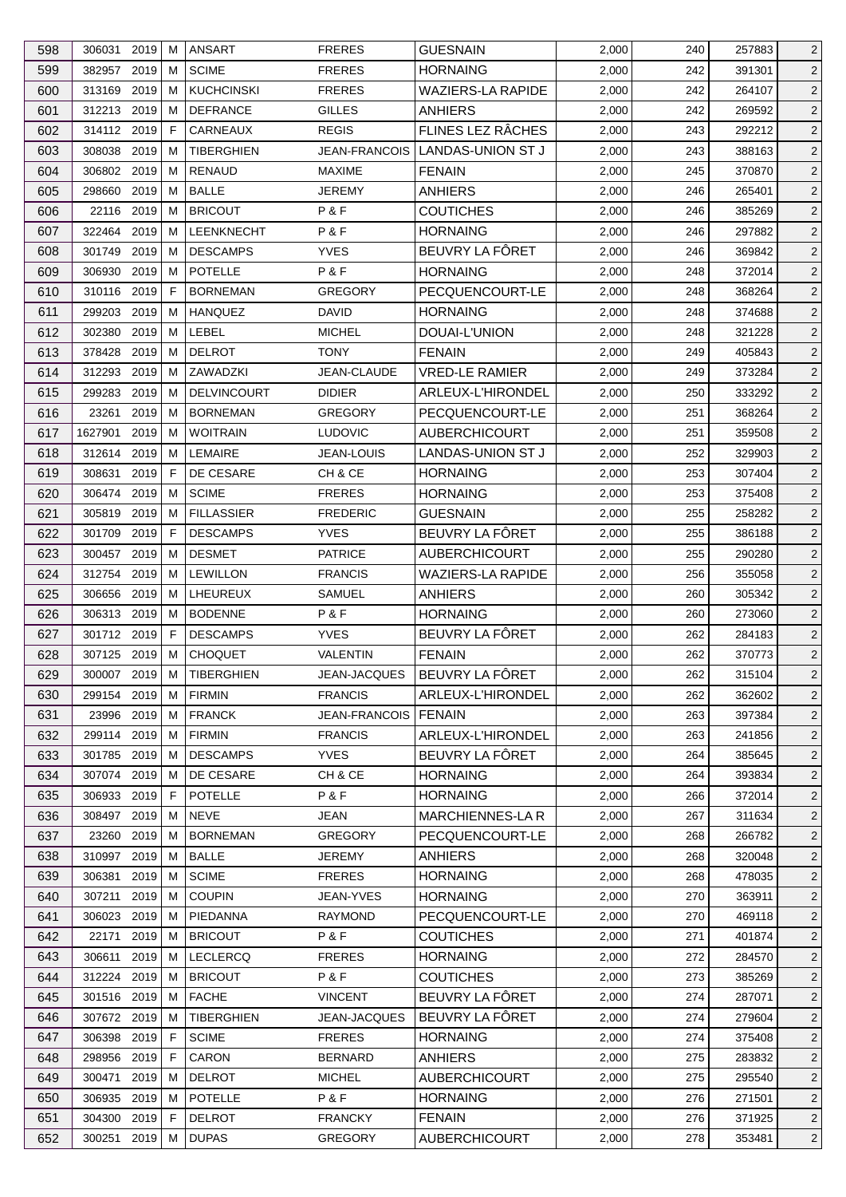| 598 | 306031        | 2019 | м  | <b>ANSART</b>      | <b>FRERES</b>        | <b>GUESNAIN</b>          | 2,000 | 240 | 257883 | $\overline{2}$ |
|-----|---------------|------|----|--------------------|----------------------|--------------------------|-------|-----|--------|----------------|
| 599 | 382957        | 2019 | м  | <b>SCIME</b>       | <b>FRERES</b>        | <b>HORNAING</b>          | 2,000 | 242 | 391301 | $\overline{2}$ |
| 600 | 313169        | 2019 | M  | <b>KUCHCINSKI</b>  | <b>FRERES</b>        | <b>WAZIERS-LA RAPIDE</b> | 2,000 | 242 | 264107 | $\overline{2}$ |
| 601 | 312213 2019   |      | м  | <b>DEFRANCE</b>    | <b>GILLES</b>        | <b>ANHIERS</b>           | 2,000 | 242 | 269592 | $\overline{2}$ |
| 602 | 314112 2019   |      | F  | CARNEAUX           | <b>REGIS</b>         | FLINES LEZ RÂCHES        | 2,000 | 243 | 292212 | $\overline{2}$ |
| 603 | 308038        | 2019 | м  | <b>TIBERGHIEN</b>  | JEAN-FRANCOIS        | <b>LANDAS-UNION ST J</b> | 2,000 | 243 | 388163 | $\overline{2}$ |
| 604 | 306802        | 2019 | м  | <b>RENAUD</b>      | <b>MAXIME</b>        | <b>FENAIN</b>            | 2,000 | 245 | 370870 | $\overline{2}$ |
| 605 | 298660        | 2019 | м  | <b>BALLE</b>       | <b>JEREMY</b>        | <b>ANHIERS</b>           | 2,000 | 246 | 265401 | $\overline{2}$ |
| 606 | 22116 2019    |      | м  | <b>BRICOUT</b>     | P&F                  | <b>COUTICHES</b>         | 2,000 | 246 | 385269 | $\overline{2}$ |
| 607 | 322464        | 2019 | м  | LEENKNECHT         | P&F                  | <b>HORNAING</b>          | 2,000 | 246 | 297882 | $\overline{2}$ |
| 608 | 301749        | 2019 | м  | <b>DESCAMPS</b>    | <b>YVES</b>          | BEUVRY LA FÔRET          | 2,000 | 246 | 369842 | $\overline{2}$ |
| 609 | 306930        | 2019 | м  | <b>POTELLE</b>     | P&F                  | <b>HORNAING</b>          | 2,000 | 248 | 372014 | $\overline{2}$ |
| 610 | 310116 2019   |      | F. | <b>BORNEMAN</b>    | <b>GREGORY</b>       | PECQUENCOURT-LE          | 2,000 | 248 | 368264 | $\overline{2}$ |
| 611 | 299203        | 2019 | M  | <b>HANQUEZ</b>     | DAVID                | <b>HORNAING</b>          | 2,000 | 248 | 374688 | $\overline{2}$ |
| 612 | 302380        | 2019 | м  | LEBEL              | <b>MICHEL</b>        | DOUAI-L'UNION            | 2,000 | 248 | 321228 | $\overline{2}$ |
| 613 | 378428        | 2019 | M  | <b>DELROT</b>      | <b>TONY</b>          | <b>FENAIN</b>            | 2,000 | 249 | 405843 | $\overline{2}$ |
| 614 | 312293        | 2019 | M  | ZAWADZKI           | JEAN-CLAUDE          | <b>VRED-LE RAMIER</b>    | 2,000 | 249 | 373284 | $\overline{2}$ |
| 615 | 299283        | 2019 | м  | <b>DELVINCOURT</b> | <b>DIDIER</b>        | ARLEUX-L'HIRONDEL        | 2,000 | 250 | 333292 | $\overline{2}$ |
| 616 | 23261         | 2019 | м  | <b>BORNEMAN</b>    | <b>GREGORY</b>       | PECQUENCOURT-LE          | 2,000 | 251 | 368264 | $\overline{2}$ |
| 617 | 1627901       | 2019 | м  | <b>WOITRAIN</b>    | <b>LUDOVIC</b>       | <b>AUBERCHICOURT</b>     | 2,000 | 251 | 359508 | $\overline{2}$ |
| 618 | 312614        | 2019 | M  | <b>LEMAIRE</b>     | JEAN-LOUIS           | LANDAS-UNION ST J        | 2,000 | 252 | 329903 | $\overline{2}$ |
| 619 | 308631        | 2019 | F  | DE CESARE          | CH & CE              | <b>HORNAING</b>          | 2,000 | 253 | 307404 | $\overline{2}$ |
| 620 | 306474        | 2019 | м  | <b>SCIME</b>       | <b>FRERES</b>        | <b>HORNAING</b>          | 2,000 | 253 | 375408 | $\overline{2}$ |
| 621 | 305819        | 2019 | м  | <b>FILLASSIER</b>  | <b>FREDERIC</b>      | <b>GUESNAIN</b>          | 2,000 | 255 | 258282 | $\overline{2}$ |
| 622 | 301709        | 2019 | E  | <b>DESCAMPS</b>    | <b>YVES</b>          | BEUVRY LA FÔRET          | 2,000 | 255 | 386188 | $\overline{2}$ |
| 623 | 300457        | 2019 | м  | <b>DESMET</b>      | <b>PATRICE</b>       | <b>AUBERCHICOURT</b>     | 2,000 | 255 | 290280 | $\overline{2}$ |
| 624 | 312754        | 2019 | M  | <b>LEWILLON</b>    | <b>FRANCIS</b>       | <b>WAZIERS-LA RAPIDE</b> | 2,000 | 256 | 355058 | $\overline{2}$ |
| 625 | 306656        | 2019 | M  | LHEUREUX           | <b>SAMUEL</b>        | <b>ANHIERS</b>           | 2,000 | 260 | 305342 | $\overline{2}$ |
| 626 | 306313 2019   |      | м  | <b>BODENNE</b>     | P&F                  | <b>HORNAING</b>          | 2,000 | 260 | 273060 | $\overline{2}$ |
|     | 301712        | 2019 | F  | <b>DESCAMPS</b>    | <b>YVES</b>          | BEUVRY LA FÔRET          |       |     | 284183 |                |
| 627 |               |      |    | <b>CHOQUET</b>     |                      |                          | 2,000 | 262 |        | $\overline{2}$ |
| 628 | 307125 2019   |      | M  |                    | <b>VALENTIN</b>      | <b>FENAIN</b>            | 2,000 | 262 | 370773 | $\overline{2}$ |
| 629 | 300007 2019 M |      |    | <b>TIBERGHIEN</b>  | JEAN-JACQUES         | BEUVRY LA FÖRET          | 2,000 | 262 | 315104 | $\overline{2}$ |
| 630 | 299154 2019   |      | M  | <b>FIRMIN</b>      | <b>FRANCIS</b>       | ARLEUX-L'HIRONDEL        | 2,000 | 262 | 362602 | $\overline{2}$ |
| 631 | 23996         | 2019 | м  | <b>FRANCK</b>      | <b>JEAN-FRANCOIS</b> | <b>FENAIN</b>            | 2,000 | 263 | 397384 | $\overline{2}$ |
| 632 | 299114 2019   |      | M  | <b>FIRMIN</b>      | <b>FRANCIS</b>       | ARLEUX-L'HIRONDEL        | 2,000 | 263 | 241856 | $\overline{2}$ |
| 633 | 301785        | 2019 | M  | <b>DESCAMPS</b>    | <b>YVES</b>          | BEUVRY LA FÔRET          | 2,000 | 264 | 385645 | $\overline{2}$ |
| 634 | 307074 2019   |      | м  | DE CESARE          | CH & CE              | <b>HORNAING</b>          | 2,000 | 264 | 393834 | $\overline{2}$ |
| 635 | 306933 2019   |      | F. | <b>POTELLE</b>     | P&F                  | <b>HORNAING</b>          | 2,000 | 266 | 372014 | $\overline{2}$ |
| 636 | 308497        | 2019 | M  | <b>NEVE</b>        | <b>JEAN</b>          | MARCHIENNES-LA R         | 2,000 | 267 | 311634 | $\overline{2}$ |
| 637 | 23260         | 2019 | м  | <b>BORNEMAN</b>    | <b>GREGORY</b>       | PECQUENCOURT-LE          | 2,000 | 268 | 266782 | $\overline{2}$ |
| 638 | 310997        | 2019 | M  | <b>BALLE</b>       | <b>JEREMY</b>        | <b>ANHIERS</b>           | 2,000 | 268 | 320048 | $\overline{2}$ |
| 639 | 306381        | 2019 | м  | <b>SCIME</b>       | <b>FRERES</b>        | <b>HORNAING</b>          | 2,000 | 268 | 478035 | $\overline{2}$ |
| 640 | 307211        | 2019 | м  | <b>COUPIN</b>      | JEAN-YVES            | <b>HORNAING</b>          | 2,000 | 270 | 363911 | $\overline{2}$ |
| 641 | 306023        | 2019 | м  | PIEDANNA           | <b>RAYMOND</b>       | PECQUENCOURT-LE          | 2,000 | 270 | 469118 | $\overline{2}$ |
| 642 | 22171         | 2019 | м  | <b>BRICOUT</b>     | P&F                  | <b>COUTICHES</b>         | 2,000 | 271 | 401874 | $\overline{2}$ |
| 643 | 306611        | 2019 | M  | LECLERCQ           | <b>FRERES</b>        | <b>HORNAING</b>          | 2,000 | 272 | 284570 | $\overline{2}$ |
| 644 | 312224        | 2019 | M  | <b>BRICOUT</b>     | P&F                  | <b>COUTICHES</b>         | 2,000 | 273 | 385269 | $\overline{2}$ |
| 645 | 301516 2019   |      | м  | <b>FACHE</b>       | <b>VINCENT</b>       | BEUVRY LA FÔRET          | 2,000 | 274 | 287071 | $\overline{2}$ |
| 646 | 307672 2019   |      | м  | TIBERGHIEN         | JEAN-JACQUES         | BEUVRY LA FÔRET          | 2,000 | 274 | 279604 | $\overline{2}$ |
| 647 | 306398        | 2019 | F  | <b>SCIME</b>       | <b>FRERES</b>        | <b>HORNAING</b>          | 2,000 | 274 | 375408 | $\overline{2}$ |
| 648 | 298956        | 2019 | F  | <b>CARON</b>       | <b>BERNARD</b>       | <b>ANHIERS</b>           | 2,000 | 275 | 283832 | $\overline{2}$ |
| 649 | 300471        | 2019 | M  | <b>DELROT</b>      | <b>MICHEL</b>        | <b>AUBERCHICOURT</b>     | 2,000 | 275 | 295540 | $\overline{2}$ |
| 650 | 306935        | 2019 | M  | <b>POTELLE</b>     | P&F                  | <b>HORNAING</b>          | 2,000 | 276 | 271501 | $\overline{2}$ |
| 651 | 304300        | 2019 | F  | <b>DELROT</b>      | <b>FRANCKY</b>       | <b>FENAIN</b>            | 2,000 | 276 | 371925 | $\overline{2}$ |
| 652 | 300251 2019   |      | M  | <b>DUPAS</b>       | <b>GREGORY</b>       | AUBERCHICOURT            | 2,000 | 278 | 353481 | $\overline{2}$ |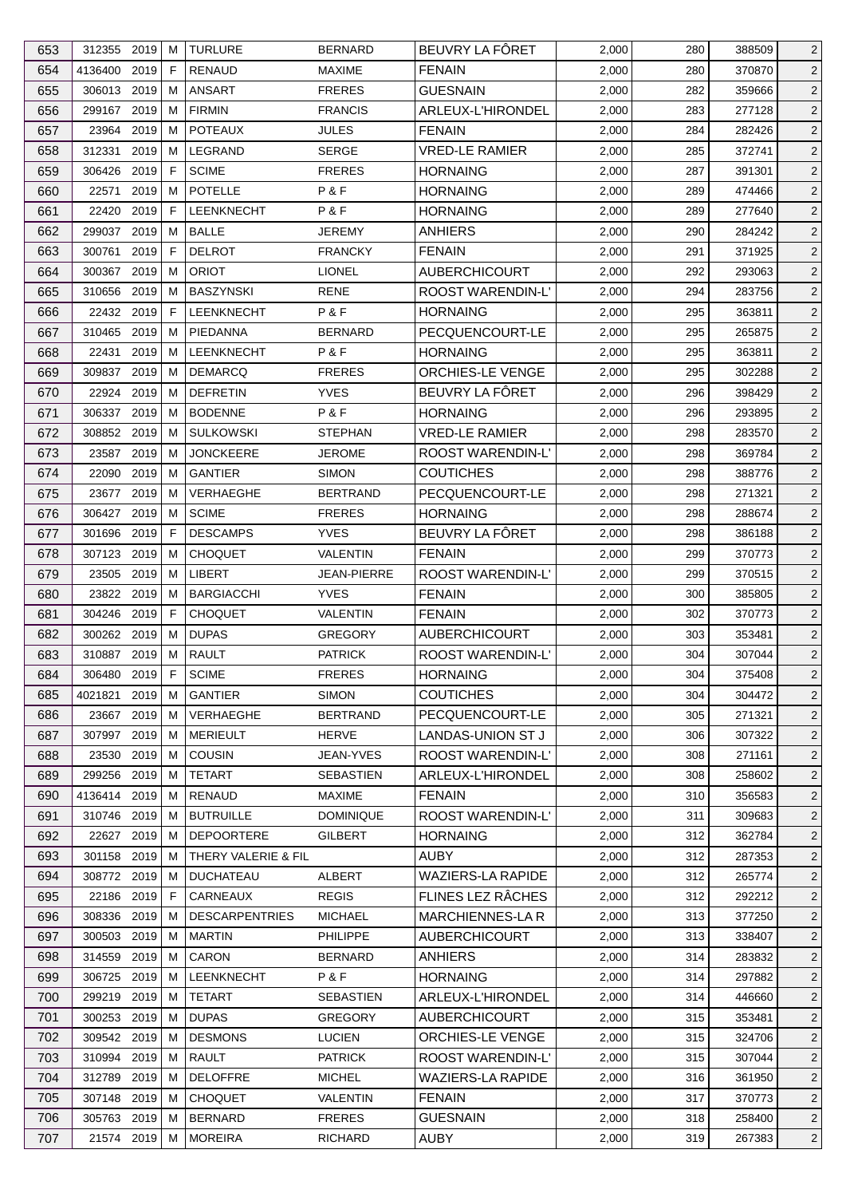| 653 | 312355 2019  |      | м           | <b>TURLURE</b>        | <b>BERNARD</b>   | BEUVRY LA FÔRET          | 2,000 | 280 | 388509 | $\overline{2}$ |
|-----|--------------|------|-------------|-----------------------|------------------|--------------------------|-------|-----|--------|----------------|
| 654 | 4136400      | 2019 | F           | <b>RENAUD</b>         | <b>MAXIME</b>    | <b>FENAIN</b>            | 2,000 | 280 | 370870 | $\overline{2}$ |
| 655 | 306013 2019  |      | м           | <b>ANSART</b>         | <b>FRERES</b>    | <b>GUESNAIN</b>          | 2,000 | 282 | 359666 | $\overline{2}$ |
| 656 | 299167 2019  |      | м           | <b>FIRMIN</b>         | <b>FRANCIS</b>   | ARLEUX-L'HIRONDEL        | 2,000 | 283 | 277128 | $\overline{2}$ |
| 657 | 23964        | 2019 | м           | <b>POTEAUX</b>        | <b>JULES</b>     | <b>FENAIN</b>            | 2,000 | 284 | 282426 | $\overline{2}$ |
| 658 | 312331       | 2019 | м           | LEGRAND               | <b>SERGE</b>     | <b>VRED-LE RAMIER</b>    | 2,000 | 285 | 372741 | $\overline{2}$ |
| 659 | 306426       | 2019 | F           | <b>SCIME</b>          | <b>FRERES</b>    | <b>HORNAING</b>          | 2,000 | 287 | 391301 | $\overline{2}$ |
| 660 | 22571        | 2019 | м           | <b>POTELLE</b>        | P&F              | <b>HORNAING</b>          | 2,000 | 289 | 474466 | $\overline{2}$ |
| 661 | 22420        | 2019 | E           | LEENKNECHT            | P&F              | <b>HORNAING</b>          | 2,000 | 289 | 277640 | $\overline{2}$ |
| 662 | 299037       | 2019 | M           | <b>BALLE</b>          | <b>JEREMY</b>    | <b>ANHIERS</b>           | 2,000 | 290 | 284242 | $\overline{2}$ |
| 663 | 300761       | 2019 | F           | <b>DELROT</b>         | <b>FRANCKY</b>   | <b>FENAIN</b>            | 2,000 | 291 | 371925 | $\overline{2}$ |
| 664 | 300367 2019  |      | м           | <b>ORIOT</b>          | <b>LIONEL</b>    | <b>AUBERCHICOURT</b>     | 2,000 | 292 | 293063 | $\overline{2}$ |
| 665 | 310656 2019  |      | м           | <b>BASZYNSKI</b>      | <b>RENE</b>      | <b>ROOST WARENDIN-L'</b> | 2,000 | 294 | 283756 | $\overline{2}$ |
| 666 | 22432 2019   |      | $\mathsf F$ | LEENKNECHT            | P&F              | <b>HORNAING</b>          | 2,000 | 295 | 363811 | $\overline{2}$ |
| 667 | 310465       | 2019 | м           | PIEDANNA              | <b>BERNARD</b>   | PECQUENCOURT-LE          | 2,000 | 295 | 265875 | $\overline{2}$ |
| 668 | 22431        | 2019 | м           | LEENKNECHT            | P&F              | <b>HORNAING</b>          | 2,000 | 295 | 363811 | $\overline{2}$ |
|     | 309837       | 2019 |             | <b>DEMARCQ</b>        | <b>FRERES</b>    | <b>ORCHIES-LE VENGE</b>  |       |     | 302288 |                |
| 669 |              |      | м           |                       |                  |                          | 2,000 | 295 |        | $\overline{2}$ |
| 670 | 22924        | 2019 | м           | <b>DEFRETIN</b>       | <b>YVES</b>      | BEUVRY LA FÔRET          | 2,000 | 296 | 398429 | $\overline{2}$ |
| 671 | 306337 2019  |      | м           | <b>BODENNE</b>        | P&F              | <b>HORNAING</b>          | 2,000 | 296 | 293895 | $\overline{2}$ |
| 672 | 308852 2019  |      | M           | <b>SULKOWSKI</b>      | <b>STEPHAN</b>   | <b>VRED-LE RAMIER</b>    | 2,000 | 298 | 283570 | $\overline{2}$ |
| 673 | 23587        | 2019 | M           | <b>JONCKEERE</b>      | <b>JEROME</b>    | ROOST WARENDIN-L'        | 2,000 | 298 | 369784 | $\overline{2}$ |
| 674 | 22090        | 2019 | м           | <b>GANTIER</b>        | <b>SIMON</b>     | <b>COUTICHES</b>         | 2,000 | 298 | 388776 | $\overline{2}$ |
| 675 | 23677 2019   |      | м           | <b>VERHAEGHE</b>      | <b>BERTRAND</b>  | PECQUENCOURT-LE          | 2,000 | 298 | 271321 | $\overline{2}$ |
| 676 | 306427       | 2019 | М           | <b>SCIME</b>          | <b>FRERES</b>    | <b>HORNAING</b>          | 2,000 | 298 | 288674 | $\overline{2}$ |
| 677 | 301696       | 2019 | $\mathsf F$ | <b>DESCAMPS</b>       | <b>YVES</b>      | BEUVRY LA FÔRET          | 2,000 | 298 | 386188 | $\overline{2}$ |
| 678 | 307123       | 2019 | м           | <b>CHOQUET</b>        | <b>VALENTIN</b>  | <b>FENAIN</b>            | 2,000 | 299 | 370773 | $\overline{2}$ |
| 679 | 23505        | 2019 | м           | <b>LIBERT</b>         | JEAN-PIERRE      | ROOST WARENDIN-L'        | 2,000 | 299 | 370515 | $\sqrt{2}$     |
| 680 | 23822 2019   |      | м           | <b>BARGIACCHI</b>     | <b>YVES</b>      | <b>FENAIN</b>            | 2,000 | 300 | 385805 | $\overline{2}$ |
| 681 | 304246       | 2019 | F           | <b>CHOQUET</b>        | <b>VALENTIN</b>  | <b>FENAIN</b>            | 2,000 | 302 | 370773 | $\overline{2}$ |
| 682 | 300262 2019  |      | м           | <b>DUPAS</b>          | <b>GREGORY</b>   | <b>AUBERCHICOURT</b>     | 2,000 | 303 | 353481 | $\overline{2}$ |
| 683 | 310887       | 2019 | M           | <b>RAULT</b>          | <b>PATRICK</b>   | <b>ROOST WARENDIN-L'</b> | 2,000 | 304 | 307044 | $\overline{2}$ |
|     |              |      | F           |                       |                  |                          |       | 304 |        |                |
| 684 | 306480 2019  |      |             | <b>SCIME</b>          | <b>FRERES</b>    | <b>HORNAING</b>          | 2,000 |     | 375408 | $\overline{2}$ |
| 685 | 4021821      | 2019 | М           | <b>GANTIER</b>        | <b>SIMON</b>     | <b>COUTICHES</b>         | 2,000 | 304 | 304472 | $\overline{2}$ |
| 686 | 23667 2019   |      | м           | VERHAEGHE             | <b>BERTRAND</b>  | PECQUENCOURT-LE          | 2,000 | 305 | 271321 | $\overline{2}$ |
| 687 | 307997       | 2019 | M           | <b>MERIEULT</b>       | <b>HERVE</b>     | LANDAS-UNION ST J        | 2,000 | 306 | 307322 | $\overline{2}$ |
| 688 | 23530        | 2019 | м           | COUSIN                | JEAN-YVES        | <b>ROOST WARENDIN-L'</b> | 2,000 | 308 | 271161 | $\overline{2}$ |
| 689 | 299256 2019  |      | м           | <b>TETART</b>         | <b>SEBASTIEN</b> | ARLEUX-L'HIRONDEL        | 2,000 | 308 | 258602 | $\overline{2}$ |
| 690 | 4136414 2019 |      | м           | <b>RENAUD</b>         | <b>MAXIME</b>    | <b>FENAIN</b>            | 2,000 | 310 | 356583 | $\overline{2}$ |
| 691 | 310746 2019  |      | м           | <b>BUTRUILLE</b>      | <b>DOMINIQUE</b> | ROOST WARENDIN-L'        | 2,000 | 311 | 309683 | $\overline{2}$ |
| 692 | 22627 2019   |      | M           | <b>DEPOORTERE</b>     | <b>GILBERT</b>   | <b>HORNAING</b>          | 2,000 | 312 | 362784 | $\overline{2}$ |
| 693 | 301158 2019  |      | M           | THERY VALERIE & FIL   |                  | <b>AUBY</b>              | 2,000 | 312 | 287353 | $\overline{2}$ |
| 694 | 308772 2019  |      | M           | <b>DUCHATEAU</b>      | ALBERT           | <b>WAZIERS-LA RAPIDE</b> | 2,000 | 312 | 265774 | $\overline{2}$ |
| 695 | 22186 2019   |      | F           | CARNEAUX              | <b>REGIS</b>     | FLINES LEZ RÂCHES        | 2,000 | 312 | 292212 | $\overline{2}$ |
| 696 | 308336       | 2019 | м           | <b>DESCARPENTRIES</b> | <b>MICHAEL</b>   | <b>MARCHIENNES-LAR</b>   | 2,000 | 313 | 377250 | $\overline{2}$ |
| 697 | 300503 2019  |      | M           | <b>MARTIN</b>         | <b>PHILIPPE</b>  | <b>AUBERCHICOURT</b>     | 2,000 | 313 | 338407 | $\overline{2}$ |
| 698 | 314559       | 2019 | M           | CARON                 | <b>BERNARD</b>   | <b>ANHIERS</b>           | 2,000 | 314 | 283832 | $\overline{a}$ |
| 699 | 306725       | 2019 | M           | LEENKNECHT            | P&F              | <b>HORNAING</b>          | 2,000 | 314 | 297882 | $\overline{2}$ |
| 700 | 299219 2019  |      | м           | <b>TETART</b>         | SEBASTIEN        | ARLEUX-L'HIRONDEL        | 2,000 | 314 | 446660 | $\overline{2}$ |
| 701 | 300253 2019  |      | м           | <b>DUPAS</b>          | <b>GREGORY</b>   | <b>AUBERCHICOURT</b>     | 2,000 | 315 | 353481 | $\overline{2}$ |
| 702 | 309542 2019  |      | M           | <b>DESMONS</b>        | <b>LUCIEN</b>    | ORCHIES-LE VENGE         |       |     |        |                |
|     |              |      |             |                       |                  |                          | 2,000 | 315 | 324706 | $\overline{2}$ |
| 703 | 310994       | 2019 | м           | <b>RAULT</b>          | <b>PATRICK</b>   | ROOST WARENDIN-L'        | 2,000 | 315 | 307044 | $\overline{2}$ |
| 704 | 312789 2019  |      | M           | <b>DELOFFRE</b>       | <b>MICHEL</b>    | <b>WAZIERS-LA RAPIDE</b> | 2,000 | 316 | 361950 | $\overline{2}$ |
| 705 | 307148 2019  |      | M           | <b>CHOQUET</b>        | VALENTIN         | <b>FENAIN</b>            | 2,000 | 317 | 370773 | $\overline{2}$ |
| 706 | 305763 2019  |      | M           | <b>BERNARD</b>        | <b>FRERES</b>    | <b>GUESNAIN</b>          | 2,000 | 318 | 258400 | $\overline{2}$ |
| 707 | 21574 2019   |      | М           | <b>MOREIRA</b>        | RICHARD          | <b>AUBY</b>              | 2,000 | 319 | 267383 | $\overline{2}$ |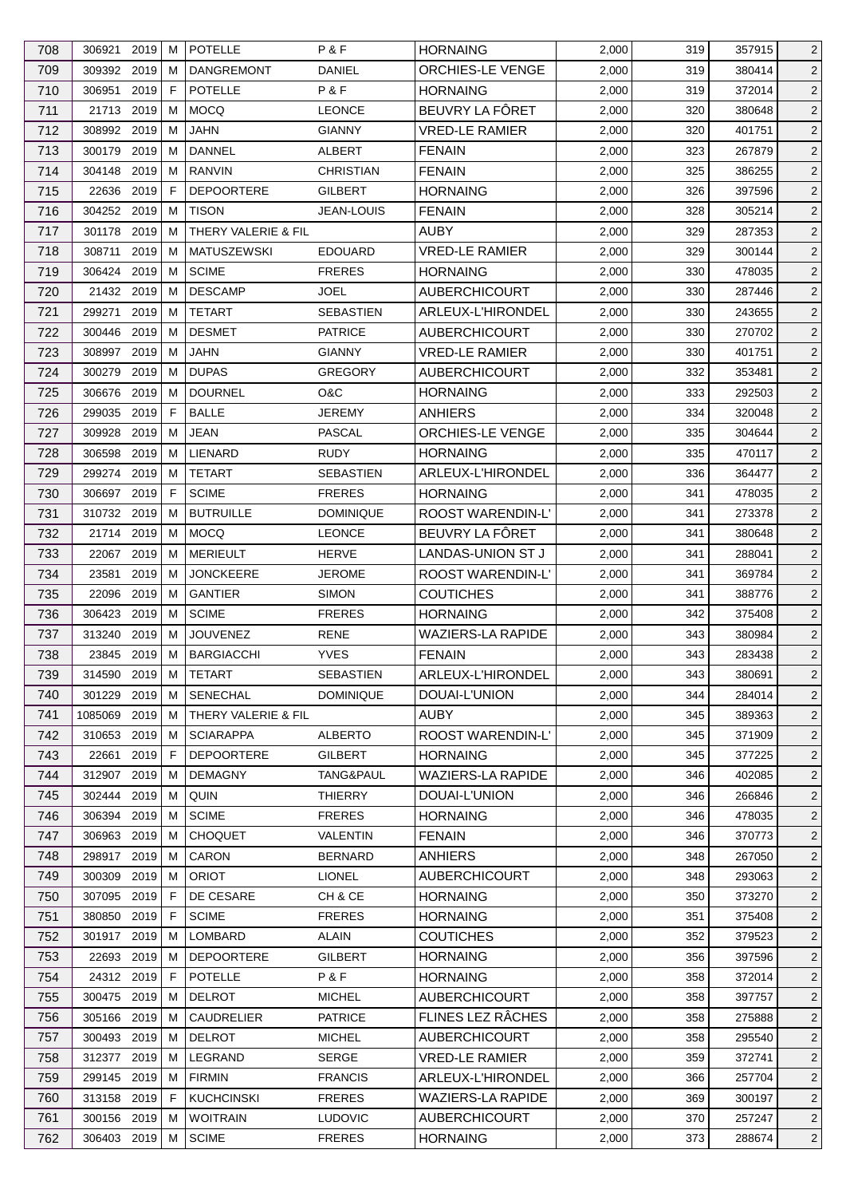| 709<br>309392 2019<br><b>DANGREMONT</b><br><b>DANIEL</b><br>ORCHIES-LE VENGE<br>2,000<br>380414<br>$\overline{c}$<br>м<br>319<br>POTELLE<br>P&F<br>710<br>2019<br>F<br><b>HORNAING</b><br>306951<br>2,000<br>319<br>372014<br>BEUVRY LA FÔRET<br>711<br>21713 2019<br><b>MOCQ</b><br>2,000<br>м<br><b>LEONCE</b><br>320<br>380648<br>712<br>308992 2019<br><b>VRED-LE RAMIER</b><br>м<br><b>JAHN</b><br><b>GIANNY</b><br>2,000<br>320<br>401751<br>713<br>2019<br><b>DANNEL</b><br><b>FENAIN</b><br>2,000<br>323<br>$\overline{c}$<br>300179<br>м<br>ALBERT<br>267879<br>714<br>304148 2019<br><b>RANVIN</b><br><b>FENAIN</b><br>м<br><b>CHRISTIAN</b><br>2,000<br>325<br>386255<br>$\overline{2}$<br>715<br>22636<br>2019<br>F<br><b>DEPOORTERE</b><br><b>GILBERT</b><br><b>HORNAING</b><br>2,000<br>397596<br>$\overline{c}$<br>326<br>304252 2019<br>2<br>716<br>м<br><b>TISON</b><br><b>JEAN-LOUIS</b><br><b>FENAIN</b><br>2,000<br>328<br>305214<br>717<br>2019<br>THERY VALERIE & FIL<br><b>AUBY</b><br>2,000<br>329<br>301178<br>м<br>287353<br>$\overline{2}$<br>718<br>2019<br><b>MATUSZEWSKI</b><br><b>EDOUARD</b><br><b>VRED-LE RAMIER</b><br>$\overline{c}$<br>308711<br>м<br>2,000<br>329<br>300144<br>719<br>306424 2019<br><b>SCIME</b><br><b>FRERES</b><br>2,000<br>$\overline{c}$<br>м<br><b>HORNAING</b><br>330<br>478035<br>720<br>21432 2019<br><b>DESCAMP</b><br><b>JOEL</b><br><b>AUBERCHICOURT</b><br>2,000<br>$\overline{c}$<br>м<br>330<br>287446<br>721<br><b>TETART</b><br><b>SEBASTIEN</b><br>ARLEUX-L'HIRONDEL<br>299271<br>2019<br>M<br>2,000<br>330<br>243655<br>$\overline{2}$<br>722<br>2019<br><b>DESMET</b><br><b>PATRICE</b><br>2,000<br>$\overline{c}$<br>300446<br>м<br><b>AUBERCHICOURT</b><br>330<br>270702<br>308997 2019<br><b>VRED-LE RAMIER</b><br>723<br>м<br>JAHN<br><b>GIANNY</b><br>2,000<br>330<br>401751<br>$\overline{2}$<br>724<br>2019<br>M<br><b>DUPAS</b><br>2,000<br>332<br>353481<br>$\overline{c}$<br>300279<br><b>GREGORY</b><br><b>AUBERCHICOURT</b><br>725<br>2019<br><b>DOURNEL</b><br>$\overline{c}$<br>306676<br>м<br>O&C<br><b>HORNAING</b><br>2,000<br>333<br>292503<br><b>BALLE</b><br>726<br>299035<br>2019<br>F<br><b>JEREMY</b><br><b>ANHIERS</b><br>2,000<br>320048<br>334<br>$\overline{2}$<br>2019<br><b>JEAN</b><br><b>PASCAL</b><br>ORCHIES-LE VENGE<br>2<br>727<br>309928<br>м<br>2,000<br>335<br>304644<br>728<br>2019<br>LIENARD<br><b>RUDY</b><br>335<br>306598<br>м<br><b>HORNAING</b><br>2,000<br>470117<br>$\overline{2}$<br>ARLEUX-L'HIRONDEL<br>729<br>2019<br><b>TETART</b><br><b>SEBASTIEN</b><br>$\overline{c}$<br>299274<br>м<br>2,000<br>336<br>364477<br>306697 2019<br>F<br><b>SCIME</b><br><b>FRERES</b><br>2,000<br>$\overline{c}$<br>730<br><b>HORNAING</b><br>341<br>478035<br>731<br>310732 2019<br><b>BUTRUILLE</b><br>ROOST WARENDIN-L'<br>2,000<br>$\overline{c}$<br>м<br><b>DOMINIQUE</b><br>341<br>273378<br>BEUVRY LA FÔRET<br>732<br>2019<br><b>MOCQ</b><br>21714<br>м<br><b>LEONCE</b><br>2,000<br>341<br>380648<br>$\overline{2}$<br>733<br>22067 2019<br><b>MERIEULT</b><br><b>HERVE</b><br>LANDAS-UNION ST J<br>2,000<br>м<br>288041<br>$\overline{2}$<br>341<br>734<br>23581<br>2019<br><b>JONCKEERE</b><br><b>JEROME</b><br>ROOST WARENDIN-L'<br>м<br>2,000<br>341<br>369784<br>$\overline{2}$<br>735<br>2019<br><b>GANTIER</b><br><b>SIMON</b><br><b>COUTICHES</b><br>$\overline{2}$<br>22096<br>м<br>2,000<br>341<br>388776<br>736<br><b>FRERES</b><br>306423 2019<br>м<br><b>SCIME</b><br><b>HORNAING</b><br>2,000<br>342<br>375408<br><b>WAZIERS-LA RAPIDE</b><br>737<br>313240<br>2019<br>M<br><b>JOUVENEZ</b><br><b>RENE</b><br>2,000<br>380984<br>343<br>738<br>23845 2019<br>M<br><b>BARGIACCHI</b><br><b>YVES</b><br><b>FENAIN</b><br>2,000<br>343<br>283438<br>739<br>2,000<br>343<br>314590 2019 M<br><b>TETART</b><br><b>SEBASTIEN</b><br>ARLEUX-L'HIRONDEL<br>380691<br><b>DOMINIQUE</b><br>DOUAI-L'UNION<br>740<br>301229 2019<br><b>SENECHAL</b><br>2,000<br>344<br>284014<br>$\overline{2}$<br>М<br>741<br>1085069<br>2019<br>м<br>THERY VALERIE & FIL<br>AUBY<br>2,000<br>345<br>389363<br>$\overline{2}$<br>742<br>2019<br><b>ALBERTO</b><br>ROOST WARENDIN-L'<br>2,000<br>345<br>310653<br><b>SCIARAPPA</b><br>371909<br>$\overline{2}$<br>м<br>2019<br>743<br>22661<br>E<br><b>DEPOORTERE</b><br>GILBERT<br><b>HORNAING</b><br>2,000<br>345<br>377225<br>744<br>312907 2019<br><b>WAZIERS-LA RAPIDE</b><br>2,000<br><b>DEMAGNY</b><br>TANG&PAUL<br>346<br>402085<br>м<br>745<br>302444 2019<br>QUIN<br><b>THIERRY</b><br>DOUAI-L'UNION<br>2,000<br>346<br>266846<br>м<br>2019<br><b>SCIME</b><br>2,000<br>346<br>746<br>306394<br>M<br><b>FRERES</b><br><b>HORNAING</b><br>478035<br>747<br>306963<br>2019<br><b>CHOQUET</b><br>VALENTIN<br><b>FENAIN</b><br>2,000<br>346<br>370773<br>м<br>298917 2019<br>CARON<br><b>BERNARD</b><br><b>ANHIERS</b><br>2,000<br>748<br>м<br>348<br>267050<br>2019<br><b>ORIOT</b><br>2,000<br>2<br>749<br>300309<br>м<br><b>LIONEL</b><br><b>AUBERCHICOURT</b><br>348<br>293063<br>2019<br>DE CESARE<br>CH & CE<br>2,000<br>750<br>307095<br>F<br><b>HORNAING</b><br>350<br>373270<br>751<br><b>HORNAING</b><br>F<br><b>SCIME</b><br><b>FRERES</b><br>380850<br>2019<br>2,000<br>351<br>375408<br>752<br>301917 2019<br>LOMBARD<br><b>ALAIN</b><br><b>COUTICHES</b><br>2,000<br>352<br>379523<br>м<br>22693 2019<br><b>DEPOORTERE</b><br><b>HORNAING</b><br>753<br><b>GILBERT</b><br>2,000<br>356<br>397596<br>M<br>P&F<br>754<br>24312 2019<br>POTELLE<br>E<br><b>HORNAING</b><br>2,000<br>358<br>372014<br>755<br>300475 2019<br><b>DELROT</b><br><b>MICHEL</b><br><b>AUBERCHICOURT</b><br>2,000<br>358<br>397757<br>м<br>FLINES LEZ RÂCHES<br>305166 2019<br><b>CAUDRELIER</b><br><b>PATRICE</b><br>2,000<br>756<br>358<br>275888<br>м<br><b>AUBERCHICOURT</b><br>757<br>300493 2019<br><b>DELROT</b><br>2,000<br>358<br>м<br><b>MICHEL</b><br>295540<br><b>VRED-LE RAMIER</b><br>758<br>312377 2019<br>LEGRAND<br>SERGE<br>2,000<br>359<br>$\overline{2}$<br>м<br>372741<br>759<br>299145 2019<br><b>FIRMIN</b><br><b>FRANCIS</b><br>ARLEUX-L'HIRONDEL<br>2,000<br>м<br>366<br>257704<br>313158 2019<br><b>WAZIERS-LA RAPIDE</b><br>2,000<br>760<br>F<br><b>KUCHCINSKI</b><br><b>FRERES</b><br>369<br>300197<br><b>WOITRAIN</b><br>761<br>300156 2019<br><b>LUDOVIC</b><br><b>AUBERCHICOURT</b><br>2,000<br>370<br>257247<br>$\overline{2}$<br>M<br>762<br><b>SCIME</b><br><b>FRERES</b><br><b>HORNAING</b><br>2,000<br>288674<br>$\overline{c}$<br>306403 2019<br>М<br>373 | 708 | 306921 | 2019 | м | <b>POTELLE</b> | P&F | <b>HORNAING</b> | 2,000 | 319 | 357915 | $\overline{2}$ |
|---------------------------------------------------------------------------------------------------------------------------------------------------------------------------------------------------------------------------------------------------------------------------------------------------------------------------------------------------------------------------------------------------------------------------------------------------------------------------------------------------------------------------------------------------------------------------------------------------------------------------------------------------------------------------------------------------------------------------------------------------------------------------------------------------------------------------------------------------------------------------------------------------------------------------------------------------------------------------------------------------------------------------------------------------------------------------------------------------------------------------------------------------------------------------------------------------------------------------------------------------------------------------------------------------------------------------------------------------------------------------------------------------------------------------------------------------------------------------------------------------------------------------------------------------------------------------------------------------------------------------------------------------------------------------------------------------------------------------------------------------------------------------------------------------------------------------------------------------------------------------------------------------------------------------------------------------------------------------------------------------------------------------------------------------------------------------------------------------------------------------------------------------------------------------------------------------------------------------------------------------------------------------------------------------------------------------------------------------------------------------------------------------------------------------------------------------------------------------------------------------------------------------------------------------------------------------------------------------------------------------------------------------------------------------------------------------------------------------------------------------------------------------------------------------------------------------------------------------------------------------------------------------------------------------------------------------------------------------------------------------------------------------------------------------------------------------------------------------------------------------------------------------------------------------------------------------------------------------------------------------------------------------------------------------------------------------------------------------------------------------------------------------------------------------------------------------------------------------------------------------------------------------------------------------------------------------------------------------------------------------------------------------------------------------------------------------------------------------------------------------------------------------------------------------------------------------------------------------------------------------------------------------------------------------------------------------------------------------------------------------------------------------------------------------------------------------------------------------------------------------------------------------------------------------------------------------------------------------------------------------------------------------------------------------------------------------------------------------------------------------------------------------------------------------------------------------------------------------------------------------------------------------------------------------------------------------------------------------------------------------------------------------------------------------------------------------------------------------------------------------------------------------------------------------------------------------------------------------------------------------------------------------------------------------------------------------------------------------------------------------------------------------------------------------------------------------------------------------------------------------------------------------------------------------------------------------------------------------------------------------------------------------------------------------------------------------------------------------------------------------------------------------------------------------------------------------------------------------------------------------------------------------------------------------------------------------------------------------------------------------------------------------------------------------------------------------------------------------------------------------------------------------------------------------------------------------------------------------------------------------------------------------------------------------------------------------------------------------------------------------------------------------------------------------------------------------------------------------------------------------------------------------------------------------------------------------------------------------------------------------------------------------------------------------------------------------------------------------------------------------------------------------------------------------------------------------------------------------------------------------------------------------------------------------|-----|--------|------|---|----------------|-----|-----------------|-------|-----|--------|----------------|
|                                                                                                                                                                                                                                                                                                                                                                                                                                                                                                                                                                                                                                                                                                                                                                                                                                                                                                                                                                                                                                                                                                                                                                                                                                                                                                                                                                                                                                                                                                                                                                                                                                                                                                                                                                                                                                                                                                                                                                                                                                                                                                                                                                                                                                                                                                                                                                                                                                                                                                                                                                                                                                                                                                                                                                                                                                                                                                                                                                                                                                                                                                                                                                                                                                                                                                                                                                                                                                                                                                                                                                                                                                                                                                                                                                                                                                                                                                                                                                                                                                                                                                                                                                                                                                                                                                                                                                                                                                                                                                                                                                                                                                                                                                                                                                                                                                                                                                                                                                                                                                                                                                                                                                                                                                                                                                                                                                                                                                                                                                                                                                                                                                                                                                                                                                                                                                                                                                                                                                                                                                                                                                                                                                                                                                                                                                                                                                                                                                                                                                                                                   |     |        |      |   |                |     |                 |       |     |        |                |
|                                                                                                                                                                                                                                                                                                                                                                                                                                                                                                                                                                                                                                                                                                                                                                                                                                                                                                                                                                                                                                                                                                                                                                                                                                                                                                                                                                                                                                                                                                                                                                                                                                                                                                                                                                                                                                                                                                                                                                                                                                                                                                                                                                                                                                                                                                                                                                                                                                                                                                                                                                                                                                                                                                                                                                                                                                                                                                                                                                                                                                                                                                                                                                                                                                                                                                                                                                                                                                                                                                                                                                                                                                                                                                                                                                                                                                                                                                                                                                                                                                                                                                                                                                                                                                                                                                                                                                                                                                                                                                                                                                                                                                                                                                                                                                                                                                                                                                                                                                                                                                                                                                                                                                                                                                                                                                                                                                                                                                                                                                                                                                                                                                                                                                                                                                                                                                                                                                                                                                                                                                                                                                                                                                                                                                                                                                                                                                                                                                                                                                                                                   |     |        |      |   |                |     |                 |       |     |        | $\overline{2}$ |
|                                                                                                                                                                                                                                                                                                                                                                                                                                                                                                                                                                                                                                                                                                                                                                                                                                                                                                                                                                                                                                                                                                                                                                                                                                                                                                                                                                                                                                                                                                                                                                                                                                                                                                                                                                                                                                                                                                                                                                                                                                                                                                                                                                                                                                                                                                                                                                                                                                                                                                                                                                                                                                                                                                                                                                                                                                                                                                                                                                                                                                                                                                                                                                                                                                                                                                                                                                                                                                                                                                                                                                                                                                                                                                                                                                                                                                                                                                                                                                                                                                                                                                                                                                                                                                                                                                                                                                                                                                                                                                                                                                                                                                                                                                                                                                                                                                                                                                                                                                                                                                                                                                                                                                                                                                                                                                                                                                                                                                                                                                                                                                                                                                                                                                                                                                                                                                                                                                                                                                                                                                                                                                                                                                                                                                                                                                                                                                                                                                                                                                                                                   |     |        |      |   |                |     |                 |       |     |        | $\overline{2}$ |
|                                                                                                                                                                                                                                                                                                                                                                                                                                                                                                                                                                                                                                                                                                                                                                                                                                                                                                                                                                                                                                                                                                                                                                                                                                                                                                                                                                                                                                                                                                                                                                                                                                                                                                                                                                                                                                                                                                                                                                                                                                                                                                                                                                                                                                                                                                                                                                                                                                                                                                                                                                                                                                                                                                                                                                                                                                                                                                                                                                                                                                                                                                                                                                                                                                                                                                                                                                                                                                                                                                                                                                                                                                                                                                                                                                                                                                                                                                                                                                                                                                                                                                                                                                                                                                                                                                                                                                                                                                                                                                                                                                                                                                                                                                                                                                                                                                                                                                                                                                                                                                                                                                                                                                                                                                                                                                                                                                                                                                                                                                                                                                                                                                                                                                                                                                                                                                                                                                                                                                                                                                                                                                                                                                                                                                                                                                                                                                                                                                                                                                                                                   |     |        |      |   |                |     |                 |       |     |        | $\overline{2}$ |
|                                                                                                                                                                                                                                                                                                                                                                                                                                                                                                                                                                                                                                                                                                                                                                                                                                                                                                                                                                                                                                                                                                                                                                                                                                                                                                                                                                                                                                                                                                                                                                                                                                                                                                                                                                                                                                                                                                                                                                                                                                                                                                                                                                                                                                                                                                                                                                                                                                                                                                                                                                                                                                                                                                                                                                                                                                                                                                                                                                                                                                                                                                                                                                                                                                                                                                                                                                                                                                                                                                                                                                                                                                                                                                                                                                                                                                                                                                                                                                                                                                                                                                                                                                                                                                                                                                                                                                                                                                                                                                                                                                                                                                                                                                                                                                                                                                                                                                                                                                                                                                                                                                                                                                                                                                                                                                                                                                                                                                                                                                                                                                                                                                                                                                                                                                                                                                                                                                                                                                                                                                                                                                                                                                                                                                                                                                                                                                                                                                                                                                                                                   |     |        |      |   |                |     |                 |       |     |        |                |
|                                                                                                                                                                                                                                                                                                                                                                                                                                                                                                                                                                                                                                                                                                                                                                                                                                                                                                                                                                                                                                                                                                                                                                                                                                                                                                                                                                                                                                                                                                                                                                                                                                                                                                                                                                                                                                                                                                                                                                                                                                                                                                                                                                                                                                                                                                                                                                                                                                                                                                                                                                                                                                                                                                                                                                                                                                                                                                                                                                                                                                                                                                                                                                                                                                                                                                                                                                                                                                                                                                                                                                                                                                                                                                                                                                                                                                                                                                                                                                                                                                                                                                                                                                                                                                                                                                                                                                                                                                                                                                                                                                                                                                                                                                                                                                                                                                                                                                                                                                                                                                                                                                                                                                                                                                                                                                                                                                                                                                                                                                                                                                                                                                                                                                                                                                                                                                                                                                                                                                                                                                                                                                                                                                                                                                                                                                                                                                                                                                                                                                                                                   |     |        |      |   |                |     |                 |       |     |        |                |
|                                                                                                                                                                                                                                                                                                                                                                                                                                                                                                                                                                                                                                                                                                                                                                                                                                                                                                                                                                                                                                                                                                                                                                                                                                                                                                                                                                                                                                                                                                                                                                                                                                                                                                                                                                                                                                                                                                                                                                                                                                                                                                                                                                                                                                                                                                                                                                                                                                                                                                                                                                                                                                                                                                                                                                                                                                                                                                                                                                                                                                                                                                                                                                                                                                                                                                                                                                                                                                                                                                                                                                                                                                                                                                                                                                                                                                                                                                                                                                                                                                                                                                                                                                                                                                                                                                                                                                                                                                                                                                                                                                                                                                                                                                                                                                                                                                                                                                                                                                                                                                                                                                                                                                                                                                                                                                                                                                                                                                                                                                                                                                                                                                                                                                                                                                                                                                                                                                                                                                                                                                                                                                                                                                                                                                                                                                                                                                                                                                                                                                                                                   |     |        |      |   |                |     |                 |       |     |        |                |
|                                                                                                                                                                                                                                                                                                                                                                                                                                                                                                                                                                                                                                                                                                                                                                                                                                                                                                                                                                                                                                                                                                                                                                                                                                                                                                                                                                                                                                                                                                                                                                                                                                                                                                                                                                                                                                                                                                                                                                                                                                                                                                                                                                                                                                                                                                                                                                                                                                                                                                                                                                                                                                                                                                                                                                                                                                                                                                                                                                                                                                                                                                                                                                                                                                                                                                                                                                                                                                                                                                                                                                                                                                                                                                                                                                                                                                                                                                                                                                                                                                                                                                                                                                                                                                                                                                                                                                                                                                                                                                                                                                                                                                                                                                                                                                                                                                                                                                                                                                                                                                                                                                                                                                                                                                                                                                                                                                                                                                                                                                                                                                                                                                                                                                                                                                                                                                                                                                                                                                                                                                                                                                                                                                                                                                                                                                                                                                                                                                                                                                                                                   |     |        |      |   |                |     |                 |       |     |        |                |
|                                                                                                                                                                                                                                                                                                                                                                                                                                                                                                                                                                                                                                                                                                                                                                                                                                                                                                                                                                                                                                                                                                                                                                                                                                                                                                                                                                                                                                                                                                                                                                                                                                                                                                                                                                                                                                                                                                                                                                                                                                                                                                                                                                                                                                                                                                                                                                                                                                                                                                                                                                                                                                                                                                                                                                                                                                                                                                                                                                                                                                                                                                                                                                                                                                                                                                                                                                                                                                                                                                                                                                                                                                                                                                                                                                                                                                                                                                                                                                                                                                                                                                                                                                                                                                                                                                                                                                                                                                                                                                                                                                                                                                                                                                                                                                                                                                                                                                                                                                                                                                                                                                                                                                                                                                                                                                                                                                                                                                                                                                                                                                                                                                                                                                                                                                                                                                                                                                                                                                                                                                                                                                                                                                                                                                                                                                                                                                                                                                                                                                                                                   |     |        |      |   |                |     |                 |       |     |        |                |
|                                                                                                                                                                                                                                                                                                                                                                                                                                                                                                                                                                                                                                                                                                                                                                                                                                                                                                                                                                                                                                                                                                                                                                                                                                                                                                                                                                                                                                                                                                                                                                                                                                                                                                                                                                                                                                                                                                                                                                                                                                                                                                                                                                                                                                                                                                                                                                                                                                                                                                                                                                                                                                                                                                                                                                                                                                                                                                                                                                                                                                                                                                                                                                                                                                                                                                                                                                                                                                                                                                                                                                                                                                                                                                                                                                                                                                                                                                                                                                                                                                                                                                                                                                                                                                                                                                                                                                                                                                                                                                                                                                                                                                                                                                                                                                                                                                                                                                                                                                                                                                                                                                                                                                                                                                                                                                                                                                                                                                                                                                                                                                                                                                                                                                                                                                                                                                                                                                                                                                                                                                                                                                                                                                                                                                                                                                                                                                                                                                                                                                                                                   |     |        |      |   |                |     |                 |       |     |        |                |
|                                                                                                                                                                                                                                                                                                                                                                                                                                                                                                                                                                                                                                                                                                                                                                                                                                                                                                                                                                                                                                                                                                                                                                                                                                                                                                                                                                                                                                                                                                                                                                                                                                                                                                                                                                                                                                                                                                                                                                                                                                                                                                                                                                                                                                                                                                                                                                                                                                                                                                                                                                                                                                                                                                                                                                                                                                                                                                                                                                                                                                                                                                                                                                                                                                                                                                                                                                                                                                                                                                                                                                                                                                                                                                                                                                                                                                                                                                                                                                                                                                                                                                                                                                                                                                                                                                                                                                                                                                                                                                                                                                                                                                                                                                                                                                                                                                                                                                                                                                                                                                                                                                                                                                                                                                                                                                                                                                                                                                                                                                                                                                                                                                                                                                                                                                                                                                                                                                                                                                                                                                                                                                                                                                                                                                                                                                                                                                                                                                                                                                                                                   |     |        |      |   |                |     |                 |       |     |        |                |
|                                                                                                                                                                                                                                                                                                                                                                                                                                                                                                                                                                                                                                                                                                                                                                                                                                                                                                                                                                                                                                                                                                                                                                                                                                                                                                                                                                                                                                                                                                                                                                                                                                                                                                                                                                                                                                                                                                                                                                                                                                                                                                                                                                                                                                                                                                                                                                                                                                                                                                                                                                                                                                                                                                                                                                                                                                                                                                                                                                                                                                                                                                                                                                                                                                                                                                                                                                                                                                                                                                                                                                                                                                                                                                                                                                                                                                                                                                                                                                                                                                                                                                                                                                                                                                                                                                                                                                                                                                                                                                                                                                                                                                                                                                                                                                                                                                                                                                                                                                                                                                                                                                                                                                                                                                                                                                                                                                                                                                                                                                                                                                                                                                                                                                                                                                                                                                                                                                                                                                                                                                                                                                                                                                                                                                                                                                                                                                                                                                                                                                                                                   |     |        |      |   |                |     |                 |       |     |        |                |
|                                                                                                                                                                                                                                                                                                                                                                                                                                                                                                                                                                                                                                                                                                                                                                                                                                                                                                                                                                                                                                                                                                                                                                                                                                                                                                                                                                                                                                                                                                                                                                                                                                                                                                                                                                                                                                                                                                                                                                                                                                                                                                                                                                                                                                                                                                                                                                                                                                                                                                                                                                                                                                                                                                                                                                                                                                                                                                                                                                                                                                                                                                                                                                                                                                                                                                                                                                                                                                                                                                                                                                                                                                                                                                                                                                                                                                                                                                                                                                                                                                                                                                                                                                                                                                                                                                                                                                                                                                                                                                                                                                                                                                                                                                                                                                                                                                                                                                                                                                                                                                                                                                                                                                                                                                                                                                                                                                                                                                                                                                                                                                                                                                                                                                                                                                                                                                                                                                                                                                                                                                                                                                                                                                                                                                                                                                                                                                                                                                                                                                                                                   |     |        |      |   |                |     |                 |       |     |        |                |
|                                                                                                                                                                                                                                                                                                                                                                                                                                                                                                                                                                                                                                                                                                                                                                                                                                                                                                                                                                                                                                                                                                                                                                                                                                                                                                                                                                                                                                                                                                                                                                                                                                                                                                                                                                                                                                                                                                                                                                                                                                                                                                                                                                                                                                                                                                                                                                                                                                                                                                                                                                                                                                                                                                                                                                                                                                                                                                                                                                                                                                                                                                                                                                                                                                                                                                                                                                                                                                                                                                                                                                                                                                                                                                                                                                                                                                                                                                                                                                                                                                                                                                                                                                                                                                                                                                                                                                                                                                                                                                                                                                                                                                                                                                                                                                                                                                                                                                                                                                                                                                                                                                                                                                                                                                                                                                                                                                                                                                                                                                                                                                                                                                                                                                                                                                                                                                                                                                                                                                                                                                                                                                                                                                                                                                                                                                                                                                                                                                                                                                                                                   |     |        |      |   |                |     |                 |       |     |        |                |
|                                                                                                                                                                                                                                                                                                                                                                                                                                                                                                                                                                                                                                                                                                                                                                                                                                                                                                                                                                                                                                                                                                                                                                                                                                                                                                                                                                                                                                                                                                                                                                                                                                                                                                                                                                                                                                                                                                                                                                                                                                                                                                                                                                                                                                                                                                                                                                                                                                                                                                                                                                                                                                                                                                                                                                                                                                                                                                                                                                                                                                                                                                                                                                                                                                                                                                                                                                                                                                                                                                                                                                                                                                                                                                                                                                                                                                                                                                                                                                                                                                                                                                                                                                                                                                                                                                                                                                                                                                                                                                                                                                                                                                                                                                                                                                                                                                                                                                                                                                                                                                                                                                                                                                                                                                                                                                                                                                                                                                                                                                                                                                                                                                                                                                                                                                                                                                                                                                                                                                                                                                                                                                                                                                                                                                                                                                                                                                                                                                                                                                                                                   |     |        |      |   |                |     |                 |       |     |        |                |
|                                                                                                                                                                                                                                                                                                                                                                                                                                                                                                                                                                                                                                                                                                                                                                                                                                                                                                                                                                                                                                                                                                                                                                                                                                                                                                                                                                                                                                                                                                                                                                                                                                                                                                                                                                                                                                                                                                                                                                                                                                                                                                                                                                                                                                                                                                                                                                                                                                                                                                                                                                                                                                                                                                                                                                                                                                                                                                                                                                                                                                                                                                                                                                                                                                                                                                                                                                                                                                                                                                                                                                                                                                                                                                                                                                                                                                                                                                                                                                                                                                                                                                                                                                                                                                                                                                                                                                                                                                                                                                                                                                                                                                                                                                                                                                                                                                                                                                                                                                                                                                                                                                                                                                                                                                                                                                                                                                                                                                                                                                                                                                                                                                                                                                                                                                                                                                                                                                                                                                                                                                                                                                                                                                                                                                                                                                                                                                                                                                                                                                                                                   |     |        |      |   |                |     |                 |       |     |        |                |
|                                                                                                                                                                                                                                                                                                                                                                                                                                                                                                                                                                                                                                                                                                                                                                                                                                                                                                                                                                                                                                                                                                                                                                                                                                                                                                                                                                                                                                                                                                                                                                                                                                                                                                                                                                                                                                                                                                                                                                                                                                                                                                                                                                                                                                                                                                                                                                                                                                                                                                                                                                                                                                                                                                                                                                                                                                                                                                                                                                                                                                                                                                                                                                                                                                                                                                                                                                                                                                                                                                                                                                                                                                                                                                                                                                                                                                                                                                                                                                                                                                                                                                                                                                                                                                                                                                                                                                                                                                                                                                                                                                                                                                                                                                                                                                                                                                                                                                                                                                                                                                                                                                                                                                                                                                                                                                                                                                                                                                                                                                                                                                                                                                                                                                                                                                                                                                                                                                                                                                                                                                                                                                                                                                                                                                                                                                                                                                                                                                                                                                                                                   |     |        |      |   |                |     |                 |       |     |        |                |
|                                                                                                                                                                                                                                                                                                                                                                                                                                                                                                                                                                                                                                                                                                                                                                                                                                                                                                                                                                                                                                                                                                                                                                                                                                                                                                                                                                                                                                                                                                                                                                                                                                                                                                                                                                                                                                                                                                                                                                                                                                                                                                                                                                                                                                                                                                                                                                                                                                                                                                                                                                                                                                                                                                                                                                                                                                                                                                                                                                                                                                                                                                                                                                                                                                                                                                                                                                                                                                                                                                                                                                                                                                                                                                                                                                                                                                                                                                                                                                                                                                                                                                                                                                                                                                                                                                                                                                                                                                                                                                                                                                                                                                                                                                                                                                                                                                                                                                                                                                                                                                                                                                                                                                                                                                                                                                                                                                                                                                                                                                                                                                                                                                                                                                                                                                                                                                                                                                                                                                                                                                                                                                                                                                                                                                                                                                                                                                                                                                                                                                                                                   |     |        |      |   |                |     |                 |       |     |        |                |
|                                                                                                                                                                                                                                                                                                                                                                                                                                                                                                                                                                                                                                                                                                                                                                                                                                                                                                                                                                                                                                                                                                                                                                                                                                                                                                                                                                                                                                                                                                                                                                                                                                                                                                                                                                                                                                                                                                                                                                                                                                                                                                                                                                                                                                                                                                                                                                                                                                                                                                                                                                                                                                                                                                                                                                                                                                                                                                                                                                                                                                                                                                                                                                                                                                                                                                                                                                                                                                                                                                                                                                                                                                                                                                                                                                                                                                                                                                                                                                                                                                                                                                                                                                                                                                                                                                                                                                                                                                                                                                                                                                                                                                                                                                                                                                                                                                                                                                                                                                                                                                                                                                                                                                                                                                                                                                                                                                                                                                                                                                                                                                                                                                                                                                                                                                                                                                                                                                                                                                                                                                                                                                                                                                                                                                                                                                                                                                                                                                                                                                                                                   |     |        |      |   |                |     |                 |       |     |        |                |
|                                                                                                                                                                                                                                                                                                                                                                                                                                                                                                                                                                                                                                                                                                                                                                                                                                                                                                                                                                                                                                                                                                                                                                                                                                                                                                                                                                                                                                                                                                                                                                                                                                                                                                                                                                                                                                                                                                                                                                                                                                                                                                                                                                                                                                                                                                                                                                                                                                                                                                                                                                                                                                                                                                                                                                                                                                                                                                                                                                                                                                                                                                                                                                                                                                                                                                                                                                                                                                                                                                                                                                                                                                                                                                                                                                                                                                                                                                                                                                                                                                                                                                                                                                                                                                                                                                                                                                                                                                                                                                                                                                                                                                                                                                                                                                                                                                                                                                                                                                                                                                                                                                                                                                                                                                                                                                                                                                                                                                                                                                                                                                                                                                                                                                                                                                                                                                                                                                                                                                                                                                                                                                                                                                                                                                                                                                                                                                                                                                                                                                                                                   |     |        |      |   |                |     |                 |       |     |        |                |
|                                                                                                                                                                                                                                                                                                                                                                                                                                                                                                                                                                                                                                                                                                                                                                                                                                                                                                                                                                                                                                                                                                                                                                                                                                                                                                                                                                                                                                                                                                                                                                                                                                                                                                                                                                                                                                                                                                                                                                                                                                                                                                                                                                                                                                                                                                                                                                                                                                                                                                                                                                                                                                                                                                                                                                                                                                                                                                                                                                                                                                                                                                                                                                                                                                                                                                                                                                                                                                                                                                                                                                                                                                                                                                                                                                                                                                                                                                                                                                                                                                                                                                                                                                                                                                                                                                                                                                                                                                                                                                                                                                                                                                                                                                                                                                                                                                                                                                                                                                                                                                                                                                                                                                                                                                                                                                                                                                                                                                                                                                                                                                                                                                                                                                                                                                                                                                                                                                                                                                                                                                                                                                                                                                                                                                                                                                                                                                                                                                                                                                                                                   |     |        |      |   |                |     |                 |       |     |        |                |
|                                                                                                                                                                                                                                                                                                                                                                                                                                                                                                                                                                                                                                                                                                                                                                                                                                                                                                                                                                                                                                                                                                                                                                                                                                                                                                                                                                                                                                                                                                                                                                                                                                                                                                                                                                                                                                                                                                                                                                                                                                                                                                                                                                                                                                                                                                                                                                                                                                                                                                                                                                                                                                                                                                                                                                                                                                                                                                                                                                                                                                                                                                                                                                                                                                                                                                                                                                                                                                                                                                                                                                                                                                                                                                                                                                                                                                                                                                                                                                                                                                                                                                                                                                                                                                                                                                                                                                                                                                                                                                                                                                                                                                                                                                                                                                                                                                                                                                                                                                                                                                                                                                                                                                                                                                                                                                                                                                                                                                                                                                                                                                                                                                                                                                                                                                                                                                                                                                                                                                                                                                                                                                                                                                                                                                                                                                                                                                                                                                                                                                                                                   |     |        |      |   |                |     |                 |       |     |        |                |
|                                                                                                                                                                                                                                                                                                                                                                                                                                                                                                                                                                                                                                                                                                                                                                                                                                                                                                                                                                                                                                                                                                                                                                                                                                                                                                                                                                                                                                                                                                                                                                                                                                                                                                                                                                                                                                                                                                                                                                                                                                                                                                                                                                                                                                                                                                                                                                                                                                                                                                                                                                                                                                                                                                                                                                                                                                                                                                                                                                                                                                                                                                                                                                                                                                                                                                                                                                                                                                                                                                                                                                                                                                                                                                                                                                                                                                                                                                                                                                                                                                                                                                                                                                                                                                                                                                                                                                                                                                                                                                                                                                                                                                                                                                                                                                                                                                                                                                                                                                                                                                                                                                                                                                                                                                                                                                                                                                                                                                                                                                                                                                                                                                                                                                                                                                                                                                                                                                                                                                                                                                                                                                                                                                                                                                                                                                                                                                                                                                                                                                                                                   |     |        |      |   |                |     |                 |       |     |        |                |
|                                                                                                                                                                                                                                                                                                                                                                                                                                                                                                                                                                                                                                                                                                                                                                                                                                                                                                                                                                                                                                                                                                                                                                                                                                                                                                                                                                                                                                                                                                                                                                                                                                                                                                                                                                                                                                                                                                                                                                                                                                                                                                                                                                                                                                                                                                                                                                                                                                                                                                                                                                                                                                                                                                                                                                                                                                                                                                                                                                                                                                                                                                                                                                                                                                                                                                                                                                                                                                                                                                                                                                                                                                                                                                                                                                                                                                                                                                                                                                                                                                                                                                                                                                                                                                                                                                                                                                                                                                                                                                                                                                                                                                                                                                                                                                                                                                                                                                                                                                                                                                                                                                                                                                                                                                                                                                                                                                                                                                                                                                                                                                                                                                                                                                                                                                                                                                                                                                                                                                                                                                                                                                                                                                                                                                                                                                                                                                                                                                                                                                                                                   |     |        |      |   |                |     |                 |       |     |        |                |
|                                                                                                                                                                                                                                                                                                                                                                                                                                                                                                                                                                                                                                                                                                                                                                                                                                                                                                                                                                                                                                                                                                                                                                                                                                                                                                                                                                                                                                                                                                                                                                                                                                                                                                                                                                                                                                                                                                                                                                                                                                                                                                                                                                                                                                                                                                                                                                                                                                                                                                                                                                                                                                                                                                                                                                                                                                                                                                                                                                                                                                                                                                                                                                                                                                                                                                                                                                                                                                                                                                                                                                                                                                                                                                                                                                                                                                                                                                                                                                                                                                                                                                                                                                                                                                                                                                                                                                                                                                                                                                                                                                                                                                                                                                                                                                                                                                                                                                                                                                                                                                                                                                                                                                                                                                                                                                                                                                                                                                                                                                                                                                                                                                                                                                                                                                                                                                                                                                                                                                                                                                                                                                                                                                                                                                                                                                                                                                                                                                                                                                                                                   |     |        |      |   |                |     |                 |       |     |        |                |
|                                                                                                                                                                                                                                                                                                                                                                                                                                                                                                                                                                                                                                                                                                                                                                                                                                                                                                                                                                                                                                                                                                                                                                                                                                                                                                                                                                                                                                                                                                                                                                                                                                                                                                                                                                                                                                                                                                                                                                                                                                                                                                                                                                                                                                                                                                                                                                                                                                                                                                                                                                                                                                                                                                                                                                                                                                                                                                                                                                                                                                                                                                                                                                                                                                                                                                                                                                                                                                                                                                                                                                                                                                                                                                                                                                                                                                                                                                                                                                                                                                                                                                                                                                                                                                                                                                                                                                                                                                                                                                                                                                                                                                                                                                                                                                                                                                                                                                                                                                                                                                                                                                                                                                                                                                                                                                                                                                                                                                                                                                                                                                                                                                                                                                                                                                                                                                                                                                                                                                                                                                                                                                                                                                                                                                                                                                                                                                                                                                                                                                                                                   |     |        |      |   |                |     |                 |       |     |        |                |
|                                                                                                                                                                                                                                                                                                                                                                                                                                                                                                                                                                                                                                                                                                                                                                                                                                                                                                                                                                                                                                                                                                                                                                                                                                                                                                                                                                                                                                                                                                                                                                                                                                                                                                                                                                                                                                                                                                                                                                                                                                                                                                                                                                                                                                                                                                                                                                                                                                                                                                                                                                                                                                                                                                                                                                                                                                                                                                                                                                                                                                                                                                                                                                                                                                                                                                                                                                                                                                                                                                                                                                                                                                                                                                                                                                                                                                                                                                                                                                                                                                                                                                                                                                                                                                                                                                                                                                                                                                                                                                                                                                                                                                                                                                                                                                                                                                                                                                                                                                                                                                                                                                                                                                                                                                                                                                                                                                                                                                                                                                                                                                                                                                                                                                                                                                                                                                                                                                                                                                                                                                                                                                                                                                                                                                                                                                                                                                                                                                                                                                                                                   |     |        |      |   |                |     |                 |       |     |        |                |
|                                                                                                                                                                                                                                                                                                                                                                                                                                                                                                                                                                                                                                                                                                                                                                                                                                                                                                                                                                                                                                                                                                                                                                                                                                                                                                                                                                                                                                                                                                                                                                                                                                                                                                                                                                                                                                                                                                                                                                                                                                                                                                                                                                                                                                                                                                                                                                                                                                                                                                                                                                                                                                                                                                                                                                                                                                                                                                                                                                                                                                                                                                                                                                                                                                                                                                                                                                                                                                                                                                                                                                                                                                                                                                                                                                                                                                                                                                                                                                                                                                                                                                                                                                                                                                                                                                                                                                                                                                                                                                                                                                                                                                                                                                                                                                                                                                                                                                                                                                                                                                                                                                                                                                                                                                                                                                                                                                                                                                                                                                                                                                                                                                                                                                                                                                                                                                                                                                                                                                                                                                                                                                                                                                                                                                                                                                                                                                                                                                                                                                                                                   |     |        |      |   |                |     |                 |       |     |        |                |
|                                                                                                                                                                                                                                                                                                                                                                                                                                                                                                                                                                                                                                                                                                                                                                                                                                                                                                                                                                                                                                                                                                                                                                                                                                                                                                                                                                                                                                                                                                                                                                                                                                                                                                                                                                                                                                                                                                                                                                                                                                                                                                                                                                                                                                                                                                                                                                                                                                                                                                                                                                                                                                                                                                                                                                                                                                                                                                                                                                                                                                                                                                                                                                                                                                                                                                                                                                                                                                                                                                                                                                                                                                                                                                                                                                                                                                                                                                                                                                                                                                                                                                                                                                                                                                                                                                                                                                                                                                                                                                                                                                                                                                                                                                                                                                                                                                                                                                                                                                                                                                                                                                                                                                                                                                                                                                                                                                                                                                                                                                                                                                                                                                                                                                                                                                                                                                                                                                                                                                                                                                                                                                                                                                                                                                                                                                                                                                                                                                                                                                                                                   |     |        |      |   |                |     |                 |       |     |        | 2              |
|                                                                                                                                                                                                                                                                                                                                                                                                                                                                                                                                                                                                                                                                                                                                                                                                                                                                                                                                                                                                                                                                                                                                                                                                                                                                                                                                                                                                                                                                                                                                                                                                                                                                                                                                                                                                                                                                                                                                                                                                                                                                                                                                                                                                                                                                                                                                                                                                                                                                                                                                                                                                                                                                                                                                                                                                                                                                                                                                                                                                                                                                                                                                                                                                                                                                                                                                                                                                                                                                                                                                                                                                                                                                                                                                                                                                                                                                                                                                                                                                                                                                                                                                                                                                                                                                                                                                                                                                                                                                                                                                                                                                                                                                                                                                                                                                                                                                                                                                                                                                                                                                                                                                                                                                                                                                                                                                                                                                                                                                                                                                                                                                                                                                                                                                                                                                                                                                                                                                                                                                                                                                                                                                                                                                                                                                                                                                                                                                                                                                                                                                                   |     |        |      |   |                |     |                 |       |     |        | $\overline{2}$ |
|                                                                                                                                                                                                                                                                                                                                                                                                                                                                                                                                                                                                                                                                                                                                                                                                                                                                                                                                                                                                                                                                                                                                                                                                                                                                                                                                                                                                                                                                                                                                                                                                                                                                                                                                                                                                                                                                                                                                                                                                                                                                                                                                                                                                                                                                                                                                                                                                                                                                                                                                                                                                                                                                                                                                                                                                                                                                                                                                                                                                                                                                                                                                                                                                                                                                                                                                                                                                                                                                                                                                                                                                                                                                                                                                                                                                                                                                                                                                                                                                                                                                                                                                                                                                                                                                                                                                                                                                                                                                                                                                                                                                                                                                                                                                                                                                                                                                                                                                                                                                                                                                                                                                                                                                                                                                                                                                                                                                                                                                                                                                                                                                                                                                                                                                                                                                                                                                                                                                                                                                                                                                                                                                                                                                                                                                                                                                                                                                                                                                                                                                                   |     |        |      |   |                |     |                 |       |     |        | $\overline{c}$ |
|                                                                                                                                                                                                                                                                                                                                                                                                                                                                                                                                                                                                                                                                                                                                                                                                                                                                                                                                                                                                                                                                                                                                                                                                                                                                                                                                                                                                                                                                                                                                                                                                                                                                                                                                                                                                                                                                                                                                                                                                                                                                                                                                                                                                                                                                                                                                                                                                                                                                                                                                                                                                                                                                                                                                                                                                                                                                                                                                                                                                                                                                                                                                                                                                                                                                                                                                                                                                                                                                                                                                                                                                                                                                                                                                                                                                                                                                                                                                                                                                                                                                                                                                                                                                                                                                                                                                                                                                                                                                                                                                                                                                                                                                                                                                                                                                                                                                                                                                                                                                                                                                                                                                                                                                                                                                                                                                                                                                                                                                                                                                                                                                                                                                                                                                                                                                                                                                                                                                                                                                                                                                                                                                                                                                                                                                                                                                                                                                                                                                                                                                                   |     |        |      |   |                |     |                 |       |     |        | $\overline{2}$ |
|                                                                                                                                                                                                                                                                                                                                                                                                                                                                                                                                                                                                                                                                                                                                                                                                                                                                                                                                                                                                                                                                                                                                                                                                                                                                                                                                                                                                                                                                                                                                                                                                                                                                                                                                                                                                                                                                                                                                                                                                                                                                                                                                                                                                                                                                                                                                                                                                                                                                                                                                                                                                                                                                                                                                                                                                                                                                                                                                                                                                                                                                                                                                                                                                                                                                                                                                                                                                                                                                                                                                                                                                                                                                                                                                                                                                                                                                                                                                                                                                                                                                                                                                                                                                                                                                                                                                                                                                                                                                                                                                                                                                                                                                                                                                                                                                                                                                                                                                                                                                                                                                                                                                                                                                                                                                                                                                                                                                                                                                                                                                                                                                                                                                                                                                                                                                                                                                                                                                                                                                                                                                                                                                                                                                                                                                                                                                                                                                                                                                                                                                                   |     |        |      |   |                |     |                 |       |     |        |                |
|                                                                                                                                                                                                                                                                                                                                                                                                                                                                                                                                                                                                                                                                                                                                                                                                                                                                                                                                                                                                                                                                                                                                                                                                                                                                                                                                                                                                                                                                                                                                                                                                                                                                                                                                                                                                                                                                                                                                                                                                                                                                                                                                                                                                                                                                                                                                                                                                                                                                                                                                                                                                                                                                                                                                                                                                                                                                                                                                                                                                                                                                                                                                                                                                                                                                                                                                                                                                                                                                                                                                                                                                                                                                                                                                                                                                                                                                                                                                                                                                                                                                                                                                                                                                                                                                                                                                                                                                                                                                                                                                                                                                                                                                                                                                                                                                                                                                                                                                                                                                                                                                                                                                                                                                                                                                                                                                                                                                                                                                                                                                                                                                                                                                                                                                                                                                                                                                                                                                                                                                                                                                                                                                                                                                                                                                                                                                                                                                                                                                                                                                                   |     |        |      |   |                |     |                 |       |     |        |                |
|                                                                                                                                                                                                                                                                                                                                                                                                                                                                                                                                                                                                                                                                                                                                                                                                                                                                                                                                                                                                                                                                                                                                                                                                                                                                                                                                                                                                                                                                                                                                                                                                                                                                                                                                                                                                                                                                                                                                                                                                                                                                                                                                                                                                                                                                                                                                                                                                                                                                                                                                                                                                                                                                                                                                                                                                                                                                                                                                                                                                                                                                                                                                                                                                                                                                                                                                                                                                                                                                                                                                                                                                                                                                                                                                                                                                                                                                                                                                                                                                                                                                                                                                                                                                                                                                                                                                                                                                                                                                                                                                                                                                                                                                                                                                                                                                                                                                                                                                                                                                                                                                                                                                                                                                                                                                                                                                                                                                                                                                                                                                                                                                                                                                                                                                                                                                                                                                                                                                                                                                                                                                                                                                                                                                                                                                                                                                                                                                                                                                                                                                                   |     |        |      |   |                |     |                 |       |     |        |                |
|                                                                                                                                                                                                                                                                                                                                                                                                                                                                                                                                                                                                                                                                                                                                                                                                                                                                                                                                                                                                                                                                                                                                                                                                                                                                                                                                                                                                                                                                                                                                                                                                                                                                                                                                                                                                                                                                                                                                                                                                                                                                                                                                                                                                                                                                                                                                                                                                                                                                                                                                                                                                                                                                                                                                                                                                                                                                                                                                                                                                                                                                                                                                                                                                                                                                                                                                                                                                                                                                                                                                                                                                                                                                                                                                                                                                                                                                                                                                                                                                                                                                                                                                                                                                                                                                                                                                                                                                                                                                                                                                                                                                                                                                                                                                                                                                                                                                                                                                                                                                                                                                                                                                                                                                                                                                                                                                                                                                                                                                                                                                                                                                                                                                                                                                                                                                                                                                                                                                                                                                                                                                                                                                                                                                                                                                                                                                                                                                                                                                                                                                                   |     |        |      |   |                |     |                 |       |     |        | 2              |
|                                                                                                                                                                                                                                                                                                                                                                                                                                                                                                                                                                                                                                                                                                                                                                                                                                                                                                                                                                                                                                                                                                                                                                                                                                                                                                                                                                                                                                                                                                                                                                                                                                                                                                                                                                                                                                                                                                                                                                                                                                                                                                                                                                                                                                                                                                                                                                                                                                                                                                                                                                                                                                                                                                                                                                                                                                                                                                                                                                                                                                                                                                                                                                                                                                                                                                                                                                                                                                                                                                                                                                                                                                                                                                                                                                                                                                                                                                                                                                                                                                                                                                                                                                                                                                                                                                                                                                                                                                                                                                                                                                                                                                                                                                                                                                                                                                                                                                                                                                                                                                                                                                                                                                                                                                                                                                                                                                                                                                                                                                                                                                                                                                                                                                                                                                                                                                                                                                                                                                                                                                                                                                                                                                                                                                                                                                                                                                                                                                                                                                                                                   |     |        |      |   |                |     |                 |       |     |        | $\overline{2}$ |
|                                                                                                                                                                                                                                                                                                                                                                                                                                                                                                                                                                                                                                                                                                                                                                                                                                                                                                                                                                                                                                                                                                                                                                                                                                                                                                                                                                                                                                                                                                                                                                                                                                                                                                                                                                                                                                                                                                                                                                                                                                                                                                                                                                                                                                                                                                                                                                                                                                                                                                                                                                                                                                                                                                                                                                                                                                                                                                                                                                                                                                                                                                                                                                                                                                                                                                                                                                                                                                                                                                                                                                                                                                                                                                                                                                                                                                                                                                                                                                                                                                                                                                                                                                                                                                                                                                                                                                                                                                                                                                                                                                                                                                                                                                                                                                                                                                                                                                                                                                                                                                                                                                                                                                                                                                                                                                                                                                                                                                                                                                                                                                                                                                                                                                                                                                                                                                                                                                                                                                                                                                                                                                                                                                                                                                                                                                                                                                                                                                                                                                                                                   |     |        |      |   |                |     |                 |       |     |        | $\overline{2}$ |
|                                                                                                                                                                                                                                                                                                                                                                                                                                                                                                                                                                                                                                                                                                                                                                                                                                                                                                                                                                                                                                                                                                                                                                                                                                                                                                                                                                                                                                                                                                                                                                                                                                                                                                                                                                                                                                                                                                                                                                                                                                                                                                                                                                                                                                                                                                                                                                                                                                                                                                                                                                                                                                                                                                                                                                                                                                                                                                                                                                                                                                                                                                                                                                                                                                                                                                                                                                                                                                                                                                                                                                                                                                                                                                                                                                                                                                                                                                                                                                                                                                                                                                                                                                                                                                                                                                                                                                                                                                                                                                                                                                                                                                                                                                                                                                                                                                                                                                                                                                                                                                                                                                                                                                                                                                                                                                                                                                                                                                                                                                                                                                                                                                                                                                                                                                                                                                                                                                                                                                                                                                                                                                                                                                                                                                                                                                                                                                                                                                                                                                                                                   |     |        |      |   |                |     |                 |       |     |        | $\overline{2}$ |
|                                                                                                                                                                                                                                                                                                                                                                                                                                                                                                                                                                                                                                                                                                                                                                                                                                                                                                                                                                                                                                                                                                                                                                                                                                                                                                                                                                                                                                                                                                                                                                                                                                                                                                                                                                                                                                                                                                                                                                                                                                                                                                                                                                                                                                                                                                                                                                                                                                                                                                                                                                                                                                                                                                                                                                                                                                                                                                                                                                                                                                                                                                                                                                                                                                                                                                                                                                                                                                                                                                                                                                                                                                                                                                                                                                                                                                                                                                                                                                                                                                                                                                                                                                                                                                                                                                                                                                                                                                                                                                                                                                                                                                                                                                                                                                                                                                                                                                                                                                                                                                                                                                                                                                                                                                                                                                                                                                                                                                                                                                                                                                                                                                                                                                                                                                                                                                                                                                                                                                                                                                                                                                                                                                                                                                                                                                                                                                                                                                                                                                                                                   |     |        |      |   |                |     |                 |       |     |        | $\overline{2}$ |
|                                                                                                                                                                                                                                                                                                                                                                                                                                                                                                                                                                                                                                                                                                                                                                                                                                                                                                                                                                                                                                                                                                                                                                                                                                                                                                                                                                                                                                                                                                                                                                                                                                                                                                                                                                                                                                                                                                                                                                                                                                                                                                                                                                                                                                                                                                                                                                                                                                                                                                                                                                                                                                                                                                                                                                                                                                                                                                                                                                                                                                                                                                                                                                                                                                                                                                                                                                                                                                                                                                                                                                                                                                                                                                                                                                                                                                                                                                                                                                                                                                                                                                                                                                                                                                                                                                                                                                                                                                                                                                                                                                                                                                                                                                                                                                                                                                                                                                                                                                                                                                                                                                                                                                                                                                                                                                                                                                                                                                                                                                                                                                                                                                                                                                                                                                                                                                                                                                                                                                                                                                                                                                                                                                                                                                                                                                                                                                                                                                                                                                                                                   |     |        |      |   |                |     |                 |       |     |        | $\overline{2}$ |
|                                                                                                                                                                                                                                                                                                                                                                                                                                                                                                                                                                                                                                                                                                                                                                                                                                                                                                                                                                                                                                                                                                                                                                                                                                                                                                                                                                                                                                                                                                                                                                                                                                                                                                                                                                                                                                                                                                                                                                                                                                                                                                                                                                                                                                                                                                                                                                                                                                                                                                                                                                                                                                                                                                                                                                                                                                                                                                                                                                                                                                                                                                                                                                                                                                                                                                                                                                                                                                                                                                                                                                                                                                                                                                                                                                                                                                                                                                                                                                                                                                                                                                                                                                                                                                                                                                                                                                                                                                                                                                                                                                                                                                                                                                                                                                                                                                                                                                                                                                                                                                                                                                                                                                                                                                                                                                                                                                                                                                                                                                                                                                                                                                                                                                                                                                                                                                                                                                                                                                                                                                                                                                                                                                                                                                                                                                                                                                                                                                                                                                                                                   |     |        |      |   |                |     |                 |       |     |        |                |
|                                                                                                                                                                                                                                                                                                                                                                                                                                                                                                                                                                                                                                                                                                                                                                                                                                                                                                                                                                                                                                                                                                                                                                                                                                                                                                                                                                                                                                                                                                                                                                                                                                                                                                                                                                                                                                                                                                                                                                                                                                                                                                                                                                                                                                                                                                                                                                                                                                                                                                                                                                                                                                                                                                                                                                                                                                                                                                                                                                                                                                                                                                                                                                                                                                                                                                                                                                                                                                                                                                                                                                                                                                                                                                                                                                                                                                                                                                                                                                                                                                                                                                                                                                                                                                                                                                                                                                                                                                                                                                                                                                                                                                                                                                                                                                                                                                                                                                                                                                                                                                                                                                                                                                                                                                                                                                                                                                                                                                                                                                                                                                                                                                                                                                                                                                                                                                                                                                                                                                                                                                                                                                                                                                                                                                                                                                                                                                                                                                                                                                                                                   |     |        |      |   |                |     |                 |       |     |        | $\overline{2}$ |
|                                                                                                                                                                                                                                                                                                                                                                                                                                                                                                                                                                                                                                                                                                                                                                                                                                                                                                                                                                                                                                                                                                                                                                                                                                                                                                                                                                                                                                                                                                                                                                                                                                                                                                                                                                                                                                                                                                                                                                                                                                                                                                                                                                                                                                                                                                                                                                                                                                                                                                                                                                                                                                                                                                                                                                                                                                                                                                                                                                                                                                                                                                                                                                                                                                                                                                                                                                                                                                                                                                                                                                                                                                                                                                                                                                                                                                                                                                                                                                                                                                                                                                                                                                                                                                                                                                                                                                                                                                                                                                                                                                                                                                                                                                                                                                                                                                                                                                                                                                                                                                                                                                                                                                                                                                                                                                                                                                                                                                                                                                                                                                                                                                                                                                                                                                                                                                                                                                                                                                                                                                                                                                                                                                                                                                                                                                                                                                                                                                                                                                                                                   |     |        |      |   |                |     |                 |       |     |        | $\overline{2}$ |
|                                                                                                                                                                                                                                                                                                                                                                                                                                                                                                                                                                                                                                                                                                                                                                                                                                                                                                                                                                                                                                                                                                                                                                                                                                                                                                                                                                                                                                                                                                                                                                                                                                                                                                                                                                                                                                                                                                                                                                                                                                                                                                                                                                                                                                                                                                                                                                                                                                                                                                                                                                                                                                                                                                                                                                                                                                                                                                                                                                                                                                                                                                                                                                                                                                                                                                                                                                                                                                                                                                                                                                                                                                                                                                                                                                                                                                                                                                                                                                                                                                                                                                                                                                                                                                                                                                                                                                                                                                                                                                                                                                                                                                                                                                                                                                                                                                                                                                                                                                                                                                                                                                                                                                                                                                                                                                                                                                                                                                                                                                                                                                                                                                                                                                                                                                                                                                                                                                                                                                                                                                                                                                                                                                                                                                                                                                                                                                                                                                                                                                                                                   |     |        |      |   |                |     |                 |       |     |        | $\overline{2}$ |
|                                                                                                                                                                                                                                                                                                                                                                                                                                                                                                                                                                                                                                                                                                                                                                                                                                                                                                                                                                                                                                                                                                                                                                                                                                                                                                                                                                                                                                                                                                                                                                                                                                                                                                                                                                                                                                                                                                                                                                                                                                                                                                                                                                                                                                                                                                                                                                                                                                                                                                                                                                                                                                                                                                                                                                                                                                                                                                                                                                                                                                                                                                                                                                                                                                                                                                                                                                                                                                                                                                                                                                                                                                                                                                                                                                                                                                                                                                                                                                                                                                                                                                                                                                                                                                                                                                                                                                                                                                                                                                                                                                                                                                                                                                                                                                                                                                                                                                                                                                                                                                                                                                                                                                                                                                                                                                                                                                                                                                                                                                                                                                                                                                                                                                                                                                                                                                                                                                                                                                                                                                                                                                                                                                                                                                                                                                                                                                                                                                                                                                                                                   |     |        |      |   |                |     |                 |       |     |        | $\overline{2}$ |
|                                                                                                                                                                                                                                                                                                                                                                                                                                                                                                                                                                                                                                                                                                                                                                                                                                                                                                                                                                                                                                                                                                                                                                                                                                                                                                                                                                                                                                                                                                                                                                                                                                                                                                                                                                                                                                                                                                                                                                                                                                                                                                                                                                                                                                                                                                                                                                                                                                                                                                                                                                                                                                                                                                                                                                                                                                                                                                                                                                                                                                                                                                                                                                                                                                                                                                                                                                                                                                                                                                                                                                                                                                                                                                                                                                                                                                                                                                                                                                                                                                                                                                                                                                                                                                                                                                                                                                                                                                                                                                                                                                                                                                                                                                                                                                                                                                                                                                                                                                                                                                                                                                                                                                                                                                                                                                                                                                                                                                                                                                                                                                                                                                                                                                                                                                                                                                                                                                                                                                                                                                                                                                                                                                                                                                                                                                                                                                                                                                                                                                                                                   |     |        |      |   |                |     |                 |       |     |        | $\overline{2}$ |
|                                                                                                                                                                                                                                                                                                                                                                                                                                                                                                                                                                                                                                                                                                                                                                                                                                                                                                                                                                                                                                                                                                                                                                                                                                                                                                                                                                                                                                                                                                                                                                                                                                                                                                                                                                                                                                                                                                                                                                                                                                                                                                                                                                                                                                                                                                                                                                                                                                                                                                                                                                                                                                                                                                                                                                                                                                                                                                                                                                                                                                                                                                                                                                                                                                                                                                                                                                                                                                                                                                                                                                                                                                                                                                                                                                                                                                                                                                                                                                                                                                                                                                                                                                                                                                                                                                                                                                                                                                                                                                                                                                                                                                                                                                                                                                                                                                                                                                                                                                                                                                                                                                                                                                                                                                                                                                                                                                                                                                                                                                                                                                                                                                                                                                                                                                                                                                                                                                                                                                                                                                                                                                                                                                                                                                                                                                                                                                                                                                                                                                                                                   |     |        |      |   |                |     |                 |       |     |        | $\overline{2}$ |
|                                                                                                                                                                                                                                                                                                                                                                                                                                                                                                                                                                                                                                                                                                                                                                                                                                                                                                                                                                                                                                                                                                                                                                                                                                                                                                                                                                                                                                                                                                                                                                                                                                                                                                                                                                                                                                                                                                                                                                                                                                                                                                                                                                                                                                                                                                                                                                                                                                                                                                                                                                                                                                                                                                                                                                                                                                                                                                                                                                                                                                                                                                                                                                                                                                                                                                                                                                                                                                                                                                                                                                                                                                                                                                                                                                                                                                                                                                                                                                                                                                                                                                                                                                                                                                                                                                                                                                                                                                                                                                                                                                                                                                                                                                                                                                                                                                                                                                                                                                                                                                                                                                                                                                                                                                                                                                                                                                                                                                                                                                                                                                                                                                                                                                                                                                                                                                                                                                                                                                                                                                                                                                                                                                                                                                                                                                                                                                                                                                                                                                                                                   |     |        |      |   |                |     |                 |       |     |        | $\overline{2}$ |
|                                                                                                                                                                                                                                                                                                                                                                                                                                                                                                                                                                                                                                                                                                                                                                                                                                                                                                                                                                                                                                                                                                                                                                                                                                                                                                                                                                                                                                                                                                                                                                                                                                                                                                                                                                                                                                                                                                                                                                                                                                                                                                                                                                                                                                                                                                                                                                                                                                                                                                                                                                                                                                                                                                                                                                                                                                                                                                                                                                                                                                                                                                                                                                                                                                                                                                                                                                                                                                                                                                                                                                                                                                                                                                                                                                                                                                                                                                                                                                                                                                                                                                                                                                                                                                                                                                                                                                                                                                                                                                                                                                                                                                                                                                                                                                                                                                                                                                                                                                                                                                                                                                                                                                                                                                                                                                                                                                                                                                                                                                                                                                                                                                                                                                                                                                                                                                                                                                                                                                                                                                                                                                                                                                                                                                                                                                                                                                                                                                                                                                                                                   |     |        |      |   |                |     |                 |       |     |        | $\overline{2}$ |
|                                                                                                                                                                                                                                                                                                                                                                                                                                                                                                                                                                                                                                                                                                                                                                                                                                                                                                                                                                                                                                                                                                                                                                                                                                                                                                                                                                                                                                                                                                                                                                                                                                                                                                                                                                                                                                                                                                                                                                                                                                                                                                                                                                                                                                                                                                                                                                                                                                                                                                                                                                                                                                                                                                                                                                                                                                                                                                                                                                                                                                                                                                                                                                                                                                                                                                                                                                                                                                                                                                                                                                                                                                                                                                                                                                                                                                                                                                                                                                                                                                                                                                                                                                                                                                                                                                                                                                                                                                                                                                                                                                                                                                                                                                                                                                                                                                                                                                                                                                                                                                                                                                                                                                                                                                                                                                                                                                                                                                                                                                                                                                                                                                                                                                                                                                                                                                                                                                                                                                                                                                                                                                                                                                                                                                                                                                                                                                                                                                                                                                                                                   |     |        |      |   |                |     |                 |       |     |        |                |
|                                                                                                                                                                                                                                                                                                                                                                                                                                                                                                                                                                                                                                                                                                                                                                                                                                                                                                                                                                                                                                                                                                                                                                                                                                                                                                                                                                                                                                                                                                                                                                                                                                                                                                                                                                                                                                                                                                                                                                                                                                                                                                                                                                                                                                                                                                                                                                                                                                                                                                                                                                                                                                                                                                                                                                                                                                                                                                                                                                                                                                                                                                                                                                                                                                                                                                                                                                                                                                                                                                                                                                                                                                                                                                                                                                                                                                                                                                                                                                                                                                                                                                                                                                                                                                                                                                                                                                                                                                                                                                                                                                                                                                                                                                                                                                                                                                                                                                                                                                                                                                                                                                                                                                                                                                                                                                                                                                                                                                                                                                                                                                                                                                                                                                                                                                                                                                                                                                                                                                                                                                                                                                                                                                                                                                                                                                                                                                                                                                                                                                                                                   |     |        |      |   |                |     |                 |       |     |        | $\overline{2}$ |
|                                                                                                                                                                                                                                                                                                                                                                                                                                                                                                                                                                                                                                                                                                                                                                                                                                                                                                                                                                                                                                                                                                                                                                                                                                                                                                                                                                                                                                                                                                                                                                                                                                                                                                                                                                                                                                                                                                                                                                                                                                                                                                                                                                                                                                                                                                                                                                                                                                                                                                                                                                                                                                                                                                                                                                                                                                                                                                                                                                                                                                                                                                                                                                                                                                                                                                                                                                                                                                                                                                                                                                                                                                                                                                                                                                                                                                                                                                                                                                                                                                                                                                                                                                                                                                                                                                                                                                                                                                                                                                                                                                                                                                                                                                                                                                                                                                                                                                                                                                                                                                                                                                                                                                                                                                                                                                                                                                                                                                                                                                                                                                                                                                                                                                                                                                                                                                                                                                                                                                                                                                                                                                                                                                                                                                                                                                                                                                                                                                                                                                                                                   |     |        |      |   |                |     |                 |       |     |        | $\overline{c}$ |
|                                                                                                                                                                                                                                                                                                                                                                                                                                                                                                                                                                                                                                                                                                                                                                                                                                                                                                                                                                                                                                                                                                                                                                                                                                                                                                                                                                                                                                                                                                                                                                                                                                                                                                                                                                                                                                                                                                                                                                                                                                                                                                                                                                                                                                                                                                                                                                                                                                                                                                                                                                                                                                                                                                                                                                                                                                                                                                                                                                                                                                                                                                                                                                                                                                                                                                                                                                                                                                                                                                                                                                                                                                                                                                                                                                                                                                                                                                                                                                                                                                                                                                                                                                                                                                                                                                                                                                                                                                                                                                                                                                                                                                                                                                                                                                                                                                                                                                                                                                                                                                                                                                                                                                                                                                                                                                                                                                                                                                                                                                                                                                                                                                                                                                                                                                                                                                                                                                                                                                                                                                                                                                                                                                                                                                                                                                                                                                                                                                                                                                                                                   |     |        |      |   |                |     |                 |       |     |        |                |
|                                                                                                                                                                                                                                                                                                                                                                                                                                                                                                                                                                                                                                                                                                                                                                                                                                                                                                                                                                                                                                                                                                                                                                                                                                                                                                                                                                                                                                                                                                                                                                                                                                                                                                                                                                                                                                                                                                                                                                                                                                                                                                                                                                                                                                                                                                                                                                                                                                                                                                                                                                                                                                                                                                                                                                                                                                                                                                                                                                                                                                                                                                                                                                                                                                                                                                                                                                                                                                                                                                                                                                                                                                                                                                                                                                                                                                                                                                                                                                                                                                                                                                                                                                                                                                                                                                                                                                                                                                                                                                                                                                                                                                                                                                                                                                                                                                                                                                                                                                                                                                                                                                                                                                                                                                                                                                                                                                                                                                                                                                                                                                                                                                                                                                                                                                                                                                                                                                                                                                                                                                                                                                                                                                                                                                                                                                                                                                                                                                                                                                                                                   |     |        |      |   |                |     |                 |       |     |        |                |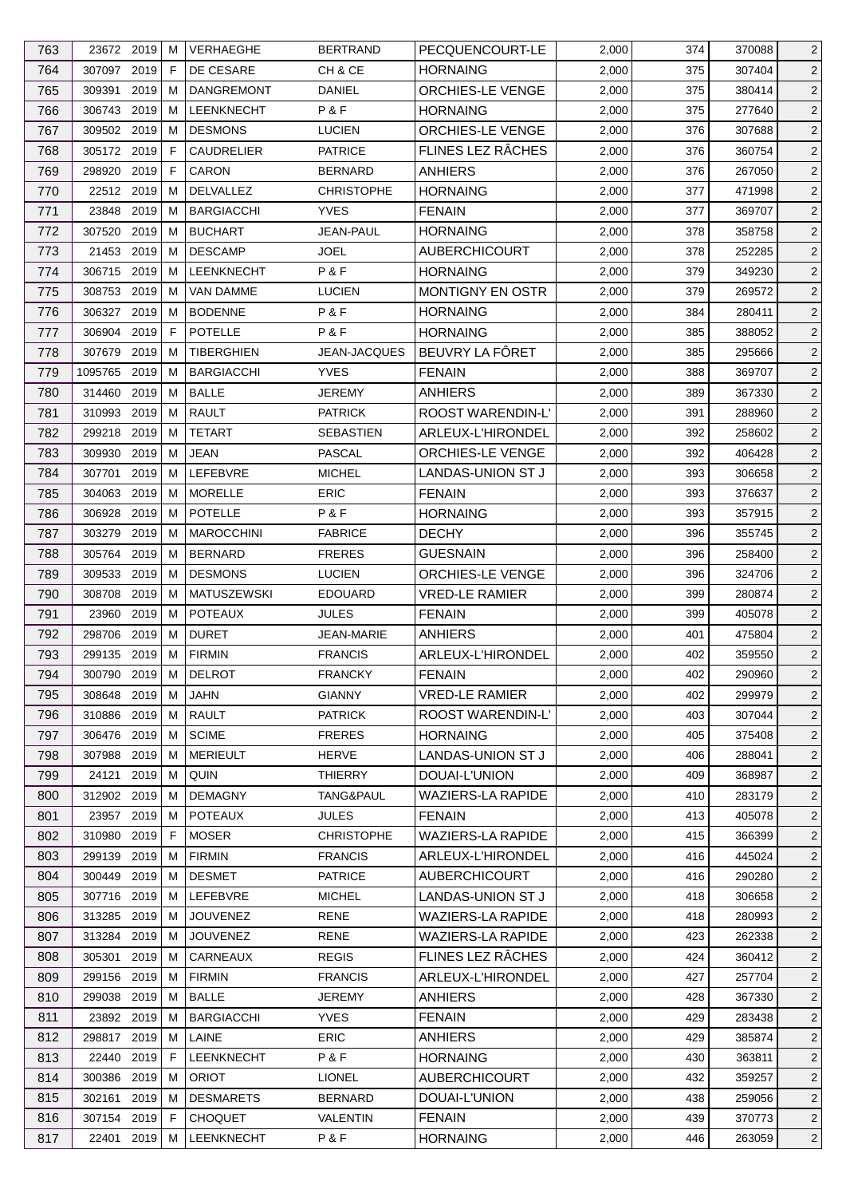| 764<br>307097 2019<br>F<br>DE CESARE<br>CH & CE<br><b>HORNAING</b><br>2,000<br>375<br>2 <sup>1</sup><br>307404<br>765<br>ORCHIES-LE VENGE<br>$\overline{2}$<br>309391<br>2019<br>м<br><b>DANGREMONT</b><br>DANIEL<br>2,000<br>375<br>380414<br>306743 2019<br>P&F<br>766<br>м<br><b>LEENKNECHT</b><br><b>HORNAING</b><br>2,000<br>375<br>277640<br>$\overline{2}$<br>767<br>309502 2019<br><b>DESMONS</b><br><b>ORCHIES-LE VENGE</b><br>$\overline{2}$<br>М<br><b>LUCIEN</b><br>2,000<br>376<br>307688<br>FLINES LEZ RÂCHES<br>768<br>305172 2019<br>F<br>CAUDRELIER<br><b>PATRICE</b><br>376<br>$\overline{2}$<br>2,000<br>360754<br>769<br>2019<br>F<br><b>CARON</b><br><b>ANHIERS</b><br>$\overline{2}$<br>298920<br><b>BERNARD</b><br>2,000<br>376<br>267050<br>770<br>22512 2019<br><b>DELVALLEZ</b><br>471998<br>$\overline{2}$<br>м<br><b>CHRISTOPHE</b><br><b>HORNAING</b><br>2,000<br>377<br>23848<br>2019<br>$\overline{2}$<br>771<br>м<br><b>BARGIACCHI</b><br><b>YVES</b><br><b>FENAIN</b><br>2,000<br>377<br>369707<br>772<br>307520<br>2019<br><b>BUCHART</b><br>JEAN-PAUL<br><b>HORNAING</b><br>2,000<br>378<br>358758<br>$\overline{2}$<br>M<br>773<br>21453<br>2019<br><b>DESCAMP</b><br><b>JOEL</b><br><b>AUBERCHICOURT</b><br>2,000<br>252285<br>$\overline{c}$<br>м<br>378<br>2019<br>P&F<br>379<br>$\overline{2}$<br>774<br>306715<br>м<br><b>LEENKNECHT</b><br><b>HORNAING</b><br>2,000<br>349230<br>308753 2019<br><b>VAN DAMME</b><br><b>LUCIEN</b><br><b>MONTIGNY EN OSTR</b><br>$\overline{2}$<br>775<br>м<br>2,000<br>379<br>269572<br>2019<br>P&F<br><b>HORNAING</b><br>776<br>306327<br>м<br><b>BODENNE</b><br>2,000<br>280411<br>$\overline{2}$<br>384<br>2019<br>F<br><b>POTELLE</b><br>P&F<br><b>HORNAING</b><br>777<br>306904<br>2,000<br>385<br>388052<br>$\overline{2}$<br>BEUVRY LA FÔRET<br>307679 2019<br><b>TIBERGHIEN</b><br>$\overline{2}$<br>778<br>м<br>JEAN-JACQUES<br>2,000<br>385<br>295666<br>779<br>2019<br><b>BARGIACCHI</b><br><b>YVES</b><br><b>FENAIN</b><br>388<br>$\overline{2}$<br>1095765<br>M<br>2,000<br>369707<br>780<br>2019<br><b>BALLE</b><br><b>JEREMY</b><br><b>ANHIERS</b><br>$\overline{2}$<br>314460<br>м<br>2,000<br>389<br>367330<br>781<br>2019<br><b>RAULT</b><br>ROOST WARENDIN-L'<br>310993<br>м<br><b>PATRICK</b><br>2,000<br>391<br>288960<br>$\overline{2}$<br>782<br>2019<br><b>TETART</b><br>ARLEUX-L'HIRONDEL<br>392<br>$\overline{2}$<br>299218<br>м<br>SEBASTIEN<br>2,000<br>258602<br>ORCHIES-LE VENGE<br>783<br>309930<br>2019<br>м<br>JEAN<br>PASCAL<br>2,000<br>392<br>406428<br>$\overline{2}$<br>784<br>2019<br>LEFEBVRE<br><b>MICHEL</b><br>LANDAS-UNION ST J<br>2,000<br>$\overline{c}$<br>307701<br>м<br>393<br>306658<br>2019<br><b>MORELLE</b><br><b>ERIC</b><br>393<br>$\overline{2}$<br>785<br>304063<br>м<br><b>FENAIN</b><br>2,000<br>376637<br>786<br>2019<br><b>POTELLE</b><br>P&F<br><b>HORNAING</b><br>$\overline{2}$<br>306928<br>M<br>2,000<br>393<br>357915<br>787<br>2019<br><b>FABRICE</b><br><b>DECHY</b><br>303279<br>м<br><b>MAROCCHINI</b><br>2,000<br>355745<br>$\overline{2}$<br>396<br>2019<br><b>BERNARD</b><br><b>FRERES</b><br><b>GUESNAIN</b><br>788<br>305764<br>м<br>2,000<br>396<br>258400<br>$\overline{2}$<br>789<br>309533<br>2019<br><b>DESMONS</b><br><b>LUCIEN</b><br>ORCHIES-LE VENGE<br>$\overline{2}$<br>м<br>2,000<br>396<br>324706<br>790<br>2019<br><b>VRED-LE RAMIER</b><br>308708<br>M<br><b>MATUSZEWSKI</b><br><b>EDOUARD</b><br>2,000<br>399<br>280874<br>$\overline{2}$<br>2019<br><b>POTEAUX</b><br>$\overline{2}$<br>791<br>23960<br>м<br>JULES<br><b>FENAIN</b><br>2,000<br>399<br>405078<br>2019<br><b>DURET</b><br>792<br>298706<br>м<br>JEAN-MARIE<br><b>ANHIERS</b><br>2,000<br>475804<br>$\overline{2}$<br>401<br>793<br>299135 2019<br><b>FIRMIN</b><br><b>FRANCIS</b><br>ARLEUX-L'HIRONDEL<br>402<br>$\overline{c}$<br>M<br>2,000<br>359550<br>$\overline{2}$<br>794<br>2,000<br>402<br>300790 2019 M<br>DELROT<br><b>FRANCKY</b><br><b>FENAIN</b><br>290960<br>795<br><b>GIANNY</b><br><b>VRED-LE RAMIER</b><br>2,000<br>299979<br>$\overline{c}$<br>308648 2019<br>JAHN<br>402<br>М<br><b>RAULT</b><br><b>ROOST WARENDIN-L'</b><br>796<br>310886 2019<br>м<br><b>PATRICK</b><br>2,000<br>403<br>307044<br>$\overline{2}$<br>306476<br>2019<br><b>SCIME</b><br>797<br>М<br><b>FRERES</b><br><b>HORNAING</b><br>2,000<br>405<br>375408<br>$\overline{2}$<br>798<br><b>MERIEULT</b><br><b>HERVE</b><br><b>LANDAS-UNION ST J</b><br>307988<br>2019<br>2,000<br>406<br>288041<br>$\overline{2}$<br>M<br>2019<br>QUIN<br><b>THIERRY</b><br>DOUAI-L'UNION<br>799<br>24121<br>м<br>2,000<br>409<br>368987<br>$\overline{2}$<br><b>WAZIERS-LA RAPIDE</b><br>800<br>312902 2019<br><b>DEMAGNY</b><br>TANG&PAUL<br>2,000<br>410<br>283179<br>$\overline{2}$<br>м<br>2019<br>801<br>23957<br><b>POTEAUX</b><br>JULES<br><b>FENAIN</b><br>2,000<br>413<br>405078<br>$\overline{2}$<br>M<br>802<br>2019<br><b>CHRISTOPHE</b><br><b>WAZIERS-LA RAPIDE</b><br>$\overline{2}$<br>310980<br>F<br><b>MOSER</b><br>2,000<br>415<br>366399<br>299139<br>803<br>2019<br><b>FIRMIN</b><br><b>FRANCIS</b><br>ARLEUX-L'HIRONDEL<br>2,000<br>416<br>445024<br>2<br>M<br>300449 2019<br><b>DESMET</b><br>416<br>$\overline{2}$<br>804<br>M<br><b>PATRICE</b><br><b>AUBERCHICOURT</b><br>2,000<br>290280<br>805<br>307716 2019<br>LEFEBVRE<br><b>MICHEL</b><br>LANDAS-UNION ST J<br>2,000<br>418<br>306658<br>$\overline{2}$<br>M<br>806<br><b>WAZIERS-LA RAPIDE</b><br>2019<br><b>JOUVENEZ</b><br><b>RENE</b><br>2,000<br>280993<br>$\overline{2}$<br>313285<br>м<br>418<br>313284 2019<br>WAZIERS-LA RAPIDE<br>807<br><b>JOUVENEZ</b><br><b>RENE</b><br>2,000<br>423<br>262338<br>$\overline{2}$<br>M<br>FLINES LEZ RÂCHES<br>2019<br>CARNEAUX<br><b>REGIS</b><br>808<br>305301<br>2,000<br>424<br>360412<br>$\overline{2}$<br>M<br><b>FIRMIN</b><br><b>FRANCIS</b><br>ARLEUX-L'HIRONDEL<br>809<br>299156<br>2019<br>2,000<br>427<br>257704<br>$\overline{2}$<br>M<br>299038 2019<br><b>BALLE</b><br><b>ANHIERS</b><br>810<br>м<br><b>JEREMY</b><br>2,000<br>428<br>367330<br>$\overline{2}$<br>811<br>23892 2019<br><b>BARGIACCHI</b><br><b>YVES</b><br><b>FENAIN</b><br>2,000<br>429<br>283438<br>$\overline{2}$<br>M<br>812<br>LAINE<br><b>ERIC</b><br><b>ANHIERS</b><br>429<br>$\overline{2}$<br>298817<br>2019<br>M<br>2,000<br>385874<br>LEENKNECHT<br>P&F<br>813<br>22440<br>2019<br>F<br><b>HORNAING</b><br>2,000<br>430<br>363811<br>$\overline{2}$<br>2019<br>M | 763 | 23672 2019 | M | <b>VERHAEGHE</b> | <b>BERTRAND</b> | PECQUENCOURT-LE      | 2,000 | 374 | 370088 | $\overline{2}$ |
|-----------------------------------------------------------------------------------------------------------------------------------------------------------------------------------------------------------------------------------------------------------------------------------------------------------------------------------------------------------------------------------------------------------------------------------------------------------------------------------------------------------------------------------------------------------------------------------------------------------------------------------------------------------------------------------------------------------------------------------------------------------------------------------------------------------------------------------------------------------------------------------------------------------------------------------------------------------------------------------------------------------------------------------------------------------------------------------------------------------------------------------------------------------------------------------------------------------------------------------------------------------------------------------------------------------------------------------------------------------------------------------------------------------------------------------------------------------------------------------------------------------------------------------------------------------------------------------------------------------------------------------------------------------------------------------------------------------------------------------------------------------------------------------------------------------------------------------------------------------------------------------------------------------------------------------------------------------------------------------------------------------------------------------------------------------------------------------------------------------------------------------------------------------------------------------------------------------------------------------------------------------------------------------------------------------------------------------------------------------------------------------------------------------------------------------------------------------------------------------------------------------------------------------------------------------------------------------------------------------------------------------------------------------------------------------------------------------------------------------------------------------------------------------------------------------------------------------------------------------------------------------------------------------------------------------------------------------------------------------------------------------------------------------------------------------------------------------------------------------------------------------------------------------------------------------------------------------------------------------------------------------------------------------------------------------------------------------------------------------------------------------------------------------------------------------------------------------------------------------------------------------------------------------------------------------------------------------------------------------------------------------------------------------------------------------------------------------------------------------------------------------------------------------------------------------------------------------------------------------------------------------------------------------------------------------------------------------------------------------------------------------------------------------------------------------------------------------------------------------------------------------------------------------------------------------------------------------------------------------------------------------------------------------------------------------------------------------------------------------------------------------------------------------------------------------------------------------------------------------------------------------------------------------------------------------------------------------------------------------------------------------------------------------------------------------------------------------------------------------------------------------------------------------------------------------------------------------------------------------------------------------------------------------------------------------------------------------------------------------------------------------------------------------------------------------------------------------------------------------------------------------------------------------------------------------------------------------------------------------------------------------------------------------------------------------------------------------------------------------------------------------------------------------------------------------------------------------------------------------------------------------------------------------------------------------------------------------------------------------------------------------------------------------------------------------------------------------------------------------------------------------------------------------------------------------------------------------------------------------------------------------------------------------------------------------------------------------------------------------------------------------------------------------------------------------------------------------------------------------------------------------------------------------------------------------------------------------------------------------------------------------------------------------------------------------------------------------------------------------------------------------------------------------------------------------------------------------------------------------------------------|-----|------------|---|------------------|-----------------|----------------------|-------|-----|--------|----------------|
|                                                                                                                                                                                                                                                                                                                                                                                                                                                                                                                                                                                                                                                                                                                                                                                                                                                                                                                                                                                                                                                                                                                                                                                                                                                                                                                                                                                                                                                                                                                                                                                                                                                                                                                                                                                                                                                                                                                                                                                                                                                                                                                                                                                                                                                                                                                                                                                                                                                                                                                                                                                                                                                                                                                                                                                                                                                                                                                                                                                                                                                                                                                                                                                                                                                                                                                                                                                                                                                                                                                                                                                                                                                                                                                                                                                                                                                                                                                                                                                                                                                                                                                                                                                                                                                                                                                                                                                                                                                                                                                                                                                                                                                                                                                                                                                                                                                                                                                                                                                                                                                                                                                                                                                                                                                                                                                                                                                                                                                                                                                                                                                                                                                                                                                                                                                                                                                                                                                                                                                                                                                                                                                                                                                                                                                                                                                                                                                                                                                                                                     |     |            |   |                  |                 |                      |       |     |        |                |
|                                                                                                                                                                                                                                                                                                                                                                                                                                                                                                                                                                                                                                                                                                                                                                                                                                                                                                                                                                                                                                                                                                                                                                                                                                                                                                                                                                                                                                                                                                                                                                                                                                                                                                                                                                                                                                                                                                                                                                                                                                                                                                                                                                                                                                                                                                                                                                                                                                                                                                                                                                                                                                                                                                                                                                                                                                                                                                                                                                                                                                                                                                                                                                                                                                                                                                                                                                                                                                                                                                                                                                                                                                                                                                                                                                                                                                                                                                                                                                                                                                                                                                                                                                                                                                                                                                                                                                                                                                                                                                                                                                                                                                                                                                                                                                                                                                                                                                                                                                                                                                                                                                                                                                                                                                                                                                                                                                                                                                                                                                                                                                                                                                                                                                                                                                                                                                                                                                                                                                                                                                                                                                                                                                                                                                                                                                                                                                                                                                                                                                     |     |            |   |                  |                 |                      |       |     |        |                |
|                                                                                                                                                                                                                                                                                                                                                                                                                                                                                                                                                                                                                                                                                                                                                                                                                                                                                                                                                                                                                                                                                                                                                                                                                                                                                                                                                                                                                                                                                                                                                                                                                                                                                                                                                                                                                                                                                                                                                                                                                                                                                                                                                                                                                                                                                                                                                                                                                                                                                                                                                                                                                                                                                                                                                                                                                                                                                                                                                                                                                                                                                                                                                                                                                                                                                                                                                                                                                                                                                                                                                                                                                                                                                                                                                                                                                                                                                                                                                                                                                                                                                                                                                                                                                                                                                                                                                                                                                                                                                                                                                                                                                                                                                                                                                                                                                                                                                                                                                                                                                                                                                                                                                                                                                                                                                                                                                                                                                                                                                                                                                                                                                                                                                                                                                                                                                                                                                                                                                                                                                                                                                                                                                                                                                                                                                                                                                                                                                                                                                                     |     |            |   |                  |                 |                      |       |     |        |                |
|                                                                                                                                                                                                                                                                                                                                                                                                                                                                                                                                                                                                                                                                                                                                                                                                                                                                                                                                                                                                                                                                                                                                                                                                                                                                                                                                                                                                                                                                                                                                                                                                                                                                                                                                                                                                                                                                                                                                                                                                                                                                                                                                                                                                                                                                                                                                                                                                                                                                                                                                                                                                                                                                                                                                                                                                                                                                                                                                                                                                                                                                                                                                                                                                                                                                                                                                                                                                                                                                                                                                                                                                                                                                                                                                                                                                                                                                                                                                                                                                                                                                                                                                                                                                                                                                                                                                                                                                                                                                                                                                                                                                                                                                                                                                                                                                                                                                                                                                                                                                                                                                                                                                                                                                                                                                                                                                                                                                                                                                                                                                                                                                                                                                                                                                                                                                                                                                                                                                                                                                                                                                                                                                                                                                                                                                                                                                                                                                                                                                                                     |     |            |   |                  |                 |                      |       |     |        |                |
|                                                                                                                                                                                                                                                                                                                                                                                                                                                                                                                                                                                                                                                                                                                                                                                                                                                                                                                                                                                                                                                                                                                                                                                                                                                                                                                                                                                                                                                                                                                                                                                                                                                                                                                                                                                                                                                                                                                                                                                                                                                                                                                                                                                                                                                                                                                                                                                                                                                                                                                                                                                                                                                                                                                                                                                                                                                                                                                                                                                                                                                                                                                                                                                                                                                                                                                                                                                                                                                                                                                                                                                                                                                                                                                                                                                                                                                                                                                                                                                                                                                                                                                                                                                                                                                                                                                                                                                                                                                                                                                                                                                                                                                                                                                                                                                                                                                                                                                                                                                                                                                                                                                                                                                                                                                                                                                                                                                                                                                                                                                                                                                                                                                                                                                                                                                                                                                                                                                                                                                                                                                                                                                                                                                                                                                                                                                                                                                                                                                                                                     |     |            |   |                  |                 |                      |       |     |        |                |
|                                                                                                                                                                                                                                                                                                                                                                                                                                                                                                                                                                                                                                                                                                                                                                                                                                                                                                                                                                                                                                                                                                                                                                                                                                                                                                                                                                                                                                                                                                                                                                                                                                                                                                                                                                                                                                                                                                                                                                                                                                                                                                                                                                                                                                                                                                                                                                                                                                                                                                                                                                                                                                                                                                                                                                                                                                                                                                                                                                                                                                                                                                                                                                                                                                                                                                                                                                                                                                                                                                                                                                                                                                                                                                                                                                                                                                                                                                                                                                                                                                                                                                                                                                                                                                                                                                                                                                                                                                                                                                                                                                                                                                                                                                                                                                                                                                                                                                                                                                                                                                                                                                                                                                                                                                                                                                                                                                                                                                                                                                                                                                                                                                                                                                                                                                                                                                                                                                                                                                                                                                                                                                                                                                                                                                                                                                                                                                                                                                                                                                     |     |            |   |                  |                 |                      |       |     |        |                |
|                                                                                                                                                                                                                                                                                                                                                                                                                                                                                                                                                                                                                                                                                                                                                                                                                                                                                                                                                                                                                                                                                                                                                                                                                                                                                                                                                                                                                                                                                                                                                                                                                                                                                                                                                                                                                                                                                                                                                                                                                                                                                                                                                                                                                                                                                                                                                                                                                                                                                                                                                                                                                                                                                                                                                                                                                                                                                                                                                                                                                                                                                                                                                                                                                                                                                                                                                                                                                                                                                                                                                                                                                                                                                                                                                                                                                                                                                                                                                                                                                                                                                                                                                                                                                                                                                                                                                                                                                                                                                                                                                                                                                                                                                                                                                                                                                                                                                                                                                                                                                                                                                                                                                                                                                                                                                                                                                                                                                                                                                                                                                                                                                                                                                                                                                                                                                                                                                                                                                                                                                                                                                                                                                                                                                                                                                                                                                                                                                                                                                                     |     |            |   |                  |                 |                      |       |     |        |                |
|                                                                                                                                                                                                                                                                                                                                                                                                                                                                                                                                                                                                                                                                                                                                                                                                                                                                                                                                                                                                                                                                                                                                                                                                                                                                                                                                                                                                                                                                                                                                                                                                                                                                                                                                                                                                                                                                                                                                                                                                                                                                                                                                                                                                                                                                                                                                                                                                                                                                                                                                                                                                                                                                                                                                                                                                                                                                                                                                                                                                                                                                                                                                                                                                                                                                                                                                                                                                                                                                                                                                                                                                                                                                                                                                                                                                                                                                                                                                                                                                                                                                                                                                                                                                                                                                                                                                                                                                                                                                                                                                                                                                                                                                                                                                                                                                                                                                                                                                                                                                                                                                                                                                                                                                                                                                                                                                                                                                                                                                                                                                                                                                                                                                                                                                                                                                                                                                                                                                                                                                                                                                                                                                                                                                                                                                                                                                                                                                                                                                                                     |     |            |   |                  |                 |                      |       |     |        |                |
|                                                                                                                                                                                                                                                                                                                                                                                                                                                                                                                                                                                                                                                                                                                                                                                                                                                                                                                                                                                                                                                                                                                                                                                                                                                                                                                                                                                                                                                                                                                                                                                                                                                                                                                                                                                                                                                                                                                                                                                                                                                                                                                                                                                                                                                                                                                                                                                                                                                                                                                                                                                                                                                                                                                                                                                                                                                                                                                                                                                                                                                                                                                                                                                                                                                                                                                                                                                                                                                                                                                                                                                                                                                                                                                                                                                                                                                                                                                                                                                                                                                                                                                                                                                                                                                                                                                                                                                                                                                                                                                                                                                                                                                                                                                                                                                                                                                                                                                                                                                                                                                                                                                                                                                                                                                                                                                                                                                                                                                                                                                                                                                                                                                                                                                                                                                                                                                                                                                                                                                                                                                                                                                                                                                                                                                                                                                                                                                                                                                                                                     |     |            |   |                  |                 |                      |       |     |        |                |
|                                                                                                                                                                                                                                                                                                                                                                                                                                                                                                                                                                                                                                                                                                                                                                                                                                                                                                                                                                                                                                                                                                                                                                                                                                                                                                                                                                                                                                                                                                                                                                                                                                                                                                                                                                                                                                                                                                                                                                                                                                                                                                                                                                                                                                                                                                                                                                                                                                                                                                                                                                                                                                                                                                                                                                                                                                                                                                                                                                                                                                                                                                                                                                                                                                                                                                                                                                                                                                                                                                                                                                                                                                                                                                                                                                                                                                                                                                                                                                                                                                                                                                                                                                                                                                                                                                                                                                                                                                                                                                                                                                                                                                                                                                                                                                                                                                                                                                                                                                                                                                                                                                                                                                                                                                                                                                                                                                                                                                                                                                                                                                                                                                                                                                                                                                                                                                                                                                                                                                                                                                                                                                                                                                                                                                                                                                                                                                                                                                                                                                     |     |            |   |                  |                 |                      |       |     |        |                |
|                                                                                                                                                                                                                                                                                                                                                                                                                                                                                                                                                                                                                                                                                                                                                                                                                                                                                                                                                                                                                                                                                                                                                                                                                                                                                                                                                                                                                                                                                                                                                                                                                                                                                                                                                                                                                                                                                                                                                                                                                                                                                                                                                                                                                                                                                                                                                                                                                                                                                                                                                                                                                                                                                                                                                                                                                                                                                                                                                                                                                                                                                                                                                                                                                                                                                                                                                                                                                                                                                                                                                                                                                                                                                                                                                                                                                                                                                                                                                                                                                                                                                                                                                                                                                                                                                                                                                                                                                                                                                                                                                                                                                                                                                                                                                                                                                                                                                                                                                                                                                                                                                                                                                                                                                                                                                                                                                                                                                                                                                                                                                                                                                                                                                                                                                                                                                                                                                                                                                                                                                                                                                                                                                                                                                                                                                                                                                                                                                                                                                                     |     |            |   |                  |                 |                      |       |     |        |                |
|                                                                                                                                                                                                                                                                                                                                                                                                                                                                                                                                                                                                                                                                                                                                                                                                                                                                                                                                                                                                                                                                                                                                                                                                                                                                                                                                                                                                                                                                                                                                                                                                                                                                                                                                                                                                                                                                                                                                                                                                                                                                                                                                                                                                                                                                                                                                                                                                                                                                                                                                                                                                                                                                                                                                                                                                                                                                                                                                                                                                                                                                                                                                                                                                                                                                                                                                                                                                                                                                                                                                                                                                                                                                                                                                                                                                                                                                                                                                                                                                                                                                                                                                                                                                                                                                                                                                                                                                                                                                                                                                                                                                                                                                                                                                                                                                                                                                                                                                                                                                                                                                                                                                                                                                                                                                                                                                                                                                                                                                                                                                                                                                                                                                                                                                                                                                                                                                                                                                                                                                                                                                                                                                                                                                                                                                                                                                                                                                                                                                                                     |     |            |   |                  |                 |                      |       |     |        |                |
|                                                                                                                                                                                                                                                                                                                                                                                                                                                                                                                                                                                                                                                                                                                                                                                                                                                                                                                                                                                                                                                                                                                                                                                                                                                                                                                                                                                                                                                                                                                                                                                                                                                                                                                                                                                                                                                                                                                                                                                                                                                                                                                                                                                                                                                                                                                                                                                                                                                                                                                                                                                                                                                                                                                                                                                                                                                                                                                                                                                                                                                                                                                                                                                                                                                                                                                                                                                                                                                                                                                                                                                                                                                                                                                                                                                                                                                                                                                                                                                                                                                                                                                                                                                                                                                                                                                                                                                                                                                                                                                                                                                                                                                                                                                                                                                                                                                                                                                                                                                                                                                                                                                                                                                                                                                                                                                                                                                                                                                                                                                                                                                                                                                                                                                                                                                                                                                                                                                                                                                                                                                                                                                                                                                                                                                                                                                                                                                                                                                                                                     |     |            |   |                  |                 |                      |       |     |        |                |
|                                                                                                                                                                                                                                                                                                                                                                                                                                                                                                                                                                                                                                                                                                                                                                                                                                                                                                                                                                                                                                                                                                                                                                                                                                                                                                                                                                                                                                                                                                                                                                                                                                                                                                                                                                                                                                                                                                                                                                                                                                                                                                                                                                                                                                                                                                                                                                                                                                                                                                                                                                                                                                                                                                                                                                                                                                                                                                                                                                                                                                                                                                                                                                                                                                                                                                                                                                                                                                                                                                                                                                                                                                                                                                                                                                                                                                                                                                                                                                                                                                                                                                                                                                                                                                                                                                                                                                                                                                                                                                                                                                                                                                                                                                                                                                                                                                                                                                                                                                                                                                                                                                                                                                                                                                                                                                                                                                                                                                                                                                                                                                                                                                                                                                                                                                                                                                                                                                                                                                                                                                                                                                                                                                                                                                                                                                                                                                                                                                                                                                     |     |            |   |                  |                 |                      |       |     |        |                |
|                                                                                                                                                                                                                                                                                                                                                                                                                                                                                                                                                                                                                                                                                                                                                                                                                                                                                                                                                                                                                                                                                                                                                                                                                                                                                                                                                                                                                                                                                                                                                                                                                                                                                                                                                                                                                                                                                                                                                                                                                                                                                                                                                                                                                                                                                                                                                                                                                                                                                                                                                                                                                                                                                                                                                                                                                                                                                                                                                                                                                                                                                                                                                                                                                                                                                                                                                                                                                                                                                                                                                                                                                                                                                                                                                                                                                                                                                                                                                                                                                                                                                                                                                                                                                                                                                                                                                                                                                                                                                                                                                                                                                                                                                                                                                                                                                                                                                                                                                                                                                                                                                                                                                                                                                                                                                                                                                                                                                                                                                                                                                                                                                                                                                                                                                                                                                                                                                                                                                                                                                                                                                                                                                                                                                                                                                                                                                                                                                                                                                                     |     |            |   |                  |                 |                      |       |     |        |                |
|                                                                                                                                                                                                                                                                                                                                                                                                                                                                                                                                                                                                                                                                                                                                                                                                                                                                                                                                                                                                                                                                                                                                                                                                                                                                                                                                                                                                                                                                                                                                                                                                                                                                                                                                                                                                                                                                                                                                                                                                                                                                                                                                                                                                                                                                                                                                                                                                                                                                                                                                                                                                                                                                                                                                                                                                                                                                                                                                                                                                                                                                                                                                                                                                                                                                                                                                                                                                                                                                                                                                                                                                                                                                                                                                                                                                                                                                                                                                                                                                                                                                                                                                                                                                                                                                                                                                                                                                                                                                                                                                                                                                                                                                                                                                                                                                                                                                                                                                                                                                                                                                                                                                                                                                                                                                                                                                                                                                                                                                                                                                                                                                                                                                                                                                                                                                                                                                                                                                                                                                                                                                                                                                                                                                                                                                                                                                                                                                                                                                                                     |     |            |   |                  |                 |                      |       |     |        |                |
|                                                                                                                                                                                                                                                                                                                                                                                                                                                                                                                                                                                                                                                                                                                                                                                                                                                                                                                                                                                                                                                                                                                                                                                                                                                                                                                                                                                                                                                                                                                                                                                                                                                                                                                                                                                                                                                                                                                                                                                                                                                                                                                                                                                                                                                                                                                                                                                                                                                                                                                                                                                                                                                                                                                                                                                                                                                                                                                                                                                                                                                                                                                                                                                                                                                                                                                                                                                                                                                                                                                                                                                                                                                                                                                                                                                                                                                                                                                                                                                                                                                                                                                                                                                                                                                                                                                                                                                                                                                                                                                                                                                                                                                                                                                                                                                                                                                                                                                                                                                                                                                                                                                                                                                                                                                                                                                                                                                                                                                                                                                                                                                                                                                                                                                                                                                                                                                                                                                                                                                                                                                                                                                                                                                                                                                                                                                                                                                                                                                                                                     |     |            |   |                  |                 |                      |       |     |        |                |
|                                                                                                                                                                                                                                                                                                                                                                                                                                                                                                                                                                                                                                                                                                                                                                                                                                                                                                                                                                                                                                                                                                                                                                                                                                                                                                                                                                                                                                                                                                                                                                                                                                                                                                                                                                                                                                                                                                                                                                                                                                                                                                                                                                                                                                                                                                                                                                                                                                                                                                                                                                                                                                                                                                                                                                                                                                                                                                                                                                                                                                                                                                                                                                                                                                                                                                                                                                                                                                                                                                                                                                                                                                                                                                                                                                                                                                                                                                                                                                                                                                                                                                                                                                                                                                                                                                                                                                                                                                                                                                                                                                                                                                                                                                                                                                                                                                                                                                                                                                                                                                                                                                                                                                                                                                                                                                                                                                                                                                                                                                                                                                                                                                                                                                                                                                                                                                                                                                                                                                                                                                                                                                                                                                                                                                                                                                                                                                                                                                                                                                     |     |            |   |                  |                 |                      |       |     |        |                |
|                                                                                                                                                                                                                                                                                                                                                                                                                                                                                                                                                                                                                                                                                                                                                                                                                                                                                                                                                                                                                                                                                                                                                                                                                                                                                                                                                                                                                                                                                                                                                                                                                                                                                                                                                                                                                                                                                                                                                                                                                                                                                                                                                                                                                                                                                                                                                                                                                                                                                                                                                                                                                                                                                                                                                                                                                                                                                                                                                                                                                                                                                                                                                                                                                                                                                                                                                                                                                                                                                                                                                                                                                                                                                                                                                                                                                                                                                                                                                                                                                                                                                                                                                                                                                                                                                                                                                                                                                                                                                                                                                                                                                                                                                                                                                                                                                                                                                                                                                                                                                                                                                                                                                                                                                                                                                                                                                                                                                                                                                                                                                                                                                                                                                                                                                                                                                                                                                                                                                                                                                                                                                                                                                                                                                                                                                                                                                                                                                                                                                                     |     |            |   |                  |                 |                      |       |     |        |                |
|                                                                                                                                                                                                                                                                                                                                                                                                                                                                                                                                                                                                                                                                                                                                                                                                                                                                                                                                                                                                                                                                                                                                                                                                                                                                                                                                                                                                                                                                                                                                                                                                                                                                                                                                                                                                                                                                                                                                                                                                                                                                                                                                                                                                                                                                                                                                                                                                                                                                                                                                                                                                                                                                                                                                                                                                                                                                                                                                                                                                                                                                                                                                                                                                                                                                                                                                                                                                                                                                                                                                                                                                                                                                                                                                                                                                                                                                                                                                                                                                                                                                                                                                                                                                                                                                                                                                                                                                                                                                                                                                                                                                                                                                                                                                                                                                                                                                                                                                                                                                                                                                                                                                                                                                                                                                                                                                                                                                                                                                                                                                                                                                                                                                                                                                                                                                                                                                                                                                                                                                                                                                                                                                                                                                                                                                                                                                                                                                                                                                                                     |     |            |   |                  |                 |                      |       |     |        |                |
|                                                                                                                                                                                                                                                                                                                                                                                                                                                                                                                                                                                                                                                                                                                                                                                                                                                                                                                                                                                                                                                                                                                                                                                                                                                                                                                                                                                                                                                                                                                                                                                                                                                                                                                                                                                                                                                                                                                                                                                                                                                                                                                                                                                                                                                                                                                                                                                                                                                                                                                                                                                                                                                                                                                                                                                                                                                                                                                                                                                                                                                                                                                                                                                                                                                                                                                                                                                                                                                                                                                                                                                                                                                                                                                                                                                                                                                                                                                                                                                                                                                                                                                                                                                                                                                                                                                                                                                                                                                                                                                                                                                                                                                                                                                                                                                                                                                                                                                                                                                                                                                                                                                                                                                                                                                                                                                                                                                                                                                                                                                                                                                                                                                                                                                                                                                                                                                                                                                                                                                                                                                                                                                                                                                                                                                                                                                                                                                                                                                                                                     |     |            |   |                  |                 |                      |       |     |        |                |
|                                                                                                                                                                                                                                                                                                                                                                                                                                                                                                                                                                                                                                                                                                                                                                                                                                                                                                                                                                                                                                                                                                                                                                                                                                                                                                                                                                                                                                                                                                                                                                                                                                                                                                                                                                                                                                                                                                                                                                                                                                                                                                                                                                                                                                                                                                                                                                                                                                                                                                                                                                                                                                                                                                                                                                                                                                                                                                                                                                                                                                                                                                                                                                                                                                                                                                                                                                                                                                                                                                                                                                                                                                                                                                                                                                                                                                                                                                                                                                                                                                                                                                                                                                                                                                                                                                                                                                                                                                                                                                                                                                                                                                                                                                                                                                                                                                                                                                                                                                                                                                                                                                                                                                                                                                                                                                                                                                                                                                                                                                                                                                                                                                                                                                                                                                                                                                                                                                                                                                                                                                                                                                                                                                                                                                                                                                                                                                                                                                                                                                     |     |            |   |                  |                 |                      |       |     |        |                |
|                                                                                                                                                                                                                                                                                                                                                                                                                                                                                                                                                                                                                                                                                                                                                                                                                                                                                                                                                                                                                                                                                                                                                                                                                                                                                                                                                                                                                                                                                                                                                                                                                                                                                                                                                                                                                                                                                                                                                                                                                                                                                                                                                                                                                                                                                                                                                                                                                                                                                                                                                                                                                                                                                                                                                                                                                                                                                                                                                                                                                                                                                                                                                                                                                                                                                                                                                                                                                                                                                                                                                                                                                                                                                                                                                                                                                                                                                                                                                                                                                                                                                                                                                                                                                                                                                                                                                                                                                                                                                                                                                                                                                                                                                                                                                                                                                                                                                                                                                                                                                                                                                                                                                                                                                                                                                                                                                                                                                                                                                                                                                                                                                                                                                                                                                                                                                                                                                                                                                                                                                                                                                                                                                                                                                                                                                                                                                                                                                                                                                                     |     |            |   |                  |                 |                      |       |     |        |                |
|                                                                                                                                                                                                                                                                                                                                                                                                                                                                                                                                                                                                                                                                                                                                                                                                                                                                                                                                                                                                                                                                                                                                                                                                                                                                                                                                                                                                                                                                                                                                                                                                                                                                                                                                                                                                                                                                                                                                                                                                                                                                                                                                                                                                                                                                                                                                                                                                                                                                                                                                                                                                                                                                                                                                                                                                                                                                                                                                                                                                                                                                                                                                                                                                                                                                                                                                                                                                                                                                                                                                                                                                                                                                                                                                                                                                                                                                                                                                                                                                                                                                                                                                                                                                                                                                                                                                                                                                                                                                                                                                                                                                                                                                                                                                                                                                                                                                                                                                                                                                                                                                                                                                                                                                                                                                                                                                                                                                                                                                                                                                                                                                                                                                                                                                                                                                                                                                                                                                                                                                                                                                                                                                                                                                                                                                                                                                                                                                                                                                                                     |     |            |   |                  |                 |                      |       |     |        |                |
|                                                                                                                                                                                                                                                                                                                                                                                                                                                                                                                                                                                                                                                                                                                                                                                                                                                                                                                                                                                                                                                                                                                                                                                                                                                                                                                                                                                                                                                                                                                                                                                                                                                                                                                                                                                                                                                                                                                                                                                                                                                                                                                                                                                                                                                                                                                                                                                                                                                                                                                                                                                                                                                                                                                                                                                                                                                                                                                                                                                                                                                                                                                                                                                                                                                                                                                                                                                                                                                                                                                                                                                                                                                                                                                                                                                                                                                                                                                                                                                                                                                                                                                                                                                                                                                                                                                                                                                                                                                                                                                                                                                                                                                                                                                                                                                                                                                                                                                                                                                                                                                                                                                                                                                                                                                                                                                                                                                                                                                                                                                                                                                                                                                                                                                                                                                                                                                                                                                                                                                                                                                                                                                                                                                                                                                                                                                                                                                                                                                                                                     |     |            |   |                  |                 |                      |       |     |        |                |
|                                                                                                                                                                                                                                                                                                                                                                                                                                                                                                                                                                                                                                                                                                                                                                                                                                                                                                                                                                                                                                                                                                                                                                                                                                                                                                                                                                                                                                                                                                                                                                                                                                                                                                                                                                                                                                                                                                                                                                                                                                                                                                                                                                                                                                                                                                                                                                                                                                                                                                                                                                                                                                                                                                                                                                                                                                                                                                                                                                                                                                                                                                                                                                                                                                                                                                                                                                                                                                                                                                                                                                                                                                                                                                                                                                                                                                                                                                                                                                                                                                                                                                                                                                                                                                                                                                                                                                                                                                                                                                                                                                                                                                                                                                                                                                                                                                                                                                                                                                                                                                                                                                                                                                                                                                                                                                                                                                                                                                                                                                                                                                                                                                                                                                                                                                                                                                                                                                                                                                                                                                                                                                                                                                                                                                                                                                                                                                                                                                                                                                     |     |            |   |                  |                 |                      |       |     |        |                |
|                                                                                                                                                                                                                                                                                                                                                                                                                                                                                                                                                                                                                                                                                                                                                                                                                                                                                                                                                                                                                                                                                                                                                                                                                                                                                                                                                                                                                                                                                                                                                                                                                                                                                                                                                                                                                                                                                                                                                                                                                                                                                                                                                                                                                                                                                                                                                                                                                                                                                                                                                                                                                                                                                                                                                                                                                                                                                                                                                                                                                                                                                                                                                                                                                                                                                                                                                                                                                                                                                                                                                                                                                                                                                                                                                                                                                                                                                                                                                                                                                                                                                                                                                                                                                                                                                                                                                                                                                                                                                                                                                                                                                                                                                                                                                                                                                                                                                                                                                                                                                                                                                                                                                                                                                                                                                                                                                                                                                                                                                                                                                                                                                                                                                                                                                                                                                                                                                                                                                                                                                                                                                                                                                                                                                                                                                                                                                                                                                                                                                                     |     |            |   |                  |                 |                      |       |     |        |                |
|                                                                                                                                                                                                                                                                                                                                                                                                                                                                                                                                                                                                                                                                                                                                                                                                                                                                                                                                                                                                                                                                                                                                                                                                                                                                                                                                                                                                                                                                                                                                                                                                                                                                                                                                                                                                                                                                                                                                                                                                                                                                                                                                                                                                                                                                                                                                                                                                                                                                                                                                                                                                                                                                                                                                                                                                                                                                                                                                                                                                                                                                                                                                                                                                                                                                                                                                                                                                                                                                                                                                                                                                                                                                                                                                                                                                                                                                                                                                                                                                                                                                                                                                                                                                                                                                                                                                                                                                                                                                                                                                                                                                                                                                                                                                                                                                                                                                                                                                                                                                                                                                                                                                                                                                                                                                                                                                                                                                                                                                                                                                                                                                                                                                                                                                                                                                                                                                                                                                                                                                                                                                                                                                                                                                                                                                                                                                                                                                                                                                                                     |     |            |   |                  |                 |                      |       |     |        |                |
|                                                                                                                                                                                                                                                                                                                                                                                                                                                                                                                                                                                                                                                                                                                                                                                                                                                                                                                                                                                                                                                                                                                                                                                                                                                                                                                                                                                                                                                                                                                                                                                                                                                                                                                                                                                                                                                                                                                                                                                                                                                                                                                                                                                                                                                                                                                                                                                                                                                                                                                                                                                                                                                                                                                                                                                                                                                                                                                                                                                                                                                                                                                                                                                                                                                                                                                                                                                                                                                                                                                                                                                                                                                                                                                                                                                                                                                                                                                                                                                                                                                                                                                                                                                                                                                                                                                                                                                                                                                                                                                                                                                                                                                                                                                                                                                                                                                                                                                                                                                                                                                                                                                                                                                                                                                                                                                                                                                                                                                                                                                                                                                                                                                                                                                                                                                                                                                                                                                                                                                                                                                                                                                                                                                                                                                                                                                                                                                                                                                                                                     |     |            |   |                  |                 |                      |       |     |        |                |
|                                                                                                                                                                                                                                                                                                                                                                                                                                                                                                                                                                                                                                                                                                                                                                                                                                                                                                                                                                                                                                                                                                                                                                                                                                                                                                                                                                                                                                                                                                                                                                                                                                                                                                                                                                                                                                                                                                                                                                                                                                                                                                                                                                                                                                                                                                                                                                                                                                                                                                                                                                                                                                                                                                                                                                                                                                                                                                                                                                                                                                                                                                                                                                                                                                                                                                                                                                                                                                                                                                                                                                                                                                                                                                                                                                                                                                                                                                                                                                                                                                                                                                                                                                                                                                                                                                                                                                                                                                                                                                                                                                                                                                                                                                                                                                                                                                                                                                                                                                                                                                                                                                                                                                                                                                                                                                                                                                                                                                                                                                                                                                                                                                                                                                                                                                                                                                                                                                                                                                                                                                                                                                                                                                                                                                                                                                                                                                                                                                                                                                     |     |            |   |                  |                 |                      |       |     |        |                |
|                                                                                                                                                                                                                                                                                                                                                                                                                                                                                                                                                                                                                                                                                                                                                                                                                                                                                                                                                                                                                                                                                                                                                                                                                                                                                                                                                                                                                                                                                                                                                                                                                                                                                                                                                                                                                                                                                                                                                                                                                                                                                                                                                                                                                                                                                                                                                                                                                                                                                                                                                                                                                                                                                                                                                                                                                                                                                                                                                                                                                                                                                                                                                                                                                                                                                                                                                                                                                                                                                                                                                                                                                                                                                                                                                                                                                                                                                                                                                                                                                                                                                                                                                                                                                                                                                                                                                                                                                                                                                                                                                                                                                                                                                                                                                                                                                                                                                                                                                                                                                                                                                                                                                                                                                                                                                                                                                                                                                                                                                                                                                                                                                                                                                                                                                                                                                                                                                                                                                                                                                                                                                                                                                                                                                                                                                                                                                                                                                                                                                                     |     |            |   |                  |                 |                      |       |     |        |                |
|                                                                                                                                                                                                                                                                                                                                                                                                                                                                                                                                                                                                                                                                                                                                                                                                                                                                                                                                                                                                                                                                                                                                                                                                                                                                                                                                                                                                                                                                                                                                                                                                                                                                                                                                                                                                                                                                                                                                                                                                                                                                                                                                                                                                                                                                                                                                                                                                                                                                                                                                                                                                                                                                                                                                                                                                                                                                                                                                                                                                                                                                                                                                                                                                                                                                                                                                                                                                                                                                                                                                                                                                                                                                                                                                                                                                                                                                                                                                                                                                                                                                                                                                                                                                                                                                                                                                                                                                                                                                                                                                                                                                                                                                                                                                                                                                                                                                                                                                                                                                                                                                                                                                                                                                                                                                                                                                                                                                                                                                                                                                                                                                                                                                                                                                                                                                                                                                                                                                                                                                                                                                                                                                                                                                                                                                                                                                                                                                                                                                                                     |     |            |   |                  |                 |                      |       |     |        |                |
|                                                                                                                                                                                                                                                                                                                                                                                                                                                                                                                                                                                                                                                                                                                                                                                                                                                                                                                                                                                                                                                                                                                                                                                                                                                                                                                                                                                                                                                                                                                                                                                                                                                                                                                                                                                                                                                                                                                                                                                                                                                                                                                                                                                                                                                                                                                                                                                                                                                                                                                                                                                                                                                                                                                                                                                                                                                                                                                                                                                                                                                                                                                                                                                                                                                                                                                                                                                                                                                                                                                                                                                                                                                                                                                                                                                                                                                                                                                                                                                                                                                                                                                                                                                                                                                                                                                                                                                                                                                                                                                                                                                                                                                                                                                                                                                                                                                                                                                                                                                                                                                                                                                                                                                                                                                                                                                                                                                                                                                                                                                                                                                                                                                                                                                                                                                                                                                                                                                                                                                                                                                                                                                                                                                                                                                                                                                                                                                                                                                                                                     |     |            |   |                  |                 |                      |       |     |        |                |
|                                                                                                                                                                                                                                                                                                                                                                                                                                                                                                                                                                                                                                                                                                                                                                                                                                                                                                                                                                                                                                                                                                                                                                                                                                                                                                                                                                                                                                                                                                                                                                                                                                                                                                                                                                                                                                                                                                                                                                                                                                                                                                                                                                                                                                                                                                                                                                                                                                                                                                                                                                                                                                                                                                                                                                                                                                                                                                                                                                                                                                                                                                                                                                                                                                                                                                                                                                                                                                                                                                                                                                                                                                                                                                                                                                                                                                                                                                                                                                                                                                                                                                                                                                                                                                                                                                                                                                                                                                                                                                                                                                                                                                                                                                                                                                                                                                                                                                                                                                                                                                                                                                                                                                                                                                                                                                                                                                                                                                                                                                                                                                                                                                                                                                                                                                                                                                                                                                                                                                                                                                                                                                                                                                                                                                                                                                                                                                                                                                                                                                     |     |            |   |                  |                 |                      |       |     |        |                |
|                                                                                                                                                                                                                                                                                                                                                                                                                                                                                                                                                                                                                                                                                                                                                                                                                                                                                                                                                                                                                                                                                                                                                                                                                                                                                                                                                                                                                                                                                                                                                                                                                                                                                                                                                                                                                                                                                                                                                                                                                                                                                                                                                                                                                                                                                                                                                                                                                                                                                                                                                                                                                                                                                                                                                                                                                                                                                                                                                                                                                                                                                                                                                                                                                                                                                                                                                                                                                                                                                                                                                                                                                                                                                                                                                                                                                                                                                                                                                                                                                                                                                                                                                                                                                                                                                                                                                                                                                                                                                                                                                                                                                                                                                                                                                                                                                                                                                                                                                                                                                                                                                                                                                                                                                                                                                                                                                                                                                                                                                                                                                                                                                                                                                                                                                                                                                                                                                                                                                                                                                                                                                                                                                                                                                                                                                                                                                                                                                                                                                                     |     |            |   |                  |                 |                      |       |     |        |                |
|                                                                                                                                                                                                                                                                                                                                                                                                                                                                                                                                                                                                                                                                                                                                                                                                                                                                                                                                                                                                                                                                                                                                                                                                                                                                                                                                                                                                                                                                                                                                                                                                                                                                                                                                                                                                                                                                                                                                                                                                                                                                                                                                                                                                                                                                                                                                                                                                                                                                                                                                                                                                                                                                                                                                                                                                                                                                                                                                                                                                                                                                                                                                                                                                                                                                                                                                                                                                                                                                                                                                                                                                                                                                                                                                                                                                                                                                                                                                                                                                                                                                                                                                                                                                                                                                                                                                                                                                                                                                                                                                                                                                                                                                                                                                                                                                                                                                                                                                                                                                                                                                                                                                                                                                                                                                                                                                                                                                                                                                                                                                                                                                                                                                                                                                                                                                                                                                                                                                                                                                                                                                                                                                                                                                                                                                                                                                                                                                                                                                                                     |     |            |   |                  |                 |                      |       |     |        |                |
|                                                                                                                                                                                                                                                                                                                                                                                                                                                                                                                                                                                                                                                                                                                                                                                                                                                                                                                                                                                                                                                                                                                                                                                                                                                                                                                                                                                                                                                                                                                                                                                                                                                                                                                                                                                                                                                                                                                                                                                                                                                                                                                                                                                                                                                                                                                                                                                                                                                                                                                                                                                                                                                                                                                                                                                                                                                                                                                                                                                                                                                                                                                                                                                                                                                                                                                                                                                                                                                                                                                                                                                                                                                                                                                                                                                                                                                                                                                                                                                                                                                                                                                                                                                                                                                                                                                                                                                                                                                                                                                                                                                                                                                                                                                                                                                                                                                                                                                                                                                                                                                                                                                                                                                                                                                                                                                                                                                                                                                                                                                                                                                                                                                                                                                                                                                                                                                                                                                                                                                                                                                                                                                                                                                                                                                                                                                                                                                                                                                                                                     |     |            |   |                  |                 |                      |       |     |        |                |
|                                                                                                                                                                                                                                                                                                                                                                                                                                                                                                                                                                                                                                                                                                                                                                                                                                                                                                                                                                                                                                                                                                                                                                                                                                                                                                                                                                                                                                                                                                                                                                                                                                                                                                                                                                                                                                                                                                                                                                                                                                                                                                                                                                                                                                                                                                                                                                                                                                                                                                                                                                                                                                                                                                                                                                                                                                                                                                                                                                                                                                                                                                                                                                                                                                                                                                                                                                                                                                                                                                                                                                                                                                                                                                                                                                                                                                                                                                                                                                                                                                                                                                                                                                                                                                                                                                                                                                                                                                                                                                                                                                                                                                                                                                                                                                                                                                                                                                                                                                                                                                                                                                                                                                                                                                                                                                                                                                                                                                                                                                                                                                                                                                                                                                                                                                                                                                                                                                                                                                                                                                                                                                                                                                                                                                                                                                                                                                                                                                                                                                     |     |            |   |                  |                 |                      |       |     |        |                |
|                                                                                                                                                                                                                                                                                                                                                                                                                                                                                                                                                                                                                                                                                                                                                                                                                                                                                                                                                                                                                                                                                                                                                                                                                                                                                                                                                                                                                                                                                                                                                                                                                                                                                                                                                                                                                                                                                                                                                                                                                                                                                                                                                                                                                                                                                                                                                                                                                                                                                                                                                                                                                                                                                                                                                                                                                                                                                                                                                                                                                                                                                                                                                                                                                                                                                                                                                                                                                                                                                                                                                                                                                                                                                                                                                                                                                                                                                                                                                                                                                                                                                                                                                                                                                                                                                                                                                                                                                                                                                                                                                                                                                                                                                                                                                                                                                                                                                                                                                                                                                                                                                                                                                                                                                                                                                                                                                                                                                                                                                                                                                                                                                                                                                                                                                                                                                                                                                                                                                                                                                                                                                                                                                                                                                                                                                                                                                                                                                                                                                                     |     |            |   |                  |                 |                      |       |     |        |                |
|                                                                                                                                                                                                                                                                                                                                                                                                                                                                                                                                                                                                                                                                                                                                                                                                                                                                                                                                                                                                                                                                                                                                                                                                                                                                                                                                                                                                                                                                                                                                                                                                                                                                                                                                                                                                                                                                                                                                                                                                                                                                                                                                                                                                                                                                                                                                                                                                                                                                                                                                                                                                                                                                                                                                                                                                                                                                                                                                                                                                                                                                                                                                                                                                                                                                                                                                                                                                                                                                                                                                                                                                                                                                                                                                                                                                                                                                                                                                                                                                                                                                                                                                                                                                                                                                                                                                                                                                                                                                                                                                                                                                                                                                                                                                                                                                                                                                                                                                                                                                                                                                                                                                                                                                                                                                                                                                                                                                                                                                                                                                                                                                                                                                                                                                                                                                                                                                                                                                                                                                                                                                                                                                                                                                                                                                                                                                                                                                                                                                                                     |     |            |   |                  |                 |                      |       |     |        |                |
|                                                                                                                                                                                                                                                                                                                                                                                                                                                                                                                                                                                                                                                                                                                                                                                                                                                                                                                                                                                                                                                                                                                                                                                                                                                                                                                                                                                                                                                                                                                                                                                                                                                                                                                                                                                                                                                                                                                                                                                                                                                                                                                                                                                                                                                                                                                                                                                                                                                                                                                                                                                                                                                                                                                                                                                                                                                                                                                                                                                                                                                                                                                                                                                                                                                                                                                                                                                                                                                                                                                                                                                                                                                                                                                                                                                                                                                                                                                                                                                                                                                                                                                                                                                                                                                                                                                                                                                                                                                                                                                                                                                                                                                                                                                                                                                                                                                                                                                                                                                                                                                                                                                                                                                                                                                                                                                                                                                                                                                                                                                                                                                                                                                                                                                                                                                                                                                                                                                                                                                                                                                                                                                                                                                                                                                                                                                                                                                                                                                                                                     |     |            |   |                  |                 |                      |       |     |        |                |
|                                                                                                                                                                                                                                                                                                                                                                                                                                                                                                                                                                                                                                                                                                                                                                                                                                                                                                                                                                                                                                                                                                                                                                                                                                                                                                                                                                                                                                                                                                                                                                                                                                                                                                                                                                                                                                                                                                                                                                                                                                                                                                                                                                                                                                                                                                                                                                                                                                                                                                                                                                                                                                                                                                                                                                                                                                                                                                                                                                                                                                                                                                                                                                                                                                                                                                                                                                                                                                                                                                                                                                                                                                                                                                                                                                                                                                                                                                                                                                                                                                                                                                                                                                                                                                                                                                                                                                                                                                                                                                                                                                                                                                                                                                                                                                                                                                                                                                                                                                                                                                                                                                                                                                                                                                                                                                                                                                                                                                                                                                                                                                                                                                                                                                                                                                                                                                                                                                                                                                                                                                                                                                                                                                                                                                                                                                                                                                                                                                                                                                     |     |            |   |                  |                 |                      |       |     |        |                |
|                                                                                                                                                                                                                                                                                                                                                                                                                                                                                                                                                                                                                                                                                                                                                                                                                                                                                                                                                                                                                                                                                                                                                                                                                                                                                                                                                                                                                                                                                                                                                                                                                                                                                                                                                                                                                                                                                                                                                                                                                                                                                                                                                                                                                                                                                                                                                                                                                                                                                                                                                                                                                                                                                                                                                                                                                                                                                                                                                                                                                                                                                                                                                                                                                                                                                                                                                                                                                                                                                                                                                                                                                                                                                                                                                                                                                                                                                                                                                                                                                                                                                                                                                                                                                                                                                                                                                                                                                                                                                                                                                                                                                                                                                                                                                                                                                                                                                                                                                                                                                                                                                                                                                                                                                                                                                                                                                                                                                                                                                                                                                                                                                                                                                                                                                                                                                                                                                                                                                                                                                                                                                                                                                                                                                                                                                                                                                                                                                                                                                                     |     |            |   |                  |                 |                      |       |     |        |                |
|                                                                                                                                                                                                                                                                                                                                                                                                                                                                                                                                                                                                                                                                                                                                                                                                                                                                                                                                                                                                                                                                                                                                                                                                                                                                                                                                                                                                                                                                                                                                                                                                                                                                                                                                                                                                                                                                                                                                                                                                                                                                                                                                                                                                                                                                                                                                                                                                                                                                                                                                                                                                                                                                                                                                                                                                                                                                                                                                                                                                                                                                                                                                                                                                                                                                                                                                                                                                                                                                                                                                                                                                                                                                                                                                                                                                                                                                                                                                                                                                                                                                                                                                                                                                                                                                                                                                                                                                                                                                                                                                                                                                                                                                                                                                                                                                                                                                                                                                                                                                                                                                                                                                                                                                                                                                                                                                                                                                                                                                                                                                                                                                                                                                                                                                                                                                                                                                                                                                                                                                                                                                                                                                                                                                                                                                                                                                                                                                                                                                                                     |     |            |   |                  |                 |                      |       |     |        |                |
|                                                                                                                                                                                                                                                                                                                                                                                                                                                                                                                                                                                                                                                                                                                                                                                                                                                                                                                                                                                                                                                                                                                                                                                                                                                                                                                                                                                                                                                                                                                                                                                                                                                                                                                                                                                                                                                                                                                                                                                                                                                                                                                                                                                                                                                                                                                                                                                                                                                                                                                                                                                                                                                                                                                                                                                                                                                                                                                                                                                                                                                                                                                                                                                                                                                                                                                                                                                                                                                                                                                                                                                                                                                                                                                                                                                                                                                                                                                                                                                                                                                                                                                                                                                                                                                                                                                                                                                                                                                                                                                                                                                                                                                                                                                                                                                                                                                                                                                                                                                                                                                                                                                                                                                                                                                                                                                                                                                                                                                                                                                                                                                                                                                                                                                                                                                                                                                                                                                                                                                                                                                                                                                                                                                                                                                                                                                                                                                                                                                                                                     |     |            |   |                  |                 |                      |       |     |        |                |
|                                                                                                                                                                                                                                                                                                                                                                                                                                                                                                                                                                                                                                                                                                                                                                                                                                                                                                                                                                                                                                                                                                                                                                                                                                                                                                                                                                                                                                                                                                                                                                                                                                                                                                                                                                                                                                                                                                                                                                                                                                                                                                                                                                                                                                                                                                                                                                                                                                                                                                                                                                                                                                                                                                                                                                                                                                                                                                                                                                                                                                                                                                                                                                                                                                                                                                                                                                                                                                                                                                                                                                                                                                                                                                                                                                                                                                                                                                                                                                                                                                                                                                                                                                                                                                                                                                                                                                                                                                                                                                                                                                                                                                                                                                                                                                                                                                                                                                                                                                                                                                                                                                                                                                                                                                                                                                                                                                                                                                                                                                                                                                                                                                                                                                                                                                                                                                                                                                                                                                                                                                                                                                                                                                                                                                                                                                                                                                                                                                                                                                     |     |            |   |                  |                 |                      |       |     |        |                |
|                                                                                                                                                                                                                                                                                                                                                                                                                                                                                                                                                                                                                                                                                                                                                                                                                                                                                                                                                                                                                                                                                                                                                                                                                                                                                                                                                                                                                                                                                                                                                                                                                                                                                                                                                                                                                                                                                                                                                                                                                                                                                                                                                                                                                                                                                                                                                                                                                                                                                                                                                                                                                                                                                                                                                                                                                                                                                                                                                                                                                                                                                                                                                                                                                                                                                                                                                                                                                                                                                                                                                                                                                                                                                                                                                                                                                                                                                                                                                                                                                                                                                                                                                                                                                                                                                                                                                                                                                                                                                                                                                                                                                                                                                                                                                                                                                                                                                                                                                                                                                                                                                                                                                                                                                                                                                                                                                                                                                                                                                                                                                                                                                                                                                                                                                                                                                                                                                                                                                                                                                                                                                                                                                                                                                                                                                                                                                                                                                                                                                                     |     |            |   |                  |                 |                      |       |     |        |                |
|                                                                                                                                                                                                                                                                                                                                                                                                                                                                                                                                                                                                                                                                                                                                                                                                                                                                                                                                                                                                                                                                                                                                                                                                                                                                                                                                                                                                                                                                                                                                                                                                                                                                                                                                                                                                                                                                                                                                                                                                                                                                                                                                                                                                                                                                                                                                                                                                                                                                                                                                                                                                                                                                                                                                                                                                                                                                                                                                                                                                                                                                                                                                                                                                                                                                                                                                                                                                                                                                                                                                                                                                                                                                                                                                                                                                                                                                                                                                                                                                                                                                                                                                                                                                                                                                                                                                                                                                                                                                                                                                                                                                                                                                                                                                                                                                                                                                                                                                                                                                                                                                                                                                                                                                                                                                                                                                                                                                                                                                                                                                                                                                                                                                                                                                                                                                                                                                                                                                                                                                                                                                                                                                                                                                                                                                                                                                                                                                                                                                                                     |     |            |   |                  |                 |                      |       |     |        |                |
|                                                                                                                                                                                                                                                                                                                                                                                                                                                                                                                                                                                                                                                                                                                                                                                                                                                                                                                                                                                                                                                                                                                                                                                                                                                                                                                                                                                                                                                                                                                                                                                                                                                                                                                                                                                                                                                                                                                                                                                                                                                                                                                                                                                                                                                                                                                                                                                                                                                                                                                                                                                                                                                                                                                                                                                                                                                                                                                                                                                                                                                                                                                                                                                                                                                                                                                                                                                                                                                                                                                                                                                                                                                                                                                                                                                                                                                                                                                                                                                                                                                                                                                                                                                                                                                                                                                                                                                                                                                                                                                                                                                                                                                                                                                                                                                                                                                                                                                                                                                                                                                                                                                                                                                                                                                                                                                                                                                                                                                                                                                                                                                                                                                                                                                                                                                                                                                                                                                                                                                                                                                                                                                                                                                                                                                                                                                                                                                                                                                                                                     |     |            |   |                  |                 |                      |       |     |        |                |
|                                                                                                                                                                                                                                                                                                                                                                                                                                                                                                                                                                                                                                                                                                                                                                                                                                                                                                                                                                                                                                                                                                                                                                                                                                                                                                                                                                                                                                                                                                                                                                                                                                                                                                                                                                                                                                                                                                                                                                                                                                                                                                                                                                                                                                                                                                                                                                                                                                                                                                                                                                                                                                                                                                                                                                                                                                                                                                                                                                                                                                                                                                                                                                                                                                                                                                                                                                                                                                                                                                                                                                                                                                                                                                                                                                                                                                                                                                                                                                                                                                                                                                                                                                                                                                                                                                                                                                                                                                                                                                                                                                                                                                                                                                                                                                                                                                                                                                                                                                                                                                                                                                                                                                                                                                                                                                                                                                                                                                                                                                                                                                                                                                                                                                                                                                                                                                                                                                                                                                                                                                                                                                                                                                                                                                                                                                                                                                                                                                                                                                     |     |            |   |                  |                 |                      |       |     |        |                |
|                                                                                                                                                                                                                                                                                                                                                                                                                                                                                                                                                                                                                                                                                                                                                                                                                                                                                                                                                                                                                                                                                                                                                                                                                                                                                                                                                                                                                                                                                                                                                                                                                                                                                                                                                                                                                                                                                                                                                                                                                                                                                                                                                                                                                                                                                                                                                                                                                                                                                                                                                                                                                                                                                                                                                                                                                                                                                                                                                                                                                                                                                                                                                                                                                                                                                                                                                                                                                                                                                                                                                                                                                                                                                                                                                                                                                                                                                                                                                                                                                                                                                                                                                                                                                                                                                                                                                                                                                                                                                                                                                                                                                                                                                                                                                                                                                                                                                                                                                                                                                                                                                                                                                                                                                                                                                                                                                                                                                                                                                                                                                                                                                                                                                                                                                                                                                                                                                                                                                                                                                                                                                                                                                                                                                                                                                                                                                                                                                                                                                                     |     |            |   |                  |                 |                      |       |     |        |                |
|                                                                                                                                                                                                                                                                                                                                                                                                                                                                                                                                                                                                                                                                                                                                                                                                                                                                                                                                                                                                                                                                                                                                                                                                                                                                                                                                                                                                                                                                                                                                                                                                                                                                                                                                                                                                                                                                                                                                                                                                                                                                                                                                                                                                                                                                                                                                                                                                                                                                                                                                                                                                                                                                                                                                                                                                                                                                                                                                                                                                                                                                                                                                                                                                                                                                                                                                                                                                                                                                                                                                                                                                                                                                                                                                                                                                                                                                                                                                                                                                                                                                                                                                                                                                                                                                                                                                                                                                                                                                                                                                                                                                                                                                                                                                                                                                                                                                                                                                                                                                                                                                                                                                                                                                                                                                                                                                                                                                                                                                                                                                                                                                                                                                                                                                                                                                                                                                                                                                                                                                                                                                                                                                                                                                                                                                                                                                                                                                                                                                                                     | 814 | 300386     |   | <b>ORIOT</b>     | <b>LIONEL</b>   | <b>AUBERCHICOURT</b> | 2,000 | 432 | 359257 | $\overline{2}$ |
| 2019<br>438<br>$\overline{2}$<br>815<br>302161<br>M<br><b>DESMARETS</b><br><b>BERNARD</b><br>DOUAI-L'UNION<br>2,000<br>259056                                                                                                                                                                                                                                                                                                                                                                                                                                                                                                                                                                                                                                                                                                                                                                                                                                                                                                                                                                                                                                                                                                                                                                                                                                                                                                                                                                                                                                                                                                                                                                                                                                                                                                                                                                                                                                                                                                                                                                                                                                                                                                                                                                                                                                                                                                                                                                                                                                                                                                                                                                                                                                                                                                                                                                                                                                                                                                                                                                                                                                                                                                                                                                                                                                                                                                                                                                                                                                                                                                                                                                                                                                                                                                                                                                                                                                                                                                                                                                                                                                                                                                                                                                                                                                                                                                                                                                                                                                                                                                                                                                                                                                                                                                                                                                                                                                                                                                                                                                                                                                                                                                                                                                                                                                                                                                                                                                                                                                                                                                                                                                                                                                                                                                                                                                                                                                                                                                                                                                                                                                                                                                                                                                                                                                                                                                                                                                       |     |            |   |                  |                 |                      |       |     |        |                |
| 816<br>307154 2019<br>E<br><b>CHOQUET</b><br><b>VALENTIN</b><br><b>FENAIN</b><br>2,000<br>439<br>370773<br>2 <sup>1</sup>                                                                                                                                                                                                                                                                                                                                                                                                                                                                                                                                                                                                                                                                                                                                                                                                                                                                                                                                                                                                                                                                                                                                                                                                                                                                                                                                                                                                                                                                                                                                                                                                                                                                                                                                                                                                                                                                                                                                                                                                                                                                                                                                                                                                                                                                                                                                                                                                                                                                                                                                                                                                                                                                                                                                                                                                                                                                                                                                                                                                                                                                                                                                                                                                                                                                                                                                                                                                                                                                                                                                                                                                                                                                                                                                                                                                                                                                                                                                                                                                                                                                                                                                                                                                                                                                                                                                                                                                                                                                                                                                                                                                                                                                                                                                                                                                                                                                                                                                                                                                                                                                                                                                                                                                                                                                                                                                                                                                                                                                                                                                                                                                                                                                                                                                                                                                                                                                                                                                                                                                                                                                                                                                                                                                                                                                                                                                                                           |     |            |   |                  |                 |                      |       |     |        |                |
| 817<br>22401 2019<br><b>LEENKNECHT</b><br>P&F<br><b>HORNAING</b><br>2,000<br>$\overline{2}$<br>М<br>446<br>263059                                                                                                                                                                                                                                                                                                                                                                                                                                                                                                                                                                                                                                                                                                                                                                                                                                                                                                                                                                                                                                                                                                                                                                                                                                                                                                                                                                                                                                                                                                                                                                                                                                                                                                                                                                                                                                                                                                                                                                                                                                                                                                                                                                                                                                                                                                                                                                                                                                                                                                                                                                                                                                                                                                                                                                                                                                                                                                                                                                                                                                                                                                                                                                                                                                                                                                                                                                                                                                                                                                                                                                                                                                                                                                                                                                                                                                                                                                                                                                                                                                                                                                                                                                                                                                                                                                                                                                                                                                                                                                                                                                                                                                                                                                                                                                                                                                                                                                                                                                                                                                                                                                                                                                                                                                                                                                                                                                                                                                                                                                                                                                                                                                                                                                                                                                                                                                                                                                                                                                                                                                                                                                                                                                                                                                                                                                                                                                                   |     |            |   |                  |                 |                      |       |     |        |                |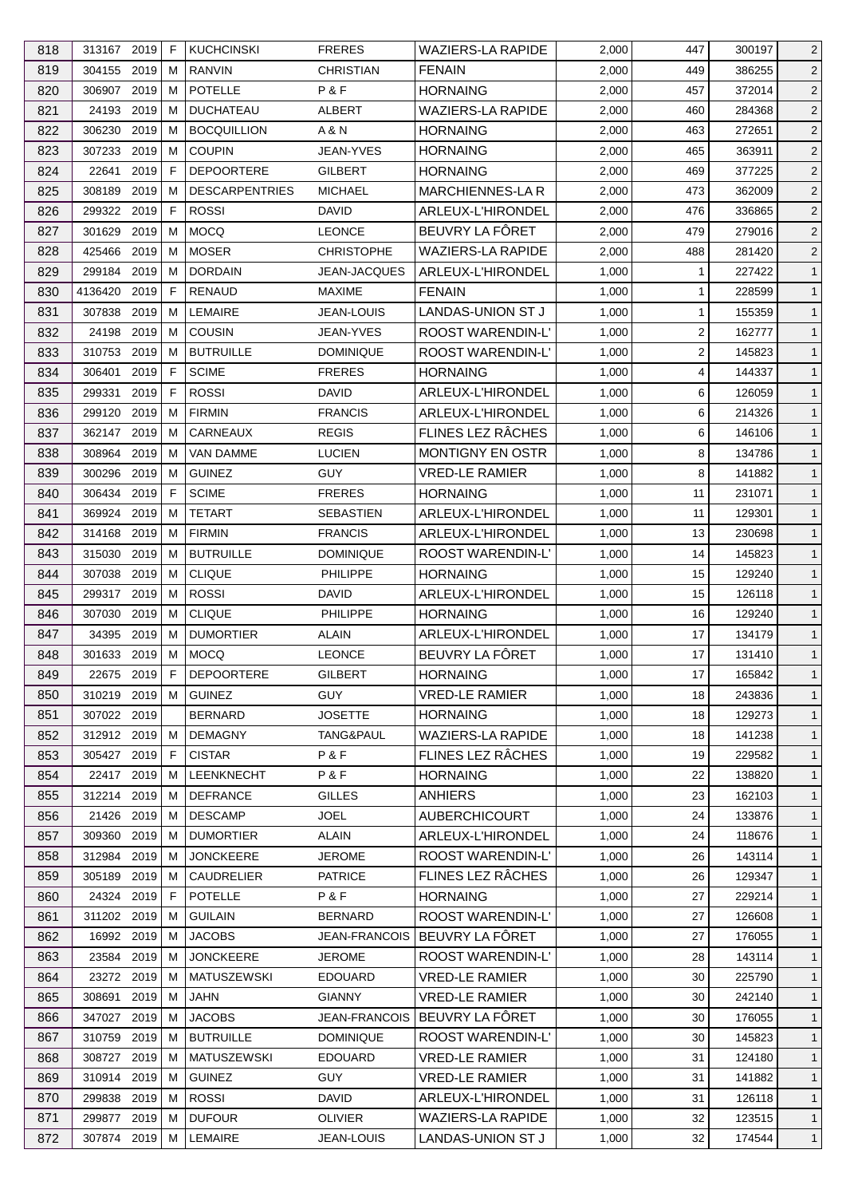| 818 | 313167 2019  |      | F  | <b>KUCHCINSKI</b>     | <b>FRERES</b>        | <b>WAZIERS-LA RAPIDE</b> | 2,000 | 447            | 300197 | $\overline{2}$ |
|-----|--------------|------|----|-----------------------|----------------------|--------------------------|-------|----------------|--------|----------------|
| 819 | 304155 2019  |      | М  | <b>RANVIN</b>         | <b>CHRISTIAN</b>     | <b>FENAIN</b>            | 2,000 | 449            | 386255 | $\overline{2}$ |
| 820 | 306907 2019  |      | м  | <b>POTELLE</b>        | P&F                  | <b>HORNAING</b>          | 2,000 | 457            | 372014 | $\overline{2}$ |
| 821 | 24193 2019   |      | м  | <b>DUCHATEAU</b>      | ALBERT               | <b>WAZIERS-LA RAPIDE</b> | 2,000 | 460            | 284368 | $\overline{2}$ |
| 822 | 306230       | 2019 | м  | <b>BOCQUILLION</b>    | A & N                | <b>HORNAING</b>          | 2,000 | 463            | 272651 | $\overline{c}$ |
| 823 | 307233       | 2019 | м  | <b>COUPIN</b>         | JEAN-YVES            | <b>HORNAING</b>          | 2,000 | 465            | 363911 | $\overline{2}$ |
| 824 | 22641        | 2019 | F. | <b>DEPOORTERE</b>     | <b>GILBERT</b>       | <b>HORNAING</b>          | 2,000 | 469            | 377225 | $\overline{c}$ |
| 825 | 308189 2019  |      | м  | <b>DESCARPENTRIES</b> | <b>MICHAEL</b>       | <b>MARCHIENNES-LAR</b>   | 2,000 | 473            | 362009 | $\overline{c}$ |
| 826 | 299322       | 2019 | F  | <b>ROSSI</b>          | <b>DAVID</b>         | ARLEUX-L'HIRONDEL        | 2,000 | 476            | 336865 | $\overline{2}$ |
| 827 | 301629       | 2019 | м  | <b>MOCQ</b>           | <b>LEONCE</b>        | BEUVRY LA FÔRET          | 2,000 | 479            | 279016 | $\overline{c}$ |
| 828 | 425466       | 2019 | м  | <b>MOSER</b>          | <b>CHRISTOPHE</b>    | <b>WAZIERS-LA RAPIDE</b> | 2,000 | 488            | 281420 | $\overline{2}$ |
| 829 | 299184 2019  |      | м  | <b>DORDAIN</b>        | <b>JEAN-JACQUES</b>  | ARLEUX-L'HIRONDEL        | 1,000 | 1              | 227422 | $\mathbf{1}$   |
| 830 | 4136420 2019 |      | F  | RENAUD                | <b>MAXIME</b>        | <b>FENAIN</b>            | 1,000 | 1              | 228599 | $\mathbf{1}$   |
| 831 | 307838       | 2019 | м  | LEMAIRE               | <b>JEAN-LOUIS</b>    | LANDAS-UNION ST J        | 1,000 | 1              | 155359 | $\mathbf{1}$   |
| 832 | 24198        | 2019 | м  | <b>COUSIN</b>         | <b>JEAN-YVES</b>     | <b>ROOST WARENDIN-L'</b> | 1,000 | $\overline{c}$ | 162777 | $\mathbf{1}$   |
| 833 | 310753       | 2019 | м  | <b>BUTRUILLE</b>      | <b>DOMINIQUE</b>     | ROOST WARENDIN-L'        | 1,000 | 2              | 145823 | $\mathbf{1}$   |
| 834 | 306401       | 2019 | F  | <b>SCIME</b>          | <b>FRERES</b>        | <b>HORNAING</b>          | 1,000 | 4              | 144337 | $\mathbf{1}$   |
| 835 | 299331       | 2019 | F  | <b>ROSSI</b>          | <b>DAVID</b>         | ARLEUX-L'HIRONDEL        | 1,000 | 6              | 126059 | $\mathbf{1}$   |
| 836 | 299120 2019  |      | м  | <b>FIRMIN</b>         | <b>FRANCIS</b>       | ARLEUX-L'HIRONDEL        | 1,000 | 6              | 214326 | $\mathbf{1}$   |
| 837 | 362147       | 2019 | M  | CARNEAUX              | <b>REGIS</b>         | FLINES LEZ RÂCHES        | 1,000 | 6              | 146106 | $\mathbf{1}$   |
| 838 | 308964       | 2019 | м  | VAN DAMME             | <b>LUCIEN</b>        | <b>MONTIGNY EN OSTR</b>  | 1,000 | 8              | 134786 | $\mathbf{1}$   |
| 839 | 300296       | 2019 | м  | <b>GUINEZ</b>         | <b>GUY</b>           | <b>VRED-LE RAMIER</b>    | 1,000 | 8              | 141882 | $\mathbf{1}$   |
|     |              |      |    |                       |                      |                          |       |                |        |                |
| 840 | 306434 2019  |      | F  | <b>SCIME</b>          | <b>FRERES</b>        | <b>HORNAING</b>          | 1,000 | 11             | 231071 | $\mathbf{1}$   |
| 841 | 369924       | 2019 | м  | <b>TETART</b>         | <b>SEBASTIEN</b>     | ARLEUX-L'HIRONDEL        | 1,000 | 11             | 129301 | $\mathbf{1}$   |
| 842 | 314168       | 2019 | м  | <b>FIRMIN</b>         | <b>FRANCIS</b>       | ARLEUX-L'HIRONDEL        | 1,000 | 13             | 230698 | $\mathbf{1}$   |
| 843 | 315030       | 2019 | м  | <b>BUTRUILLE</b>      | <b>DOMINIQUE</b>     | <b>ROOST WARENDIN-L'</b> | 1,000 | 14             | 145823 | $\mathbf{1}$   |
| 844 | 307038       | 2019 | м  | <b>CLIQUE</b>         | <b>PHILIPPE</b>      | <b>HORNAING</b>          | 1,000 | 15             | 129240 | $\mathbf{1}$   |
| 845 | 299317 2019  |      | м  | <b>ROSSI</b>          | DAVID                | ARLEUX-L'HIRONDEL        | 1,000 | 15             | 126118 | $\mathbf{1}$   |
| 846 | 307030       | 2019 | м  | <b>CLIQUE</b>         | PHILIPPE             | <b>HORNAING</b>          | 1,000 | 16             | 129240 | $\mathbf{1}$   |
| 847 | 34395        | 2019 | м  | <b>DUMORTIER</b>      | ALAIN                | ARLEUX-L'HIRONDEL        | 1,000 | 17             | 134179 | $\mathbf{1}$   |
| 848 | 301633       | 2019 | М  | <b>MOCQ</b>           | <b>LEONCE</b>        | BEUVRY LA FÔRET          | 1,000 | 17             | 131410 | $\mathbf{1}$   |
| 849 | 22675 2019   |      | F  | <b>DEPOORTERE</b>     | <b>GILBERT</b>       | <b>HORNAING</b>          | 1,000 | 17             | 165842 | $\mathbf{1}$   |
| 850 | 310219 2019  |      | M  | <b>GUINEZ</b>         | <b>GUY</b>           | <b>VRED-LE RAMIER</b>    | 1,000 | 18             | 243836 | $\mathbf{1}$   |
| 851 | 307022 2019  |      |    | <b>BERNARD</b>        | <b>JOSETTE</b>       | <b>HORNAING</b>          | 1,000 | 18             | 129273 | $\mathbf{1}$   |
| 852 | 312912 2019  |      | м  | <b>DEMAGNY</b>        | TANG&PAUL            | WAZIERS-LA RAPIDE        | 1,000 | 18             | 141238 | $\mathbf{1}$   |
| 853 | 305427 2019  |      | F  | <b>CISTAR</b>         | P&F                  | FLINES LEZ RÂCHES        | 1,000 | 19             | 229582 | $\mathbf{1}$   |
| 854 | 22417 2019   |      | м  | <b>LEENKNECHT</b>     | P&F                  | <b>HORNAING</b>          | 1,000 | 22             | 138820 | $\mathbf{1}$   |
| 855 | 312214 2019  |      | м  | <b>DEFRANCE</b>       | <b>GILLES</b>        | <b>ANHIERS</b>           | 1,000 | 23             | 162103 | $\mathbf{1}$   |
| 856 | 21426 2019   |      | м  | <b>DESCAMP</b>        | <b>JOEL</b>          | <b>AUBERCHICOURT</b>     | 1,000 | 24             | 133876 | $\mathbf{1}$   |
| 857 | 309360 2019  |      | м  | <b>DUMORTIER</b>      | ALAIN                | ARLEUX-L'HIRONDEL        | 1,000 | 24             | 118676 | $\mathbf{1}$   |
| 858 | 312984 2019  |      | м  | <b>JONCKEERE</b>      | <b>JEROME</b>        | <b>ROOST WARENDIN-L'</b> | 1,000 | 26             | 143114 | $\mathbf{1}$   |
| 859 | 305189       | 2019 | м  | <b>CAUDRELIER</b>     | <b>PATRICE</b>       | FLINES LEZ RÂCHES        | 1,000 | 26             | 129347 | $\mathbf{1}$   |
| 860 | 24324 2019   |      | F. | <b>POTELLE</b>        | P&F                  | <b>HORNAING</b>          | 1,000 | 27             | 229214 | $\mathbf{1}$   |
| 861 | 311202 2019  |      | м  | <b>GUILAIN</b>        | <b>BERNARD</b>       | ROOST WARENDIN-L'        | 1,000 | 27             | 126608 | $\mathbf{1}$   |
| 862 | 16992 2019   |      | м  | <b>JACOBS</b>         | <b>JEAN-FRANCOIS</b> | BEUVRY LA FÔRET          | 1,000 | 27             | 176055 | $\mathbf{1}$   |
| 863 | 23584        | 2019 | м  | <b>JONCKEERE</b>      | <b>JEROME</b>        | ROOST WARENDIN-L'        | 1,000 | 28             | 143114 | $\mathbf{1}$   |
| 864 | 23272 2019   |      | м  | <b>MATUSZEWSKI</b>    | <b>EDOUARD</b>       | <b>VRED-LE RAMIER</b>    | 1,000 | 30             | 225790 | $\mathbf{1}$   |
| 865 | 308691       | 2019 | м  | JAHN                  | <b>GIANNY</b>        | <b>VRED-LE RAMIER</b>    | 1,000 | 30             | 242140 | $\mathbf{1}$   |
| 866 | 347027       | 2019 | м  | <b>JACOBS</b>         | <b>JEAN-FRANCOIS</b> | BEUVRY LA FÔRET          | 1,000 | 30             | 176055 | $\mathbf{1}$   |
| 867 | 310759       | 2019 | м  | <b>BUTRUILLE</b>      | <b>DOMINIQUE</b>     | ROOST WARENDIN-L'        | 1,000 | 30             | 145823 | $\mathbf{1}$   |
| 868 | 308727 2019  |      | м  | <b>MATUSZEWSKI</b>    | <b>EDOUARD</b>       | <b>VRED-LE RAMIER</b>    | 1,000 | 31             | 124180 | $\mathbf{1}$   |
| 869 | 310914 2019  |      | м  | <b>GUINEZ</b>         | GUY.                 | <b>VRED-LE RAMIER</b>    | 1,000 | 31             | 141882 | $\mathbf{1}$   |
| 870 | 299838 2019  |      | м  | <b>ROSSI</b>          | <b>DAVID</b>         | ARLEUX-L'HIRONDEL        | 1,000 | 31             | 126118 | $\mathbf{1}$   |
| 871 | 299877 2019  |      | м  | <b>DUFOUR</b>         | <b>OLIVIER</b>       | <b>WAZIERS-LA RAPIDE</b> | 1,000 | 32             | 123515 | $\mathbf{1}$   |
|     |              |      |    | LEMAIRE               |                      |                          |       |                | 174544 |                |
| 872 | 307874 2019  |      | м  |                       | JEAN-LOUIS           | LANDAS-UNION ST J        | 1,000 | 32             |        | $\overline{1}$ |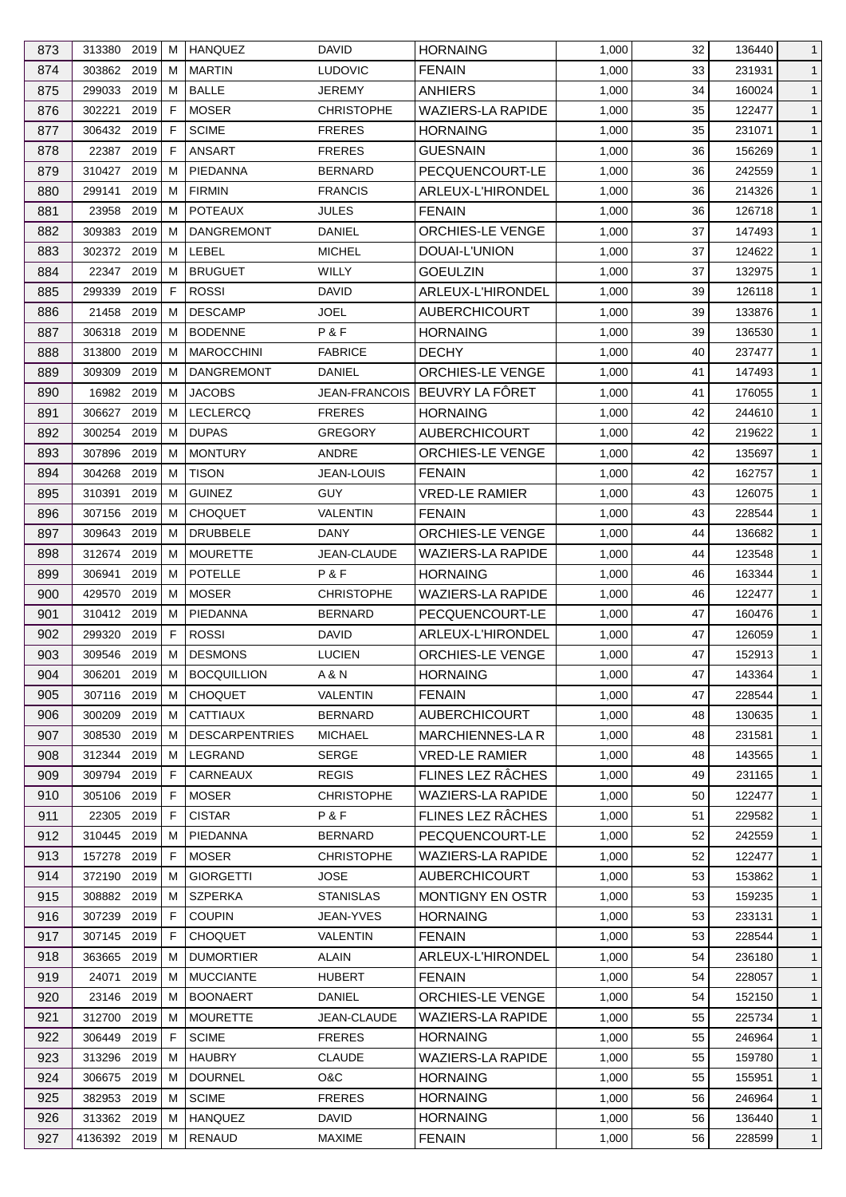| 873 | 313380 2019  |          | м | <b>HANQUEZ</b>        | <b>DAVID</b>         | <b>HORNAING</b>          | 1,000 | 32       | 136440 | $\mathbf{1}$ |
|-----|--------------|----------|---|-----------------------|----------------------|--------------------------|-------|----------|--------|--------------|
| 874 | 303862 2019  |          | м | <b>MARTIN</b>         | <b>LUDOVIC</b>       | <b>FENAIN</b>            | 1,000 | 33       | 231931 | $\mathbf{1}$ |
| 875 | 299033       | 2019     | м | <b>BALLE</b>          | JEREMY               | <b>ANHIERS</b>           | 1,000 | 34       | 160024 | $\mathbf{1}$ |
| 876 | 302221       | 2019     | F | <b>MOSER</b>          | <b>CHRISTOPHE</b>    | <b>WAZIERS-LA RAPIDE</b> | 1,000 | 35       | 122477 | $\mathbf{1}$ |
| 877 | 306432 2019  |          | F | <b>SCIME</b>          | <b>FRERES</b>        | <b>HORNAING</b>          | 1,000 | 35       | 231071 | $\mathbf{1}$ |
| 878 | 22387        | 2019     | F | <b>ANSART</b>         | <b>FRERES</b>        | <b>GUESNAIN</b>          | 1,000 | 36       | 156269 | $\mathbf{1}$ |
| 879 | 310427       | 2019     | м | PIEDANNA              | <b>BERNARD</b>       | PECQUENCOURT-LE          | 1,000 | 36       | 242559 | $\mathbf{1}$ |
| 880 | 299141       | 2019     | м | <b>FIRMIN</b>         | <b>FRANCIS</b>       | ARLEUX-L'HIRONDEL        | 1,000 | 36       | 214326 | $\mathbf{1}$ |
| 881 | 23958        | 2019     | M | <b>POTEAUX</b>        | <b>JULES</b>         | <b>FENAIN</b>            | 1,000 | 36       | 126718 | $\mathbf{1}$ |
| 882 | 309383       | 2019     | м | <b>DANGREMONT</b>     | DANIEL               | <b>ORCHIES-LE VENGE</b>  | 1,000 | 37       | 147493 | $\mathbf{1}$ |
| 883 | 302372 2019  |          | М | LEBEL                 | <b>MICHEL</b>        | DOUAI-L'UNION            | 1,000 | 37       | 124622 | $\mathbf{1}$ |
| 884 | 22347 2019   |          | м | <b>BRUGUET</b>        | WILLY                | <b>GOEULZIN</b>          | 1,000 | 37       | 132975 | $\mathbf{1}$ |
| 885 | 299339       | 2019     | F | <b>ROSSI</b>          | DAVID                | ARLEUX-L'HIRONDEL        | 1,000 | 39       | 126118 | $\mathbf{1}$ |
| 886 | 21458        | 2019     | м | <b>DESCAMP</b>        | JOEL                 | <b>AUBERCHICOURT</b>     | 1,000 | 39       | 133876 | $\mathbf{1}$ |
| 887 | 306318       | 2019     | м | <b>BODENNE</b>        | P&F                  | <b>HORNAING</b>          | 1,000 | 39       | 136530 | $\mathbf{1}$ |
| 888 | 313800       | 2019     | м | <b>MAROCCHINI</b>     | <b>FABRICE</b>       | <b>DECHY</b>             | 1,000 | 40       | 237477 | $\mathbf{1}$ |
| 889 | 309309       | 2019     | м | <b>DANGREMONT</b>     | DANIEL               | <b>ORCHIES-LE VENGE</b>  | 1,000 | 41       | 147493 | $\mathbf{1}$ |
| 890 | 16982 2019   |          | м | <b>JACOBS</b>         | <b>JEAN-FRANCOIS</b> | BEUVRY LA FÔRET          | 1,000 | 41       | 176055 | $\mathbf{1}$ |
|     |              |          |   |                       |                      |                          |       |          |        |              |
| 891 | 306627 2019  |          | м | <b>LECLERCQ</b>       | <b>FRERES</b>        | <b>HORNAING</b>          | 1,000 | 42       | 244610 | $\mathbf{1}$ |
| 892 | 300254       | 2019     | M | <b>DUPAS</b>          | <b>GREGORY</b>       | <b>AUBERCHICOURT</b>     | 1,000 | 42       | 219622 | $\mathbf{1}$ |
| 893 | 307896       | 2019     | м | <b>MONTURY</b>        | ANDRE                | ORCHIES-LE VENGE         | 1,000 | 42       | 135697 | $\mathbf{1}$ |
| 894 | 304268       | 2019     | м | <b>TISON</b>          | <b>JEAN-LOUIS</b>    | <b>FENAIN</b>            | 1,000 | 42       | 162757 | $\mathbf{1}$ |
| 895 | 310391       | 2019     | м | <b>GUINEZ</b>         | <b>GUY</b>           | <b>VRED-LE RAMIER</b>    | 1,000 | 43       | 126075 | $\mathbf{1}$ |
| 896 | 307156 2019  |          | м | <b>CHOQUET</b>        | <b>VALENTIN</b>      | <b>FENAIN</b>            | 1,000 | 43       | 228544 | $\mathbf{1}$ |
| 897 | 309643       | 2019     | м | <b>DRUBBELE</b>       | DANY                 | ORCHIES-LE VENGE         | 1,000 | 44       | 136682 | $\mathbf{1}$ |
| 898 | 312674 2019  |          | м | <b>MOURETTE</b>       | JEAN-CLAUDE          | <b>WAZIERS-LA RAPIDE</b> | 1,000 | 44       | 123548 | $\mathbf{1}$ |
| 899 | 306941       | 2019     | м | <b>POTELLE</b>        | P&F                  | <b>HORNAING</b>          | 1,000 | 46       | 163344 | $\mathbf{1}$ |
| 900 | 429570       | 2019     | м | <b>MOSER</b>          | <b>CHRISTOPHE</b>    | <b>WAZIERS-LA RAPIDE</b> | 1,000 | 46       | 122477 | $\mathbf{1}$ |
| 901 | 310412 2019  |          | м | PIEDANNA              | <b>BERNARD</b>       | PECQUENCOURT-LE          | 1,000 | 47       | 160476 | $\mathbf{1}$ |
| 902 | 299320       | 2019     | F | <b>ROSSI</b>          | DAVID                | <b>ARLEUX-L'HIRONDEL</b> | 1,000 | 47       | 126059 | $\mathbf{1}$ |
| 903 | 309546       | 2019     | M | <b>DESMONS</b>        | <b>LUCIEN</b>        | <b>ORCHIES-LE VENGE</b>  | 1,000 | 47       | 152913 | $\mathbf{1}$ |
| 904 | 306201       | $2019$ M |   | <b>BOCQUILLION</b>    | A & N                | <b>HORNAING</b>          | 1,000 | 47       | 143364 | $\mathbf{1}$ |
| 905 | 307116 2019  |          | М | <b>CHOQUET</b>        | <b>VALENTIN</b>      | <b>FENAIN</b>            | 1,000 | 47       | 228544 | $\mathbf{1}$ |
| 906 | 300209       | 2019     | м | <b>CATTIAUX</b>       | <b>BERNARD</b>       | <b>AUBERCHICOURT</b>     | 1,000 | 48       | 130635 | $\mathbf{1}$ |
| 907 | 308530       | 2019     | м | <b>DESCARPENTRIES</b> | <b>MICHAEL</b>       | MARCHIENNES-LA R         | 1,000 | 48       | 231581 | $\mathbf{1}$ |
| 908 | 312344       | 2019     | м | LEGRAND               | <b>SERGE</b>         | <b>VRED-LE RAMIER</b>    | 1,000 | 48       | 143565 | $\mathbf{1}$ |
| 909 | 309794 2019  |          | F | CARNEAUX              | <b>REGIS</b>         | FLINES LEZ RÂCHES        | 1,000 | 49       | 231165 | $\mathbf{1}$ |
| 910 | 305106 2019  |          | F | <b>MOSER</b>          | <b>CHRISTOPHE</b>    | <b>WAZIERS-LA RAPIDE</b> | 1,000 | 50       | 122477 | $\mathbf{1}$ |
| 911 | 22305        | 2019     | F | <b>CISTAR</b>         | P&F                  | FLINES LEZ RÂCHES        | 1,000 | 51       | 229582 | $\mathbf{1}$ |
| 912 | 310445 2019  |          | м | PIEDANNA              | <b>BERNARD</b>       | PECQUENCOURT-LE          | 1,000 | 52       | 242559 | $\mathbf{1}$ |
| 913 | 157278 2019  |          | F | <b>MOSER</b>          | <b>CHRISTOPHE</b>    | <b>WAZIERS-LA RAPIDE</b> | 1,000 | 52       | 122477 | $\mathbf{1}$ |
| 914 | 372190       | 2019     | M | <b>GIORGETTI</b>      | <b>JOSE</b>          | <b>AUBERCHICOURT</b>     | 1,000 | 53       | 153862 | $\mathbf{1}$ |
| 915 | 308882 2019  |          | м | <b>SZPERKA</b>        | <b>STANISLAS</b>     | <b>MONTIGNY EN OSTR</b>  | 1,000 | 53       | 159235 | $\mathbf{1}$ |
| 916 | 307239       | 2019     | F | <b>COUPIN</b>         | JEAN-YVES            | <b>HORNAING</b>          | 1,000 | 53       | 233131 | $\mathbf{1}$ |
| 917 | 307145 2019  |          | F | <b>CHOQUET</b>        | VALENTIN             | <b>FENAIN</b>            | 1,000 | 53       | 228544 | $\mathbf{1}$ |
| 918 | 363665       | 2019     | м | <b>DUMORTIER</b>      | ALAIN                | ARLEUX-L'HIRONDEL        | 1,000 | 54       | 236180 | $\mathbf{1}$ |
| 919 | 24071        | 2019     | м | <b>MUCCIANTE</b>      | <b>HUBERT</b>        | <b>FENAIN</b>            | 1,000 | 54       | 228057 | $\mathbf{1}$ |
| 920 | 23146 2019   |          | м | <b>BOONAERT</b>       | DANIEL               | ORCHIES-LE VENGE         | 1,000 | 54       | 152150 | $\mathbf{1}$ |
| 921 | 312700 2019  |          | м | <b>MOURETTE</b>       | JEAN-CLAUDE          | <b>WAZIERS-LA RAPIDE</b> | 1,000 | 55       | 225734 | $\mathbf{1}$ |
|     |              | 2019     |   | <b>SCIME</b>          |                      |                          |       |          |        |              |
| 922 | 306449       |          | F | <b>HAUBRY</b>         | <b>FRERES</b>        | <b>HORNAING</b>          | 1,000 | 55<br>55 | 246964 | $\mathbf{1}$ |
| 923 | 313296 2019  |          | м |                       | <b>CLAUDE</b>        | <b>WAZIERS-LA RAPIDE</b> | 1,000 |          | 159780 | $\mathbf{1}$ |
| 924 | 306675       | 2019     | м | <b>DOURNEL</b>        | O&C                  | <b>HORNAING</b>          | 1,000 | 55       | 155951 | $\mathbf{1}$ |
| 925 | 382953 2019  |          | м | <b>SCIME</b>          | <b>FRERES</b>        | <b>HORNAING</b>          | 1,000 | 56       | 246964 | $\mathbf{1}$ |
| 926 | 313362 2019  |          | м | <b>HANQUEZ</b>        | DAVID                | <b>HORNAING</b>          | 1,000 | 56       | 136440 | $\mathbf{1}$ |
| 927 | 4136392 2019 |          | м | <b>RENAUD</b>         | <b>MAXIME</b>        | <b>FENAIN</b>            | 1,000 | 56       | 228599 | $\mathbf{1}$ |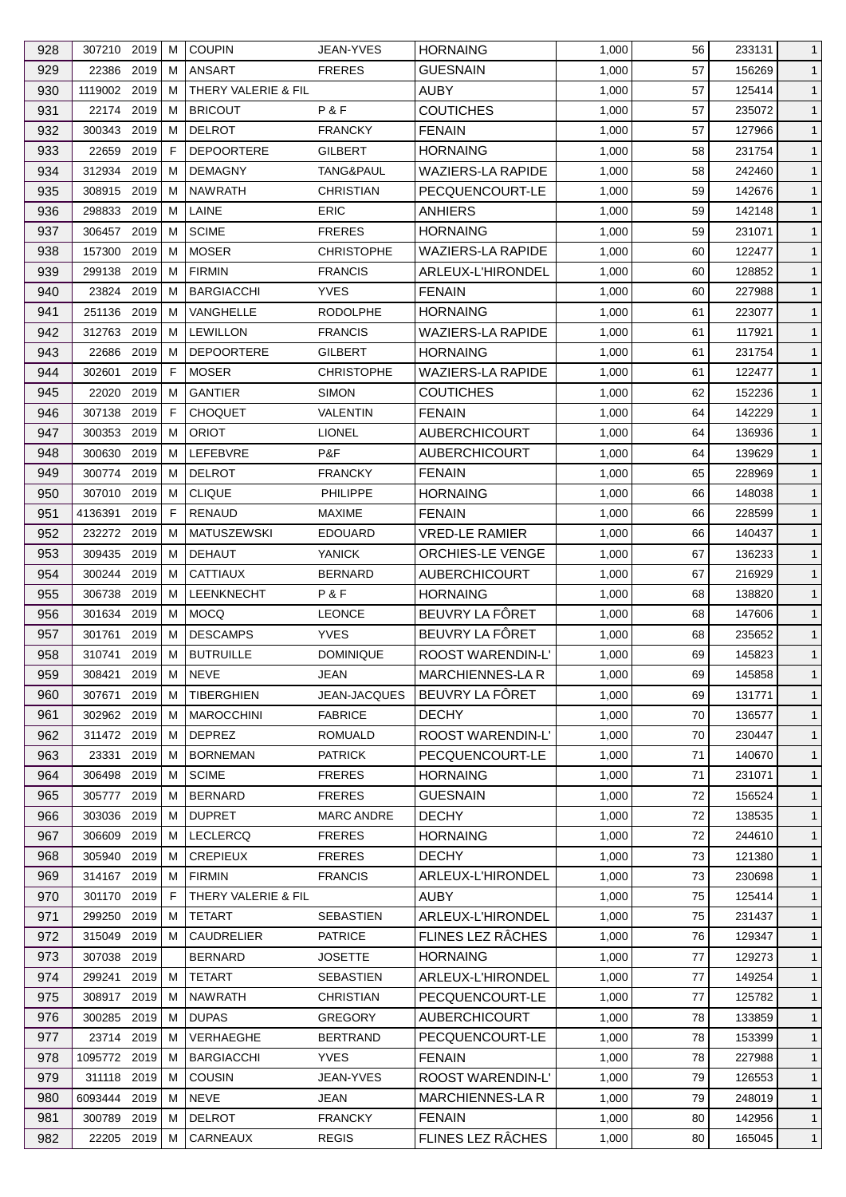| 928 | 307210 2019  |          | м | <b>COUPIN</b>       | <b>JEAN-YVES</b>  | <b>HORNAING</b>          | 1,000 | 56 | 233131 | $\mathbf{1}$ |
|-----|--------------|----------|---|---------------------|-------------------|--------------------------|-------|----|--------|--------------|
| 929 | 22386 2019   |          | м | <b>ANSART</b>       | <b>FRERES</b>     | <b>GUESNAIN</b>          | 1,000 | 57 | 156269 | $\mathbf{1}$ |
| 930 | 1119002 2019 |          | м | THERY VALERIE & FIL |                   | <b>AUBY</b>              | 1,000 | 57 | 125414 | $\mathbf{1}$ |
| 931 | 22174 2019   |          | м | <b>BRICOUT</b>      | P&F               | <b>COUTICHES</b>         | 1,000 | 57 | 235072 | $\mathbf{1}$ |
| 932 | 300343       | 2019     | м | <b>DELROT</b>       | <b>FRANCKY</b>    | <b>FENAIN</b>            | 1,000 | 57 | 127966 | $\mathbf{1}$ |
| 933 | 22659        | 2019     | F | <b>DEPOORTERE</b>   | GILBERT           | <b>HORNAING</b>          | 1,000 | 58 | 231754 | $\mathbf{1}$ |
| 934 | 312934       | 2019     | м | <b>DEMAGNY</b>      | TANG&PAUL         | <b>WAZIERS-LA RAPIDE</b> | 1,000 | 58 | 242460 | $\mathbf{1}$ |
| 935 | 308915       | 2019     | м | <b>NAWRATH</b>      | <b>CHRISTIAN</b>  | PECQUENCOURT-LE          | 1,000 | 59 | 142676 | $\mathbf{1}$ |
| 936 | 298833       | 2019     | M | LAINE               | <b>ERIC</b>       | <b>ANHIERS</b>           | 1,000 | 59 | 142148 | $\mathbf{1}$ |
| 937 | 306457       | 2019     | м | <b>SCIME</b>        | <b>FRERES</b>     | <b>HORNAING</b>          | 1,000 | 59 | 231071 | $\mathbf{1}$ |
| 938 | 157300       | 2019     | м | <b>MOSER</b>        | <b>CHRISTOPHE</b> | <b>WAZIERS-LA RAPIDE</b> | 1,000 | 60 | 122477 | $\mathbf{1}$ |
| 939 | 299138       | 2019     | м | <b>FIRMIN</b>       | <b>FRANCIS</b>    | ARLEUX-L'HIRONDEL        | 1,000 | 60 | 128852 | $\mathbf{1}$ |
| 940 | 23824        | 2019     | м | <b>BARGIACCHI</b>   | <b>YVES</b>       | <b>FENAIN</b>            | 1,000 | 60 | 227988 | $\mathbf{1}$ |
| 941 | 251136       | 2019     | м | VANGHELLE           | <b>RODOLPHE</b>   | <b>HORNAING</b>          | 1,000 | 61 | 223077 | $\mathbf{1}$ |
| 942 | 312763       | 2019     | м | <b>LEWILLON</b>     | <b>FRANCIS</b>    | <b>WAZIERS-LA RAPIDE</b> | 1,000 | 61 | 117921 | $\mathbf{1}$ |
| 943 | 22686        | 2019     | м | <b>DEPOORTERE</b>   | GILBERT           | <b>HORNAING</b>          | 1,000 | 61 | 231754 | $\mathbf{1}$ |
| 944 | 302601       | 2019     | F | <b>MOSER</b>        | <b>CHRISTOPHE</b> | <b>WAZIERS-LA RAPIDE</b> | 1,000 | 61 | 122477 | $\mathbf{1}$ |
| 945 | 22020        | 2019     | м | <b>GANTIER</b>      | <b>SIMON</b>      | <b>COUTICHES</b>         | 1,000 | 62 | 152236 | $\mathbf{1}$ |
| 946 | 307138       | 2019     | F | <b>CHOQUET</b>      | <b>VALENTIN</b>   | <b>FENAIN</b>            | 1,000 | 64 | 142229 | $\mathbf{1}$ |
| 947 | 300353       | 2019     | M | <b>ORIOT</b>        | <b>LIONEL</b>     | <b>AUBERCHICOURT</b>     | 1,000 | 64 | 136936 | $\mathbf{1}$ |
| 948 | 300630       | 2019     | м | LEFEBVRE            | P&F               | <b>AUBERCHICOURT</b>     | 1,000 | 64 | 139629 | $\mathbf{1}$ |
| 949 | 300774       | 2019     | м | <b>DELROT</b>       | <b>FRANCKY</b>    | <b>FENAIN</b>            | 1,000 | 65 | 228969 | $\mathbf{1}$ |
| 950 | 307010 2019  |          | м | <b>CLIQUE</b>       | <b>PHILIPPE</b>   | <b>HORNAING</b>          | 1,000 | 66 | 148038 | $\mathbf{1}$ |
| 951 | 4136391      | 2019     | F | <b>RENAUD</b>       | <b>MAXIME</b>     | <b>FENAIN</b>            | 1,000 | 66 | 228599 | $\mathbf{1}$ |
|     |              | 2019     | м |                     |                   |                          |       |    |        |              |
| 952 | 232272       |          |   | <b>MATUSZEWSKI</b>  | <b>EDOUARD</b>    | <b>VRED-LE RAMIER</b>    | 1,000 | 66 | 140437 | $\mathbf{1}$ |
| 953 | 309435       | 2019     | м | <b>DEHAUT</b>       | <b>YANICK</b>     | ORCHIES-LE VENGE         | 1,000 | 67 | 136233 | $\mathbf{1}$ |
| 954 | 300244       | 2019     | м | <b>CATTIAUX</b>     | <b>BERNARD</b>    | <b>AUBERCHICOURT</b>     | 1,000 | 67 | 216929 | $\mathbf{1}$ |
| 955 | 306738       | 2019     | м | LEENKNECHT          | P&F               | <b>HORNAING</b>          | 1,000 | 68 | 138820 | $\mathbf{1}$ |
| 956 | 301634       | 2019     | м | <b>MOCQ</b>         | <b>LEONCE</b>     | BEUVRY LA FÔRET          | 1,000 | 68 | 147606 | $\mathbf{1}$ |
| 957 | 301761       | 2019     | м | <b>DESCAMPS</b>     | <b>YVES</b>       | BEUVRY LA FÔRET          | 1,000 | 68 | 235652 | $\mathbf{1}$ |
| 958 | 310741       | 2019     | M | <b>BUTRUILLE</b>    | <b>DOMINIQUE</b>  | ROOST WARENDIN-L'        | 1,000 | 69 | 145823 | $\mathbf{1}$ |
| 959 | 308421       | $2019$ M |   | <b>NEVE</b>         | JEAN              | MARCHIENNES-LA R         | 1,000 | 69 | 145858 | $\mathbf{1}$ |
| 960 | 307671 2019  |          | М | TIBERGHIEN          | JEAN-JACQUES      | BEUVRY LA FÔRET          | 1,000 | 69 | 131771 | $\mathbf{1}$ |
| 961 | 302962 2019  |          | м | <b>MAROCCHINI</b>   | <b>FABRICE</b>    | <b>DECHY</b>             | 1,000 | 70 | 136577 | $\mathbf{1}$ |
| 962 | 311472 2019  |          | м | <b>DEPREZ</b>       | <b>ROMUALD</b>    | ROOST WARENDIN-L'        | 1,000 | 70 | 230447 | $\mathbf{1}$ |
| 963 | 23331        | 2019     | м | <b>BORNEMAN</b>     | <b>PATRICK</b>    | PECQUENCOURT-LE          | 1,000 | 71 | 140670 | $\mathbf{1}$ |
| 964 | 306498 2019  |          | м | <b>SCIME</b>        | <b>FRERES</b>     | <b>HORNAING</b>          | 1,000 | 71 | 231071 | $\mathbf{1}$ |
| 965 | 305777 2019  |          | м | <b>BERNARD</b>      | <b>FRERES</b>     | <b>GUESNAIN</b>          | 1,000 | 72 | 156524 | $\mathbf{1}$ |
| 966 | 303036       | 2019     | м | <b>DUPRET</b>       | <b>MARC ANDRE</b> | <b>DECHY</b>             | 1,000 | 72 | 138535 | $\mathbf{1}$ |
| 967 | 306609       | 2019     | M | <b>LECLERCQ</b>     | <b>FRERES</b>     | <b>HORNAING</b>          | 1,000 | 72 | 244610 | $\mathbf{1}$ |
| 968 | 305940 2019  |          | м | <b>CREPIEUX</b>     | <b>FRERES</b>     | <b>DECHY</b>             | 1,000 | 73 | 121380 | $\mathbf{1}$ |
| 969 | 314167 2019  |          | м | <b>FIRMIN</b>       | <b>FRANCIS</b>    | ARLEUX-L'HIRONDEL        | 1,000 | 73 | 230698 | $\mathbf{1}$ |
| 970 | 301170 2019  |          | F | THERY VALERIE & FIL |                   | AUBY                     | 1,000 | 75 | 125414 | $\mathbf{1}$ |
| 971 | 299250       | 2019     | м | <b>TETART</b>       | <b>SEBASTIEN</b>  | ARLEUX-L'HIRONDEL        | 1,000 | 75 | 231437 | $\mathbf{1}$ |
| 972 | 315049 2019  |          | M | <b>CAUDRELIER</b>   | <b>PATRICE</b>    | FLINES LEZ RÂCHES        | 1,000 | 76 | 129347 | $\mathbf{1}$ |
| 973 | 307038       | 2019     |   | <b>BERNARD</b>      | <b>JOSETTE</b>    | <b>HORNAING</b>          | 1,000 | 77 | 129273 | $\mathbf{1}$ |
| 974 | 299241       | 2019     | м | <b>TETART</b>       | <b>SEBASTIEN</b>  | ARLEUX-L'HIRONDEL        | 1,000 | 77 | 149254 | $\mathbf{1}$ |
| 975 | 308917 2019  |          | м | <b>NAWRATH</b>      | <b>CHRISTIAN</b>  | PECQUENCOURT-LE          | 1,000 | 77 | 125782 | $\mathbf{1}$ |
| 976 | 300285 2019  |          | м | <b>DUPAS</b>        | <b>GREGORY</b>    | <b>AUBERCHICOURT</b>     | 1,000 | 78 | 133859 | $\mathbf{1}$ |
| 977 | 23714 2019   |          | M | VERHAEGHE           | <b>BERTRAND</b>   | PECQUENCOURT-LE          | 1,000 | 78 | 153399 | $\mathbf{1}$ |
| 978 | 1095772 2019 |          | м | <b>BARGIACCHI</b>   | <b>YVES</b>       | <b>FENAIN</b>            | 1,000 | 78 | 227988 | $\mathbf{1}$ |
| 979 | 311118 2019  |          | м | <b>COUSIN</b>       | <b>JEAN-YVES</b>  | <b>ROOST WARENDIN-L'</b> | 1,000 | 79 | 126553 | $\mathbf{1}$ |
| 980 | 6093444 2019 |          | м | <b>NEVE</b>         | <b>JEAN</b>       | <b>MARCHIENNES-LA R</b>  | 1,000 | 79 | 248019 | $\mathbf{1}$ |
| 981 | 300789 2019  |          | м | <b>DELROT</b>       | <b>FRANCKY</b>    | <b>FENAIN</b>            | 1,000 | 80 | 142956 | $\mathbf{1}$ |
| 982 | 22205 2019   |          | М | CARNEAUX            | <b>REGIS</b>      | FLINES LEZ RÂCHES        | 1,000 | 80 | 165045 | $\mathbf{1}$ |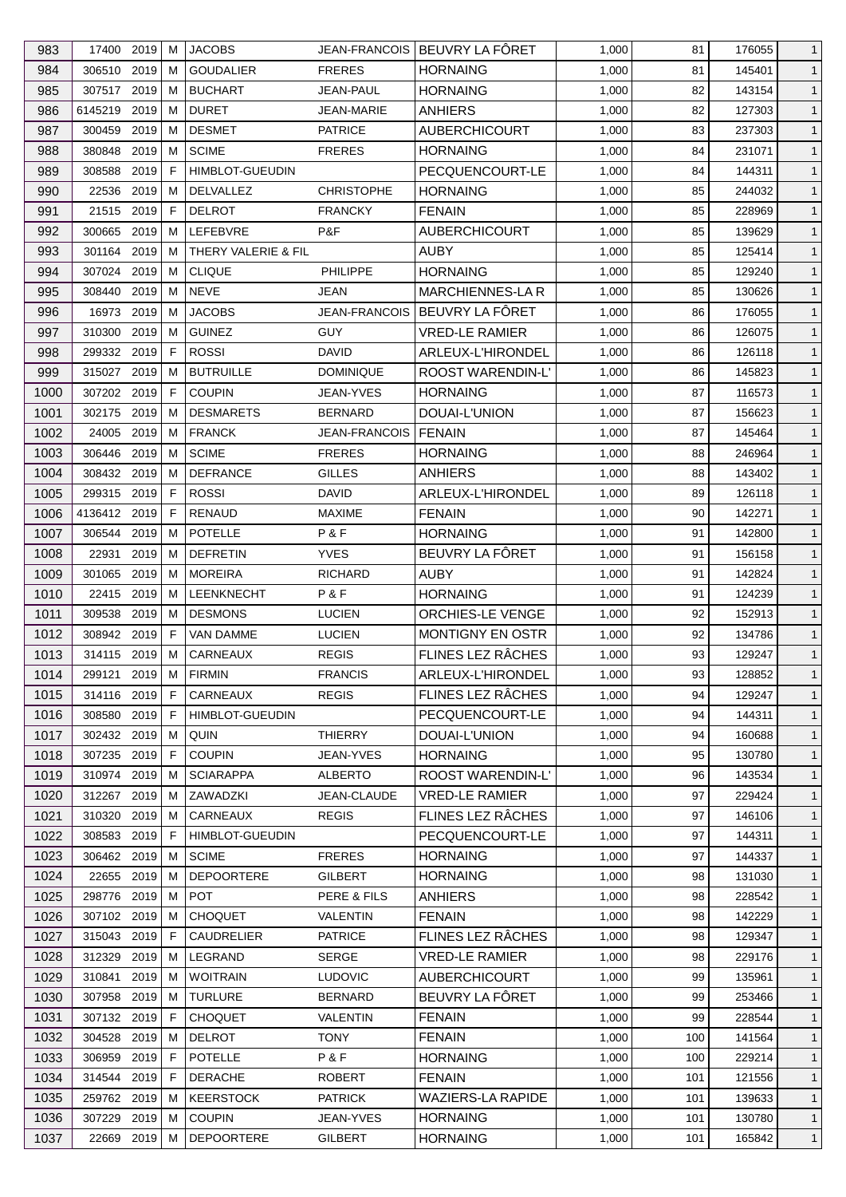| 983  | 17400 2019    |      | M  | <b>JACOBS</b>          |                      | JEAN-FRANCOIS   BEUVRY LA FÔRET | 1,000 | 81  | 176055 | $\mathbf{1}$ |
|------|---------------|------|----|------------------------|----------------------|---------------------------------|-------|-----|--------|--------------|
| 984  | 306510        | 2019 | M  | <b>GOUDALIER</b>       | <b>FRERES</b>        | <b>HORNAING</b>                 | 1,000 | 81  | 145401 | $\mathbf{1}$ |
| 985  | 307517 2019   |      | M  | <b>BUCHART</b>         | <b>JEAN-PAUL</b>     | <b>HORNAING</b>                 | 1,000 | 82  | 143154 | $\mathbf{1}$ |
| 986  | 6145219 2019  |      | M  | <b>DURET</b>           | JEAN-MARIE           | <b>ANHIERS</b>                  | 1,000 | 82  | 127303 | $\mathbf{1}$ |
| 987  | 300459        | 2019 | М  | <b>DESMET</b>          | <b>PATRICE</b>       | <b>AUBERCHICOURT</b>            | 1,000 | 83  | 237303 | $\mathbf{1}$ |
| 988  | 380848        | 2019 | M  | <b>SCIME</b>           | <b>FRERES</b>        | <b>HORNAING</b>                 | 1,000 | 84  | 231071 | $\mathbf{1}$ |
| 989  | 308588        | 2019 | F  | HIMBLOT-GUEUDIN        |                      | PECQUENCOURT-LE                 | 1,000 | 84  | 144311 | $\mathbf{1}$ |
| 990  | 22536 2019    |      | M  | DELVALLEZ              | <b>CHRISTOPHE</b>    | <b>HORNAING</b>                 | 1,000 | 85  | 244032 | $\mathbf{1}$ |
| 991  | 21515         | 2019 | F. | <b>DELROT</b>          | <b>FRANCKY</b>       | <b>FENAIN</b>                   | 1,000 | 85  | 228969 | $\mathbf{1}$ |
| 992  | 300665        | 2019 | M  | LEFEBVRE               | P&F                  | <b>AUBERCHICOURT</b>            | 1,000 | 85  | 139629 | $\mathbf{1}$ |
| 993  | 301164        | 2019 | M  | THERY VALERIE & FIL    |                      | <b>AUBY</b>                     | 1,000 | 85  | 125414 | $\mathbf{1}$ |
| 994  | 307024 2019   |      | M  | <b>CLIQUE</b>          | PHILIPPE             | <b>HORNAING</b>                 | 1,000 | 85  | 129240 | $\mathbf{1}$ |
| 995  | 308440 2019   |      | M  | <b>NEVE</b>            | JEAN                 | <b>MARCHIENNES-LA R</b>         | 1,000 | 85  | 130626 | $\mathbf{1}$ |
| 996  | 16973         | 2019 | м  | <b>JACOBS</b>          | <b>JEAN-FRANCOIS</b> | BEUVRY LA FÔRET                 | 1,000 | 86  | 176055 | $\mathbf{1}$ |
| 997  | 310300        | 2019 | M  | <b>GUINEZ</b>          | <b>GUY</b>           | <b>VRED-LE RAMIER</b>           | 1,000 | 86  | 126075 | $\mathbf{1}$ |
| 998  | 299332 2019   |      | F  | <b>ROSSI</b>           | <b>DAVID</b>         | ARLEUX-L'HIRONDEL               | 1,000 | 86  | 126118 | $\mathbf{1}$ |
| 999  | 315027        | 2019 | M  | <b>BUTRUILLE</b>       | <b>DOMINIQUE</b>     | ROOST WARENDIN-L'               | 1,000 | 86  | 145823 | $\mathbf{1}$ |
|      | 307202 2019   |      | F  | <b>COUPIN</b>          |                      | <b>HORNAING</b>                 |       | 87  |        | $\mathbf{1}$ |
| 1000 |               |      |    |                        | JEAN-YVES            |                                 | 1,000 |     | 116573 |              |
| 1001 | 302175 2019   |      | M  | <b>DESMARETS</b>       | <b>BERNARD</b>       | DOUAI-L'UNION                   | 1,000 | 87  | 156623 | $\mathbf{1}$ |
| 1002 | 24005         | 2019 | M  | <b>FRANCK</b>          | JEAN-FRANCOIS        | FENAIN                          | 1,000 | 87  | 145464 | $\mathbf{1}$ |
| 1003 | 306446        | 2019 | M  | <b>SCIME</b>           | <b>FRERES</b>        | <b>HORNAING</b>                 | 1,000 | 88  | 246964 | $\mathbf{1}$ |
| 1004 | 308432        | 2019 | М  | <b>DEFRANCE</b>        | <b>GILLES</b>        | <b>ANHIERS</b>                  | 1,000 | 88  | 143402 | $\mathbf{1}$ |
| 1005 | 299315 2019   |      | F  | <b>ROSSI</b>           | DAVID                | ARLEUX-L'HIRONDEL               | 1,000 | 89  | 126118 | $\mathbf{1}$ |
| 1006 | 4136412 2019  |      | F  | RENAUD                 | MAXIME               | <b>FENAIN</b>                   | 1,000 | 90  | 142271 | $\mathbf{1}$ |
| 1007 | 306544        | 2019 | M  | POTELLE                | P&F                  | <b>HORNAING</b>                 | 1,000 | 91  | 142800 | $\mathbf{1}$ |
| 1008 | 22931         | 2019 | M  | <b>DEFRETIN</b>        | <b>YVES</b>          | BEUVRY LA FÖRET                 | 1,000 | 91  | 156158 | $\mathbf{1}$ |
| 1009 | 301065        | 2019 | M  | <b>MOREIRA</b>         | <b>RICHARD</b>       | <b>AUBY</b>                     | 1,000 | 91  | 142824 | $\mathbf{1}$ |
| 1010 | 22415         | 2019 | M  | LEENKNECHT             | P&F                  | <b>HORNAING</b>                 | 1,000 | 91  | 124239 | $\mathbf{1}$ |
| 1011 | 309538        | 2019 | М  | <b>DESMONS</b>         | <b>LUCIEN</b>        | ORCHIES-LE VENGE                | 1,000 | 92  | 152913 | $\mathbf{1}$ |
| 1012 | 308942 2019   |      | F. | VAN DAMME              | <b>LUCIEN</b>        | <b>MONTIGNY EN OSTR</b>         | 1,000 | 92  | 134786 | $\mathbf{1}$ |
| 1013 | 314115        | 2019 | M  | CARNEAUX               | <b>REGIS</b>         | <b>FLINES LEZ RÂCHES</b>        | 1,000 | 93  | 129247 | $\mathbf{1}$ |
| 1014 | 299121 2019 M |      |    | <b>FIRMIN</b>          | <b>FRANCIS</b>       | ARLEUX-L'HIRONDEL               | 1,000 | 93  | 128852 | $\mathbf{1}$ |
| 1015 | 314116 2019   |      | F. | CARNEAUX               | <b>REGIS</b>         | FLINES LEZ RÂCHES               | 1,000 | 94  | 129247 | $\mathbf{1}$ |
| 1016 | 308580 2019   |      | E  | <b>HIMBLOT-GUEUDIN</b> |                      | PECQUENCOURT-LE                 | 1,000 | 94  | 144311 | $\mathbf{1}$ |
| 1017 | 302432 2019   |      | M  | QUIN                   | <b>THIERRY</b>       | DOUAI-L'UNION                   | 1,000 | 94  | 160688 | $\mathbf{1}$ |
| 1018 | 307235 2019   |      | F  | <b>COUPIN</b>          | JEAN-YVES            | <b>HORNAING</b>                 | 1,000 | 95  | 130780 | $\mathbf{1}$ |
| 1019 | 310974 2019   |      | M  | <b>SCIARAPPA</b>       | <b>ALBERTO</b>       | <b>ROOST WARENDIN-L'</b>        | 1,000 | 96  | 143534 | $\mathbf{1}$ |
| 1020 | 312267 2019   |      | M  | ZAWADZKI               | JEAN-CLAUDE          | <b>VRED-LE RAMIER</b>           | 1,000 | 97  | 229424 | $\mathbf{1}$ |
| 1021 | 310320        | 2019 | M  | CARNEAUX               | <b>REGIS</b>         | FLINES LEZ RÂCHES               | 1,000 | 97  | 146106 | $\mathbf{1}$ |
| 1022 | 308583 2019   |      | F  | <b>HIMBLOT-GUEUDIN</b> |                      | PECQUENCOURT-LE                 | 1,000 | 97  | 144311 | $\mathbf{1}$ |
| 1023 | 306462 2019   |      | M  | <b>SCIME</b>           | <b>FRERES</b>        | <b>HORNAING</b>                 | 1,000 | 97  | 144337 | $\mathbf{1}$ |
| 1024 | 22655         | 2019 | M  | <b>DEPOORTERE</b>      | <b>GILBERT</b>       | <b>HORNAING</b>                 | 1,000 | 98  | 131030 | $\mathbf{1}$ |
| 1025 | 298776 2019   |      | M  | <b>POT</b>             | PERE & FILS          | <b>ANHIERS</b>                  | 1,000 | 98  | 228542 | $\mathbf{1}$ |
| 1026 | 307102 2019   |      | М  | <b>CHOQUET</b>         | VALENTIN             | <b>FENAIN</b>                   | 1,000 | 98  | 142229 | $\mathbf{1}$ |
| 1027 | 315043 2019   |      | F  | <b>CAUDRELIER</b>      | <b>PATRICE</b>       | FLINES LEZ RÂCHES               | 1,000 | 98  | 129347 | $\mathbf{1}$ |
|      | 312329        | 2019 | M  | LEGRAND                | SERGE                | <b>VRED-LE RAMIER</b>           | 1,000 | 98  | 229176 | $\mathbf{1}$ |
| 1028 |               |      |    |                        |                      |                                 |       |     |        |              |
| 1029 | 310841        | 2019 | M  | <b>WOITRAIN</b>        | <b>LUDOVIC</b>       | <b>AUBERCHICOURT</b>            | 1,000 | 99  | 135961 | $\mathbf{1}$ |
| 1030 | 307958 2019   |      | M  | <b>TURLURE</b>         | <b>BERNARD</b>       | BEUVRY LA FÔRET                 | 1,000 | 99  | 253466 | $\mathbf{1}$ |
| 1031 | 307132 2019   |      | F. | <b>CHOQUET</b>         | VALENTIN             | <b>FENAIN</b>                   | 1,000 | 99  | 228544 | $\mathbf{1}$ |
| 1032 | 304528        | 2019 | M  | <b>DELROT</b>          | <b>TONY</b>          | <b>FENAIN</b>                   | 1,000 | 100 | 141564 | $\mathbf{1}$ |
| 1033 | 306959        | 2019 | F  | <b>POTELLE</b>         | P&F                  | <b>HORNAING</b>                 | 1,000 | 100 | 229214 | $\mathbf{1}$ |
| 1034 | 314544 2019   |      | F. | <b>DERACHE</b>         | ROBERT               | <b>FENAIN</b>                   | 1,000 | 101 | 121556 | $\mathbf{1}$ |
| 1035 | 259762 2019   |      | M  | <b>KEERSTOCK</b>       | <b>PATRICK</b>       | <b>WAZIERS-LA RAPIDE</b>        | 1,000 | 101 | 139633 | $\mathbf{1}$ |
| 1036 | 307229        | 2019 | M  | <b>COUPIN</b>          | JEAN-YVES            | <b>HORNAING</b>                 | 1,000 | 101 | 130780 | $\mathbf{1}$ |
| 1037 | 22669 2019    |      | M  | <b>DEPOORTERE</b>      | <b>GILBERT</b>       | <b>HORNAING</b>                 | 1,000 | 101 | 165842 | $\mathbf{1}$ |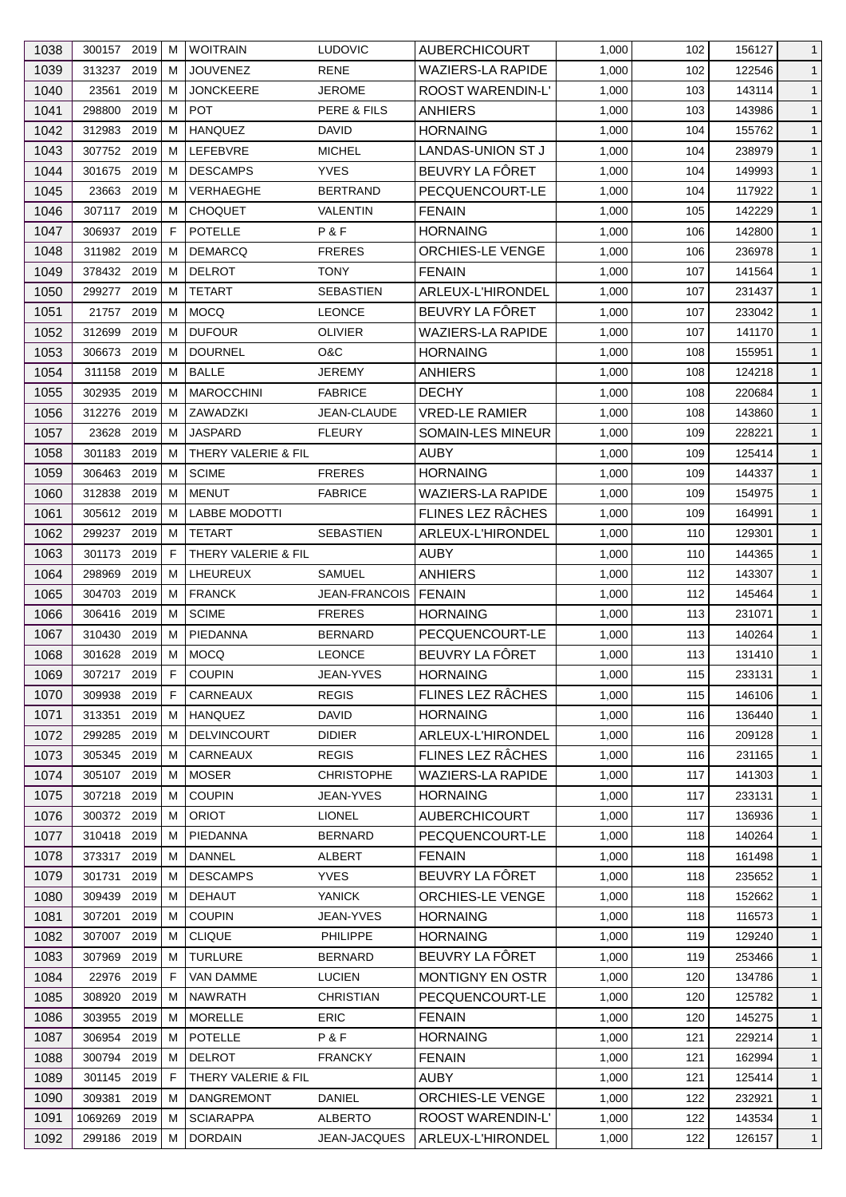| 1038 | 300157 2019   |      | м  | <b>WOITRAIN</b>      | <b>LUDOVIC</b>       | <b>AUBERCHICOURT</b>     | 1,000 | 102 | 156127 | $\mathbf{1}$   |
|------|---------------|------|----|----------------------|----------------------|--------------------------|-------|-----|--------|----------------|
| 1039 | 313237 2019   |      | м  | <b>JOUVENEZ</b>      | <b>RENE</b>          | <b>WAZIERS-LA RAPIDE</b> | 1,000 | 102 | 122546 | $\mathbf{1}$   |
| 1040 | 23561         | 2019 | M  | <b>JONCKEERE</b>     | <b>JEROME</b>        | ROOST WARENDIN-L'        | 1,000 | 103 | 143114 | $\mathbf{1}$   |
| 1041 | 298800        | 2019 | м  | <b>POT</b>           | PERE & FILS          | <b>ANHIERS</b>           | 1,000 | 103 | 143986 | $\mathbf{1}$   |
| 1042 | 312983        | 2019 | м  | <b>HANQUEZ</b>       | DAVID                | <b>HORNAING</b>          | 1,000 | 104 | 155762 | $\mathbf{1}$   |
| 1043 | 307752 2019   |      | м  | LEFEBVRE             | <b>MICHEL</b>        | <b>LANDAS-UNION ST J</b> | 1,000 | 104 | 238979 | $\mathbf{1}$   |
| 1044 | 301675        | 2019 | м  | <b>DESCAMPS</b>      | <b>YVES</b>          | BEUVRY LA FÔRET          | 1,000 | 104 | 149993 | $\mathbf{1}$   |
| 1045 | 23663         | 2019 | м  | VERHAEGHE            | <b>BERTRAND</b>      | PECQUENCOURT-LE          | 1,000 | 104 | 117922 | $\mathbf{1}$   |
| 1046 | 307117 2019   |      | м  | <b>CHOQUET</b>       | VALENTIN             | <b>FENAIN</b>            | 1,000 | 105 | 142229 | $\mathbf{1}$   |
| 1047 | 306937        | 2019 | F  | <b>POTELLE</b>       | P&F                  | <b>HORNAING</b>          | 1,000 | 106 | 142800 | $\mathbf{1}$   |
| 1048 | 311982 2019   |      | м  | <b>DEMARCQ</b>       | <b>FRERES</b>        | ORCHIES-LE VENGE         | 1,000 | 106 | 236978 | $\mathbf{1}$   |
| 1049 | 378432 2019   |      | м  | <b>DELROT</b>        | <b>TONY</b>          | <b>FENAIN</b>            | 1,000 | 107 | 141564 | $\mathbf{1}$   |
| 1050 | 299277        | 2019 | м  | <b>TETART</b>        | <b>SEBASTIEN</b>     | ARLEUX-L'HIRONDEL        | 1,000 | 107 | 231437 | $\mathbf{1}$   |
| 1051 | 21757         | 2019 | M  | <b>MOCQ</b>          | <b>LEONCE</b>        | BEUVRY LA FÔRET          | 1,000 | 107 | 233042 | $\mathbf{1}$   |
| 1052 | 312699        | 2019 | м  | <b>DUFOUR</b>        | <b>OLIVIER</b>       | <b>WAZIERS-LA RAPIDE</b> | 1,000 | 107 | 141170 | $\mathbf{1}$   |
| 1053 | 306673        | 2019 | м  | <b>DOURNEL</b>       | O&C                  | <b>HORNAING</b>          | 1,000 | 108 | 155951 | $\mathbf{1}$   |
| 1054 | 311158        | 2019 | M  | <b>BALLE</b>         | <b>JEREMY</b>        | <b>ANHIERS</b>           | 1,000 | 108 | 124218 | $\mathbf{1}$   |
| 1055 | 302935 2019   |      | м  | <b>MAROCCHINI</b>    | <b>FABRICE</b>       | <b>DECHY</b>             | 1,000 | 108 | 220684 | $\mathbf{1}$   |
| 1056 | 312276 2019   |      | м  | ZAWADZKI             | JEAN-CLAUDE          | <b>VRED-LE RAMIER</b>    | 1,000 | 108 | 143860 | $\mathbf{1}$   |
| 1057 | 23628         | 2019 | м  | <b>JASPARD</b>       | <b>FLEURY</b>        | SOMAIN-LES MINEUR        | 1,000 | 109 | 228221 | $\mathbf{1}$   |
| 1058 | 301183        | 2019 | м  | THERY VALERIE & FIL  |                      | <b>AUBY</b>              | 1,000 | 109 | 125414 | $\mathbf{1}$   |
|      | 306463        | 2019 |    | <b>SCIME</b>         | <b>FRERES</b>        | <b>HORNAING</b>          |       |     |        |                |
| 1059 |               |      | м  |                      |                      |                          | 1,000 | 109 | 144337 | $\mathbf{1}$   |
| 1060 | 312838        | 2019 | м  | <b>MENUT</b>         | <b>FABRICE</b>       | <b>WAZIERS-LA RAPIDE</b> | 1,000 | 109 | 154975 | $\mathbf{1}$   |
| 1061 | 305612 2019   |      | м  | <b>LABBE MODOTTI</b> |                      | FLINES LEZ RÂCHES        | 1,000 | 109 | 164991 | $\mathbf{1}$   |
| 1062 | 299237        | 2019 | M  | <b>TETART</b>        | <b>SEBASTIEN</b>     | ARLEUX-L'HIRONDEL        | 1,000 | 110 | 129301 | $\mathbf{1}$   |
| 1063 | 301173        | 2019 | F  | THERY VALERIE & FIL  |                      | <b>AUBY</b>              | 1,000 | 110 | 144365 | $\mathbf{1}$   |
| 1064 | 298969        | 2019 | м  | LHEUREUX             | SAMUEL               | <b>ANHIERS</b>           | 1,000 | 112 | 143307 | $\mathbf{1}$   |
| 1065 | 304703        | 2019 | м  | <b>FRANCK</b>        | <b>JEAN-FRANCOIS</b> | <b>FENAIN</b>            | 1,000 | 112 | 145464 | $\mathbf{1}$   |
| 1066 | 306416 2019   |      | м  | <b>SCIME</b>         | <b>FRERES</b>        | <b>HORNAING</b>          | 1,000 | 113 | 231071 | $\mathbf{1}$   |
| 1067 | 310430        | 2019 | м  | PIEDANNA             | <b>BERNARD</b>       | PECQUENCOURT-LE          | 1,000 | 113 | 140264 | $\mathbf{1}$   |
| 1068 | 301628 2019   |      | м  | <b>MOCQ</b>          | <b>LEONCE</b>        | BEUVRY LA FÔRET          | 1,000 | 113 | 131410 | $\mathbf{1}$   |
| 1069 | 307217 2019 F |      |    | <b>COUPIN</b>        | JEAN-YVES            | <b>HORNAING</b>          | 1,000 | 115 | 233131 | $\overline{1}$ |
| 1070 | 309938 2019   |      | F  | CARNEAUX             | <b>REGIS</b>         | FLINES LEZ RÂCHES        | 1,000 | 115 | 146106 | $\mathbf{1}$   |
| 1071 | 313351        | 2019 | м  | HANQUEZ              | <b>DAVID</b>         | <b>HORNAING</b>          | 1,000 | 116 | 136440 | $\mathbf{1}$   |
| 1072 | 299285        | 2019 | м  | <b>DELVINCOURT</b>   | <b>DIDIER</b>        | ARLEUX-L'HIRONDEL        | 1,000 | 116 | 209128 | $\mathbf{1}$   |
| 1073 | 305345        | 2019 | M  | CARNEAUX             | <b>REGIS</b>         | FLINES LEZ RÂCHES        | 1,000 | 116 | 231165 | $\mathbf{1}$   |
| 1074 | 305107 2019   |      | м  | <b>MOSER</b>         | <b>CHRISTOPHE</b>    | <b>WAZIERS-LA RAPIDE</b> | 1,000 | 117 | 141303 | $\mathbf{1}$   |
| 1075 | 307218 2019   |      | м  | <b>COUPIN</b>        | JEAN-YVES            | <b>HORNAING</b>          | 1,000 | 117 | 233131 | $\mathbf{1}$   |
| 1076 | 300372 2019   |      | M  | <b>ORIOT</b>         | <b>LIONEL</b>        | <b>AUBERCHICOURT</b>     | 1,000 | 117 | 136936 | $\mathbf{1}$   |
| 1077 | 310418 2019   |      | м  | PIEDANNA             | <b>BERNARD</b>       | PECQUENCOURT-LE          | 1,000 | 118 | 140264 | $\mathbf{1}$   |
| 1078 | 373317 2019   |      | м  | <b>DANNEL</b>        | <b>ALBERT</b>        | <b>FENAIN</b>            | 1,000 | 118 | 161498 | $\mathbf{1}$   |
| 1079 | 301731        | 2019 | м  | <b>DESCAMPS</b>      | <b>YVES</b>          | BEUVRY LA FÔRET          | 1,000 | 118 | 235652 | $\mathbf{1}$   |
| 1080 | 309439        | 2019 | м  | <b>DEHAUT</b>        | <b>YANICK</b>        | ORCHIES-LE VENGE         | 1,000 | 118 | 152662 | $\mathbf{1}$   |
| 1081 | 307201        | 2019 | м  | <b>COUPIN</b>        | JEAN-YVES            | <b>HORNAING</b>          | 1,000 | 118 | 116573 | $\mathbf{1}$   |
| 1082 | 307007 2019   |      | м  | <b>CLIQUE</b>        | PHILIPPE             | <b>HORNAING</b>          | 1,000 | 119 | 129240 | $\mathbf{1}$   |
| 1083 | 307969        | 2019 | м  | <b>TURLURE</b>       | <b>BERNARD</b>       | BEUVRY LA FÔRET          | 1,000 | 119 | 253466 | $\mathbf{1}$   |
| 1084 | 22976         | 2019 | F  | VAN DAMME            | <b>LUCIEN</b>        | MONTIGNY EN OSTR         | 1,000 | 120 | 134786 | $\mathbf{1}$   |
| 1085 | 308920        | 2019 | м  | <b>NAWRATH</b>       | <b>CHRISTIAN</b>     | PECQUENCOURT-LE          | 1,000 | 120 | 125782 | $\mathbf{1}$   |
| 1086 | 303955 2019   |      | м  | <b>MORELLE</b>       | <b>ERIC</b>          | <b>FENAIN</b>            | 1,000 | 120 | 145275 | $\mathbf{1}$   |
| 1087 | 306954        | 2019 | м  | <b>POTELLE</b>       | P&F                  | <b>HORNAING</b>          | 1,000 | 121 | 229214 | $\mathbf{1}$   |
| 1088 | 300794 2019   |      | м  | <b>DELROT</b>        | <b>FRANCKY</b>       | <b>FENAIN</b>            | 1,000 | 121 | 162994 | $\mathbf{1}$   |
| 1089 | 301145 2019   |      | F. | THERY VALERIE & FIL  |                      | <b>AUBY</b>              | 1,000 | 121 | 125414 | $\mathbf{1}$   |
| 1090 | 309381        | 2019 | м  | <b>DANGREMONT</b>    | DANIEL               | ORCHIES-LE VENGE         | 1,000 | 122 | 232921 | $\mathbf{1}$   |
| 1091 | 1069269 2019  |      | м  | <b>SCIARAPPA</b>     | <b>ALBERTO</b>       | ROOST WARENDIN-L'        | 1,000 | 122 | 143534 |                |
|      |               |      |    | <b>DORDAIN</b>       |                      |                          |       |     | 126157 | $\mathbf{1}$   |
| 1092 | 299186 2019   |      | М  |                      | JEAN-JACQUES         | ARLEUX-L'HIRONDEL        | 1,000 | 122 |        | $\mathbf{1}$   |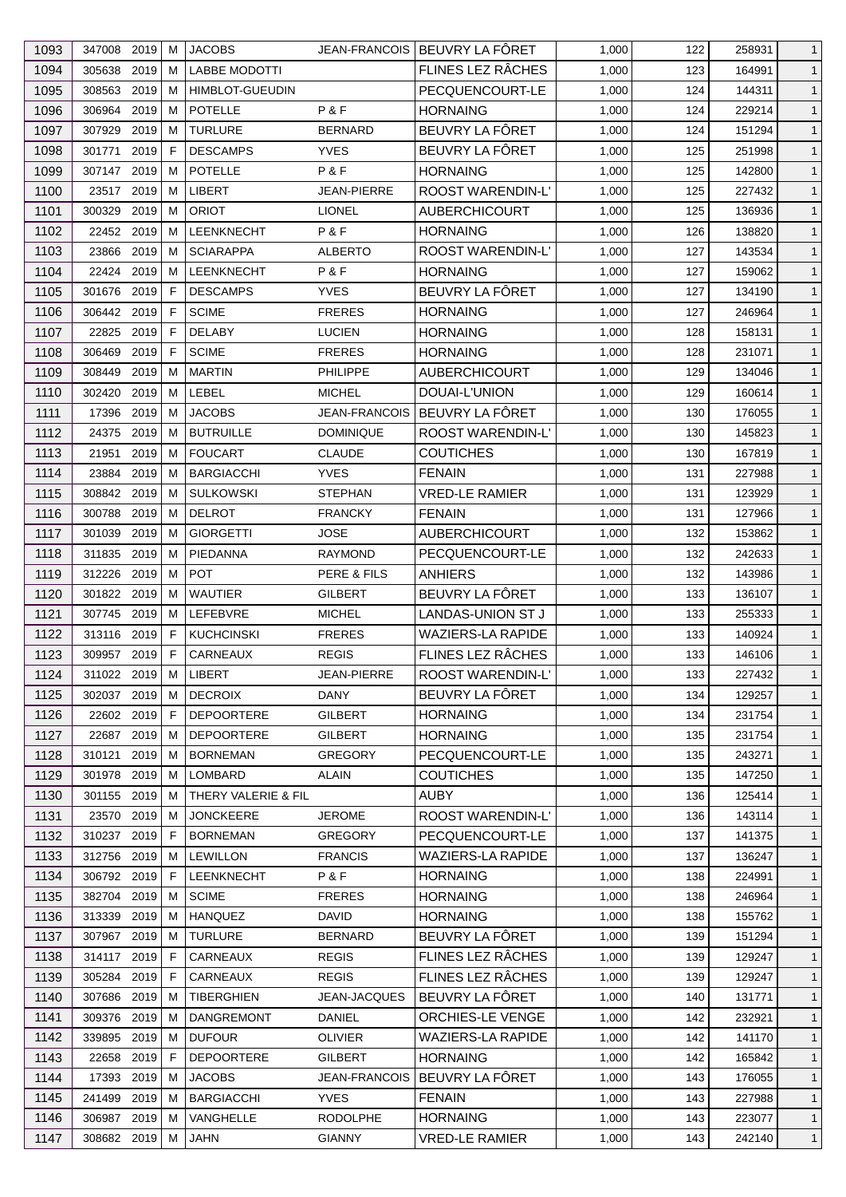| 1093 | 347008 2019   |      | м            | <b>JACOBS</b>          |                      | JEAN-FRANCOIS   BEUVRY LA FÔRET | 1,000 | 122 | 258931 | $\mathbf{1}$ |
|------|---------------|------|--------------|------------------------|----------------------|---------------------------------|-------|-----|--------|--------------|
| 1094 | 305638        | 2019 | м            | <b>LABBE MODOTTI</b>   |                      | FLINES LEZ RÂCHES               | 1,000 | 123 | 164991 | $\mathbf{1}$ |
| 1095 | 308563        | 2019 | м            | <b>HIMBLOT-GUEUDIN</b> |                      | PECQUENCOURT-LE                 | 1,000 | 124 | 144311 | $\mathbf{1}$ |
| 1096 | 306964 2019   |      | м            | <b>POTELLE</b>         | P&F                  | <b>HORNAING</b>                 | 1,000 | 124 | 229214 | $\mathbf{1}$ |
| 1097 | 307929        | 2019 | м            | <b>TURLURE</b>         | <b>BERNARD</b>       | BEUVRY LA FÔRET                 | 1,000 | 124 | 151294 | $\mathbf{1}$ |
| 1098 | 301771        | 2019 | F            | <b>DESCAMPS</b>        | <b>YVES</b>          | BEUVRY LA FÔRET                 | 1,000 | 125 | 251998 | $\mathbf{1}$ |
| 1099 | 307147 2019   |      | м            | <b>POTELLE</b>         | P&F                  | <b>HORNAING</b>                 | 1,000 | 125 | 142800 | $\mathbf{1}$ |
| 1100 | 23517 2019    |      | м            | LIBERT                 | <b>JEAN-PIERRE</b>   | ROOST WARENDIN-L'               | 1,000 | 125 | 227432 | $\mathbf{1}$ |
| 1101 | 300329        | 2019 | M            | <b>ORIOT</b>           | <b>LIONEL</b>        | <b>AUBERCHICOURT</b>            | 1,000 | 125 | 136936 | $\mathbf{1}$ |
| 1102 | 22452 2019    |      | м            | <b>LEENKNECHT</b>      | P&F                  | <b>HORNAING</b>                 | 1,000 | 126 | 138820 | $\mathbf{1}$ |
| 1103 | 23866         | 2019 | м            | <b>SCIARAPPA</b>       | <b>ALBERTO</b>       | ROOST WARENDIN-L'               | 1,000 | 127 | 143534 | $\mathbf{1}$ |
| 1104 | 22424 2019    |      | м            | <b>LEENKNECHT</b>      | P&F                  | <b>HORNAING</b>                 | 1,000 | 127 | 159062 | $\mathbf{1}$ |
| 1105 | 301676 2019   |      | F            | <b>DESCAMPS</b>        | <b>YVES</b>          | BEUVRY LA FÔRET                 | 1,000 | 127 | 134190 | $\mathbf{1}$ |
| 1106 | 306442 2019   |      | F            | <b>SCIME</b>           | <b>FRERES</b>        | <b>HORNAING</b>                 | 1,000 | 127 | 246964 | $\mathbf{1}$ |
| 1107 | 22825         | 2019 | F            | <b>DELABY</b>          | <b>LUCIEN</b>        | <b>HORNAING</b>                 | 1,000 | 128 | 158131 | $\mathbf{1}$ |
| 1108 | 306469        | 2019 | F            | <b>SCIME</b>           | <b>FRERES</b>        | <b>HORNAING</b>                 | 1,000 | 128 | 231071 | $\mathbf{1}$ |
| 1109 | 308449        | 2019 | м            | <b>MARTIN</b>          | <b>PHILIPPE</b>      | <b>AUBERCHICOURT</b>            | 1,000 | 129 | 134046 | $\mathbf{1}$ |
| 1110 | 302420        | 2019 | м            | LEBEL                  | <b>MICHEL</b>        | DOUAI-L'UNION                   | 1,000 | 129 | 160614 | $\mathbf{1}$ |
| 1111 | 17396         | 2019 | м            | <b>JACOBS</b>          | <b>JEAN-FRANCOIS</b> | BEUVRY LA FÔRET                 | 1,000 | 130 | 176055 | $\mathbf{1}$ |
| 1112 | 24375         | 2019 | M            | <b>BUTRUILLE</b>       | <b>DOMINIQUE</b>     | ROOST WARENDIN-L'               | 1,000 | 130 | 145823 | $\mathbf{1}$ |
|      |               |      |              |                        |                      |                                 |       |     |        |              |
| 1113 | 21951         | 2019 | м            | <b>FOUCART</b>         | <b>CLAUDE</b>        | <b>COUTICHES</b>                | 1,000 | 130 | 167819 | $\mathbf{1}$ |
| 1114 | 23884         | 2019 | м            | <b>BARGIACCHI</b>      | <b>YVES</b>          | <b>FENAIN</b>                   | 1,000 | 131 | 227988 | $\mathbf{1}$ |
| 1115 | 308842 2019   |      | м            | <b>SULKOWSKI</b>       | <b>STEPHAN</b>       | <b>VRED-LE RAMIER</b>           | 1,000 | 131 | 123929 | $\mathbf{1}$ |
| 1116 | 300788        | 2019 | м            | <b>DELROT</b>          | <b>FRANCKY</b>       | <b>FENAIN</b>                   | 1,000 | 131 | 127966 | $\mathbf{1}$ |
| 1117 | 301039        | 2019 | м            | <b>GIORGETTI</b>       | <b>JOSE</b>          | <b>AUBERCHICOURT</b>            | 1,000 | 132 | 153862 | $\mathbf{1}$ |
| 1118 | 311835        | 2019 | м            | PIEDANNA               | <b>RAYMOND</b>       | PECQUENCOURT-LE                 | 1,000 | 132 | 242633 | $\mathbf{1}$ |
| 1119 | 312226        | 2019 | м            | <b>POT</b>             | PERE & FILS          | <b>ANHIERS</b>                  | 1,000 | 132 | 143986 | $\mathbf{1}$ |
| 1120 | 301822 2019   |      | м            | <b>WAUTIER</b>         | <b>GILBERT</b>       | BEUVRY LA FÖRET                 | 1,000 | 133 | 136107 | $\mathbf{1}$ |
| 1121 | 307745 2019   |      | м            | LEFEBVRE               | <b>MICHEL</b>        | <b>LANDAS-UNION ST J</b>        | 1,000 | 133 | 255333 | $\mathbf{1}$ |
| 1122 | 313116 2019   |      | F            | <b>KUCHCINSKI</b>      | <b>FRERES</b>        | <b>WAZIERS-LA RAPIDE</b>        | 1,000 | 133 | 140924 | $\mathbf{1}$ |
| 1123 | 309957 2019   |      | $\mathsf{F}$ | <b>CARNEAUX</b>        | <b>REGIS</b>         | FLINES LEZ RÂCHES               | 1,000 | 133 | 146106 | $\mathbf{1}$ |
| 1124 | 311022 2019 M |      |              | LIBERT                 | <b>JEAN-PIERRE</b>   | ROOST WARENDIN-L'               | 1,000 | 133 | 227432 | $\mathbf{1}$ |
| 1125 | 302037 2019   |      | М            | <b>DECROIX</b>         | DANY                 | BEUVRY LA FÔRET                 | 1,000 | 134 | 129257 | $\mathbf{1}$ |
| 1126 | 22602 2019    |      | F            | <b>DEPOORTERE</b>      | <b>GILBERT</b>       | <b>HORNAING</b>                 | 1,000 | 134 | 231754 | $\mathbf{1}$ |
| 1127 | 22687         | 2019 | м            | <b>DEPOORTERE</b>      | <b>GILBERT</b>       | <b>HORNAING</b>                 | 1,000 | 135 | 231754 | $\mathbf{1}$ |
| 1128 | 310121        | 2019 | м            | <b>BORNEMAN</b>        | <b>GREGORY</b>       | PECQUENCOURT-LE                 | 1,000 | 135 | 243271 | $\mathbf{1}$ |
| 1129 | 301978 2019   |      | м            | LOMBARD                | ALAIN                | <b>COUTICHES</b>                | 1,000 | 135 | 147250 | $\mathbf{1}$ |
| 1130 | 301155 2019   |      | м            | THERY VALERIE & FIL    |                      | AUBY                            | 1,000 | 136 | 125414 | $\mathbf{1}$ |
| 1131 | 23570         | 2019 | м            | <b>JONCKEERE</b>       | <b>JEROME</b>        | ROOST WARENDIN-L'               | 1,000 | 136 | 143114 | $\mathbf{1}$ |
| 1132 | 310237 2019   |      | F.           | <b>BORNEMAN</b>        | <b>GREGORY</b>       | PECQUENCOURT-LE                 | 1,000 | 137 | 141375 | $\mathbf{1}$ |
| 1133 | 312756 2019   |      | M            | <b>LEWILLON</b>        | <b>FRANCIS</b>       | <b>WAZIERS-LA RAPIDE</b>        | 1,000 | 137 | 136247 | $\mathbf{1}$ |
| 1134 | 306792 2019   |      | F            | <b>LEENKNECHT</b>      | P&F                  | <b>HORNAING</b>                 | 1,000 | 138 | 224991 | $\mathbf{1}$ |
| 1135 | 382704 2019   |      | м            | <b>SCIME</b>           | <b>FRERES</b>        | <b>HORNAING</b>                 | 1,000 | 138 | 246964 | $\mathbf{1}$ |
| 1136 | 313339        | 2019 | м            | <b>HANQUEZ</b>         | <b>DAVID</b>         | <b>HORNAING</b>                 | 1,000 | 138 | 155762 | $\mathbf{1}$ |
| 1137 | 307967 2019   |      | м            | <b>TURLURE</b>         | <b>BERNARD</b>       | BEUVRY LA FÔRET                 | 1,000 | 139 | 151294 | $\mathbf{1}$ |
| 1138 | 314117 2019   |      | F            | CARNEAUX               | <b>REGIS</b>         | FLINES LEZ RÂCHES               | 1,000 | 139 | 129247 | $\mathbf{1}$ |
| 1139 | 305284        | 2019 | F            | CARNEAUX               | <b>REGIS</b>         | FLINES LEZ RÂCHES               | 1,000 | 139 | 129247 | $\mathbf{1}$ |
| 1140 | 307686 2019   |      | м            | <b>TIBERGHIEN</b>      | JEAN-JACQUES         | BEUVRY LA FÔRET                 | 1,000 | 140 | 131771 | $\mathbf{1}$ |
| 1141 | 309376 2019   |      | м            | <b>DANGREMONT</b>      | DANIEL               | ORCHIES-LE VENGE                | 1,000 | 142 | 232921 | $\mathbf{1}$ |
| 1142 | 339895        | 2019 | м            | <b>DUFOUR</b>          | <b>OLIVIER</b>       | <b>WAZIERS-LA RAPIDE</b>        | 1,000 | 142 | 141170 | $\mathbf{1}$ |
| 1143 | 22658 2019    |      | F.           | <b>DEPOORTERE</b>      | <b>GILBERT</b>       | <b>HORNAING</b>                 | 1,000 | 142 | 165842 | $\mathbf{1}$ |
| 1144 | 17393         | 2019 | м            | <b>JACOBS</b>          | <b>JEAN-FRANCOIS</b> | BEUVRY LA FÔRET                 | 1,000 | 143 | 176055 | $\mathbf{1}$ |
|      |               |      | м            | <b>BARGIACCHI</b>      | <b>YVES</b>          |                                 |       | 143 |        | $\mathbf{1}$ |
| 1145 | 241499        | 2019 |              |                        |                      | <b>FENAIN</b>                   | 1,000 |     | 227988 |              |
| 1146 | 306987 2019   |      | м            | VANGHELLE              | <b>RODOLPHE</b>      | <b>HORNAING</b>                 | 1,000 | 143 | 223077 | $\mathbf{1}$ |
| 1147 | 308682 2019   |      | м            | <b>JAHN</b>            | <b>GIANNY</b>        | <b>VRED-LE RAMIER</b>           | 1,000 | 143 | 242140 | $\mathbf{1}$ |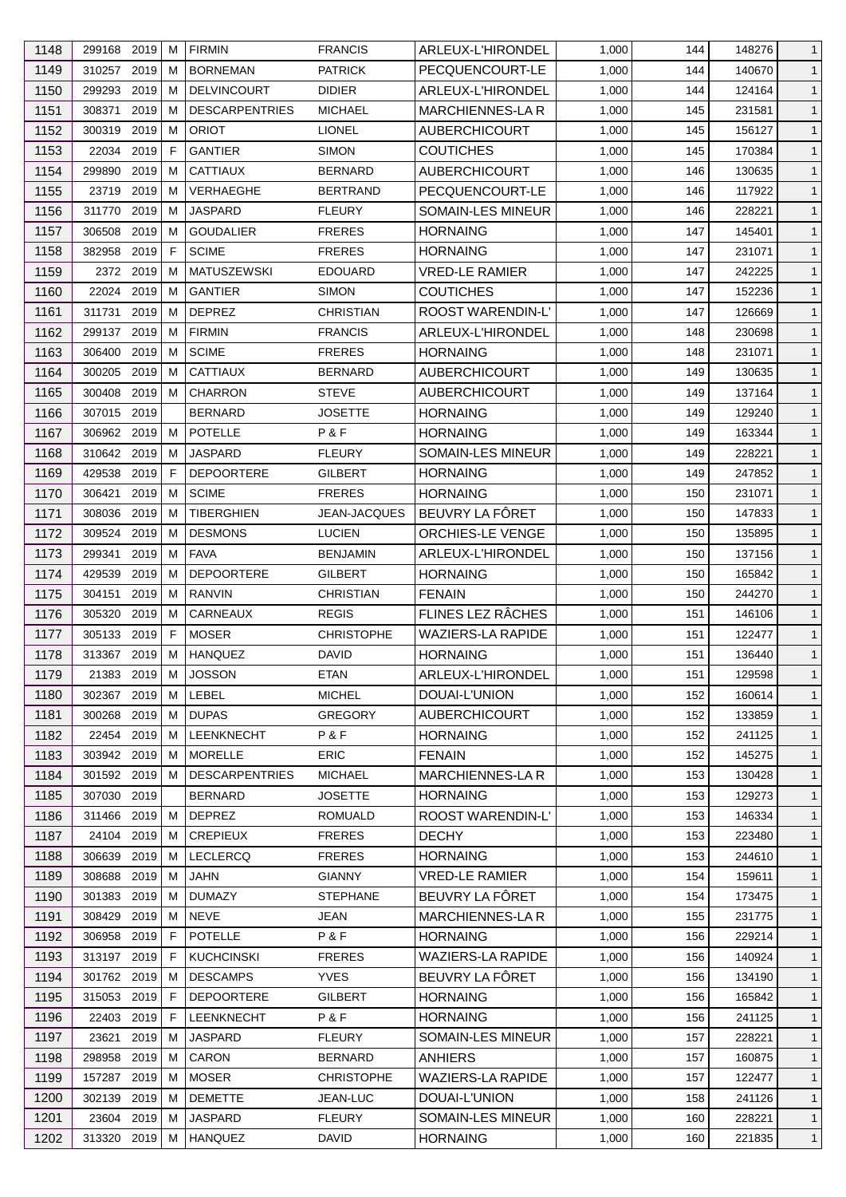| 1148 | 299168 2019               |           | м      | <b>FIRMIN</b>          | <b>FRANCIS</b>               | ARLEUX-L'HIRONDEL                  | 1,000 | 144        | 148276           | $\mathbf{1}$                 |
|------|---------------------------|-----------|--------|------------------------|------------------------------|------------------------------------|-------|------------|------------------|------------------------------|
| 1149 | 310257                    | 2019      | м      | <b>BORNEMAN</b>        | <b>PATRICK</b>               | PECQUENCOURT-LE                    | 1,000 | 144        | 140670           | $\mathbf{1}$                 |
| 1150 | 299293                    | 2019      | м      | <b>DELVINCOURT</b>     | <b>DIDIER</b>                | ARLEUX-L'HIRONDEL                  | 1,000 | 144        | 124164           | $\mathbf{1}$                 |
| 1151 | 308371                    | 2019      | м      | <b>DESCARPENTRIES</b>  | <b>MICHAEL</b>               | MARCHIENNES-LA R                   | 1,000 | 145        | 231581           | $\mathbf{1}$                 |
| 1152 | 300319                    | 2019      | м      | <b>ORIOT</b>           | <b>LIONEL</b>                | <b>AUBERCHICOURT</b>               | 1,000 | 145        | 156127           | $\mathbf{1}$                 |
| 1153 | 22034                     | 2019      | F      | <b>GANTIER</b>         | <b>SIMON</b>                 | <b>COUTICHES</b>                   | 1,000 | 145        | 170384           | $\mathbf{1}$                 |
| 1154 | 299890                    | 2019      | м      | <b>CATTIAUX</b>        | <b>BERNARD</b>               | <b>AUBERCHICOURT</b>               | 1,000 | 146        | 130635           | $\mathbf{1}$                 |
| 1155 | 23719                     | 2019      | м      | VERHAEGHE              | <b>BERTRAND</b>              | PECQUENCOURT-LE                    | 1,000 | 146        | 117922           | $\mathbf{1}$                 |
| 1156 | 311770                    | 2019      | м      | <b>JASPARD</b>         | <b>FLEURY</b>                | SOMAIN-LES MINEUR                  | 1,000 | 146        | 228221           | $\mathbf{1}$                 |
| 1157 | 306508                    | 2019      | м      | <b>GOUDALIER</b>       | <b>FRERES</b>                | <b>HORNAING</b>                    | 1,000 | 147        | 145401           | $\mathbf{1}$                 |
| 1158 | 382958                    | 2019      | F      | <b>SCIME</b>           | <b>FRERES</b>                | <b>HORNAING</b>                    | 1,000 | 147        | 231071           | $\mathbf{1}$                 |
| 1159 |                           | 2372 2019 | м      | <b>MATUSZEWSKI</b>     | <b>EDOUARD</b>               | VRED-LE RAMIER                     | 1,000 | 147        | 242225           | $\mathbf{1}$                 |
| 1160 | 22024                     | 2019      | м      | <b>GANTIER</b>         | <b>SIMON</b>                 | <b>COUTICHES</b>                   | 1,000 | 147        | 152236           | $\mathbf{1}$                 |
| 1161 | 311731                    | 2019      | м      | <b>DEPREZ</b>          | <b>CHRISTIAN</b>             | ROOST WARENDIN-L'                  | 1,000 | 147        | 126669           | $\mathbf{1}$                 |
| 1162 | 299137 2019               |           | м      | <b>FIRMIN</b>          | <b>FRANCIS</b>               | ARLEUX-L'HIRONDEL                  | 1,000 | 148        | 230698           | $\mathbf{1}$                 |
| 1163 | 306400                    | 2019      | м      | <b>SCIME</b>           | <b>FRERES</b>                | <b>HORNAING</b>                    | 1,000 | 148        | 231071           | $\mathbf{1}$                 |
| 1164 | 300205                    | 2019      | м      | <b>CATTIAUX</b>        | <b>BERNARD</b>               | <b>AUBERCHICOURT</b>               | 1,000 | 149        | 130635           | $\mathbf{1}$                 |
| 1165 | 300408                    | 2019      | м      | <b>CHARRON</b>         | <b>STEVE</b>                 | <b>AUBERCHICOURT</b>               | 1,000 | 149        | 137164           | $\mathbf{1}$                 |
| 1166 | 307015 2019               |           |        | <b>BERNARD</b>         | <b>JOSETTE</b>               | <b>HORNAING</b>                    | 1,000 | 149        | 129240           | $\mathbf{1}$                 |
| 1167 | 306962 2019               |           | M      | <b>POTELLE</b>         | P&F                          | <b>HORNAING</b>                    | 1,000 | 149        | 163344           | $\mathbf{1}$                 |
| 1168 | 310642 2019               |           | м      | <b>JASPARD</b>         | <b>FLEURY</b>                | SOMAIN-LES MINEUR                  | 1,000 | 149        | 228221           | $\mathbf{1}$                 |
| 1169 | 429538                    | 2019      | F      | <b>DEPOORTERE</b>      | <b>GILBERT</b>               | <b>HORNAING</b>                    | 1,000 | 149        | 247852           | $\mathbf{1}$                 |
| 1170 | 306421                    | 2019      | м      | <b>SCIME</b>           | <b>FRERES</b>                | <b>HORNAING</b>                    | 1,000 | 150        | 231071           | $\mathbf{1}$                 |
| 1171 | 308036                    | 2019      | м      | <b>TIBERGHIEN</b>      | <b>JEAN-JACQUES</b>          | BEUVRY LA FÔRET                    | 1,000 | 150        | 147833           | $\mathbf{1}$                 |
| 1172 | 309524                    | 2019      | м      | <b>DESMONS</b>         | <b>LUCIEN</b>                | ORCHIES-LE VENGE                   | 1,000 | 150        | 135895           | $\mathbf{1}$                 |
| 1173 | 299341                    | 2019      | м      | <b>FAVA</b>            | <b>BENJAMIN</b>              | ARLEUX-L'HIRONDEL                  | 1,000 | 150        | 137156           | $\mathbf{1}$                 |
| 1174 | 429539                    | 2019      | M      | <b>DEPOORTERE</b>      | <b>GILBERT</b>               | <b>HORNAING</b>                    | 1,000 | 150        | 165842           | $\mathbf{1}$                 |
| 1175 | 304151                    | 2019      | м      | <b>RANVIN</b>          | <b>CHRISTIAN</b>             | <b>FENAIN</b>                      | 1,000 | 150        | 244270           | $\mathbf{1}$                 |
| 1176 | 305320                    | 2019      | м      | CARNEAUX               | <b>REGIS</b>                 | FLINES LEZ RÂCHES                  | 1,000 | 151        | 146106           | $\mathbf{1}$                 |
| 1177 | 305133                    | 2019      | F.     | <b>MOSER</b>           | <b>CHRISTOPHE</b>            | <b>WAZIERS-LA RAPIDE</b>           | 1,000 | 151        | 122477           | $\mathbf{1}$                 |
| 1178 | 313367                    | 2019      | M      | <b>HANQUEZ</b>         | <b>DAVID</b>                 | <b>HORNAING</b>                    | 1,000 | 151        | 136440           | $\mathbf{1}$                 |
| 1179 |                           |           | M      |                        |                              |                                    | 1,000 |            |                  |                              |
| 1180 | 21383 2019<br>302367 2019 |           |        | <b>JOSSON</b><br>LEBEL | <b>ETAN</b><br><b>MICHEL</b> | ARLEUX-L'HIRONDEL<br>DOUAI-L'UNION | 1,000 | 151<br>152 | 129598<br>160614 | $\mathbf{1}$<br>$\mathbf{1}$ |
| 1181 | 300268 2019               |           | М<br>м | <b>DUPAS</b>           | <b>GREGORY</b>               | <b>AUBERCHICOURT</b>               | 1,000 | 152        | 133859           | $\mathbf{1}$                 |
| 1182 | 22454 2019                |           | м      | LEENKNECHT             | P&F                          | <b>HORNAING</b>                    | 1,000 | 152        | 241125           | $\mathbf{1}$                 |
|      |                           |           |        | <b>MORELLE</b>         | <b>ERIC</b>                  | <b>FENAIN</b>                      | 1,000 |            |                  |                              |
| 1183 | 303942 2019               |           | м      |                        | <b>MICHAEL</b>               |                                    |       | 152        | 145275           | $\mathbf{1}$                 |
| 1184 | 301592 2019               |           | м      | <b>DESCARPENTRIES</b>  |                              | <b>MARCHIENNES-LAR</b>             | 1,000 | 153        | 130428           | $\mathbf{1}$                 |
| 1185 | 307030 2019               |           |        | <b>BERNARD</b>         | <b>JOSETTE</b>               | <b>HORNAING</b>                    | 1,000 | 153        | 129273           | $\mathbf{1}$                 |
| 1186 | 311466                    | 2019      | м      | <b>DEPREZ</b>          | <b>ROMUALD</b>               | ROOST WARENDIN-L'                  | 1,000 | 153        | 146334           | $\mathbf{1}$                 |
| 1187 | 24104                     | 2019      | м      | <b>CREPIEUX</b>        | <b>FRERES</b>                | <b>DECHY</b>                       | 1,000 | 153        | 223480           | $\mathbf{1}$                 |
| 1188 | 306639                    | 2019      | м      | <b>LECLERCQ</b>        | <b>FRERES</b>                | <b>HORNAING</b>                    | 1,000 | 153        | 244610           | $\mathbf{1}$                 |
| 1189 | 308688                    | 2019      | м      | <b>JAHN</b>            | <b>GIANNY</b>                | <b>VRED-LE RAMIER</b>              | 1,000 | 154        | 159611           | $\mathbf{1}$                 |
| 1190 | 301383 2019               |           | м      | <b>DUMAZY</b>          | <b>STEPHANE</b>              | BEUVRY LA FÔRET                    | 1,000 | 154        | 173475           | $\mathbf{1}$                 |
| 1191 | 308429                    | 2019      | м      | <b>NEVE</b>            | <b>JEAN</b>                  | MARCHIENNES-LA R                   | 1,000 | 155        | 231775           | $\mathbf{1}$                 |
| 1192 | 306958 2019               |           | F      | <b>POTELLE</b>         | P&F                          | <b>HORNAING</b>                    | 1,000 | 156        | 229214           | $\mathbf{1}$                 |
| 1193 | 313197                    | 2019      | F      | <b>KUCHCINSKI</b>      | <b>FRERES</b>                | <b>WAZIERS-LA RAPIDE</b>           | 1,000 | 156        | 140924           | $\mathbf{1}$                 |
| 1194 | 301762                    | 2019      | м      | <b>DESCAMPS</b>        | <b>YVES</b>                  | BEUVRY LA FÔRET                    | 1,000 | 156        | 134190           | $\mathbf{1}$                 |
| 1195 | 315053 2019               |           | F      | <b>DEPOORTERE</b>      | <b>GILBERT</b>               | <b>HORNAING</b>                    | 1,000 | 156        | 165842           | $\mathbf{1}$                 |
| 1196 | 22403                     | 2019      | F      | LEENKNECHT             | P&F                          | <b>HORNAING</b>                    | 1,000 | 156        | 241125           | $\mathbf{1}$                 |
| 1197 | 23621                     | 2019      | м      | <b>JASPARD</b>         | <b>FLEURY</b>                | SOMAIN-LES MINEUR                  | 1,000 | 157        | 228221           | $\mathbf{1}$                 |
| 1198 | 298958                    | 2019      | м      | CARON                  | <b>BERNARD</b>               | <b>ANHIERS</b>                     | 1,000 | 157        | 160875           | $\mathbf{1}$                 |
| 1199 | 157287                    | 2019      | м      | <b>MOSER</b>           | <b>CHRISTOPHE</b>            | <b>WAZIERS-LA RAPIDE</b>           | 1,000 | 157        | 122477           | $\mathbf{1}$                 |
| 1200 | 302139 2019               |           | м      | <b>DEMETTE</b>         | JEAN-LUC                     | DOUAI-L'UNION                      | 1,000 | 158        | 241126           | $\mathbf{1}$                 |
| 1201 | 23604 2019                |           | м      | JASPARD                | <b>FLEURY</b>                | SOMAIN-LES MINEUR                  | 1,000 | 160        | 228221           | $\mathbf{1}$                 |
| 1202 | 313320 2019               |           | м      | <b>HANQUEZ</b>         | <b>DAVID</b>                 | <b>HORNAING</b>                    | 1,000 | 160        | 221835           | $\mathbf{1}$                 |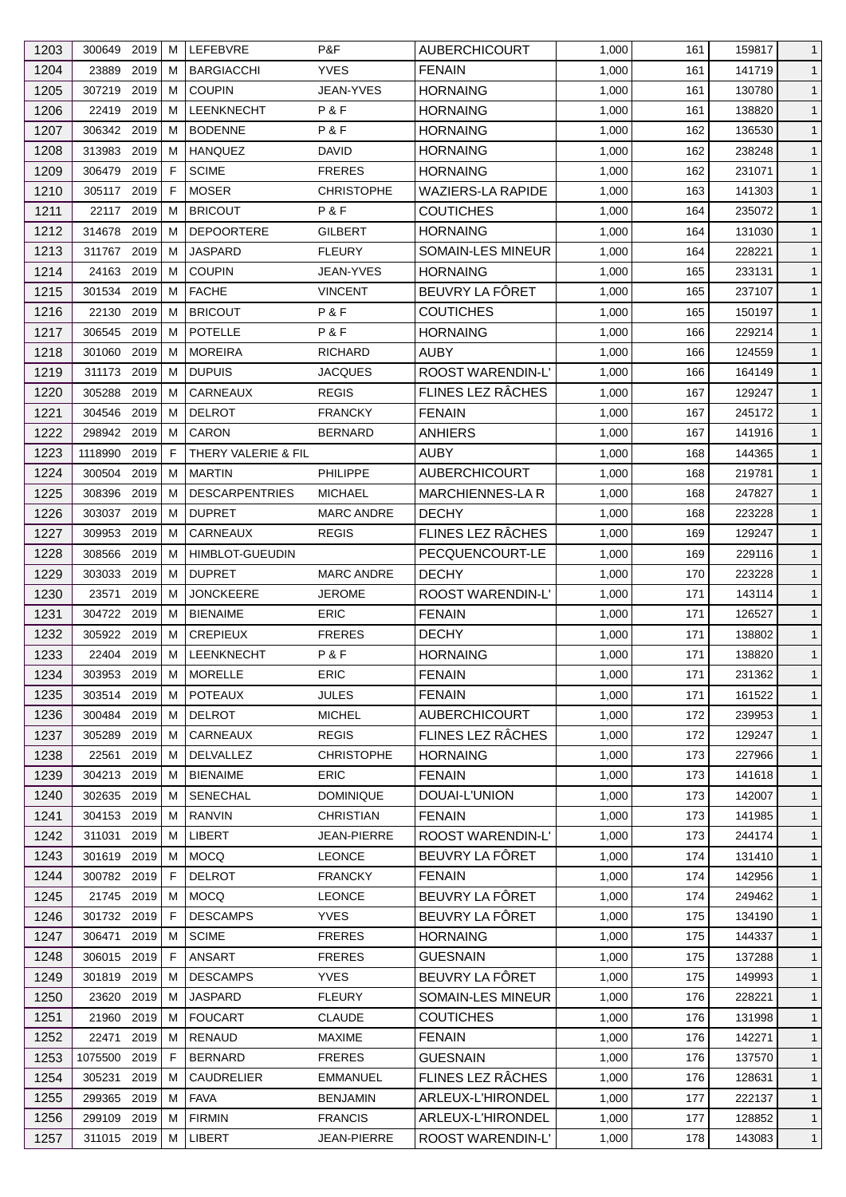| 1203 | 300649 2019 |      | M | LEFEBVRE                        | P&F               | <b>AUBERCHICOURT</b>     | 1,000 | 161 | 159817 | $\mathbf{1}$ |
|------|-------------|------|---|---------------------------------|-------------------|--------------------------|-------|-----|--------|--------------|
| 1204 | 23889       | 2019 | М | <b>BARGIACCHI</b>               | <b>YVES</b>       | <b>FENAIN</b>            | 1,000 | 161 | 141719 | $\mathbf{1}$ |
| 1205 | 307219      | 2019 | м | <b>COUPIN</b>                   | JEAN-YVES         | <b>HORNAING</b>          | 1,000 | 161 | 130780 | $\mathbf{1}$ |
| 1206 | 22419 2019  |      | м | <b>LEENKNECHT</b>               | P & F             | <b>HORNAING</b>          | 1,000 | 161 | 138820 | $\mathbf{1}$ |
| 1207 | 306342 2019 |      | м | <b>BODENNE</b>                  | P&F               | <b>HORNAING</b>          | 1,000 | 162 | 136530 | $\mathbf{1}$ |
| 1208 | 313983      | 2019 | M | <b>HANQUEZ</b>                  | <b>DAVID</b>      | <b>HORNAING</b>          | 1,000 | 162 | 238248 | $\mathbf{1}$ |
| 1209 | 306479      | 2019 | F | <b>SCIME</b>                    | <b>FRERES</b>     | <b>HORNAING</b>          | 1,000 | 162 | 231071 | $\mathbf{1}$ |
| 1210 | 305117 2019 |      | F | <b>MOSER</b>                    | <b>CHRISTOPHE</b> | WAZIERS-LA RAPIDE        | 1,000 | 163 | 141303 | $\mathbf{1}$ |
| 1211 | 22117       | 2019 | M | <b>BRICOUT</b>                  | P&F               | <b>COUTICHES</b>         | 1,000 | 164 | 235072 | $\mathbf{1}$ |
| 1212 | 314678      | 2019 | M | <b>DEPOORTERE</b>               | <b>GILBERT</b>    | HORNAING                 | 1,000 | 164 | 131030 | $\mathbf{1}$ |
| 1213 | 311767      | 2019 | м | <b>JASPARD</b>                  | <b>FLEURY</b>     | SOMAIN-LES MINEUR        | 1,000 | 164 | 228221 | $\mathbf{1}$ |
| 1214 | 24163 2019  |      | м | <b>COUPIN</b>                   | <b>JEAN-YVES</b>  | <b>HORNAING</b>          | 1,000 | 165 | 233131 | $\mathbf{1}$ |
| 1215 | 301534      | 2019 | M | <b>FACHE</b>                    | <b>VINCENT</b>    | BEUVRY LA FÔRET          | 1,000 | 165 | 237107 | $\mathbf{1}$ |
| 1216 | 22130       | 2019 | м | <b>BRICOUT</b>                  | P&F               | <b>COUTICHES</b>         | 1,000 | 165 | 150197 | $\mathbf{1}$ |
| 1217 | 306545      | 2019 | м | <b>POTELLE</b>                  | P&F               | <b>HORNAING</b>          | 1,000 | 166 | 229214 | $\mathbf{1}$ |
| 1218 | 301060      | 2019 | м | <b>MOREIRA</b>                  | <b>RICHARD</b>    | <b>AUBY</b>              | 1,000 | 166 | 124559 | $\mathbf{1}$ |
| 1219 | 311173      | 2019 | M | <b>DUPUIS</b>                   | <b>JACQUES</b>    | <b>ROOST WARENDIN-L'</b> | 1,000 | 166 | 164149 | $\mathbf{1}$ |
| 1220 | 305288      | 2019 | м | CARNEAUX                        | <b>REGIS</b>      | FLINES LEZ RÂCHES        | 1,000 | 167 | 129247 | $\mathbf{1}$ |
| 1221 | 304546 2019 |      | м | <b>DELROT</b>                   | <b>FRANCKY</b>    | <b>FENAIN</b>            | 1,000 | 167 | 245172 | $\mathbf{1}$ |
| 1222 | 298942 2019 |      | M | CARON                           | <b>BERNARD</b>    | <b>ANHIERS</b>           | 1,000 | 167 | 141916 | $\mathbf{1}$ |
| 1223 | 1118990     | 2019 | F | THERY VALERIE & FIL             |                   | AUBY                     | 1,000 | 168 | 144365 | $\mathbf{1}$ |
| 1224 | 300504      | 2019 | М | <b>MARTIN</b>                   | <b>PHILIPPE</b>   | <b>AUBERCHICOURT</b>     | 1,000 | 168 | 219781 | $\mathbf{1}$ |
| 1225 | 308396      | 2019 | м | <b>DESCARPENTRIES</b>           | <b>MICHAEL</b>    | MARCHIENNES-LA R         | 1,000 | 168 | 247827 | $\mathbf{1}$ |
| 1226 | 303037 2019 |      | M | <b>DUPRET</b>                   | <b>MARC ANDRE</b> | <b>DECHY</b>             | 1,000 | 168 | 223228 | $\mathbf{1}$ |
| 1227 | 309953      | 2019 | м | CARNEAUX                        | <b>REGIS</b>      | FLINES LEZ RÂCHES        | 1,000 | 169 | 129247 | $\mathbf{1}$ |
| 1228 | 308566      | 2019 | M | <b>HIMBLOT-GUEUDIN</b>          |                   | PECQUENCOURT-LE          | 1,000 | 169 | 229116 | $\mathbf{1}$ |
| 1229 | 303033      | 2019 | M | <b>DUPRET</b>                   | <b>MARC ANDRE</b> | <b>DECHY</b>             | 1,000 | 170 | 223228 | $\mathbf{1}$ |
| 1230 | 23571       | 2019 | M | <b>JONCKEERE</b>                | <b>JEROME</b>     | ROOST WARENDIN-L'        | 1,000 | 171 | 143114 | $\mathbf{1}$ |
| 1231 | 304722 2019 |      | м | <b>BIENAIME</b>                 | <b>ERIC</b>       | <b>FENAIN</b>            | 1,000 | 171 | 126527 | $\mathbf{1}$ |
| 1232 | 305922 2019 |      | М | <b>CREPIEUX</b>                 | <b>FRERES</b>     | <b>DECHY</b>             | 1,000 | 171 | 138802 |              |
|      | 22404       | 2019 |   | <b>LEENKNECHT</b>               | P&F               |                          |       |     |        | $\mathbf{1}$ |
| 1233 |             |      | M |                                 |                   | <b>HORNAING</b>          | 1,000 | 171 | 138820 | $\mathbf{1}$ |
| 1234 | 303953 2019 |      | M | <b>MORELLE</b>                  | ERIC              | <b>FENAIN</b>            | 1,000 | 171 | 231362 | $\mathbf{1}$ |
| 1235 | 303514 2019 |      | M | <b>POTEAUX</b><br><b>DELROT</b> | <b>JULES</b>      | <b>FENAIN</b>            | 1,000 | 171 | 161522 | $\mathbf{1}$ |
| 1236 | 300484      | 2019 | м |                                 | <b>MICHEL</b>     | <b>AUBERCHICOURT</b>     | 1,000 | 172 | 239953 | $\mathbf{1}$ |
| 1237 | 305289      | 2019 | M | CARNEAUX                        | <b>REGIS</b>      | FLINES LEZ RÂCHES        | 1,000 | 172 | 129247 | $\mathbf{1}$ |
| 1238 | 22561       | 2019 | M | <b>DELVALLEZ</b>                | <b>CHRISTOPHE</b> | <b>HORNAING</b>          | 1,000 | 173 | 227966 | $\mathbf{1}$ |
| 1239 | 304213 2019 |      | M | <b>BIENAIME</b>                 | <b>ERIC</b>       | <b>FENAIN</b>            | 1,000 | 173 | 141618 | $\mathbf{1}$ |
| 1240 | 302635 2019 |      | M | <b>SENECHAL</b>                 | <b>DOMINIQUE</b>  | DOUAI-L'UNION            | 1,000 | 173 | 142007 | $\mathbf{1}$ |
| 1241 | 304153      | 2019 | M | <b>RANVIN</b>                   | <b>CHRISTIAN</b>  | <b>FENAIN</b>            | 1,000 | 173 | 141985 | $\mathbf{1}$ |
| 1242 | 311031      | 2019 | м | LIBERT                          | JEAN-PIERRE       | <b>ROOST WARENDIN-L'</b> | 1,000 | 173 | 244174 | $\mathbf{1}$ |
| 1243 | 301619 2019 |      | M | <b>MOCQ</b>                     | <b>LEONCE</b>     | BEUVRY LA FÔRET          | 1,000 | 174 | 131410 | $\mathbf{1}$ |
| 1244 | 300782 2019 |      | E | <b>DELROT</b>                   | <b>FRANCKY</b>    | <b>FENAIN</b>            | 1,000 | 174 | 142956 | $\mathbf{1}$ |
| 1245 | 21745 2019  |      | M | <b>MOCQ</b>                     | <b>LEONCE</b>     | BEUVRY LA FÔRET          | 1,000 | 174 | 249462 | $\mathbf{1}$ |
| 1246 | 301732 2019 |      | F | <b>DESCAMPS</b>                 | <b>YVES</b>       | BEUVRY LA FÔRET          | 1,000 | 175 | 134190 | $\mathbf{1}$ |
| 1247 | 306471      | 2019 | м | <b>SCIME</b>                    | <b>FRERES</b>     | <b>HORNAING</b>          | 1,000 | 175 | 144337 | $\mathbf{1}$ |
| 1248 | 306015      | 2019 | F | ANSART                          | <b>FRERES</b>     | <b>GUESNAIN</b>          | 1,000 | 175 | 137288 | $\mathbf{1}$ |
| 1249 | 301819      | 2019 | M | <b>DESCAMPS</b>                 | <b>YVES</b>       | BEUVRY LA FÔRET          | 1,000 | 175 | 149993 | $\mathbf{1}$ |
| 1250 | 23620 2019  |      | M | JASPARD                         | <b>FLEURY</b>     | <b>SOMAIN-LES MINEUR</b> | 1,000 | 176 | 228221 | $\mathbf{1}$ |
| 1251 | 21960       | 2019 | M | <b>FOUCART</b>                  | <b>CLAUDE</b>     | <b>COUTICHES</b>         | 1,000 | 176 | 131998 | $\mathbf{1}$ |
| 1252 | 22471       | 2019 | M | RENAUD                          | <b>MAXIME</b>     | <b>FENAIN</b>            | 1,000 | 176 | 142271 | $\mathbf{1}$ |
| 1253 | 1075500     | 2019 | F | <b>BERNARD</b>                  | <b>FRERES</b>     | <b>GUESNAIN</b>          | 1,000 | 176 | 137570 | $\mathbf{1}$ |
| 1254 | 305231      | 2019 | M | CAUDRELIER                      | <b>EMMANUEL</b>   | FLINES LEZ RÂCHES        | 1,000 | 176 | 128631 | $\mathbf{1}$ |
| 1255 | 299365      | 2019 | M | <b>FAVA</b>                     | <b>BENJAMIN</b>   | ARLEUX-L'HIRONDEL        | 1,000 | 177 | 222137 | $\mathbf{1}$ |
| 1256 | 299109 2019 |      | M | <b>FIRMIN</b>                   | <b>FRANCIS</b>    | ARLEUX-L'HIRONDEL        | 1,000 | 177 | 128852 | $\mathbf{1}$ |
| 1257 | 311015 2019 |      | М | LIBERT                          | JEAN-PIERRE       | ROOST WARENDIN-L'        | 1,000 | 178 | 143083 | $\mathbf{1}$ |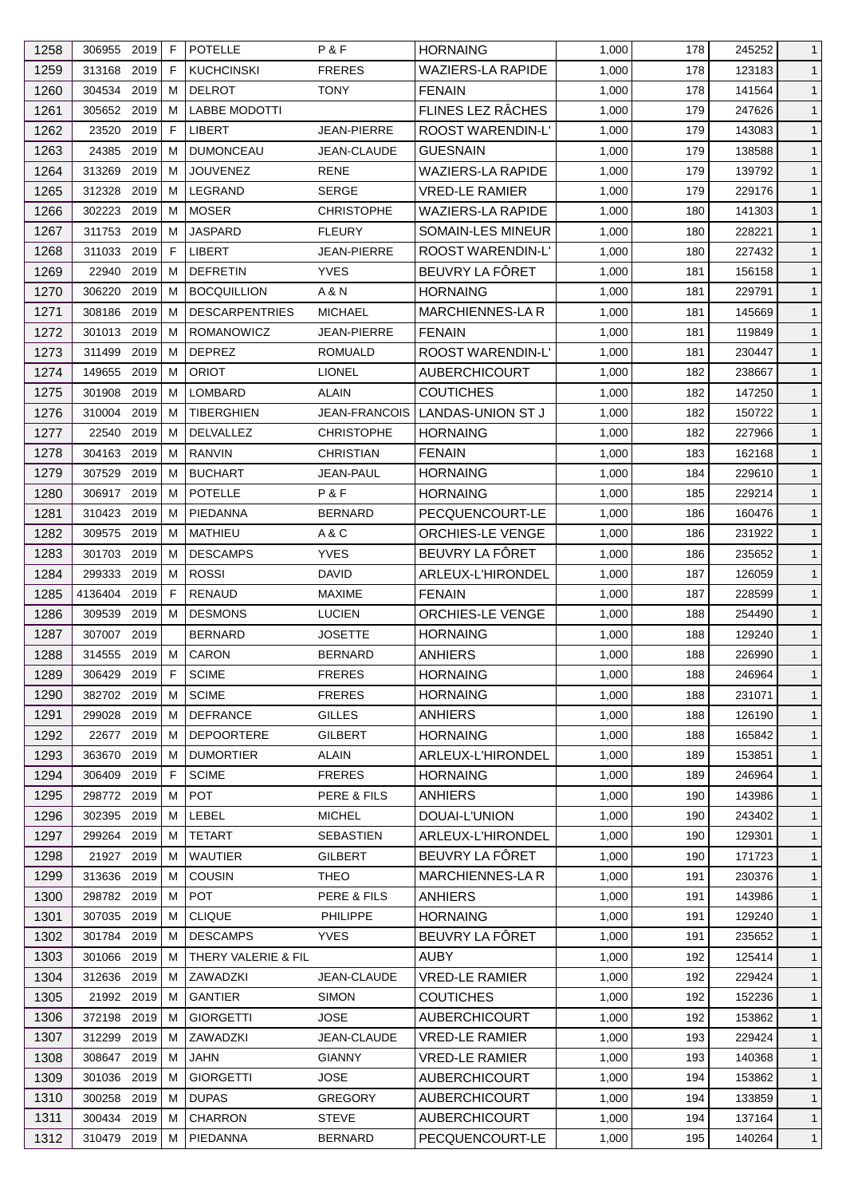| 1258 | 306955 2019   |      | F           | <b>POTELLE</b>        | P & F                | <b>HORNAING</b>          | 1,000 | 178 | 245252 | $\mathbf{1}$ |
|------|---------------|------|-------------|-----------------------|----------------------|--------------------------|-------|-----|--------|--------------|
| 1259 | 313168 2019   |      | F           | <b>KUCHCINSKI</b>     | <b>FRERES</b>        | <b>WAZIERS-LA RAPIDE</b> | 1,000 | 178 | 123183 | $\mathbf{1}$ |
| 1260 | 304534        | 2019 | м           | <b>DELROT</b>         | <b>TONY</b>          | <b>FENAIN</b>            | 1,000 | 178 | 141564 | $\mathbf{1}$ |
| 1261 | 305652 2019   |      | м           | <b>LABBE MODOTTI</b>  |                      | FLINES LEZ RÂCHES        | 1,000 | 179 | 247626 | $\mathbf{1}$ |
| 1262 | 23520         | 2019 | F.          | <b>LIBERT</b>         | JEAN-PIERRE          | <b>ROOST WARENDIN-L'</b> | 1,000 | 179 | 143083 | $\mathbf{1}$ |
| 1263 | 24385         | 2019 | M           | <b>DUMONCEAU</b>      | JEAN-CLAUDE          | <b>GUESNAIN</b>          | 1,000 | 179 | 138588 | $\mathbf{1}$ |
| 1264 | 313269        | 2019 | м           | <b>JOUVENEZ</b>       | <b>RENE</b>          | <b>WAZIERS-LA RAPIDE</b> | 1,000 | 179 | 139792 | $\mathbf{1}$ |
| 1265 | 312328        | 2019 | м           | LEGRAND               | <b>SERGE</b>         | <b>VRED-LE RAMIER</b>    | 1,000 | 179 | 229176 | $\mathbf{1}$ |
| 1266 | 302223        | 2019 | м           | <b>MOSER</b>          | <b>CHRISTOPHE</b>    | <b>WAZIERS-LA RAPIDE</b> | 1,000 | 180 | 141303 | $\mathbf{1}$ |
| 1267 | 311753        | 2019 | м           | <b>JASPARD</b>        | <b>FLEURY</b>        | SOMAIN-LES MINEUR        | 1,000 | 180 | 228221 | $\mathbf{1}$ |
| 1268 | 311033        | 2019 | $\mathsf F$ | LIBERT                | JEAN-PIERRE          | ROOST WARENDIN-L'        | 1,000 | 180 | 227432 | $\mathbf{1}$ |
| 1269 | 22940         | 2019 | м           | <b>DEFRETIN</b>       | <b>YVES</b>          | BEUVRY LA FÔRET          | 1,000 | 181 | 156158 | $\mathbf{1}$ |
| 1270 | 306220        | 2019 | м           | <b>BOCQUILLION</b>    | A & N                | <b>HORNAING</b>          | 1,000 | 181 | 229791 | $\mathbf{1}$ |
| 1271 | 308186        | 2019 | м           | <b>DESCARPENTRIES</b> | <b>MICHAEL</b>       | <b>MARCHIENNES-LAR</b>   | 1,000 | 181 | 145669 | $\mathbf{1}$ |
| 1272 | 301013        | 2019 | м           | <b>ROMANOWICZ</b>     | JEAN-PIERRE          | <b>FENAIN</b>            | 1,000 | 181 | 119849 | $\mathbf{1}$ |
| 1273 | 311499        | 2019 | м           | <b>DEPREZ</b>         | <b>ROMUALD</b>       | <b>ROOST WARENDIN-L'</b> | 1,000 | 181 | 230447 | $\mathbf{1}$ |
| 1274 | 149655        | 2019 | M           | <b>ORIOT</b>          | <b>LIONEL</b>        | <b>AUBERCHICOURT</b>     | 1,000 | 182 | 238667 | $\mathbf{1}$ |
| 1275 | 301908        | 2019 | м           | <b>LOMBARD</b>        | ALAIN                | <b>COUTICHES</b>         | 1,000 | 182 | 147250 | $\mathbf{1}$ |
| 1276 | 310004        | 2019 | м           | <b>TIBERGHIEN</b>     | <b>JEAN-FRANCOIS</b> | LANDAS-UNION ST J        | 1,000 | 182 | 150722 | $\mathbf{1}$ |
| 1277 | 22540         | 2019 | м           | <b>DELVALLEZ</b>      | <b>CHRISTOPHE</b>    | <b>HORNAING</b>          | 1,000 | 182 | 227966 | $\mathbf{1}$ |
| 1278 | 304163        | 2019 | м           | <b>RANVIN</b>         | <b>CHRISTIAN</b>     | <b>FENAIN</b>            | 1,000 | 183 | 162168 | $\mathbf{1}$ |
| 1279 | 307529        | 2019 | м           | <b>BUCHART</b>        | <b>JEAN-PAUL</b>     | <b>HORNAING</b>          | 1,000 | 184 | 229610 | $\mathbf{1}$ |
| 1280 | 306917 2019   |      | м           | <b>POTELLE</b>        | P&F                  | <b>HORNAING</b>          | 1,000 | 185 | 229214 | $\mathbf{1}$ |
| 1281 | 310423 2019   |      | м           | PIEDANNA              | <b>BERNARD</b>       | PECQUENCOURT-LE          | 1,000 | 186 | 160476 | $\mathbf{1}$ |
| 1282 | 309575        | 2019 | м           | <b>MATHIEU</b>        | A & C                | ORCHIES-LE VENGE         | 1,000 | 186 | 231922 | $\mathbf{1}$ |
|      |               |      |             |                       |                      |                          |       |     |        |              |
| 1283 | 301703        | 2019 | м           | <b>DESCAMPS</b>       | <b>YVES</b>          | BEUVRY LA FÔRET          | 1,000 | 186 | 235652 | $\mathbf{1}$ |
| 1284 | 299333 2019   |      | м           | <b>ROSSI</b>          | <b>DAVID</b>         | ARLEUX-L'HIRONDEL        | 1,000 | 187 | 126059 | $\mathbf{1}$ |
| 1285 | 4136404       | 2019 | F           | <b>RENAUD</b>         | <b>MAXIME</b>        | <b>FENAIN</b>            | 1,000 | 187 | 228599 | $\mathbf{1}$ |
| 1286 | 309539        | 2019 | м           | <b>DESMONS</b>        | <b>LUCIEN</b>        | ORCHIES-LE VENGE         | 1,000 | 188 | 254490 | $\mathbf{1}$ |
| 1287 | 307007 2019   |      |             | <b>BERNARD</b>        | <b>JOSETTE</b>       | <b>HORNAING</b>          | 1,000 | 188 | 129240 | $\mathbf{1}$ |
| 1288 | 314555        | 2019 | M           | CARON                 | <b>BERNARD</b>       | <b>ANHIERS</b>           | 1,000 | 188 | 226990 | $\mathbf{1}$ |
| 1289 | 306429 2019 F |      |             | <b>SCIME</b>          | <b>FRERES</b>        | <b>HORNAING</b>          | 1,000 | 188 | 246964 | $\mathbf{1}$ |
| 1290 | 382702 2019   |      | м           | <b>SCIME</b>          | <b>FRERES</b>        | <b>HORNAING</b>          | 1,000 | 188 | 231071 | $\mathbf{1}$ |
| 1291 | 299028 2019   |      | м           | <b>DEFRANCE</b>       | <b>GILLES</b>        | <b>ANHIERS</b>           | 1,000 | 188 | 126190 | $\mathbf{1}$ |
| 1292 | 22677         | 2019 | м           | <b>DEPOORTERE</b>     | GILBERT              | <b>HORNAING</b>          | 1,000 | 188 | 165842 | $\mathbf{1}$ |
| 1293 | 363670        | 2019 | M           | <b>DUMORTIER</b>      | <b>ALAIN</b>         | ARLEUX-L'HIRONDEL        | 1,000 | 189 | 153851 | $\mathbf{1}$ |
| 1294 | 306409 2019   |      | F           | <b>SCIME</b>          | <b>FRERES</b>        | <b>HORNAING</b>          | 1,000 | 189 | 246964 | $\mathbf{1}$ |
| 1295 | 298772 2019   |      | м           | <b>POT</b>            | PERE & FILS          | <b>ANHIERS</b>           | 1,000 | 190 | 143986 | $\mathbf{1}$ |
| 1296 | 302395 2019   |      | м           | <b>LEBEL</b>          | <b>MICHEL</b>        | DOUAI-L'UNION            | 1,000 | 190 | 243402 | $\mathbf{1}$ |
| 1297 | 299264        | 2019 | м           | TETART                | <b>SEBASTIEN</b>     | ARLEUX-L'HIRONDEL        | 1,000 | 190 | 129301 | $\mathbf{1}$ |
| 1298 | 21927 2019    |      | м           | <b>WAUTIER</b>        | <b>GILBERT</b>       | BEUVRY LA FÔRET          | 1,000 | 190 | 171723 | $\mathbf{1}$ |
| 1299 | 313636 2019   |      | м           | <b>COUSIN</b>         | <b>THEO</b>          | <b>MARCHIENNES-LA R</b>  | 1,000 | 191 | 230376 | $\mathbf{1}$ |
| 1300 | 298782 2019   |      | м           | <b>POT</b>            | PERE & FILS          | <b>ANHIERS</b>           | 1,000 | 191 | 143986 | $\mathbf{1}$ |
| 1301 | 307035        | 2019 | м           | <b>CLIQUE</b>         | PHILIPPE             | <b>HORNAING</b>          | 1,000 | 191 | 129240 | $\mathbf{1}$ |
| 1302 | 301784 2019   |      | м           | <b>DESCAMPS</b>       | <b>YVES</b>          | BEUVRY LA FÖRET          | 1,000 | 191 | 235652 | $\mathbf{1}$ |
| 1303 | 301066 2019   |      | м           | THERY VALERIE & FIL   |                      | <b>AUBY</b>              | 1,000 | 192 | 125414 | $\mathbf{1}$ |
| 1304 | 312636        | 2019 | M           | ZAWADZKI              | JEAN-CLAUDE          | <b>VRED-LE RAMIER</b>    | 1,000 | 192 | 229424 | $\mathbf{1}$ |
| 1305 | 21992 2019    |      | м           | <b>GANTIER</b>        | <b>SIMON</b>         | <b>COUTICHES</b>         | 1,000 | 192 | 152236 | $\mathbf{1}$ |
| 1306 | 372198 2019   |      | м           | <b>GIORGETTI</b>      | <b>JOSE</b>          | <b>AUBERCHICOURT</b>     | 1,000 | 192 | 153862 | $\mathbf{1}$ |
| 1307 | 312299        | 2019 | M           | ZAWADZKI              | JEAN-CLAUDE          | <b>VRED-LE RAMIER</b>    | 1,000 | 193 | 229424 | $\mathbf{1}$ |
| 1308 | 308647 2019   |      | м           | JAHN                  | <b>GIANNY</b>        | <b>VRED-LE RAMIER</b>    | 1,000 | 193 | 140368 | $\mathbf{1}$ |
| 1309 | 301036 2019   |      | м           | <b>GIORGETTI</b>      | <b>JOSE</b>          | <b>AUBERCHICOURT</b>     | 1,000 | 194 | 153862 | $\mathbf{1}$ |
| 1310 | 300258 2019   |      | м           | <b>DUPAS</b>          | <b>GREGORY</b>       | <b>AUBERCHICOURT</b>     | 1,000 | 194 | 133859 | $\mathbf{1}$ |
| 1311 | 300434 2019   |      | м           | <b>CHARRON</b>        | <b>STEVE</b>         | <b>AUBERCHICOURT</b>     | 1,000 | 194 | 137164 | $\mathbf{1}$ |
| 1312 | 310479 2019   |      | М           | PIEDANNA              | <b>BERNARD</b>       | PECQUENCOURT-LE          | 1,000 | 195 | 140264 | $\mathbf{1}$ |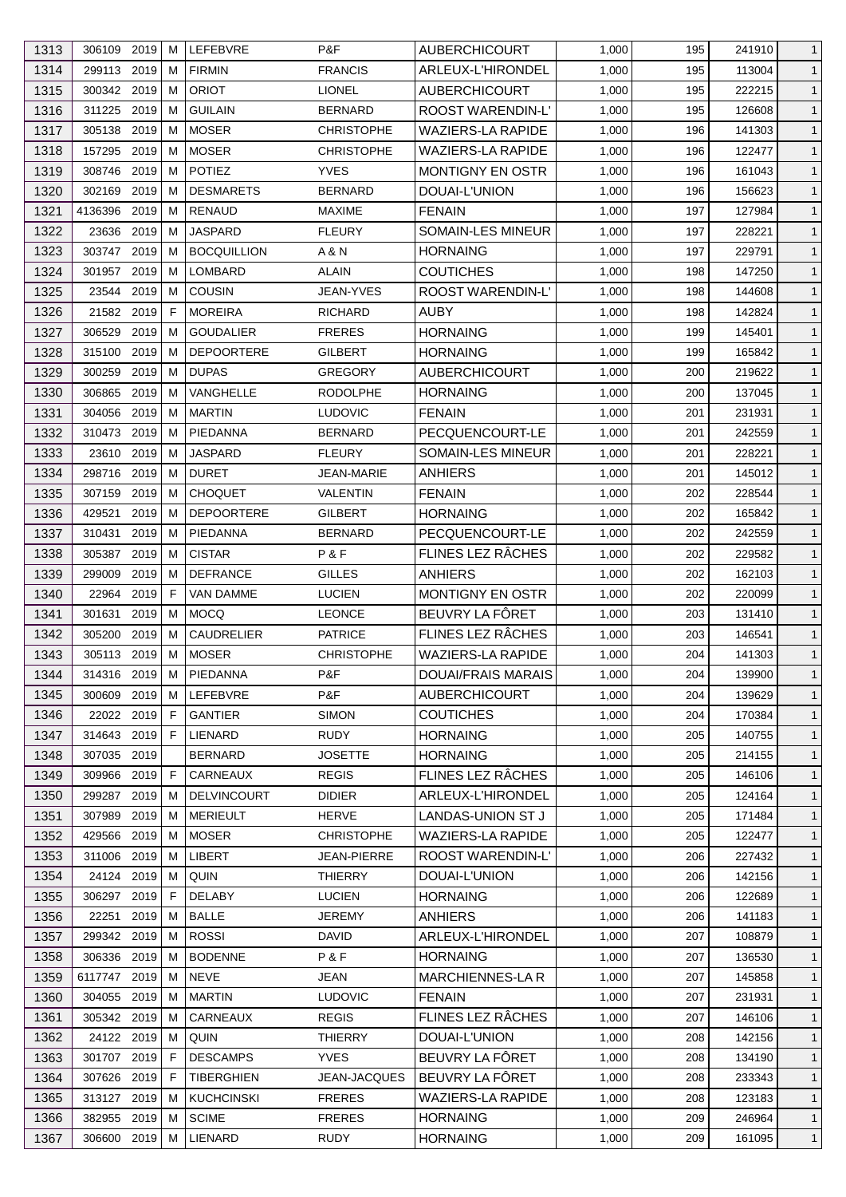| 1313 | 306109 2019               | M      | LEFEBVRE                          | P&F                         | <b>AUBERCHICOURT</b>      | 1,000 | 195 | 241910 | $\mathbf{1}$ |
|------|---------------------------|--------|-----------------------------------|-----------------------------|---------------------------|-------|-----|--------|--------------|
| 1314 | 299113 2019               | M      | <b>FIRMIN</b>                     | <b>FRANCIS</b>              | ARLEUX-L'HIRONDEL         | 1,000 | 195 | 113004 | $\mathbf{1}$ |
| 1315 | 300342 2019               | M      | <b>ORIOT</b>                      | <b>LIONEL</b>               | <b>AUBERCHICOURT</b>      | 1,000 | 195 | 222215 | $\mathbf{1}$ |
| 1316 | 311225 2019               | м      | <b>GUILAIN</b>                    | <b>BERNARD</b>              | ROOST WARENDIN-L'         | 1,000 | 195 | 126608 | $\mathbf{1}$ |
| 1317 | 2019<br>305138            | M      | <b>MOSER</b>                      | <b>CHRISTOPHE</b>           | <b>WAZIERS-LA RAPIDE</b>  | 1,000 | 196 | 141303 | $\mathbf{1}$ |
| 1318 | 157295 2019               | M      | <b>MOSER</b>                      | <b>CHRISTOPHE</b>           | <b>WAZIERS-LA RAPIDE</b>  | 1,000 | 196 | 122477 | $\mathbf{1}$ |
| 1319 | 308746 2019               | м      | <b>POTIEZ</b>                     | <b>YVES</b>                 | MONTIGNY EN OSTR          | 1,000 | 196 | 161043 | $\mathbf{1}$ |
| 1320 | 302169<br>2019            | м      | <b>DESMARETS</b>                  | <b>BERNARD</b>              | DOUAI-L'UNION             | 1,000 | 196 | 156623 | $\mathbf{1}$ |
| 1321 | 2019<br>4136396           | М      | <b>RENAUD</b>                     | <b>MAXIME</b>               | <b>FENAIN</b>             | 1,000 | 197 | 127984 | $\mathbf{1}$ |
| 1322 | 2019<br>23636             | м      | <b>JASPARD</b>                    | <b>FLEURY</b>               | SOMAIN-LES MINEUR         | 1,000 | 197 | 228221 | $\mathbf{1}$ |
| 1323 | 2019<br>303747            | М      | <b>BOCQUILLION</b>                | A & N                       | <b>HORNAING</b>           | 1,000 | 197 | 229791 | $\mathbf{1}$ |
| 1324 | 2019<br>301957            | м      | <b>LOMBARD</b>                    | <b>ALAIN</b>                | <b>COUTICHES</b>          | 1,000 | 198 | 147250 | $\mathbf{1}$ |
| 1325 | 23544 2019                | M      | <b>COUSIN</b>                     | JEAN-YVES                   | ROOST WARENDIN-L'         | 1,000 | 198 | 144608 | $\mathbf{1}$ |
| 1326 | 2019<br>21582             | E      | <b>MOREIRA</b>                    | <b>RICHARD</b>              | <b>AUBY</b>               | 1,000 | 198 | 142824 | $\mathbf{1}$ |
| 1327 | 2019<br>306529            | м      | <b>GOUDALIER</b>                  | <b>FRERES</b>               | <b>HORNAING</b>           | 1,000 | 199 | 145401 | $\mathbf{1}$ |
| 1328 | 2019<br>315100            | M      | <b>DEPOORTERE</b>                 | GILBERT                     | <b>HORNAING</b>           | 1,000 | 199 | 165842 | $\mathbf{1}$ |
| 1329 | 2019<br>300259            | M      | <b>DUPAS</b>                      | <b>GREGORY</b>              | <b>AUBERCHICOURT</b>      | 1,000 | 200 | 219622 | $\mathbf{1}$ |
| 1330 | 2019<br>306865            | м      | VANGHELLE                         | <b>RODOLPHE</b>             | <b>HORNAING</b>           | 1,000 | 200 | 137045 | $\mathbf{1}$ |
| 1331 | 304056<br>2019            | М      | <b>MARTIN</b>                     | <b>LUDOVIC</b>              | <b>FENAIN</b>             | 1,000 | 201 | 231931 | $\mathbf{1}$ |
| 1332 | 310473 2019               | М      | <b>PIEDANNA</b>                   | <b>BERNARD</b>              | PECQUENCOURT-LE           | 1,000 | 201 | 242559 | $\mathbf{1}$ |
| 1333 | 2019<br>23610             | м      | <b>JASPARD</b>                    | <b>FLEURY</b>               | SOMAIN-LES MINEUR         | 1,000 | 201 | 228221 | $\mathbf{1}$ |
| 1334 | 2019<br>298716            | м      | <b>DURET</b>                      | <b>JEAN-MARIE</b>           | <b>ANHIERS</b>            | 1,000 | 201 | 145012 | $\mathbf{1}$ |
| 1335 | 2019<br>307159            | м      | <b>CHOQUET</b>                    | VALENTIN                    | <b>FENAIN</b>             | 1,000 | 202 | 228544 | $\mathbf{1}$ |
| 1336 | 2019<br>429521            | М      | <b>DEPOORTERE</b>                 | GILBERT                     | <b>HORNAING</b>           | 1,000 | 202 | 165842 | $\mathbf{1}$ |
| 1337 | 310431<br>2019            | M      | PIEDANNA                          | <b>BERNARD</b>              | PECQUENCOURT-LE           | 1,000 | 202 | 242559 | $\mathbf{1}$ |
| 1338 | 2019<br>305387            | м      | <b>CISTAR</b>                     | P&F                         | FLINES LEZ RÂCHES         | 1,000 | 202 | 229582 | $\mathbf{1}$ |
| 1339 | 299009<br>2019            | M      | <b>DEFRANCE</b>                   | <b>GILLES</b>               | <b>ANHIERS</b>            | 1,000 | 202 | 162103 | $\mathbf{1}$ |
| 1340 | 22964<br>2019             | -F     | <b>VAN DAMME</b>                  | <b>LUCIEN</b>               | <b>MONTIGNY EN OSTR</b>   | 1,000 | 202 | 220099 | $\mathbf{1}$ |
| 1341 | 301631<br>2019            | м      | <b>MOCQ</b>                       | <b>LEONCE</b>               | BEUVRY LA FÖRET           | 1,000 | 203 | 131410 | $\mathbf{1}$ |
| 1342 | 305200<br>2019            | м      | <b>CAUDRELIER</b>                 | <b>PATRICE</b>              | FLINES LEZ RÂCHES         | 1,000 | 203 | 146541 | $\mathbf{1}$ |
| 1343 | 305113 2019               | M      | <b>MOSER</b>                      | <b>CHRISTOPHE</b>           | <b>WAZIERS-LA RAPIDE</b>  | 1,000 | 204 | 141303 | $\mathbf{1}$ |
| 1344 |                           |        |                                   |                             |                           |       |     |        |              |
|      | 314316 2019 M             |        | PIEDANNA                          | P&F                         | <b>DOUAI/FRAIS MARAIS</b> | 1,000 | 204 | 139900 | $\mathbf{1}$ |
| 1345 | 300609 2019               | M<br>F | <b>LEFEBVRE</b><br><b>GANTIER</b> | P&F                         | <b>AUBERCHICOURT</b>      | 1,000 | 204 | 139629 | $\mathbf{1}$ |
| 1346 | 22022 2019<br>314643 2019 | F      | LIENARD                           | <b>SIMON</b><br><b>RUDY</b> | <b>COUTICHES</b>          | 1,000 | 204 | 170384 | $\mathbf{1}$ |
| 1347 |                           |        |                                   |                             | <b>HORNAING</b>           | 1,000 | 205 | 140755 | $\mathbf{1}$ |
| 1348 | 307035<br>2019            |        | <b>BERNARD</b>                    | <b>JOSETTE</b>              | <b>HORNAING</b>           | 1,000 | 205 | 214155 | $\mathbf{1}$ |
| 1349 | 309966 2019               | F      | CARNEAUX                          | <b>REGIS</b>                | FLINES LEZ RÂCHES         | 1,000 | 205 | 146106 | $\mathbf{1}$ |
| 1350 | 2019<br>299287            | M      | <b>DELVINCOURT</b>                | <b>DIDIER</b>               | ARLEUX-L'HIRONDEL         | 1,000 | 205 | 124164 | $\mathbf{1}$ |
| 1351 | 2019<br>307989            | M      | <b>MERIEULT</b>                   | <b>HERVE</b>                | LANDAS-UNION ST J         | 1,000 | 205 | 171484 | $\mathbf{1}$ |
| 1352 | 429566<br>2019            | M      | <b>MOSER</b>                      | <b>CHRISTOPHE</b>           | WAZIERS-LA RAPIDE         | 1,000 | 205 | 122477 | $\mathbf{1}$ |
| 1353 | 311006<br>2019            | м      | LIBERT                            | JEAN-PIERRE                 | <b>ROOST WARENDIN-L'</b>  | 1,000 | 206 | 227432 | $\mathbf{1}$ |
| 1354 | 24124 2019                | м      | QUIN                              | <b>THIERRY</b>              | DOUAI-L'UNION             | 1,000 | 206 | 142156 | $\mathbf{1}$ |
| 1355 | 2019<br>306297            | F      | <b>DELABY</b>                     | <b>LUCIEN</b>               | <b>HORNAING</b>           | 1,000 | 206 | 122689 | $\mathbf{1}$ |
| 1356 | 22251<br>2019             | M      | <b>BALLE</b>                      | <b>JEREMY</b>               | <b>ANHIERS</b>            | 1,000 | 206 | 141183 | $\mathbf{1}$ |
| 1357 | 299342 2019               | M      | <b>ROSSI</b>                      | DAVID                       | ARLEUX-L'HIRONDEL         | 1,000 | 207 | 108879 | $\mathbf{1}$ |
| 1358 | 306336 2019               | M      | <b>BODENNE</b>                    | P&F                         | <b>HORNAING</b>           | 1,000 | 207 | 136530 | $\mathbf{1}$ |
| 1359 | 6117747 2019              | M      | <b>NEVE</b>                       | <b>JEAN</b>                 | MARCHIENNES-LA R          | 1,000 | 207 | 145858 | $\mathbf{1}$ |
| 1360 | 304055 2019               | M      | <b>MARTIN</b>                     | <b>LUDOVIC</b>              | <b>FENAIN</b>             | 1,000 | 207 | 231931 | $\mathbf{1}$ |
| 1361 | 305342 2019               | M      | CARNEAUX                          | <b>REGIS</b>                | FLINES LEZ RÂCHES         | 1,000 | 207 | 146106 | $\mathbf{1}$ |
| 1362 | 24122 2019                | M      | QUIN                              | <b>THIERRY</b>              | DOUAI-L'UNION             | 1,000 | 208 | 142156 | $\mathbf{1}$ |
| 1363 | 301707 2019               | F      | <b>DESCAMPS</b>                   | <b>YVES</b>                 | BEUVRY LA FÖRET           | 1,000 | 208 | 134190 | $\mathbf{1}$ |
| 1364 | 307626 2019               | F      | <b>TIBERGHIEN</b>                 | <b>JEAN-JACQUES</b>         | BEUVRY LA FÔRET           | 1,000 | 208 | 233343 | $\mathbf{1}$ |
| 1365 | 313127 2019               | M      | <b>KUCHCINSKI</b>                 | <b>FRERES</b>               | <b>WAZIERS-LA RAPIDE</b>  | 1,000 | 208 | 123183 | $\mathbf{1}$ |
| 1366 | 382955 2019               | M      | <b>SCIME</b>                      | <b>FRERES</b>               | <b>HORNAING</b>           | 1,000 | 209 | 246964 | $\mathbf{1}$ |
| 1367 | 306600 2019               | М      | LIENARD                           | <b>RUDY</b>                 | <b>HORNAING</b>           | 1,000 | 209 | 161095 | $\mathbf{1}$ |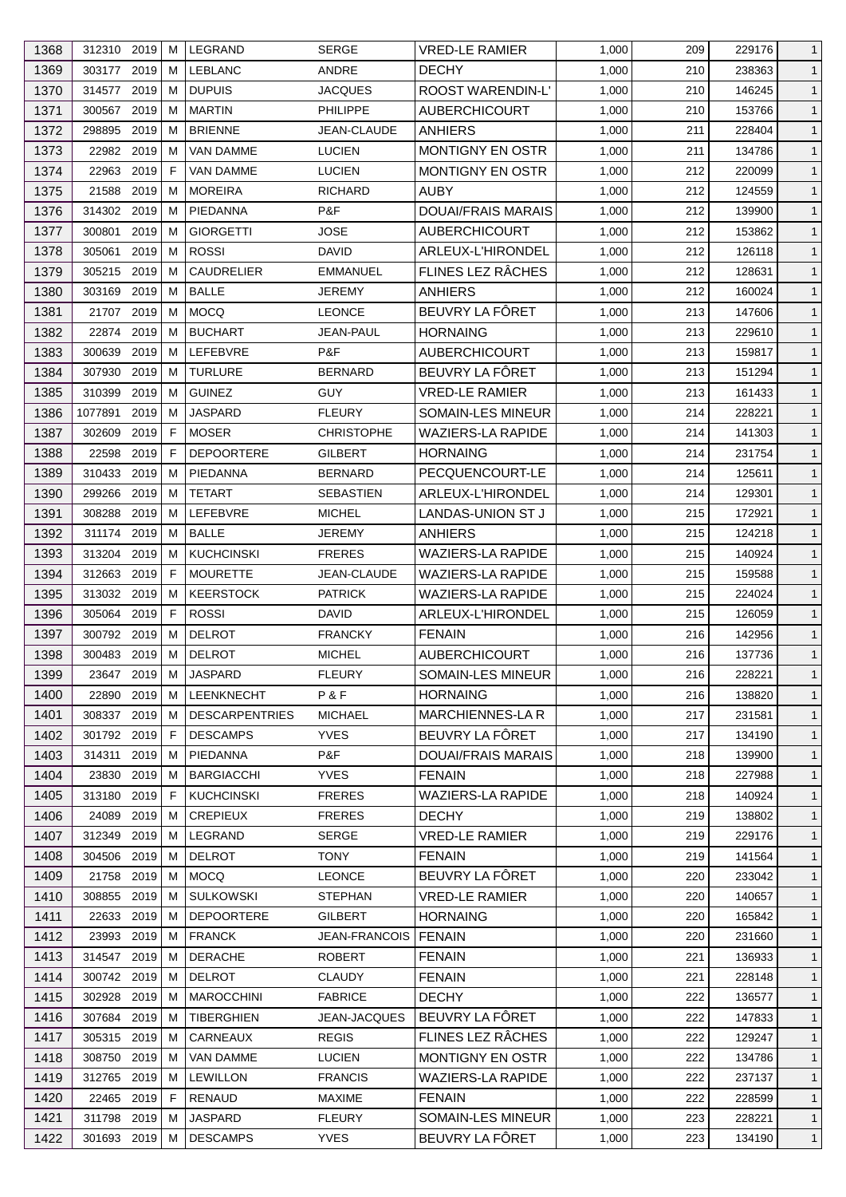| 1369<br>303177 2019<br><b>LEBLANC</b><br><b>DECHY</b><br>1,000<br>M<br>ANDRE<br>210<br>238363<br>$\mathbf{1}$<br><b>DUPUIS</b><br>ROOST WARENDIN-L'<br>1370<br>2019<br>M<br>JACQUES<br>1,000<br>146245<br>$\mathbf{1}$<br>314577<br>210<br>300567 2019<br>1371<br>M<br><b>MARTIN</b><br>PHILIPPE<br><b>AUBERCHICOURT</b><br>1,000<br>210<br>153766<br>$\mathbf{1}$<br>1372<br>298895<br>2019<br><b>BRIENNE</b><br>M<br><b>JEAN-CLAUDE</b><br><b>ANHIERS</b><br>1,000<br>211<br>228404<br>$\mathbf{1}$<br>1373<br>2019<br><b>LUCIEN</b><br><b>MONTIGNY EN OSTR</b><br>22982<br>M<br><b>VAN DAMME</b><br>1,000<br>211<br>134786<br>$\mathbf{1}$<br>1374<br>2019<br>22963<br>F<br>VAN DAMME<br><b>LUCIEN</b><br><b>MONTIGNY EN OSTR</b><br>1,000<br>212<br>220099<br>$\mathbf{1}$<br>2019<br><b>MOREIRA</b><br><b>AUBY</b><br>1375<br>21588<br>RICHARD<br>1,000<br>212<br>124559<br>$\mathbf{1}$<br>M<br>314302 2019<br>P&F<br><b>DOUAI/FRAIS MARAIS</b><br>$\mathbf{1}$<br>1376<br>M<br>PIEDANNA<br>1,000<br>212<br>139900<br>AUBERCHICOURT<br>1377<br>300801<br>2019<br><b>GIORGETTI</b><br>JOSE<br>1,000<br>212<br>153862<br>M<br>$\mathbf{1}$<br>1378<br>305061<br>2019<br><b>ROSSI</b><br><b>DAVID</b><br>ARLEUX-L'HIRONDEL<br>212<br>M<br>1,000<br>126118<br>$\mathbf{1}$<br>FLINES LEZ RÂCHES<br>305215 2019<br><b>CAUDRELIER</b><br>1379<br>M<br><b>EMMANUEL</b><br>1,000<br>212<br>128631<br>$\mathbf{1}$<br>1380<br>2019<br><b>BALLE</b><br>303169<br>M<br>JEREMY<br><b>ANHIERS</b><br>1,000<br>212<br>160024<br>$\mathbf{1}$<br>BEUVRY LA FÔRET<br>1381<br>2019<br><b>MOCQ</b><br>21707<br><b>LEONCE</b><br>1,000<br>213<br>147606<br>$\mathbf{1}$<br>M<br>2019<br>1382<br>22874<br>М<br><b>BUCHART</b><br><b>JEAN-PAUL</b><br><b>HORNAING</b><br>1,000<br>213<br>229610<br>$\mathbf{1}$<br>1383<br>300639<br>2019<br><b>LEFEBVRE</b><br>P&F<br><b>AUBERCHICOURT</b><br>1,000<br>213<br>159817<br>$\mathbf{1}$<br>M<br>1384<br>307930<br>2019<br><b>TURLURE</b><br>BEUVRY LA FÔRET<br>213<br>M<br><b>BERNARD</b><br>1,000<br>151294<br>$\mathbf{1}$<br>1385<br>2019<br><b>GUINEZ</b><br><b>VRED-LE RAMIER</b><br>310399<br>М<br><b>GUY</b><br>1,000<br>213<br>$\mathbf{1}$<br>161433<br>1386<br>2019<br><b>JASPARD</b><br><b>SOMAIN-LES MINEUR</b><br>1077891<br><b>FLEURY</b><br>1,000<br>214<br>228221<br>$\mathbf{1}$<br>M<br>1387<br>2019<br>F<br><b>MOSER</b><br><b>CHRISTOPHE</b><br><b>WAZIERS-LA RAPIDE</b><br>$\mathbf{1}$<br>302609<br>1,000<br>214<br>141303<br><b>DEPOORTERE</b><br>1388<br>22598<br>2019<br>F<br>GILBERT<br><b>HORNAING</b><br>1,000<br>214<br>231754<br>$\mathbf{1}$<br>1389<br>310433<br>2019<br>PIEDANNA<br><b>BERNARD</b><br>PECQUENCOURT-LE<br>M<br>1,000<br>214<br>125611<br>$\mathbf{1}$<br>2019<br><b>TETART</b><br>1390<br>299266<br>M<br>SEBASTIEN<br>ARLEUX-L'HIRONDEL<br>1,000<br>214<br>129301<br>$\mathbf{1}$<br>1391<br>2019<br>LEFEBVRE<br>308288<br>M<br><b>MICHEL</b><br>LANDAS-UNION ST J<br>1,000<br>215<br>172921<br>$\mathbf{1}$<br>1392<br><b>BALLE</b><br>311174<br>2019<br>M<br>JEREMY<br>ANHIERS<br>1,000<br>124218<br>$\mathbf{1}$<br>215<br>2019<br><b>WAZIERS-LA RAPIDE</b><br>1393<br>313204<br>M<br><b>KUCHCINSKI</b><br><b>FRERES</b><br>1,000<br>215<br>140924<br>$\mathbf{1}$<br>1394<br>312663<br>2019<br><b>MOURETTE</b><br><b>WAZIERS-LA RAPIDE</b><br>F.<br>JEAN-CLAUDE<br>1,000<br>215<br>159588<br>$\mathbf{1}$<br>1395<br><b>KEERSTOCK</b><br><b>WAZIERS-LA RAPIDE</b><br>313032 2019<br>M<br><b>PATRICK</b><br>1,000<br>215<br>224024<br>$\mathbf{1}$<br>1396<br>2019<br>F<br><b>ROSSI</b><br>ARLEUX-L'HIRONDEL<br>305064<br>DAVID<br>1,000<br>215<br>126059<br>$\mathbf{1}$<br>1397<br>300792 2019<br><b>DELROT</b><br>M<br><b>FRANCKY</b><br><b>FENAIN</b><br>1,000<br>142956<br>216<br>$\mathbf{1}$<br>300483 2019<br>1398<br>M<br><b>DELROT</b><br><b>AUBERCHICOURT</b><br>216<br>$\mathbf{1}$<br><b>MICHEL</b><br>1,000<br>137736<br>216<br>1399<br>23647 2019 M<br>JASPARD<br><b>FLEURY</b><br>SOMAIN-LES MINEUR<br>1,000<br>228221<br>$\mathbf{1}$<br>P&F<br>1400<br>LEENKNECHT<br><b>HORNAING</b><br>1,000<br>138820<br>22890 2019<br>216<br>$\mathbf{1}$<br>M<br><b>MARCHIENNES-LAR</b><br>1,000<br>217<br>1401<br>308337<br>2019<br><b>DESCARPENTRIES</b><br><b>MICHAEL</b><br>231581<br>$\mathbf{1}$<br>M<br>1402<br>301792 2019<br><b>YVES</b><br>BEUVRY LA FÖRET<br>F.<br><b>DESCAMPS</b><br>1,000<br>217<br>134190<br>$\mathbf{1}$<br>P&F<br>1403<br><b>DOUAI/FRAIS MARAIS</b><br>314311<br>2019<br>PIEDANNA<br>1,000<br>218<br>139900<br>M<br>$\mathbf{1}$<br>2019<br><b>YVES</b><br>1404<br>23830<br><b>BARGIACCHI</b><br><b>FENAIN</b><br>1,000<br>218<br>227988<br>M<br>$\mathbf{1}$<br><b>WAZIERS-LA RAPIDE</b><br>1405<br>313180<br>2019<br><b>KUCHCINSKI</b><br><b>FRERES</b><br>F.<br>1,000<br>218<br>140924<br>$\mathbf{1}$<br>1406<br>24089<br>2019<br><b>CREPIEUX</b><br><b>FRERES</b><br>138802<br><b>DECHY</b><br>1,000<br>219<br>$\mathbf{1}$<br>M<br>1407<br>SERGE<br><b>VRED-LE RAMIER</b><br>1,000<br>312349<br>2019<br>LEGRAND<br>219<br>229176<br>M<br>$\mathbf{1}$<br>304506 2019<br><b>TONY</b><br>1408<br><b>DELROT</b><br><b>FENAIN</b><br>1,000<br>219<br>141564<br>M<br>$\mathbf{1}$<br>BEUVRY LA FÔRET<br>21758 2019<br><b>MOCQ</b><br><b>LEONCE</b><br>1,000<br>220<br>$\mathbf{1}$<br>1409<br>M<br>233042<br>1410<br><b>SULKOWSKI</b><br><b>VRED-LE RAMIER</b><br>308855<br>2019<br>STEPHAN<br>1,000<br>220<br>140657<br>M<br>$\mathbf{1}$<br>1411<br><b>HORNAING</b><br>2019<br><b>DEPOORTERE</b><br><b>GILBERT</b><br>1,000<br>165842<br>22633<br>М<br>220<br>$\mathbf{1}$<br>1412<br>2019<br><b>FRANCK</b><br><b>JEAN-FRANCOIS</b><br><b>FENAIN</b><br>1,000<br>231660<br>$\mathbf{1}$<br>23993<br>M<br>220<br>1413<br>2019<br><b>DERACHE</b><br><b>ROBERT</b><br>314547<br><b>FENAIN</b><br>1,000<br>221<br>136933<br>$\mathbf{1}$<br>M<br><b>DELROT</b><br><b>FENAIN</b><br>1414<br>300742<br>2019<br>CLAUDY<br>1,000<br>221<br>228148<br>M<br>$\mathbf{1}$<br>2019<br><b>MAROCCHINI</b><br><b>FABRICE</b><br><b>DECHY</b><br>1,000<br>1415<br>302928<br>222<br>136577<br>M<br>$\mathbf{1}$<br>BEUVRY LA FÔRET<br>1416<br>307684 2019<br><b>TIBERGHIEN</b><br>1,000<br>JEAN-JACQUES<br>222<br>147833<br>$\mathbf{1}$<br>M<br>FLINES LEZ RÂCHES<br>1417<br>CARNEAUX<br><b>REGIS</b><br>305315<br>2019<br>1,000<br>222<br>129247<br>$\mathbf{1}$<br>M<br><b>MONTIGNY EN OSTR</b><br>1418<br>308750<br>2019<br>VAN DAMME<br><b>LUCIEN</b><br>1,000<br>222<br>134786<br>M<br>$\mathbf{1}$<br>1419<br><b>WAZIERS-LA RAPIDE</b><br>312765 2019<br><b>LEWILLON</b><br><b>FRANCIS</b><br>1,000<br>222<br>237137<br>M<br>$\mathbf{1}$<br>22465 2019<br>E<br><b>RENAUD</b><br>222<br>$\mathbf{1}$<br>1420<br><b>MAXIME</b><br><b>FENAIN</b><br>1,000<br>228599<br><b>JASPARD</b><br>SOMAIN-LES MINEUR<br>1421<br>311798 2019<br><b>FLEURY</b><br>1,000<br>223<br>228221<br>M<br>$\mathbf{1}$<br><b>YVES</b><br>BEUVRY LA FÔRET<br>1422<br>301693 2019<br><b>DESCAMPS</b><br>1,000<br>134190<br>M<br>223<br>$\mathbf{1}$ | 1368 | 312310 2019 | M | LEGRAND | <b>SERGE</b> | <b>VRED-LE RAMIER</b> | 1,000 | 209 | 229176 | $\mathbf{1}$ |
|---------------------------------------------------------------------------------------------------------------------------------------------------------------------------------------------------------------------------------------------------------------------------------------------------------------------------------------------------------------------------------------------------------------------------------------------------------------------------------------------------------------------------------------------------------------------------------------------------------------------------------------------------------------------------------------------------------------------------------------------------------------------------------------------------------------------------------------------------------------------------------------------------------------------------------------------------------------------------------------------------------------------------------------------------------------------------------------------------------------------------------------------------------------------------------------------------------------------------------------------------------------------------------------------------------------------------------------------------------------------------------------------------------------------------------------------------------------------------------------------------------------------------------------------------------------------------------------------------------------------------------------------------------------------------------------------------------------------------------------------------------------------------------------------------------------------------------------------------------------------------------------------------------------------------------------------------------------------------------------------------------------------------------------------------------------------------------------------------------------------------------------------------------------------------------------------------------------------------------------------------------------------------------------------------------------------------------------------------------------------------------------------------------------------------------------------------------------------------------------------------------------------------------------------------------------------------------------------------------------------------------------------------------------------------------------------------------------------------------------------------------------------------------------------------------------------------------------------------------------------------------------------------------------------------------------------------------------------------------------------------------------------------------------------------------------------------------------------------------------------------------------------------------------------------------------------------------------------------------------------------------------------------------------------------------------------------------------------------------------------------------------------------------------------------------------------------------------------------------------------------------------------------------------------------------------------------------------------------------------------------------------------------------------------------------------------------------------------------------------------------------------------------------------------------------------------------------------------------------------------------------------------------------------------------------------------------------------------------------------------------------------------------------------------------------------------------------------------------------------------------------------------------------------------------------------------------------------------------------------------------------------------------------------------------------------------------------------------------------------------------------------------------------------------------------------------------------------------------------------------------------------------------------------------------------------------------------------------------------------------------------------------------------------------------------------------------------------------------------------------------------------------------------------------------------------------------------------------------------------------------------------------------------------------------------------------------------------------------------------------------------------------------------------------------------------------------------------------------------------------------------------------------------------------------------------------------------------------------------------------------------------------------------------------------------------------------------------------------------------------------------------------------------------------------------------------------------------------------------------------------------------------------------------------------------------------------------------------------------------------------------------------------------------------------------------------------------------------------------------------------------------------------------------------------------------------------------------------------------------------------------------------------------------------------------------------------------------------------------------------------------------------------------------------------------------------------------------------------------------------------------------------------------------------------------------------------------------------------------------------------------------------------------------------------------------------------------------------------------------------------------------------------------------------------------------------------------------------------------------------------------------------------------------------------------------------------------------------------------------------------------------------------------------------------------------------------------------------------------------------------------------------------------------------------------------------------------------------------------------------------------------------------------------------------------------------------------------------------------------------------------------------------------------------|------|-------------|---|---------|--------------|-----------------------|-------|-----|--------|--------------|
|                                                                                                                                                                                                                                                                                                                                                                                                                                                                                                                                                                                                                                                                                                                                                                                                                                                                                                                                                                                                                                                                                                                                                                                                                                                                                                                                                                                                                                                                                                                                                                                                                                                                                                                                                                                                                                                                                                                                                                                                                                                                                                                                                                                                                                                                                                                                                                                                                                                                                                                                                                                                                                                                                                                                                                                                                                                                                                                                                                                                                                                                                                                                                                                                                                                                                                                                                                                                                                                                                                                                                                                                                                                                                                                                                                                                                                                                                                                                                                                                                                                                                                                                                                                                                                                                                                                                                                                                                                                                                                                                                                                                                                                                                                                                                                                                                                                                                                                                                                                                                                                                                                                                                                                                                                                                                                                                                                                                                                                                                                                                                                                                                                                                                                                                                                                                                                                                                                                                                                                                                                                                                                                                                                                                                                                                                                                                                                                                                                                                                                                                                                                                                                                                                                                                                                                                                                                                                                                                                                                                                                             |      |             |   |         |              |                       |       |     |        |              |
|                                                                                                                                                                                                                                                                                                                                                                                                                                                                                                                                                                                                                                                                                                                                                                                                                                                                                                                                                                                                                                                                                                                                                                                                                                                                                                                                                                                                                                                                                                                                                                                                                                                                                                                                                                                                                                                                                                                                                                                                                                                                                                                                                                                                                                                                                                                                                                                                                                                                                                                                                                                                                                                                                                                                                                                                                                                                                                                                                                                                                                                                                                                                                                                                                                                                                                                                                                                                                                                                                                                                                                                                                                                                                                                                                                                                                                                                                                                                                                                                                                                                                                                                                                                                                                                                                                                                                                                                                                                                                                                                                                                                                                                                                                                                                                                                                                                                                                                                                                                                                                                                                                                                                                                                                                                                                                                                                                                                                                                                                                                                                                                                                                                                                                                                                                                                                                                                                                                                                                                                                                                                                                                                                                                                                                                                                                                                                                                                                                                                                                                                                                                                                                                                                                                                                                                                                                                                                                                                                                                                                                             |      |             |   |         |              |                       |       |     |        |              |
|                                                                                                                                                                                                                                                                                                                                                                                                                                                                                                                                                                                                                                                                                                                                                                                                                                                                                                                                                                                                                                                                                                                                                                                                                                                                                                                                                                                                                                                                                                                                                                                                                                                                                                                                                                                                                                                                                                                                                                                                                                                                                                                                                                                                                                                                                                                                                                                                                                                                                                                                                                                                                                                                                                                                                                                                                                                                                                                                                                                                                                                                                                                                                                                                                                                                                                                                                                                                                                                                                                                                                                                                                                                                                                                                                                                                                                                                                                                                                                                                                                                                                                                                                                                                                                                                                                                                                                                                                                                                                                                                                                                                                                                                                                                                                                                                                                                                                                                                                                                                                                                                                                                                                                                                                                                                                                                                                                                                                                                                                                                                                                                                                                                                                                                                                                                                                                                                                                                                                                                                                                                                                                                                                                                                                                                                                                                                                                                                                                                                                                                                                                                                                                                                                                                                                                                                                                                                                                                                                                                                                                             |      |             |   |         |              |                       |       |     |        |              |
|                                                                                                                                                                                                                                                                                                                                                                                                                                                                                                                                                                                                                                                                                                                                                                                                                                                                                                                                                                                                                                                                                                                                                                                                                                                                                                                                                                                                                                                                                                                                                                                                                                                                                                                                                                                                                                                                                                                                                                                                                                                                                                                                                                                                                                                                                                                                                                                                                                                                                                                                                                                                                                                                                                                                                                                                                                                                                                                                                                                                                                                                                                                                                                                                                                                                                                                                                                                                                                                                                                                                                                                                                                                                                                                                                                                                                                                                                                                                                                                                                                                                                                                                                                                                                                                                                                                                                                                                                                                                                                                                                                                                                                                                                                                                                                                                                                                                                                                                                                                                                                                                                                                                                                                                                                                                                                                                                                                                                                                                                                                                                                                                                                                                                                                                                                                                                                                                                                                                                                                                                                                                                                                                                                                                                                                                                                                                                                                                                                                                                                                                                                                                                                                                                                                                                                                                                                                                                                                                                                                                                                             |      |             |   |         |              |                       |       |     |        |              |
|                                                                                                                                                                                                                                                                                                                                                                                                                                                                                                                                                                                                                                                                                                                                                                                                                                                                                                                                                                                                                                                                                                                                                                                                                                                                                                                                                                                                                                                                                                                                                                                                                                                                                                                                                                                                                                                                                                                                                                                                                                                                                                                                                                                                                                                                                                                                                                                                                                                                                                                                                                                                                                                                                                                                                                                                                                                                                                                                                                                                                                                                                                                                                                                                                                                                                                                                                                                                                                                                                                                                                                                                                                                                                                                                                                                                                                                                                                                                                                                                                                                                                                                                                                                                                                                                                                                                                                                                                                                                                                                                                                                                                                                                                                                                                                                                                                                                                                                                                                                                                                                                                                                                                                                                                                                                                                                                                                                                                                                                                                                                                                                                                                                                                                                                                                                                                                                                                                                                                                                                                                                                                                                                                                                                                                                                                                                                                                                                                                                                                                                                                                                                                                                                                                                                                                                                                                                                                                                                                                                                                                             |      |             |   |         |              |                       |       |     |        |              |
|                                                                                                                                                                                                                                                                                                                                                                                                                                                                                                                                                                                                                                                                                                                                                                                                                                                                                                                                                                                                                                                                                                                                                                                                                                                                                                                                                                                                                                                                                                                                                                                                                                                                                                                                                                                                                                                                                                                                                                                                                                                                                                                                                                                                                                                                                                                                                                                                                                                                                                                                                                                                                                                                                                                                                                                                                                                                                                                                                                                                                                                                                                                                                                                                                                                                                                                                                                                                                                                                                                                                                                                                                                                                                                                                                                                                                                                                                                                                                                                                                                                                                                                                                                                                                                                                                                                                                                                                                                                                                                                                                                                                                                                                                                                                                                                                                                                                                                                                                                                                                                                                                                                                                                                                                                                                                                                                                                                                                                                                                                                                                                                                                                                                                                                                                                                                                                                                                                                                                                                                                                                                                                                                                                                                                                                                                                                                                                                                                                                                                                                                                                                                                                                                                                                                                                                                                                                                                                                                                                                                                                             |      |             |   |         |              |                       |       |     |        |              |
|                                                                                                                                                                                                                                                                                                                                                                                                                                                                                                                                                                                                                                                                                                                                                                                                                                                                                                                                                                                                                                                                                                                                                                                                                                                                                                                                                                                                                                                                                                                                                                                                                                                                                                                                                                                                                                                                                                                                                                                                                                                                                                                                                                                                                                                                                                                                                                                                                                                                                                                                                                                                                                                                                                                                                                                                                                                                                                                                                                                                                                                                                                                                                                                                                                                                                                                                                                                                                                                                                                                                                                                                                                                                                                                                                                                                                                                                                                                                                                                                                                                                                                                                                                                                                                                                                                                                                                                                                                                                                                                                                                                                                                                                                                                                                                                                                                                                                                                                                                                                                                                                                                                                                                                                                                                                                                                                                                                                                                                                                                                                                                                                                                                                                                                                                                                                                                                                                                                                                                                                                                                                                                                                                                                                                                                                                                                                                                                                                                                                                                                                                                                                                                                                                                                                                                                                                                                                                                                                                                                                                                             |      |             |   |         |              |                       |       |     |        |              |
|                                                                                                                                                                                                                                                                                                                                                                                                                                                                                                                                                                                                                                                                                                                                                                                                                                                                                                                                                                                                                                                                                                                                                                                                                                                                                                                                                                                                                                                                                                                                                                                                                                                                                                                                                                                                                                                                                                                                                                                                                                                                                                                                                                                                                                                                                                                                                                                                                                                                                                                                                                                                                                                                                                                                                                                                                                                                                                                                                                                                                                                                                                                                                                                                                                                                                                                                                                                                                                                                                                                                                                                                                                                                                                                                                                                                                                                                                                                                                                                                                                                                                                                                                                                                                                                                                                                                                                                                                                                                                                                                                                                                                                                                                                                                                                                                                                                                                                                                                                                                                                                                                                                                                                                                                                                                                                                                                                                                                                                                                                                                                                                                                                                                                                                                                                                                                                                                                                                                                                                                                                                                                                                                                                                                                                                                                                                                                                                                                                                                                                                                                                                                                                                                                                                                                                                                                                                                                                                                                                                                                                             |      |             |   |         |              |                       |       |     |        |              |
|                                                                                                                                                                                                                                                                                                                                                                                                                                                                                                                                                                                                                                                                                                                                                                                                                                                                                                                                                                                                                                                                                                                                                                                                                                                                                                                                                                                                                                                                                                                                                                                                                                                                                                                                                                                                                                                                                                                                                                                                                                                                                                                                                                                                                                                                                                                                                                                                                                                                                                                                                                                                                                                                                                                                                                                                                                                                                                                                                                                                                                                                                                                                                                                                                                                                                                                                                                                                                                                                                                                                                                                                                                                                                                                                                                                                                                                                                                                                                                                                                                                                                                                                                                                                                                                                                                                                                                                                                                                                                                                                                                                                                                                                                                                                                                                                                                                                                                                                                                                                                                                                                                                                                                                                                                                                                                                                                                                                                                                                                                                                                                                                                                                                                                                                                                                                                                                                                                                                                                                                                                                                                                                                                                                                                                                                                                                                                                                                                                                                                                                                                                                                                                                                                                                                                                                                                                                                                                                                                                                                                                             |      |             |   |         |              |                       |       |     |        |              |
|                                                                                                                                                                                                                                                                                                                                                                                                                                                                                                                                                                                                                                                                                                                                                                                                                                                                                                                                                                                                                                                                                                                                                                                                                                                                                                                                                                                                                                                                                                                                                                                                                                                                                                                                                                                                                                                                                                                                                                                                                                                                                                                                                                                                                                                                                                                                                                                                                                                                                                                                                                                                                                                                                                                                                                                                                                                                                                                                                                                                                                                                                                                                                                                                                                                                                                                                                                                                                                                                                                                                                                                                                                                                                                                                                                                                                                                                                                                                                                                                                                                                                                                                                                                                                                                                                                                                                                                                                                                                                                                                                                                                                                                                                                                                                                                                                                                                                                                                                                                                                                                                                                                                                                                                                                                                                                                                                                                                                                                                                                                                                                                                                                                                                                                                                                                                                                                                                                                                                                                                                                                                                                                                                                                                                                                                                                                                                                                                                                                                                                                                                                                                                                                                                                                                                                                                                                                                                                                                                                                                                                             |      |             |   |         |              |                       |       |     |        |              |
|                                                                                                                                                                                                                                                                                                                                                                                                                                                                                                                                                                                                                                                                                                                                                                                                                                                                                                                                                                                                                                                                                                                                                                                                                                                                                                                                                                                                                                                                                                                                                                                                                                                                                                                                                                                                                                                                                                                                                                                                                                                                                                                                                                                                                                                                                                                                                                                                                                                                                                                                                                                                                                                                                                                                                                                                                                                                                                                                                                                                                                                                                                                                                                                                                                                                                                                                                                                                                                                                                                                                                                                                                                                                                                                                                                                                                                                                                                                                                                                                                                                                                                                                                                                                                                                                                                                                                                                                                                                                                                                                                                                                                                                                                                                                                                                                                                                                                                                                                                                                                                                                                                                                                                                                                                                                                                                                                                                                                                                                                                                                                                                                                                                                                                                                                                                                                                                                                                                                                                                                                                                                                                                                                                                                                                                                                                                                                                                                                                                                                                                                                                                                                                                                                                                                                                                                                                                                                                                                                                                                                                             |      |             |   |         |              |                       |       |     |        |              |
|                                                                                                                                                                                                                                                                                                                                                                                                                                                                                                                                                                                                                                                                                                                                                                                                                                                                                                                                                                                                                                                                                                                                                                                                                                                                                                                                                                                                                                                                                                                                                                                                                                                                                                                                                                                                                                                                                                                                                                                                                                                                                                                                                                                                                                                                                                                                                                                                                                                                                                                                                                                                                                                                                                                                                                                                                                                                                                                                                                                                                                                                                                                                                                                                                                                                                                                                                                                                                                                                                                                                                                                                                                                                                                                                                                                                                                                                                                                                                                                                                                                                                                                                                                                                                                                                                                                                                                                                                                                                                                                                                                                                                                                                                                                                                                                                                                                                                                                                                                                                                                                                                                                                                                                                                                                                                                                                                                                                                                                                                                                                                                                                                                                                                                                                                                                                                                                                                                                                                                                                                                                                                                                                                                                                                                                                                                                                                                                                                                                                                                                                                                                                                                                                                                                                                                                                                                                                                                                                                                                                                                             |      |             |   |         |              |                       |       |     |        |              |
|                                                                                                                                                                                                                                                                                                                                                                                                                                                                                                                                                                                                                                                                                                                                                                                                                                                                                                                                                                                                                                                                                                                                                                                                                                                                                                                                                                                                                                                                                                                                                                                                                                                                                                                                                                                                                                                                                                                                                                                                                                                                                                                                                                                                                                                                                                                                                                                                                                                                                                                                                                                                                                                                                                                                                                                                                                                                                                                                                                                                                                                                                                                                                                                                                                                                                                                                                                                                                                                                                                                                                                                                                                                                                                                                                                                                                                                                                                                                                                                                                                                                                                                                                                                                                                                                                                                                                                                                                                                                                                                                                                                                                                                                                                                                                                                                                                                                                                                                                                                                                                                                                                                                                                                                                                                                                                                                                                                                                                                                                                                                                                                                                                                                                                                                                                                                                                                                                                                                                                                                                                                                                                                                                                                                                                                                                                                                                                                                                                                                                                                                                                                                                                                                                                                                                                                                                                                                                                                                                                                                                                             |      |             |   |         |              |                       |       |     |        |              |
|                                                                                                                                                                                                                                                                                                                                                                                                                                                                                                                                                                                                                                                                                                                                                                                                                                                                                                                                                                                                                                                                                                                                                                                                                                                                                                                                                                                                                                                                                                                                                                                                                                                                                                                                                                                                                                                                                                                                                                                                                                                                                                                                                                                                                                                                                                                                                                                                                                                                                                                                                                                                                                                                                                                                                                                                                                                                                                                                                                                                                                                                                                                                                                                                                                                                                                                                                                                                                                                                                                                                                                                                                                                                                                                                                                                                                                                                                                                                                                                                                                                                                                                                                                                                                                                                                                                                                                                                                                                                                                                                                                                                                                                                                                                                                                                                                                                                                                                                                                                                                                                                                                                                                                                                                                                                                                                                                                                                                                                                                                                                                                                                                                                                                                                                                                                                                                                                                                                                                                                                                                                                                                                                                                                                                                                                                                                                                                                                                                                                                                                                                                                                                                                                                                                                                                                                                                                                                                                                                                                                                                             |      |             |   |         |              |                       |       |     |        |              |
|                                                                                                                                                                                                                                                                                                                                                                                                                                                                                                                                                                                                                                                                                                                                                                                                                                                                                                                                                                                                                                                                                                                                                                                                                                                                                                                                                                                                                                                                                                                                                                                                                                                                                                                                                                                                                                                                                                                                                                                                                                                                                                                                                                                                                                                                                                                                                                                                                                                                                                                                                                                                                                                                                                                                                                                                                                                                                                                                                                                                                                                                                                                                                                                                                                                                                                                                                                                                                                                                                                                                                                                                                                                                                                                                                                                                                                                                                                                                                                                                                                                                                                                                                                                                                                                                                                                                                                                                                                                                                                                                                                                                                                                                                                                                                                                                                                                                                                                                                                                                                                                                                                                                                                                                                                                                                                                                                                                                                                                                                                                                                                                                                                                                                                                                                                                                                                                                                                                                                                                                                                                                                                                                                                                                                                                                                                                                                                                                                                                                                                                                                                                                                                                                                                                                                                                                                                                                                                                                                                                                                                             |      |             |   |         |              |                       |       |     |        |              |
|                                                                                                                                                                                                                                                                                                                                                                                                                                                                                                                                                                                                                                                                                                                                                                                                                                                                                                                                                                                                                                                                                                                                                                                                                                                                                                                                                                                                                                                                                                                                                                                                                                                                                                                                                                                                                                                                                                                                                                                                                                                                                                                                                                                                                                                                                                                                                                                                                                                                                                                                                                                                                                                                                                                                                                                                                                                                                                                                                                                                                                                                                                                                                                                                                                                                                                                                                                                                                                                                                                                                                                                                                                                                                                                                                                                                                                                                                                                                                                                                                                                                                                                                                                                                                                                                                                                                                                                                                                                                                                                                                                                                                                                                                                                                                                                                                                                                                                                                                                                                                                                                                                                                                                                                                                                                                                                                                                                                                                                                                                                                                                                                                                                                                                                                                                                                                                                                                                                                                                                                                                                                                                                                                                                                                                                                                                                                                                                                                                                                                                                                                                                                                                                                                                                                                                                                                                                                                                                                                                                                                                             |      |             |   |         |              |                       |       |     |        |              |
|                                                                                                                                                                                                                                                                                                                                                                                                                                                                                                                                                                                                                                                                                                                                                                                                                                                                                                                                                                                                                                                                                                                                                                                                                                                                                                                                                                                                                                                                                                                                                                                                                                                                                                                                                                                                                                                                                                                                                                                                                                                                                                                                                                                                                                                                                                                                                                                                                                                                                                                                                                                                                                                                                                                                                                                                                                                                                                                                                                                                                                                                                                                                                                                                                                                                                                                                                                                                                                                                                                                                                                                                                                                                                                                                                                                                                                                                                                                                                                                                                                                                                                                                                                                                                                                                                                                                                                                                                                                                                                                                                                                                                                                                                                                                                                                                                                                                                                                                                                                                                                                                                                                                                                                                                                                                                                                                                                                                                                                                                                                                                                                                                                                                                                                                                                                                                                                                                                                                                                                                                                                                                                                                                                                                                                                                                                                                                                                                                                                                                                                                                                                                                                                                                                                                                                                                                                                                                                                                                                                                                                             |      |             |   |         |              |                       |       |     |        |              |
|                                                                                                                                                                                                                                                                                                                                                                                                                                                                                                                                                                                                                                                                                                                                                                                                                                                                                                                                                                                                                                                                                                                                                                                                                                                                                                                                                                                                                                                                                                                                                                                                                                                                                                                                                                                                                                                                                                                                                                                                                                                                                                                                                                                                                                                                                                                                                                                                                                                                                                                                                                                                                                                                                                                                                                                                                                                                                                                                                                                                                                                                                                                                                                                                                                                                                                                                                                                                                                                                                                                                                                                                                                                                                                                                                                                                                                                                                                                                                                                                                                                                                                                                                                                                                                                                                                                                                                                                                                                                                                                                                                                                                                                                                                                                                                                                                                                                                                                                                                                                                                                                                                                                                                                                                                                                                                                                                                                                                                                                                                                                                                                                                                                                                                                                                                                                                                                                                                                                                                                                                                                                                                                                                                                                                                                                                                                                                                                                                                                                                                                                                                                                                                                                                                                                                                                                                                                                                                                                                                                                                                             |      |             |   |         |              |                       |       |     |        |              |
|                                                                                                                                                                                                                                                                                                                                                                                                                                                                                                                                                                                                                                                                                                                                                                                                                                                                                                                                                                                                                                                                                                                                                                                                                                                                                                                                                                                                                                                                                                                                                                                                                                                                                                                                                                                                                                                                                                                                                                                                                                                                                                                                                                                                                                                                                                                                                                                                                                                                                                                                                                                                                                                                                                                                                                                                                                                                                                                                                                                                                                                                                                                                                                                                                                                                                                                                                                                                                                                                                                                                                                                                                                                                                                                                                                                                                                                                                                                                                                                                                                                                                                                                                                                                                                                                                                                                                                                                                                                                                                                                                                                                                                                                                                                                                                                                                                                                                                                                                                                                                                                                                                                                                                                                                                                                                                                                                                                                                                                                                                                                                                                                                                                                                                                                                                                                                                                                                                                                                                                                                                                                                                                                                                                                                                                                                                                                                                                                                                                                                                                                                                                                                                                                                                                                                                                                                                                                                                                                                                                                                                             |      |             |   |         |              |                       |       |     |        |              |
|                                                                                                                                                                                                                                                                                                                                                                                                                                                                                                                                                                                                                                                                                                                                                                                                                                                                                                                                                                                                                                                                                                                                                                                                                                                                                                                                                                                                                                                                                                                                                                                                                                                                                                                                                                                                                                                                                                                                                                                                                                                                                                                                                                                                                                                                                                                                                                                                                                                                                                                                                                                                                                                                                                                                                                                                                                                                                                                                                                                                                                                                                                                                                                                                                                                                                                                                                                                                                                                                                                                                                                                                                                                                                                                                                                                                                                                                                                                                                                                                                                                                                                                                                                                                                                                                                                                                                                                                                                                                                                                                                                                                                                                                                                                                                                                                                                                                                                                                                                                                                                                                                                                                                                                                                                                                                                                                                                                                                                                                                                                                                                                                                                                                                                                                                                                                                                                                                                                                                                                                                                                                                                                                                                                                                                                                                                                                                                                                                                                                                                                                                                                                                                                                                                                                                                                                                                                                                                                                                                                                                                             |      |             |   |         |              |                       |       |     |        |              |
|                                                                                                                                                                                                                                                                                                                                                                                                                                                                                                                                                                                                                                                                                                                                                                                                                                                                                                                                                                                                                                                                                                                                                                                                                                                                                                                                                                                                                                                                                                                                                                                                                                                                                                                                                                                                                                                                                                                                                                                                                                                                                                                                                                                                                                                                                                                                                                                                                                                                                                                                                                                                                                                                                                                                                                                                                                                                                                                                                                                                                                                                                                                                                                                                                                                                                                                                                                                                                                                                                                                                                                                                                                                                                                                                                                                                                                                                                                                                                                                                                                                                                                                                                                                                                                                                                                                                                                                                                                                                                                                                                                                                                                                                                                                                                                                                                                                                                                                                                                                                                                                                                                                                                                                                                                                                                                                                                                                                                                                                                                                                                                                                                                                                                                                                                                                                                                                                                                                                                                                                                                                                                                                                                                                                                                                                                                                                                                                                                                                                                                                                                                                                                                                                                                                                                                                                                                                                                                                                                                                                                                             |      |             |   |         |              |                       |       |     |        |              |
|                                                                                                                                                                                                                                                                                                                                                                                                                                                                                                                                                                                                                                                                                                                                                                                                                                                                                                                                                                                                                                                                                                                                                                                                                                                                                                                                                                                                                                                                                                                                                                                                                                                                                                                                                                                                                                                                                                                                                                                                                                                                                                                                                                                                                                                                                                                                                                                                                                                                                                                                                                                                                                                                                                                                                                                                                                                                                                                                                                                                                                                                                                                                                                                                                                                                                                                                                                                                                                                                                                                                                                                                                                                                                                                                                                                                                                                                                                                                                                                                                                                                                                                                                                                                                                                                                                                                                                                                                                                                                                                                                                                                                                                                                                                                                                                                                                                                                                                                                                                                                                                                                                                                                                                                                                                                                                                                                                                                                                                                                                                                                                                                                                                                                                                                                                                                                                                                                                                                                                                                                                                                                                                                                                                                                                                                                                                                                                                                                                                                                                                                                                                                                                                                                                                                                                                                                                                                                                                                                                                                                                             |      |             |   |         |              |                       |       |     |        |              |
|                                                                                                                                                                                                                                                                                                                                                                                                                                                                                                                                                                                                                                                                                                                                                                                                                                                                                                                                                                                                                                                                                                                                                                                                                                                                                                                                                                                                                                                                                                                                                                                                                                                                                                                                                                                                                                                                                                                                                                                                                                                                                                                                                                                                                                                                                                                                                                                                                                                                                                                                                                                                                                                                                                                                                                                                                                                                                                                                                                                                                                                                                                                                                                                                                                                                                                                                                                                                                                                                                                                                                                                                                                                                                                                                                                                                                                                                                                                                                                                                                                                                                                                                                                                                                                                                                                                                                                                                                                                                                                                                                                                                                                                                                                                                                                                                                                                                                                                                                                                                                                                                                                                                                                                                                                                                                                                                                                                                                                                                                                                                                                                                                                                                                                                                                                                                                                                                                                                                                                                                                                                                                                                                                                                                                                                                                                                                                                                                                                                                                                                                                                                                                                                                                                                                                                                                                                                                                                                                                                                                                                             |      |             |   |         |              |                       |       |     |        |              |
|                                                                                                                                                                                                                                                                                                                                                                                                                                                                                                                                                                                                                                                                                                                                                                                                                                                                                                                                                                                                                                                                                                                                                                                                                                                                                                                                                                                                                                                                                                                                                                                                                                                                                                                                                                                                                                                                                                                                                                                                                                                                                                                                                                                                                                                                                                                                                                                                                                                                                                                                                                                                                                                                                                                                                                                                                                                                                                                                                                                                                                                                                                                                                                                                                                                                                                                                                                                                                                                                                                                                                                                                                                                                                                                                                                                                                                                                                                                                                                                                                                                                                                                                                                                                                                                                                                                                                                                                                                                                                                                                                                                                                                                                                                                                                                                                                                                                                                                                                                                                                                                                                                                                                                                                                                                                                                                                                                                                                                                                                                                                                                                                                                                                                                                                                                                                                                                                                                                                                                                                                                                                                                                                                                                                                                                                                                                                                                                                                                                                                                                                                                                                                                                                                                                                                                                                                                                                                                                                                                                                                                             |      |             |   |         |              |                       |       |     |        |              |
|                                                                                                                                                                                                                                                                                                                                                                                                                                                                                                                                                                                                                                                                                                                                                                                                                                                                                                                                                                                                                                                                                                                                                                                                                                                                                                                                                                                                                                                                                                                                                                                                                                                                                                                                                                                                                                                                                                                                                                                                                                                                                                                                                                                                                                                                                                                                                                                                                                                                                                                                                                                                                                                                                                                                                                                                                                                                                                                                                                                                                                                                                                                                                                                                                                                                                                                                                                                                                                                                                                                                                                                                                                                                                                                                                                                                                                                                                                                                                                                                                                                                                                                                                                                                                                                                                                                                                                                                                                                                                                                                                                                                                                                                                                                                                                                                                                                                                                                                                                                                                                                                                                                                                                                                                                                                                                                                                                                                                                                                                                                                                                                                                                                                                                                                                                                                                                                                                                                                                                                                                                                                                                                                                                                                                                                                                                                                                                                                                                                                                                                                                                                                                                                                                                                                                                                                                                                                                                                                                                                                                                             |      |             |   |         |              |                       |       |     |        |              |
|                                                                                                                                                                                                                                                                                                                                                                                                                                                                                                                                                                                                                                                                                                                                                                                                                                                                                                                                                                                                                                                                                                                                                                                                                                                                                                                                                                                                                                                                                                                                                                                                                                                                                                                                                                                                                                                                                                                                                                                                                                                                                                                                                                                                                                                                                                                                                                                                                                                                                                                                                                                                                                                                                                                                                                                                                                                                                                                                                                                                                                                                                                                                                                                                                                                                                                                                                                                                                                                                                                                                                                                                                                                                                                                                                                                                                                                                                                                                                                                                                                                                                                                                                                                                                                                                                                                                                                                                                                                                                                                                                                                                                                                                                                                                                                                                                                                                                                                                                                                                                                                                                                                                                                                                                                                                                                                                                                                                                                                                                                                                                                                                                                                                                                                                                                                                                                                                                                                                                                                                                                                                                                                                                                                                                                                                                                                                                                                                                                                                                                                                                                                                                                                                                                                                                                                                                                                                                                                                                                                                                                             |      |             |   |         |              |                       |       |     |        |              |
|                                                                                                                                                                                                                                                                                                                                                                                                                                                                                                                                                                                                                                                                                                                                                                                                                                                                                                                                                                                                                                                                                                                                                                                                                                                                                                                                                                                                                                                                                                                                                                                                                                                                                                                                                                                                                                                                                                                                                                                                                                                                                                                                                                                                                                                                                                                                                                                                                                                                                                                                                                                                                                                                                                                                                                                                                                                                                                                                                                                                                                                                                                                                                                                                                                                                                                                                                                                                                                                                                                                                                                                                                                                                                                                                                                                                                                                                                                                                                                                                                                                                                                                                                                                                                                                                                                                                                                                                                                                                                                                                                                                                                                                                                                                                                                                                                                                                                                                                                                                                                                                                                                                                                                                                                                                                                                                                                                                                                                                                                                                                                                                                                                                                                                                                                                                                                                                                                                                                                                                                                                                                                                                                                                                                                                                                                                                                                                                                                                                                                                                                                                                                                                                                                                                                                                                                                                                                                                                                                                                                                                             |      |             |   |         |              |                       |       |     |        |              |
|                                                                                                                                                                                                                                                                                                                                                                                                                                                                                                                                                                                                                                                                                                                                                                                                                                                                                                                                                                                                                                                                                                                                                                                                                                                                                                                                                                                                                                                                                                                                                                                                                                                                                                                                                                                                                                                                                                                                                                                                                                                                                                                                                                                                                                                                                                                                                                                                                                                                                                                                                                                                                                                                                                                                                                                                                                                                                                                                                                                                                                                                                                                                                                                                                                                                                                                                                                                                                                                                                                                                                                                                                                                                                                                                                                                                                                                                                                                                                                                                                                                                                                                                                                                                                                                                                                                                                                                                                                                                                                                                                                                                                                                                                                                                                                                                                                                                                                                                                                                                                                                                                                                                                                                                                                                                                                                                                                                                                                                                                                                                                                                                                                                                                                                                                                                                                                                                                                                                                                                                                                                                                                                                                                                                                                                                                                                                                                                                                                                                                                                                                                                                                                                                                                                                                                                                                                                                                                                                                                                                                                             |      |             |   |         |              |                       |       |     |        |              |
|                                                                                                                                                                                                                                                                                                                                                                                                                                                                                                                                                                                                                                                                                                                                                                                                                                                                                                                                                                                                                                                                                                                                                                                                                                                                                                                                                                                                                                                                                                                                                                                                                                                                                                                                                                                                                                                                                                                                                                                                                                                                                                                                                                                                                                                                                                                                                                                                                                                                                                                                                                                                                                                                                                                                                                                                                                                                                                                                                                                                                                                                                                                                                                                                                                                                                                                                                                                                                                                                                                                                                                                                                                                                                                                                                                                                                                                                                                                                                                                                                                                                                                                                                                                                                                                                                                                                                                                                                                                                                                                                                                                                                                                                                                                                                                                                                                                                                                                                                                                                                                                                                                                                                                                                                                                                                                                                                                                                                                                                                                                                                                                                                                                                                                                                                                                                                                                                                                                                                                                                                                                                                                                                                                                                                                                                                                                                                                                                                                                                                                                                                                                                                                                                                                                                                                                                                                                                                                                                                                                                                                             |      |             |   |         |              |                       |       |     |        |              |
|                                                                                                                                                                                                                                                                                                                                                                                                                                                                                                                                                                                                                                                                                                                                                                                                                                                                                                                                                                                                                                                                                                                                                                                                                                                                                                                                                                                                                                                                                                                                                                                                                                                                                                                                                                                                                                                                                                                                                                                                                                                                                                                                                                                                                                                                                                                                                                                                                                                                                                                                                                                                                                                                                                                                                                                                                                                                                                                                                                                                                                                                                                                                                                                                                                                                                                                                                                                                                                                                                                                                                                                                                                                                                                                                                                                                                                                                                                                                                                                                                                                                                                                                                                                                                                                                                                                                                                                                                                                                                                                                                                                                                                                                                                                                                                                                                                                                                                                                                                                                                                                                                                                                                                                                                                                                                                                                                                                                                                                                                                                                                                                                                                                                                                                                                                                                                                                                                                                                                                                                                                                                                                                                                                                                                                                                                                                                                                                                                                                                                                                                                                                                                                                                                                                                                                                                                                                                                                                                                                                                                                             |      |             |   |         |              |                       |       |     |        |              |
|                                                                                                                                                                                                                                                                                                                                                                                                                                                                                                                                                                                                                                                                                                                                                                                                                                                                                                                                                                                                                                                                                                                                                                                                                                                                                                                                                                                                                                                                                                                                                                                                                                                                                                                                                                                                                                                                                                                                                                                                                                                                                                                                                                                                                                                                                                                                                                                                                                                                                                                                                                                                                                                                                                                                                                                                                                                                                                                                                                                                                                                                                                                                                                                                                                                                                                                                                                                                                                                                                                                                                                                                                                                                                                                                                                                                                                                                                                                                                                                                                                                                                                                                                                                                                                                                                                                                                                                                                                                                                                                                                                                                                                                                                                                                                                                                                                                                                                                                                                                                                                                                                                                                                                                                                                                                                                                                                                                                                                                                                                                                                                                                                                                                                                                                                                                                                                                                                                                                                                                                                                                                                                                                                                                                                                                                                                                                                                                                                                                                                                                                                                                                                                                                                                                                                                                                                                                                                                                                                                                                                                             |      |             |   |         |              |                       |       |     |        |              |
|                                                                                                                                                                                                                                                                                                                                                                                                                                                                                                                                                                                                                                                                                                                                                                                                                                                                                                                                                                                                                                                                                                                                                                                                                                                                                                                                                                                                                                                                                                                                                                                                                                                                                                                                                                                                                                                                                                                                                                                                                                                                                                                                                                                                                                                                                                                                                                                                                                                                                                                                                                                                                                                                                                                                                                                                                                                                                                                                                                                                                                                                                                                                                                                                                                                                                                                                                                                                                                                                                                                                                                                                                                                                                                                                                                                                                                                                                                                                                                                                                                                                                                                                                                                                                                                                                                                                                                                                                                                                                                                                                                                                                                                                                                                                                                                                                                                                                                                                                                                                                                                                                                                                                                                                                                                                                                                                                                                                                                                                                                                                                                                                                                                                                                                                                                                                                                                                                                                                                                                                                                                                                                                                                                                                                                                                                                                                                                                                                                                                                                                                                                                                                                                                                                                                                                                                                                                                                                                                                                                                                                             |      |             |   |         |              |                       |       |     |        |              |
|                                                                                                                                                                                                                                                                                                                                                                                                                                                                                                                                                                                                                                                                                                                                                                                                                                                                                                                                                                                                                                                                                                                                                                                                                                                                                                                                                                                                                                                                                                                                                                                                                                                                                                                                                                                                                                                                                                                                                                                                                                                                                                                                                                                                                                                                                                                                                                                                                                                                                                                                                                                                                                                                                                                                                                                                                                                                                                                                                                                                                                                                                                                                                                                                                                                                                                                                                                                                                                                                                                                                                                                                                                                                                                                                                                                                                                                                                                                                                                                                                                                                                                                                                                                                                                                                                                                                                                                                                                                                                                                                                                                                                                                                                                                                                                                                                                                                                                                                                                                                                                                                                                                                                                                                                                                                                                                                                                                                                                                                                                                                                                                                                                                                                                                                                                                                                                                                                                                                                                                                                                                                                                                                                                                                                                                                                                                                                                                                                                                                                                                                                                                                                                                                                                                                                                                                                                                                                                                                                                                                                                             |      |             |   |         |              |                       |       |     |        |              |
|                                                                                                                                                                                                                                                                                                                                                                                                                                                                                                                                                                                                                                                                                                                                                                                                                                                                                                                                                                                                                                                                                                                                                                                                                                                                                                                                                                                                                                                                                                                                                                                                                                                                                                                                                                                                                                                                                                                                                                                                                                                                                                                                                                                                                                                                                                                                                                                                                                                                                                                                                                                                                                                                                                                                                                                                                                                                                                                                                                                                                                                                                                                                                                                                                                                                                                                                                                                                                                                                                                                                                                                                                                                                                                                                                                                                                                                                                                                                                                                                                                                                                                                                                                                                                                                                                                                                                                                                                                                                                                                                                                                                                                                                                                                                                                                                                                                                                                                                                                                                                                                                                                                                                                                                                                                                                                                                                                                                                                                                                                                                                                                                                                                                                                                                                                                                                                                                                                                                                                                                                                                                                                                                                                                                                                                                                                                                                                                                                                                                                                                                                                                                                                                                                                                                                                                                                                                                                                                                                                                                                                             |      |             |   |         |              |                       |       |     |        |              |
|                                                                                                                                                                                                                                                                                                                                                                                                                                                                                                                                                                                                                                                                                                                                                                                                                                                                                                                                                                                                                                                                                                                                                                                                                                                                                                                                                                                                                                                                                                                                                                                                                                                                                                                                                                                                                                                                                                                                                                                                                                                                                                                                                                                                                                                                                                                                                                                                                                                                                                                                                                                                                                                                                                                                                                                                                                                                                                                                                                                                                                                                                                                                                                                                                                                                                                                                                                                                                                                                                                                                                                                                                                                                                                                                                                                                                                                                                                                                                                                                                                                                                                                                                                                                                                                                                                                                                                                                                                                                                                                                                                                                                                                                                                                                                                                                                                                                                                                                                                                                                                                                                                                                                                                                                                                                                                                                                                                                                                                                                                                                                                                                                                                                                                                                                                                                                                                                                                                                                                                                                                                                                                                                                                                                                                                                                                                                                                                                                                                                                                                                                                                                                                                                                                                                                                                                                                                                                                                                                                                                                                             |      |             |   |         |              |                       |       |     |        |              |
|                                                                                                                                                                                                                                                                                                                                                                                                                                                                                                                                                                                                                                                                                                                                                                                                                                                                                                                                                                                                                                                                                                                                                                                                                                                                                                                                                                                                                                                                                                                                                                                                                                                                                                                                                                                                                                                                                                                                                                                                                                                                                                                                                                                                                                                                                                                                                                                                                                                                                                                                                                                                                                                                                                                                                                                                                                                                                                                                                                                                                                                                                                                                                                                                                                                                                                                                                                                                                                                                                                                                                                                                                                                                                                                                                                                                                                                                                                                                                                                                                                                                                                                                                                                                                                                                                                                                                                                                                                                                                                                                                                                                                                                                                                                                                                                                                                                                                                                                                                                                                                                                                                                                                                                                                                                                                                                                                                                                                                                                                                                                                                                                                                                                                                                                                                                                                                                                                                                                                                                                                                                                                                                                                                                                                                                                                                                                                                                                                                                                                                                                                                                                                                                                                                                                                                                                                                                                                                                                                                                                                                             |      |             |   |         |              |                       |       |     |        |              |
|                                                                                                                                                                                                                                                                                                                                                                                                                                                                                                                                                                                                                                                                                                                                                                                                                                                                                                                                                                                                                                                                                                                                                                                                                                                                                                                                                                                                                                                                                                                                                                                                                                                                                                                                                                                                                                                                                                                                                                                                                                                                                                                                                                                                                                                                                                                                                                                                                                                                                                                                                                                                                                                                                                                                                                                                                                                                                                                                                                                                                                                                                                                                                                                                                                                                                                                                                                                                                                                                                                                                                                                                                                                                                                                                                                                                                                                                                                                                                                                                                                                                                                                                                                                                                                                                                                                                                                                                                                                                                                                                                                                                                                                                                                                                                                                                                                                                                                                                                                                                                                                                                                                                                                                                                                                                                                                                                                                                                                                                                                                                                                                                                                                                                                                                                                                                                                                                                                                                                                                                                                                                                                                                                                                                                                                                                                                                                                                                                                                                                                                                                                                                                                                                                                                                                                                                                                                                                                                                                                                                                                             |      |             |   |         |              |                       |       |     |        |              |
|                                                                                                                                                                                                                                                                                                                                                                                                                                                                                                                                                                                                                                                                                                                                                                                                                                                                                                                                                                                                                                                                                                                                                                                                                                                                                                                                                                                                                                                                                                                                                                                                                                                                                                                                                                                                                                                                                                                                                                                                                                                                                                                                                                                                                                                                                                                                                                                                                                                                                                                                                                                                                                                                                                                                                                                                                                                                                                                                                                                                                                                                                                                                                                                                                                                                                                                                                                                                                                                                                                                                                                                                                                                                                                                                                                                                                                                                                                                                                                                                                                                                                                                                                                                                                                                                                                                                                                                                                                                                                                                                                                                                                                                                                                                                                                                                                                                                                                                                                                                                                                                                                                                                                                                                                                                                                                                                                                                                                                                                                                                                                                                                                                                                                                                                                                                                                                                                                                                                                                                                                                                                                                                                                                                                                                                                                                                                                                                                                                                                                                                                                                                                                                                                                                                                                                                                                                                                                                                                                                                                                                             |      |             |   |         |              |                       |       |     |        |              |
|                                                                                                                                                                                                                                                                                                                                                                                                                                                                                                                                                                                                                                                                                                                                                                                                                                                                                                                                                                                                                                                                                                                                                                                                                                                                                                                                                                                                                                                                                                                                                                                                                                                                                                                                                                                                                                                                                                                                                                                                                                                                                                                                                                                                                                                                                                                                                                                                                                                                                                                                                                                                                                                                                                                                                                                                                                                                                                                                                                                                                                                                                                                                                                                                                                                                                                                                                                                                                                                                                                                                                                                                                                                                                                                                                                                                                                                                                                                                                                                                                                                                                                                                                                                                                                                                                                                                                                                                                                                                                                                                                                                                                                                                                                                                                                                                                                                                                                                                                                                                                                                                                                                                                                                                                                                                                                                                                                                                                                                                                                                                                                                                                                                                                                                                                                                                                                                                                                                                                                                                                                                                                                                                                                                                                                                                                                                                                                                                                                                                                                                                                                                                                                                                                                                                                                                                                                                                                                                                                                                                                                             |      |             |   |         |              |                       |       |     |        |              |
|                                                                                                                                                                                                                                                                                                                                                                                                                                                                                                                                                                                                                                                                                                                                                                                                                                                                                                                                                                                                                                                                                                                                                                                                                                                                                                                                                                                                                                                                                                                                                                                                                                                                                                                                                                                                                                                                                                                                                                                                                                                                                                                                                                                                                                                                                                                                                                                                                                                                                                                                                                                                                                                                                                                                                                                                                                                                                                                                                                                                                                                                                                                                                                                                                                                                                                                                                                                                                                                                                                                                                                                                                                                                                                                                                                                                                                                                                                                                                                                                                                                                                                                                                                                                                                                                                                                                                                                                                                                                                                                                                                                                                                                                                                                                                                                                                                                                                                                                                                                                                                                                                                                                                                                                                                                                                                                                                                                                                                                                                                                                                                                                                                                                                                                                                                                                                                                                                                                                                                                                                                                                                                                                                                                                                                                                                                                                                                                                                                                                                                                                                                                                                                                                                                                                                                                                                                                                                                                                                                                                                                             |      |             |   |         |              |                       |       |     |        |              |
|                                                                                                                                                                                                                                                                                                                                                                                                                                                                                                                                                                                                                                                                                                                                                                                                                                                                                                                                                                                                                                                                                                                                                                                                                                                                                                                                                                                                                                                                                                                                                                                                                                                                                                                                                                                                                                                                                                                                                                                                                                                                                                                                                                                                                                                                                                                                                                                                                                                                                                                                                                                                                                                                                                                                                                                                                                                                                                                                                                                                                                                                                                                                                                                                                                                                                                                                                                                                                                                                                                                                                                                                                                                                                                                                                                                                                                                                                                                                                                                                                                                                                                                                                                                                                                                                                                                                                                                                                                                                                                                                                                                                                                                                                                                                                                                                                                                                                                                                                                                                                                                                                                                                                                                                                                                                                                                                                                                                                                                                                                                                                                                                                                                                                                                                                                                                                                                                                                                                                                                                                                                                                                                                                                                                                                                                                                                                                                                                                                                                                                                                                                                                                                                                                                                                                                                                                                                                                                                                                                                                                                             |      |             |   |         |              |                       |       |     |        |              |
|                                                                                                                                                                                                                                                                                                                                                                                                                                                                                                                                                                                                                                                                                                                                                                                                                                                                                                                                                                                                                                                                                                                                                                                                                                                                                                                                                                                                                                                                                                                                                                                                                                                                                                                                                                                                                                                                                                                                                                                                                                                                                                                                                                                                                                                                                                                                                                                                                                                                                                                                                                                                                                                                                                                                                                                                                                                                                                                                                                                                                                                                                                                                                                                                                                                                                                                                                                                                                                                                                                                                                                                                                                                                                                                                                                                                                                                                                                                                                                                                                                                                                                                                                                                                                                                                                                                                                                                                                                                                                                                                                                                                                                                                                                                                                                                                                                                                                                                                                                                                                                                                                                                                                                                                                                                                                                                                                                                                                                                                                                                                                                                                                                                                                                                                                                                                                                                                                                                                                                                                                                                                                                                                                                                                                                                                                                                                                                                                                                                                                                                                                                                                                                                                                                                                                                                                                                                                                                                                                                                                                                             |      |             |   |         |              |                       |       |     |        |              |
|                                                                                                                                                                                                                                                                                                                                                                                                                                                                                                                                                                                                                                                                                                                                                                                                                                                                                                                                                                                                                                                                                                                                                                                                                                                                                                                                                                                                                                                                                                                                                                                                                                                                                                                                                                                                                                                                                                                                                                                                                                                                                                                                                                                                                                                                                                                                                                                                                                                                                                                                                                                                                                                                                                                                                                                                                                                                                                                                                                                                                                                                                                                                                                                                                                                                                                                                                                                                                                                                                                                                                                                                                                                                                                                                                                                                                                                                                                                                                                                                                                                                                                                                                                                                                                                                                                                                                                                                                                                                                                                                                                                                                                                                                                                                                                                                                                                                                                                                                                                                                                                                                                                                                                                                                                                                                                                                                                                                                                                                                                                                                                                                                                                                                                                                                                                                                                                                                                                                                                                                                                                                                                                                                                                                                                                                                                                                                                                                                                                                                                                                                                                                                                                                                                                                                                                                                                                                                                                                                                                                                                             |      |             |   |         |              |                       |       |     |        |              |
|                                                                                                                                                                                                                                                                                                                                                                                                                                                                                                                                                                                                                                                                                                                                                                                                                                                                                                                                                                                                                                                                                                                                                                                                                                                                                                                                                                                                                                                                                                                                                                                                                                                                                                                                                                                                                                                                                                                                                                                                                                                                                                                                                                                                                                                                                                                                                                                                                                                                                                                                                                                                                                                                                                                                                                                                                                                                                                                                                                                                                                                                                                                                                                                                                                                                                                                                                                                                                                                                                                                                                                                                                                                                                                                                                                                                                                                                                                                                                                                                                                                                                                                                                                                                                                                                                                                                                                                                                                                                                                                                                                                                                                                                                                                                                                                                                                                                                                                                                                                                                                                                                                                                                                                                                                                                                                                                                                                                                                                                                                                                                                                                                                                                                                                                                                                                                                                                                                                                                                                                                                                                                                                                                                                                                                                                                                                                                                                                                                                                                                                                                                                                                                                                                                                                                                                                                                                                                                                                                                                                                                             |      |             |   |         |              |                       |       |     |        |              |
|                                                                                                                                                                                                                                                                                                                                                                                                                                                                                                                                                                                                                                                                                                                                                                                                                                                                                                                                                                                                                                                                                                                                                                                                                                                                                                                                                                                                                                                                                                                                                                                                                                                                                                                                                                                                                                                                                                                                                                                                                                                                                                                                                                                                                                                                                                                                                                                                                                                                                                                                                                                                                                                                                                                                                                                                                                                                                                                                                                                                                                                                                                                                                                                                                                                                                                                                                                                                                                                                                                                                                                                                                                                                                                                                                                                                                                                                                                                                                                                                                                                                                                                                                                                                                                                                                                                                                                                                                                                                                                                                                                                                                                                                                                                                                                                                                                                                                                                                                                                                                                                                                                                                                                                                                                                                                                                                                                                                                                                                                                                                                                                                                                                                                                                                                                                                                                                                                                                                                                                                                                                                                                                                                                                                                                                                                                                                                                                                                                                                                                                                                                                                                                                                                                                                                                                                                                                                                                                                                                                                                                             |      |             |   |         |              |                       |       |     |        |              |
|                                                                                                                                                                                                                                                                                                                                                                                                                                                                                                                                                                                                                                                                                                                                                                                                                                                                                                                                                                                                                                                                                                                                                                                                                                                                                                                                                                                                                                                                                                                                                                                                                                                                                                                                                                                                                                                                                                                                                                                                                                                                                                                                                                                                                                                                                                                                                                                                                                                                                                                                                                                                                                                                                                                                                                                                                                                                                                                                                                                                                                                                                                                                                                                                                                                                                                                                                                                                                                                                                                                                                                                                                                                                                                                                                                                                                                                                                                                                                                                                                                                                                                                                                                                                                                                                                                                                                                                                                                                                                                                                                                                                                                                                                                                                                                                                                                                                                                                                                                                                                                                                                                                                                                                                                                                                                                                                                                                                                                                                                                                                                                                                                                                                                                                                                                                                                                                                                                                                                                                                                                                                                                                                                                                                                                                                                                                                                                                                                                                                                                                                                                                                                                                                                                                                                                                                                                                                                                                                                                                                                                             |      |             |   |         |              |                       |       |     |        |              |
|                                                                                                                                                                                                                                                                                                                                                                                                                                                                                                                                                                                                                                                                                                                                                                                                                                                                                                                                                                                                                                                                                                                                                                                                                                                                                                                                                                                                                                                                                                                                                                                                                                                                                                                                                                                                                                                                                                                                                                                                                                                                                                                                                                                                                                                                                                                                                                                                                                                                                                                                                                                                                                                                                                                                                                                                                                                                                                                                                                                                                                                                                                                                                                                                                                                                                                                                                                                                                                                                                                                                                                                                                                                                                                                                                                                                                                                                                                                                                                                                                                                                                                                                                                                                                                                                                                                                                                                                                                                                                                                                                                                                                                                                                                                                                                                                                                                                                                                                                                                                                                                                                                                                                                                                                                                                                                                                                                                                                                                                                                                                                                                                                                                                                                                                                                                                                                                                                                                                                                                                                                                                                                                                                                                                                                                                                                                                                                                                                                                                                                                                                                                                                                                                                                                                                                                                                                                                                                                                                                                                                                             |      |             |   |         |              |                       |       |     |        |              |
|                                                                                                                                                                                                                                                                                                                                                                                                                                                                                                                                                                                                                                                                                                                                                                                                                                                                                                                                                                                                                                                                                                                                                                                                                                                                                                                                                                                                                                                                                                                                                                                                                                                                                                                                                                                                                                                                                                                                                                                                                                                                                                                                                                                                                                                                                                                                                                                                                                                                                                                                                                                                                                                                                                                                                                                                                                                                                                                                                                                                                                                                                                                                                                                                                                                                                                                                                                                                                                                                                                                                                                                                                                                                                                                                                                                                                                                                                                                                                                                                                                                                                                                                                                                                                                                                                                                                                                                                                                                                                                                                                                                                                                                                                                                                                                                                                                                                                                                                                                                                                                                                                                                                                                                                                                                                                                                                                                                                                                                                                                                                                                                                                                                                                                                                                                                                                                                                                                                                                                                                                                                                                                                                                                                                                                                                                                                                                                                                                                                                                                                                                                                                                                                                                                                                                                                                                                                                                                                                                                                                                                             |      |             |   |         |              |                       |       |     |        |              |
|                                                                                                                                                                                                                                                                                                                                                                                                                                                                                                                                                                                                                                                                                                                                                                                                                                                                                                                                                                                                                                                                                                                                                                                                                                                                                                                                                                                                                                                                                                                                                                                                                                                                                                                                                                                                                                                                                                                                                                                                                                                                                                                                                                                                                                                                                                                                                                                                                                                                                                                                                                                                                                                                                                                                                                                                                                                                                                                                                                                                                                                                                                                                                                                                                                                                                                                                                                                                                                                                                                                                                                                                                                                                                                                                                                                                                                                                                                                                                                                                                                                                                                                                                                                                                                                                                                                                                                                                                                                                                                                                                                                                                                                                                                                                                                                                                                                                                                                                                                                                                                                                                                                                                                                                                                                                                                                                                                                                                                                                                                                                                                                                                                                                                                                                                                                                                                                                                                                                                                                                                                                                                                                                                                                                                                                                                                                                                                                                                                                                                                                                                                                                                                                                                                                                                                                                                                                                                                                                                                                                                                             |      |             |   |         |              |                       |       |     |        |              |
|                                                                                                                                                                                                                                                                                                                                                                                                                                                                                                                                                                                                                                                                                                                                                                                                                                                                                                                                                                                                                                                                                                                                                                                                                                                                                                                                                                                                                                                                                                                                                                                                                                                                                                                                                                                                                                                                                                                                                                                                                                                                                                                                                                                                                                                                                                                                                                                                                                                                                                                                                                                                                                                                                                                                                                                                                                                                                                                                                                                                                                                                                                                                                                                                                                                                                                                                                                                                                                                                                                                                                                                                                                                                                                                                                                                                                                                                                                                                                                                                                                                                                                                                                                                                                                                                                                                                                                                                                                                                                                                                                                                                                                                                                                                                                                                                                                                                                                                                                                                                                                                                                                                                                                                                                                                                                                                                                                                                                                                                                                                                                                                                                                                                                                                                                                                                                                                                                                                                                                                                                                                                                                                                                                                                                                                                                                                                                                                                                                                                                                                                                                                                                                                                                                                                                                                                                                                                                                                                                                                                                                             |      |             |   |         |              |                       |       |     |        |              |
|                                                                                                                                                                                                                                                                                                                                                                                                                                                                                                                                                                                                                                                                                                                                                                                                                                                                                                                                                                                                                                                                                                                                                                                                                                                                                                                                                                                                                                                                                                                                                                                                                                                                                                                                                                                                                                                                                                                                                                                                                                                                                                                                                                                                                                                                                                                                                                                                                                                                                                                                                                                                                                                                                                                                                                                                                                                                                                                                                                                                                                                                                                                                                                                                                                                                                                                                                                                                                                                                                                                                                                                                                                                                                                                                                                                                                                                                                                                                                                                                                                                                                                                                                                                                                                                                                                                                                                                                                                                                                                                                                                                                                                                                                                                                                                                                                                                                                                                                                                                                                                                                                                                                                                                                                                                                                                                                                                                                                                                                                                                                                                                                                                                                                                                                                                                                                                                                                                                                                                                                                                                                                                                                                                                                                                                                                                                                                                                                                                                                                                                                                                                                                                                                                                                                                                                                                                                                                                                                                                                                                                             |      |             |   |         |              |                       |       |     |        |              |
|                                                                                                                                                                                                                                                                                                                                                                                                                                                                                                                                                                                                                                                                                                                                                                                                                                                                                                                                                                                                                                                                                                                                                                                                                                                                                                                                                                                                                                                                                                                                                                                                                                                                                                                                                                                                                                                                                                                                                                                                                                                                                                                                                                                                                                                                                                                                                                                                                                                                                                                                                                                                                                                                                                                                                                                                                                                                                                                                                                                                                                                                                                                                                                                                                                                                                                                                                                                                                                                                                                                                                                                                                                                                                                                                                                                                                                                                                                                                                                                                                                                                                                                                                                                                                                                                                                                                                                                                                                                                                                                                                                                                                                                                                                                                                                                                                                                                                                                                                                                                                                                                                                                                                                                                                                                                                                                                                                                                                                                                                                                                                                                                                                                                                                                                                                                                                                                                                                                                                                                                                                                                                                                                                                                                                                                                                                                                                                                                                                                                                                                                                                                                                                                                                                                                                                                                                                                                                                                                                                                                                                             |      |             |   |         |              |                       |       |     |        |              |
|                                                                                                                                                                                                                                                                                                                                                                                                                                                                                                                                                                                                                                                                                                                                                                                                                                                                                                                                                                                                                                                                                                                                                                                                                                                                                                                                                                                                                                                                                                                                                                                                                                                                                                                                                                                                                                                                                                                                                                                                                                                                                                                                                                                                                                                                                                                                                                                                                                                                                                                                                                                                                                                                                                                                                                                                                                                                                                                                                                                                                                                                                                                                                                                                                                                                                                                                                                                                                                                                                                                                                                                                                                                                                                                                                                                                                                                                                                                                                                                                                                                                                                                                                                                                                                                                                                                                                                                                                                                                                                                                                                                                                                                                                                                                                                                                                                                                                                                                                                                                                                                                                                                                                                                                                                                                                                                                                                                                                                                                                                                                                                                                                                                                                                                                                                                                                                                                                                                                                                                                                                                                                                                                                                                                                                                                                                                                                                                                                                                                                                                                                                                                                                                                                                                                                                                                                                                                                                                                                                                                                                             |      |             |   |         |              |                       |       |     |        |              |
|                                                                                                                                                                                                                                                                                                                                                                                                                                                                                                                                                                                                                                                                                                                                                                                                                                                                                                                                                                                                                                                                                                                                                                                                                                                                                                                                                                                                                                                                                                                                                                                                                                                                                                                                                                                                                                                                                                                                                                                                                                                                                                                                                                                                                                                                                                                                                                                                                                                                                                                                                                                                                                                                                                                                                                                                                                                                                                                                                                                                                                                                                                                                                                                                                                                                                                                                                                                                                                                                                                                                                                                                                                                                                                                                                                                                                                                                                                                                                                                                                                                                                                                                                                                                                                                                                                                                                                                                                                                                                                                                                                                                                                                                                                                                                                                                                                                                                                                                                                                                                                                                                                                                                                                                                                                                                                                                                                                                                                                                                                                                                                                                                                                                                                                                                                                                                                                                                                                                                                                                                                                                                                                                                                                                                                                                                                                                                                                                                                                                                                                                                                                                                                                                                                                                                                                                                                                                                                                                                                                                                                             |      |             |   |         |              |                       |       |     |        |              |
|                                                                                                                                                                                                                                                                                                                                                                                                                                                                                                                                                                                                                                                                                                                                                                                                                                                                                                                                                                                                                                                                                                                                                                                                                                                                                                                                                                                                                                                                                                                                                                                                                                                                                                                                                                                                                                                                                                                                                                                                                                                                                                                                                                                                                                                                                                                                                                                                                                                                                                                                                                                                                                                                                                                                                                                                                                                                                                                                                                                                                                                                                                                                                                                                                                                                                                                                                                                                                                                                                                                                                                                                                                                                                                                                                                                                                                                                                                                                                                                                                                                                                                                                                                                                                                                                                                                                                                                                                                                                                                                                                                                                                                                                                                                                                                                                                                                                                                                                                                                                                                                                                                                                                                                                                                                                                                                                                                                                                                                                                                                                                                                                                                                                                                                                                                                                                                                                                                                                                                                                                                                                                                                                                                                                                                                                                                                                                                                                                                                                                                                                                                                                                                                                                                                                                                                                                                                                                                                                                                                                                                             |      |             |   |         |              |                       |       |     |        |              |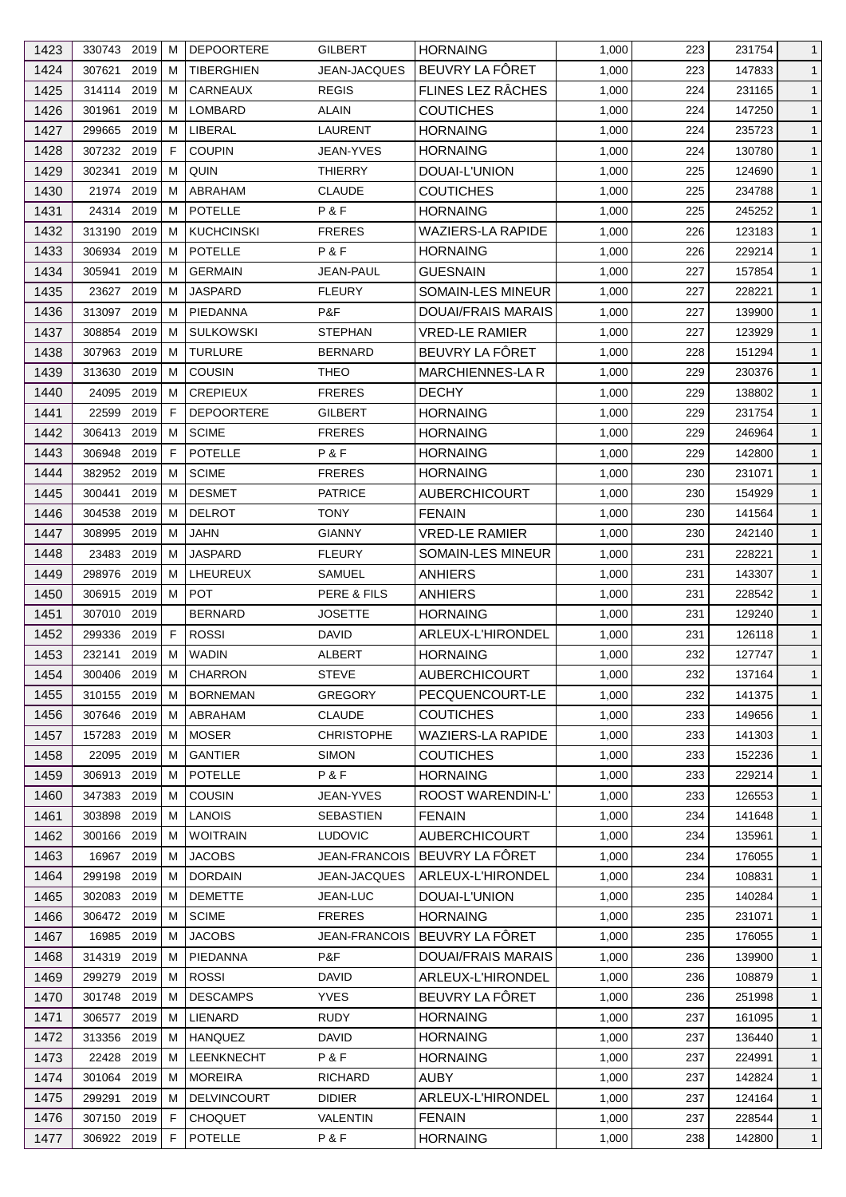| 1423 | 330743 2019              | M  | <b>DEPOORTERE</b>  | <b>GILBERT</b>       | <b>HORNAING</b>           | 1,000 | 223 | 231754 | $\mathbf{1}$ |
|------|--------------------------|----|--------------------|----------------------|---------------------------|-------|-----|--------|--------------|
| 1424 | 307621<br>2019           | M  | <b>TIBERGHIEN</b>  | <b>JEAN-JACQUES</b>  | BEUVRY LA FÔRET           | 1,000 | 223 | 147833 | $\mathbf{1}$ |
| 1425 | 314114<br>2019           | M  | CARNEAUX           | <b>REGIS</b>         | FLINES LEZ RÂCHES         | 1,000 | 224 | 231165 | $\mathbf{1}$ |
| 1426 | 301961<br>2019           | м  | LOMBARD            | ALAIN                | <b>COUTICHES</b>          | 1,000 | 224 | 147250 | $\mathbf{1}$ |
| 1427 | 299665<br>2019           | M  | LIBERAL            | LAURENT              | <b>HORNAING</b>           | 1,000 | 224 | 235723 | $\mathbf{1}$ |
| 1428 | 307232 2019              | F  | <b>COUPIN</b>      | JEAN-YVES            | <b>HORNAING</b>           | 1,000 | 224 | 130780 | $\mathbf{1}$ |
| 1429 | 2019<br>302341           | M  | QUIN               | <b>THIERRY</b>       | DOUAI-L'UNION             | 1,000 | 225 | 124690 | $\mathbf{1}$ |
| 1430 | 21974<br>2019            | M  | <b>ABRAHAM</b>     | <b>CLAUDE</b>        | <b>COUTICHES</b>          | 1,000 | 225 | 234788 | $\mathbf{1}$ |
| 1431 | 24314 2019               | M  | POTELLE            | P & F                | <b>HORNAING</b>           | 1,000 | 225 | 245252 | $\mathbf{1}$ |
| 1432 | 2019<br>313190           | M  | <b>KUCHCINSKI</b>  | <b>FRERES</b>        | <b>WAZIERS-LA RAPIDE</b>  | 1,000 | 226 | 123183 | $\mathbf{1}$ |
| 1433 | 306934<br>2019           | M  | POTELLE            | P&F                  | <b>HORNAING</b>           | 1,000 | 226 | 229214 | $\mathbf{1}$ |
| 1434 | 2019<br>305941           | м  | <b>GERMAIN</b>     | JEAN-PAUL            | <b>GUESNAIN</b>           | 1,000 | 227 | 157854 | $\mathbf{1}$ |
| 1435 | 2019<br>23627            | м  | <b>JASPARD</b>     | <b>FLEURY</b>        | SOMAIN-LES MINEUR         | 1,000 | 227 | 228221 | $\mathbf{1}$ |
| 1436 | 313097<br>2019           | M  | PIEDANNA           | P&F                  | <b>DOUAI/FRAIS MARAIS</b> | 1,000 | 227 | 139900 | $\mathbf{1}$ |
| 1437 | 2019<br>308854           | м  | <b>SULKOWSKI</b>   | <b>STEPHAN</b>       | <b>VRED-LE RAMIER</b>     | 1,000 | 227 | 123929 | $\mathbf{1}$ |
| 1438 | 307963<br>2019           | M  | <b>TURLURE</b>     | <b>BERNARD</b>       | BEUVRY LA FÔRET           | 1,000 | 228 | 151294 | $\mathbf{1}$ |
| 1439 | 2019<br>313630           | M  | <b>COUSIN</b>      | <b>THEO</b>          | MARCHIENNES-LA R          | 1,000 | 229 | 230376 | $\mathbf{1}$ |
| 1440 | 24095<br>2019            | M  | <b>CREPIEUX</b>    | <b>FRERES</b>        | <b>DECHY</b>              | 1,000 | 229 | 138802 | $\mathbf{1}$ |
| 1441 | 22599<br>2019            | F. | <b>DEPOORTERE</b>  | <b>GILBERT</b>       | <b>HORNAING</b>           | 1,000 | 229 | 231754 | $\mathbf{1}$ |
| 1442 | 306413 2019              | M  | <b>SCIME</b>       | <b>FRERES</b>        | <b>HORNAING</b>           | 1,000 | 229 | 246964 | $\mathbf{1}$ |
| 1443 | 306948<br>2019           | F  | <b>POTELLE</b>     | P&F                  | <b>HORNAING</b>           | 1,000 | 229 | 142800 | $\mathbf{1}$ |
| 1444 | 382952<br>2019           | M  | <b>SCIME</b>       | <b>FRERES</b>        | <b>HORNAING</b>           | 1,000 | 230 | 231071 | $\mathbf{1}$ |
|      | 2019                     | м  | <b>DESMET</b>      |                      |                           |       |     |        | $\mathbf{1}$ |
| 1445 | 300441<br>304538<br>2019 | M  | <b>DELROT</b>      | <b>PATRICE</b>       | <b>AUBERCHICOURT</b>      | 1,000 | 230 | 154929 |              |
| 1446 |                          |    |                    | <b>TONY</b>          | <b>FENAIN</b>             | 1,000 | 230 | 141564 | $\mathbf{1}$ |
| 1447 | 308995<br>2019           | M  | <b>JAHN</b>        | <b>GIANNY</b>        | <b>VRED-LE RAMIER</b>     | 1,000 | 230 | 242140 | $\mathbf{1}$ |
| 1448 | 2019<br>23483            | м  | <b>JASPARD</b>     | <b>FLEURY</b>        | SOMAIN-LES MINEUR         | 1,000 | 231 | 228221 | $\mathbf{1}$ |
| 1449 | 298976<br>2019           | M  | LHEUREUX           | SAMUEL               | <b>ANHIERS</b>            | 1,000 | 231 | 143307 | $\mathbf{1}$ |
| 1450 | 306915 2019 M            |    | <b>POT</b>         | PERE & FILS          | <b>ANHIERS</b>            | 1,000 | 231 | 228542 | $\mathbf{1}$ |
| 1451 | 307010 2019              |    | <b>BERNARD</b>     | JOSETTE              | <b>HORNAING</b>           | 1,000 | 231 | 129240 | $\mathbf{1}$ |
| 1452 | 299336<br>2019           | F  | <b>ROSSI</b>       | <b>DAVID</b>         | ARLEUX-L'HIRONDEL         | 1,000 | 231 | 126118 | $\mathbf{1}$ |
| 1453 | 2019<br>232141           | M  | <b>WADIN</b>       | ALBERT               | <b>HORNAING</b>           | 1,000 | 232 | 127747 | $\mathbf{1}$ |
| 1454 | 300406 2019 M            |    | CHARRON            | <b>STEVE</b>         | <b>AUBERCHICOURT</b>      | 1,000 | 232 | 137164 | $\mathbf{1}$ |
| 1455 | 310155 2019              | M  | <b>BORNEMAN</b>    | <b>GREGORY</b>       | PECQUENCOURT-LE           | 1,000 | 232 | 141375 | $\mathbf{1}$ |
| 1456 | 307646 2019              | M  | ABRAHAM            | <b>CLAUDE</b>        | <b>COUTICHES</b>          | 1,000 | 233 | 149656 | $\mathbf{1}$ |
| 1457 | 157283 2019              | M  | <b>MOSER</b>       | <b>CHRISTOPHE</b>    | <b>WAZIERS-LA RAPIDE</b>  | 1,000 | 233 | 141303 | $\mathbf{1}$ |
| 1458 | 22095<br>2019            | M  | <b>GANTIER</b>     | <b>SIMON</b>         | <b>COUTICHES</b>          | 1,000 | 233 | 152236 | $\mathbf{1}$ |
| 1459 | 306913 2019              | M  | POTELLE            | P&F                  | <b>HORNAING</b>           | 1,000 | 233 | 229214 | $\mathbf{1}$ |
| 1460 | 347383 2019              | M  | <b>COUSIN</b>      | JEAN-YVES            | ROOST WARENDIN-L'         | 1,000 | 233 | 126553 | $\mathbf{1}$ |
| 1461 | 2019<br>303898           | M  | <b>LANOIS</b>      | <b>SEBASTIEN</b>     | <b>FENAIN</b>             | 1,000 | 234 | 141648 | $\mathbf{1}$ |
| 1462 | 300166<br>2019           | M  | <b>WOITRAIN</b>    | <b>LUDOVIC</b>       | <b>AUBERCHICOURT</b>      | 1,000 | 234 | 135961 | $\mathbf{1}$ |
| 1463 | 16967<br>2019            | M  | <b>JACOBS</b>      | <b>JEAN-FRANCOIS</b> | BEUVRY LA FÔRET           | 1,000 | 234 | 176055 | $\mathbf{1}$ |
| 1464 | 2019<br>299198           | M  | <b>DORDAIN</b>     | JEAN-JACQUES         | ARLEUX-L'HIRONDEL         | 1,000 | 234 | 108831 | $\mathbf{1}$ |
| 1465 | 2019<br>302083           | M  | <b>DEMETTE</b>     | JEAN-LUC             | DOUAI-L'UNION             | 1,000 | 235 | 140284 | $\mathbf{1}$ |
| 1466 | 306472 2019              | M  | <b>SCIME</b>       | <b>FRERES</b>        | <b>HORNAING</b>           | 1,000 | 235 | 231071 | $\mathbf{1}$ |
| 1467 | 16985<br>2019            | M  | <b>JACOBS</b>      | JEAN-FRANCOIS        | BEUVRY LA FÖRET           | 1,000 | 235 | 176055 | $\mathbf{1}$ |
| 1468 | 314319 2019              | M  | PIEDANNA           | P&F                  | DOUAI/FRAIS MARAIS        | 1,000 | 236 | 139900 | $\mathbf{1}$ |
| 1469 | 299279<br>2019           | M  | <b>ROSSI</b>       | DAVID                | ARLEUX-L'HIRONDEL         | 1,000 | 236 | 108879 | $\mathbf{1}$ |
| 1470 | 301748<br>2019           | M  | <b>DESCAMPS</b>    | <b>YVES</b>          | BEUVRY LA FÔRET           | 1,000 | 236 | 251998 | $\mathbf{1}$ |
| 1471 | 306577 2019              | M  | LIENARD            | <b>RUDY</b>          | <b>HORNAING</b>           | 1,000 | 237 | 161095 | $\mathbf{1}$ |
| 1472 | 2019<br>313356           | M  | <b>HANQUEZ</b>     | <b>DAVID</b>         | <b>HORNAING</b>           | 1,000 | 237 | 136440 | $\mathbf{1}$ |
| 1473 | 2019<br>22428            | M  | LEENKNECHT         | P & F                | <b>HORNAING</b>           | 1,000 | 237 | 224991 | $\mathbf{1}$ |
| 1474 | 301064<br>2019           | M  | <b>MOREIRA</b>     | <b>RICHARD</b>       | <b>AUBY</b>               | 1,000 | 237 | 142824 | $\mathbf{1}$ |
| 1475 | 2019<br>299291           | M  | <b>DELVINCOURT</b> | <b>DIDIER</b>        | ARLEUX-L'HIRONDEL         | 1,000 | 237 | 124164 | $\mathbf{1}$ |
| 1476 | 307150 2019              | F  | <b>CHOQUET</b>     | <b>VALENTIN</b>      | <b>FENAIN</b>             | 1,000 | 237 | 228544 | $\mathbf{1}$ |
| 1477 | 306922 2019              | F  | POTELLE            | P&F                  | <b>HORNAING</b>           | 1,000 | 238 | 142800 | $\mathbf{1}$ |